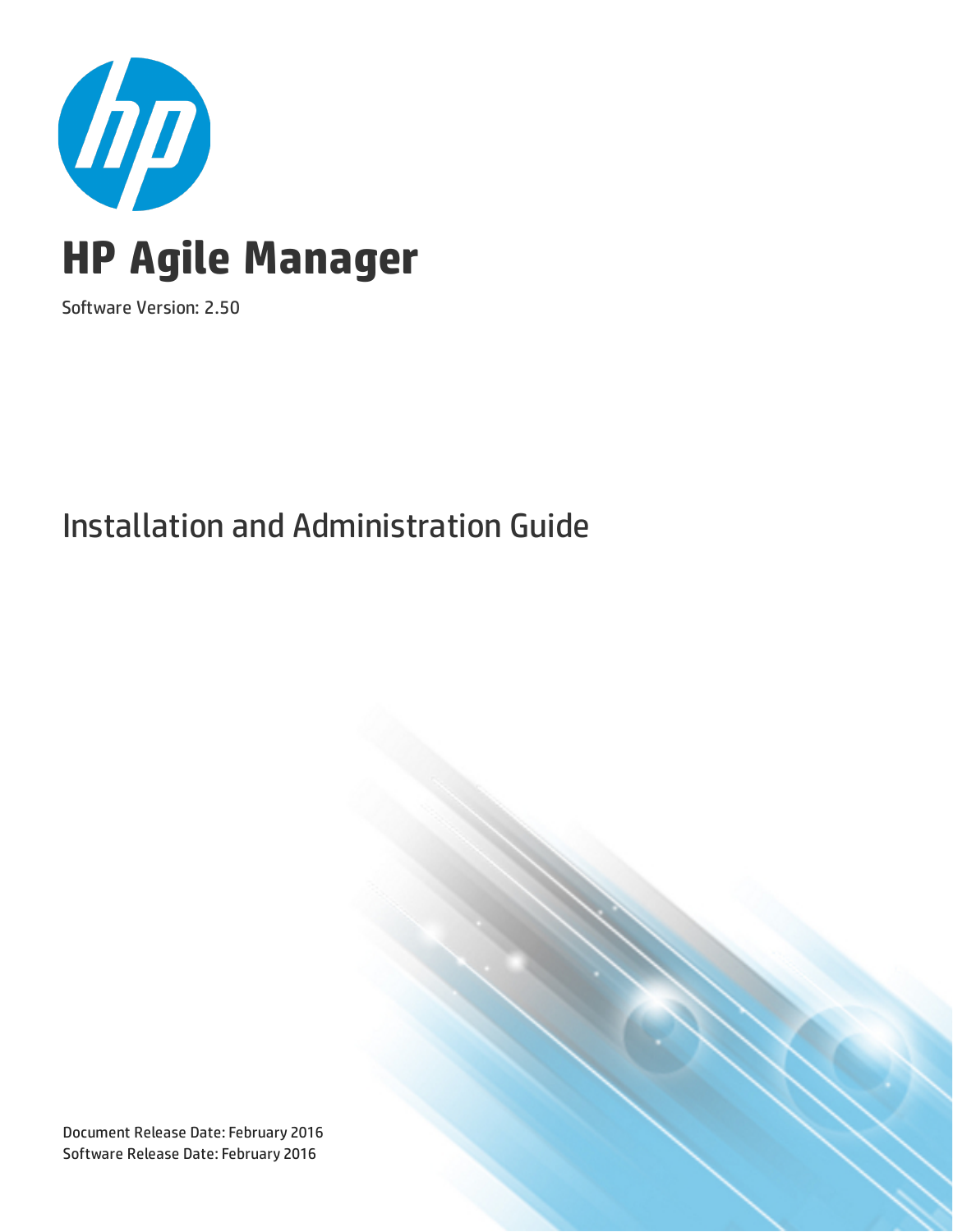

Software Version: 2.50

## Installation and Administration Guide

Document Release Date: February 2016 Software Release Date: February 2016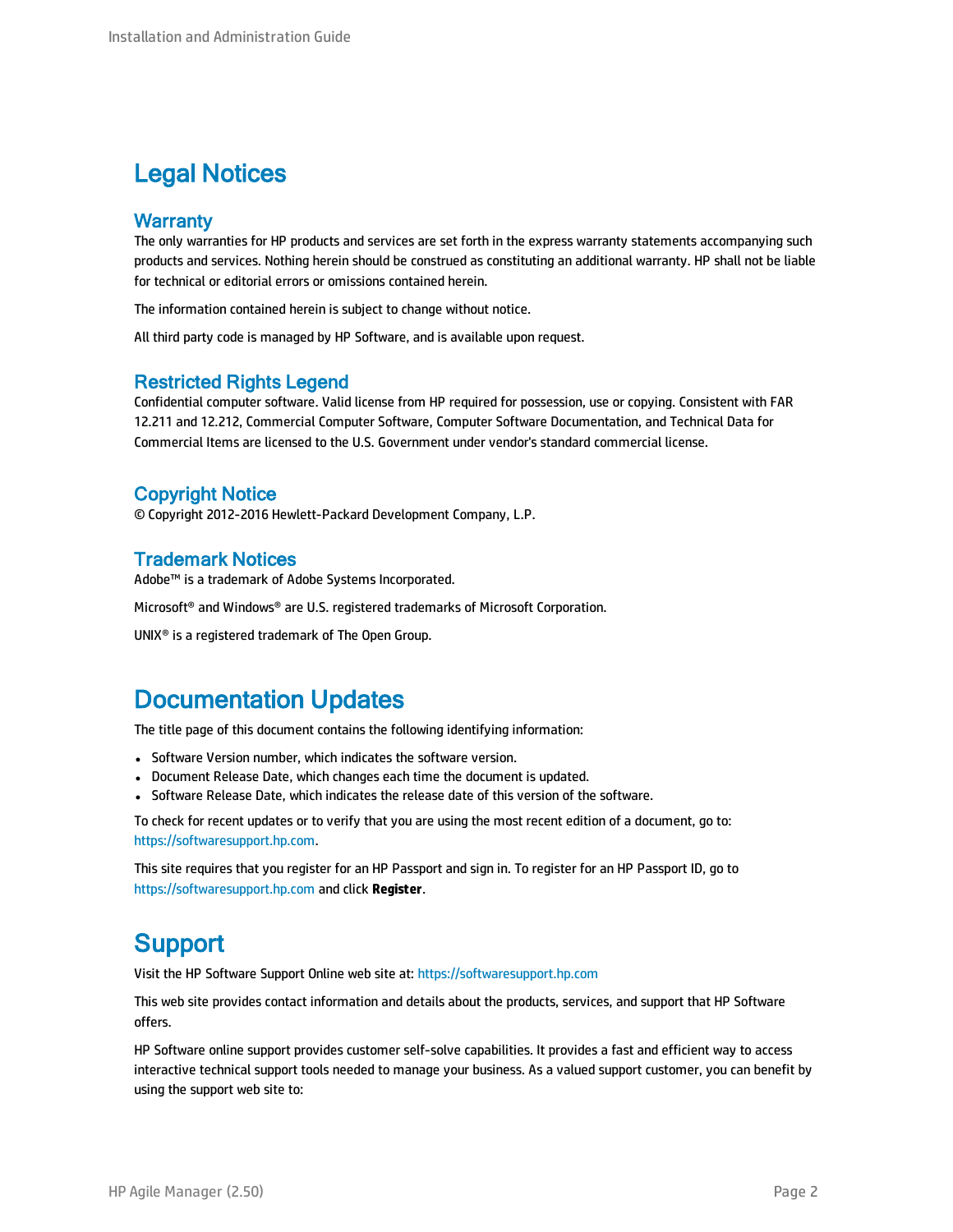### Legal Notices

### **Warranty**

The only warranties for HP products and services are set forth in the express warranty statements accompanying such products and services. Nothing herein should be construed as constituting an additional warranty. HP shall not be liable for technical or editorial errors or omissions contained herein.

The information contained herein is subject to change without notice.

All third party code is managed by HP Software, and is available upon request.

### Restricted Rights Legend

Confidential computer software. Valid license from HP required for possession, use or copying. Consistent with FAR 12.211 and 12.212, Commercial Computer Software, Computer Software Documentation, and Technical Data for Commercial Items are licensed to the U.S. Government under vendor's standard commercial license.

### Copyright Notice

© Copyright 2012-2016 Hewlett-Packard Development Company, L.P.

### Trademark Notices

Adobe™ is a trademark of Adobe Systems Incorporated.

Microsoft® and Windows® are U.S. registered trademarks of Microsoft Corporation.

UNIX® is a registered trademark of The Open Group.

### Documentation Updates

The title page of this document contains the following identifying information:

- Software Version number, which indicates the software version.
- Document Release Date, which changes each time the document is updated.
- Software Release Date, which indicates the release date of this version of the software.

To check for recent updates or to verify that you are using the most recent edition of a document, go to: [https://softwaresupport.hp.com](https://softwaresupport.hp.com/).

This site requires that you register for an HP Passport and sign in. To register for an HP Passport ID, go to [https://softwaresupport.hp.com](https://softwaresupport.hp.com/) and click **Register**.

### **Support**

Visit the HP Software Support Online web site at: [https://softwaresupport.hp.com](https://softwaresupport.hp.com/)

This web site provides contact information and details about the products, services, and support that HP Software offers.

HP Software online support provides customer self-solve capabilities. It provides a fast and efficient way to access interactive technical support tools needed to manage your business. As a valued support customer, you can benefit by using the support web site to: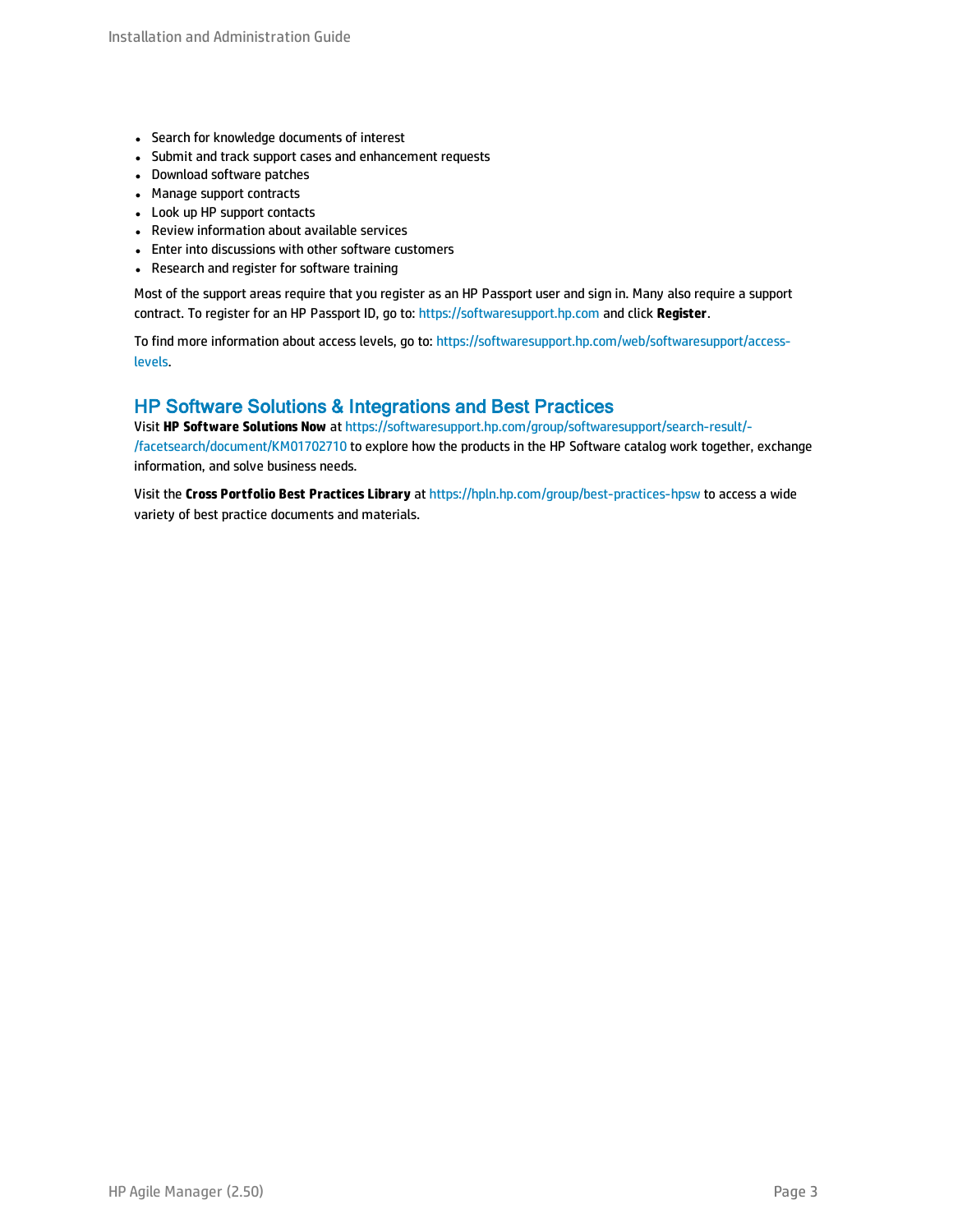- Search for knowledge documents of interest
- Submit and track support cases and enhancement requests
- Download software patches
- Manage support contracts
- Look up HP support contacts
- Review information about available services
- Enter into discussions with other software customers
- Research and register for software training

Most of the support areas require that you register as an HP Passport user and sign in. Many also require a support contract. To register for an HP Passport ID, go to: [https://softwaresupport.hp.com](https://softwaresupport.hp.com/) and click **Register**.

To find more information about access levels, go to: [https://softwaresupport.hp.com/web/softwaresupport/access](https://softwaresupport.hp.com/web/softwaresupport/access-levels)[levels](https://softwaresupport.hp.com/web/softwaresupport/access-levels).

### HP Software Solutions & Integrations and Best Practices

Visit **HP Software Solutions Now** at [https://softwaresupport.hp.com/group/softwaresupport/search-result/-](https://softwaresupport.hp.com/group/softwaresupport/search-result/-/facetsearch/document/KM01702710) [/facetsearch/document/KM01702710](https://softwaresupport.hp.com/group/softwaresupport/search-result/-/facetsearch/document/KM01702710) to explore how the products in the HP Software catalog work together, exchange information, and solve business needs.

Visit the **Cross Portfolio Best Practices Library** at <https://hpln.hp.com/group/best-practices-hpsw> to access a wide variety of best practice documents and materials.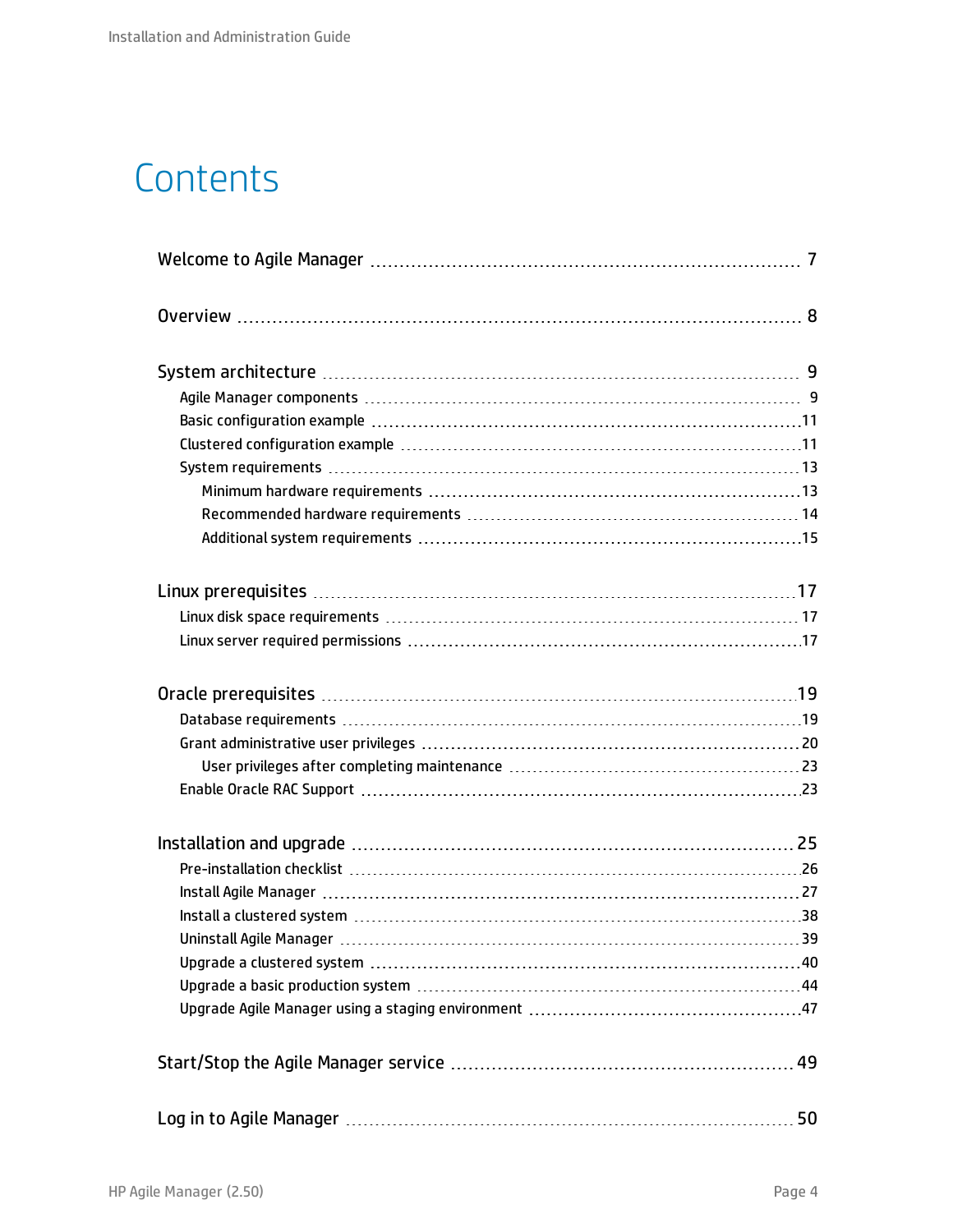# **Contents**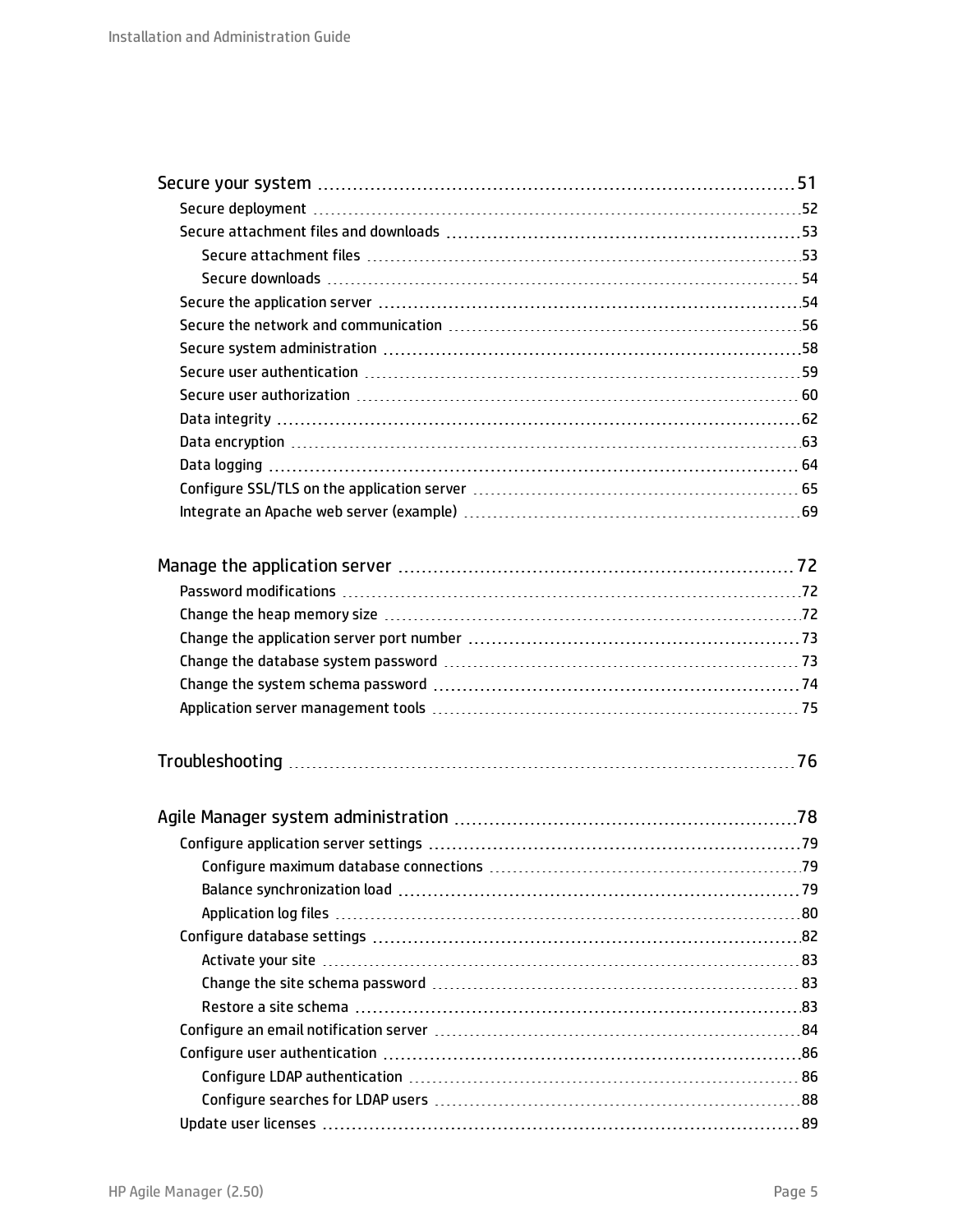| Configure an email notification server manufactured contracts and the continuum server of the Configure and an |  |
|----------------------------------------------------------------------------------------------------------------|--|
|                                                                                                                |  |
|                                                                                                                |  |
|                                                                                                                |  |
|                                                                                                                |  |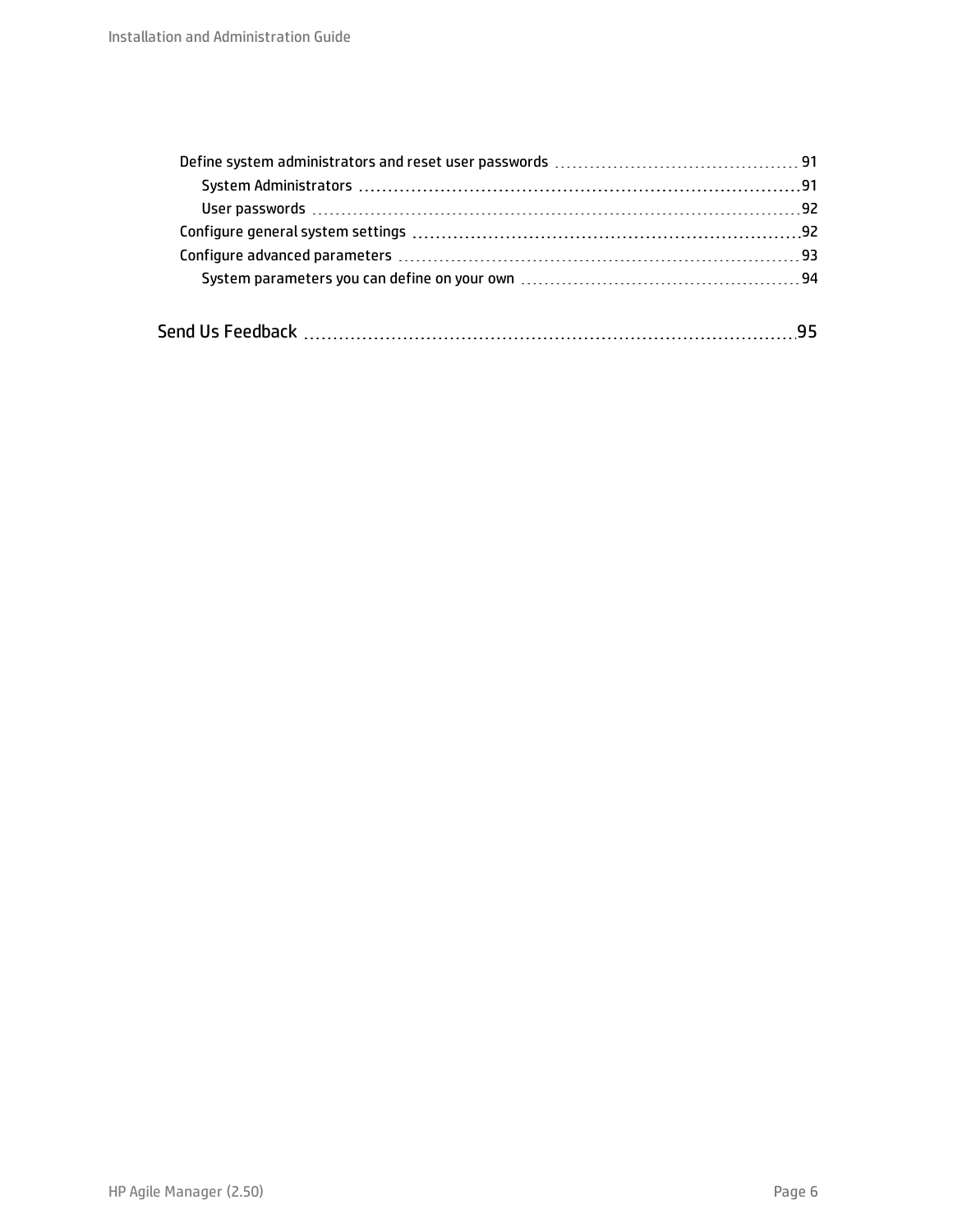| 95 |
|----|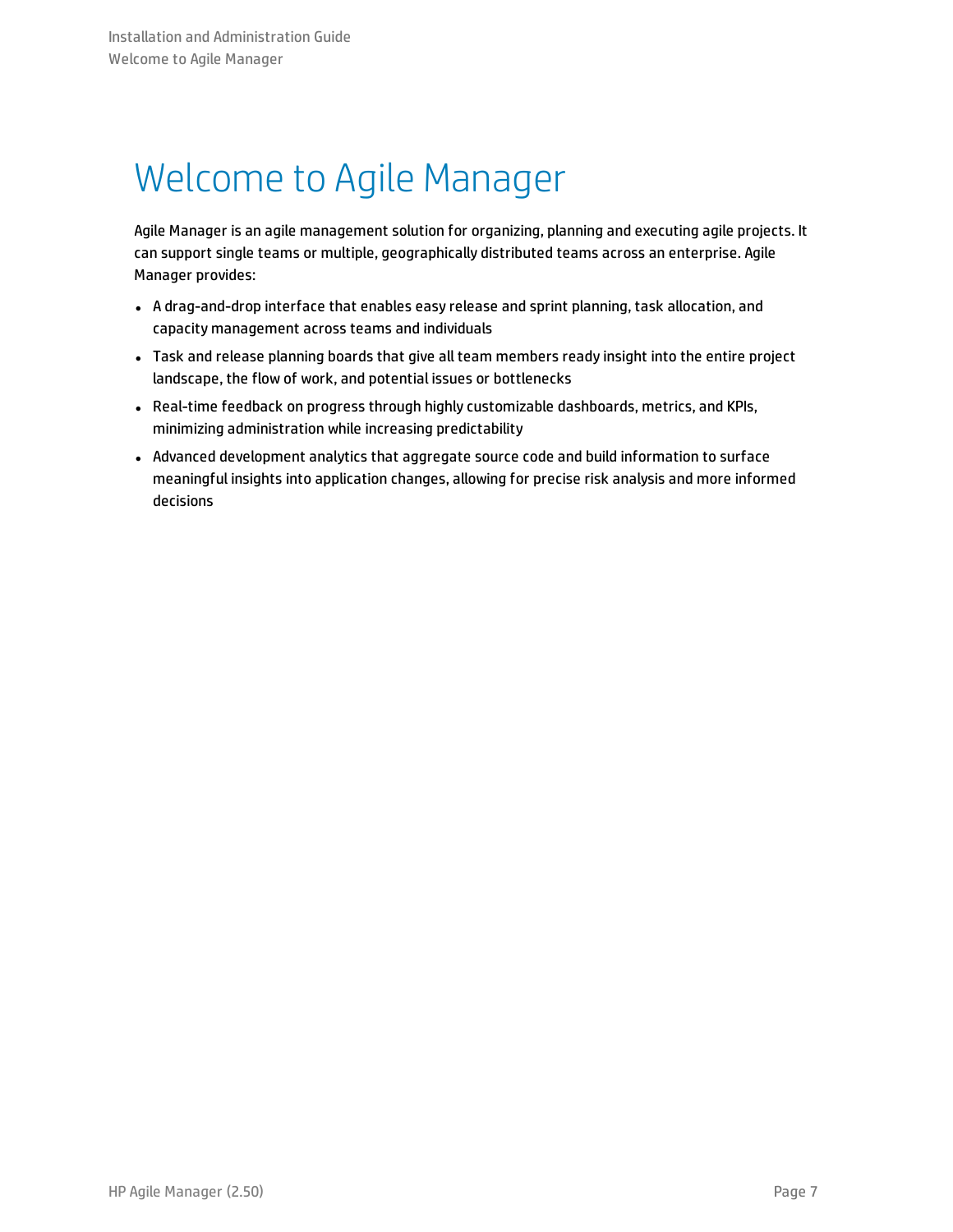# <span id="page-6-0"></span>Welcome to Agile Manager

Agile Manager is an agile management solution for organizing, planning and executing agile projects. It can support single teams or multiple, geographically distributed teams across an enterprise. Agile Manager provides:

- <sup>l</sup> A drag-and-drop interface that enables easy release and sprint planning, task allocation, and capacity management across teams and individuals
- <sup>l</sup> Task and release planning boards that give all team members ready insight into the entire project landscape, the flow of work, and potential issues or bottlenecks
- <sup>l</sup> Real-time feedback on progress through highly customizable dashboards, metrics, and KPIs, minimizing administration while increasing predictability
- Advanced development analytics that aggregate source code and build information to surface meaningful insights into application changes, allowing for precise risk analysis and more informed decisions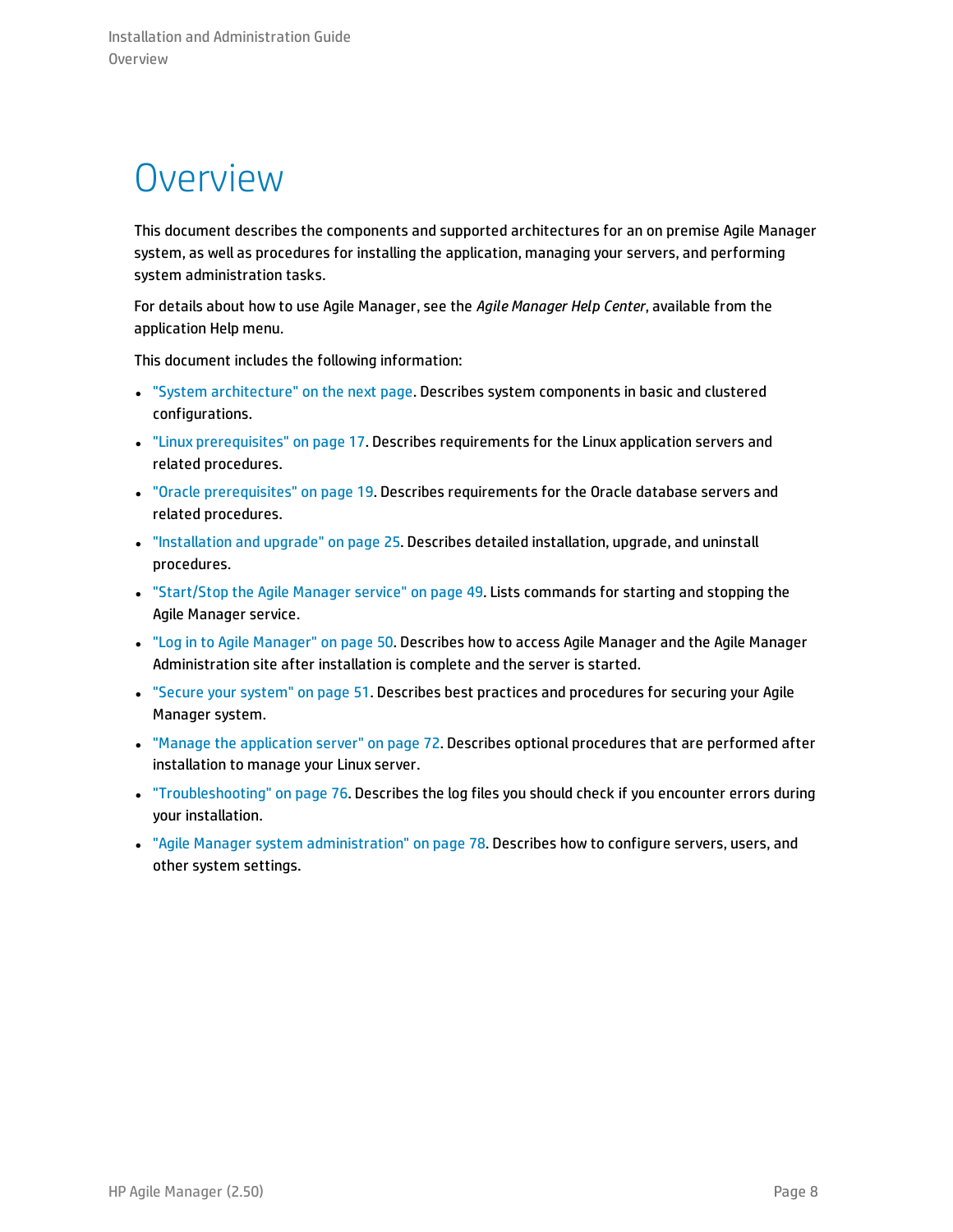## <span id="page-7-0"></span>**Overview**

This document describes the components and supported architectures for an on premise Agile Manager system, as well as procedures for installing the application, managing your servers, and performing system administration tasks.

For details about how to use Agile Manager, see the *Agile Manager Help Center*, available from the application Help menu.

This document includes the following information:

- "System [architecture"](#page-8-0) on the next page. Describes system components in basic and clustered configurations.
- <sup>l</sup> "Linux [prerequisites"](#page-16-0) on page 17. Describes requirements for the Linux application servers and related procedures.
- "Oracle [prerequisites"](#page-18-0) on page 19. Describes requirements for the Oracle database servers and related procedures.
- <sup>l</sup> ["Installation](#page-24-0) and upgrade" on page 25. Describes detailed installation, upgrade, and uninstall procedures.
- <sup>l</sup> ["Start/Stop](#page-48-0) the Agile Manager service" on page 49. Lists commands for starting and stopping the Agile Manager service.
- <sup>l</sup> "Log in to Agile [Manager"](#page-49-0) on page 50. Describes how to access Agile Manager and the Agile Manager Administration site after installation is complete and the server is started.
- <sup>l</sup> "Secure your [system"](#page-50-0) on page 51. Describes best practices and procedures for securing your Agile Manager system.
- <sup>l</sup> "Manage the [application](#page-71-0) server" on page 72. Describes optional procedures that are performed after installation to manage your Linux server.
- <sup>l</sup> ["Troubleshooting"](#page-75-0) on page 76. Describes the log files you should check if you encounter errors during your installation.
- <sup>l</sup> "Agile Manager system [administration"](#page-77-0) on page 78. Describes how to configure servers, users, and other system settings.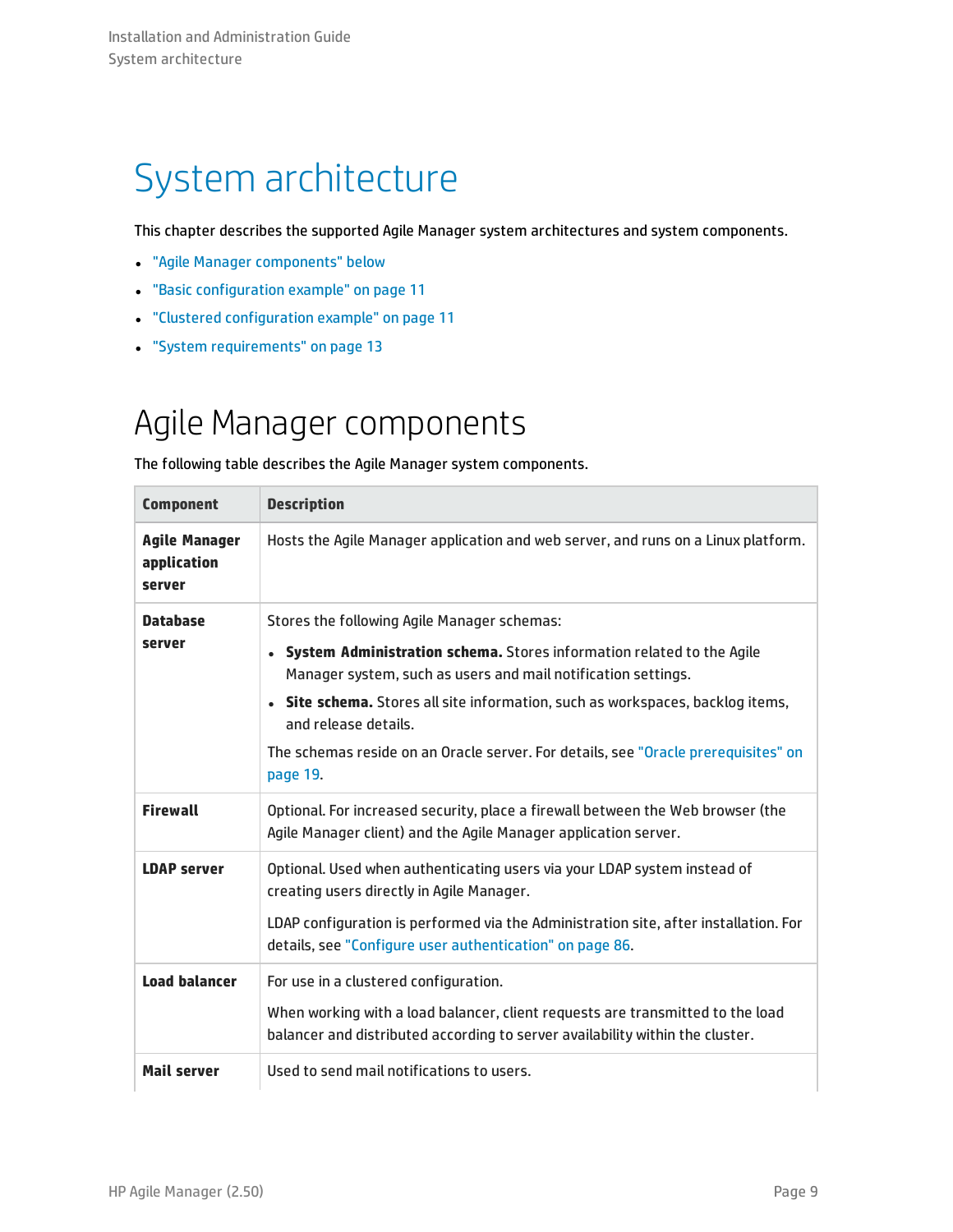# <span id="page-8-0"></span>System architecture

This chapter describes the supported Agile Manager system architectures and system components.

- <sup>l</sup> "Agile Manager [components"](#page-8-1) below
- **.** "Basic [configuration](#page-10-0) example" on page 11
- <sup>l</sup> "Clustered [configuration](#page-10-1) example" on page 11
- <span id="page-8-1"></span>**.** "System [requirements"](#page-12-0) on page 13

### Agile Manager components

The following table describes the Agile Manager system components.

| <b>Component</b>                              | <b>Description</b>                                                                                                                                              |
|-----------------------------------------------|-----------------------------------------------------------------------------------------------------------------------------------------------------------------|
| <b>Agile Manager</b><br>application<br>server | Hosts the Agile Manager application and web server, and runs on a Linux platform.                                                                               |
| <b>Database</b><br>server                     | Stores the following Agile Manager schemas:                                                                                                                     |
|                                               | System Administration schema. Stores information related to the Agile<br>Manager system, such as users and mail notification settings.                          |
|                                               | • Site schema. Stores all site information, such as workspaces, backlog items,<br>and release details.                                                          |
|                                               | The schemas reside on an Oracle server. For details, see "Oracle prerequisites" on<br>page 19.                                                                  |
| <b>Firewall</b>                               | Optional. For increased security, place a firewall between the Web browser (the<br>Agile Manager client) and the Agile Manager application server.              |
| <b>LDAP server</b>                            | Optional. Used when authenticating users via your LDAP system instead of<br>creating users directly in Agile Manager.                                           |
|                                               | LDAP configuration is performed via the Administration site, after installation. For<br>details, see "Configure user authentication" on page 86.                |
| <b>Load balancer</b>                          | For use in a clustered configuration.                                                                                                                           |
|                                               | When working with a load balancer, client requests are transmitted to the load<br>balancer and distributed according to server availability within the cluster. |
| <b>Mail server</b>                            | Used to send mail notifications to users.                                                                                                                       |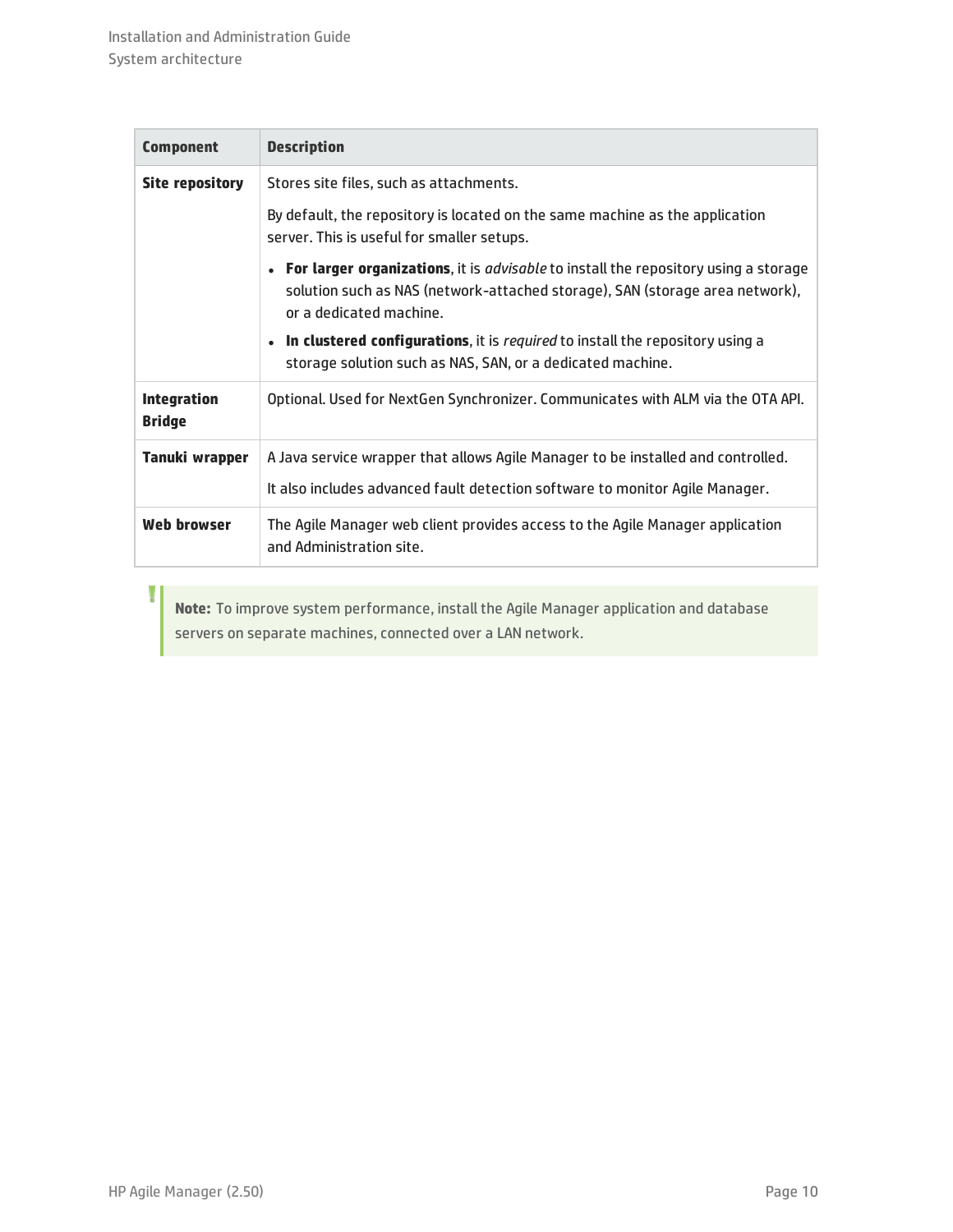| <b>Component</b>                    | <b>Description</b>                                                                                                                                                                                      |
|-------------------------------------|---------------------------------------------------------------------------------------------------------------------------------------------------------------------------------------------------------|
| Site repository                     | Stores site files, such as attachments.                                                                                                                                                                 |
|                                     | By default, the repository is located on the same machine as the application<br>server. This is useful for smaller setups.                                                                              |
|                                     | • For larger organizations, it is <i>advisable</i> to install the repository using a storage<br>solution such as NAS (network-attached storage), SAN (storage area network),<br>or a dedicated machine. |
|                                     | In clustered configurations, it is required to install the repository using a<br>storage solution such as NAS, SAN, or a dedicated machine.                                                             |
| <b>Integration</b><br><b>Bridge</b> | Optional. Used for NextGen Synchronizer. Communicates with ALM via the OTA API.                                                                                                                         |
| Tanuki wrapper                      | A Java service wrapper that allows Agile Manager to be installed and controlled.<br>It also includes advanced fault detection software to monitor Agile Manager.                                        |
| Web browser                         | The Agile Manager web client provides access to the Agile Manager application<br>and Administration site.                                                                                               |

**Note:** To improve system performance, install the Agile Manager application and database servers on separate machines, connected over a LAN network.

Ţ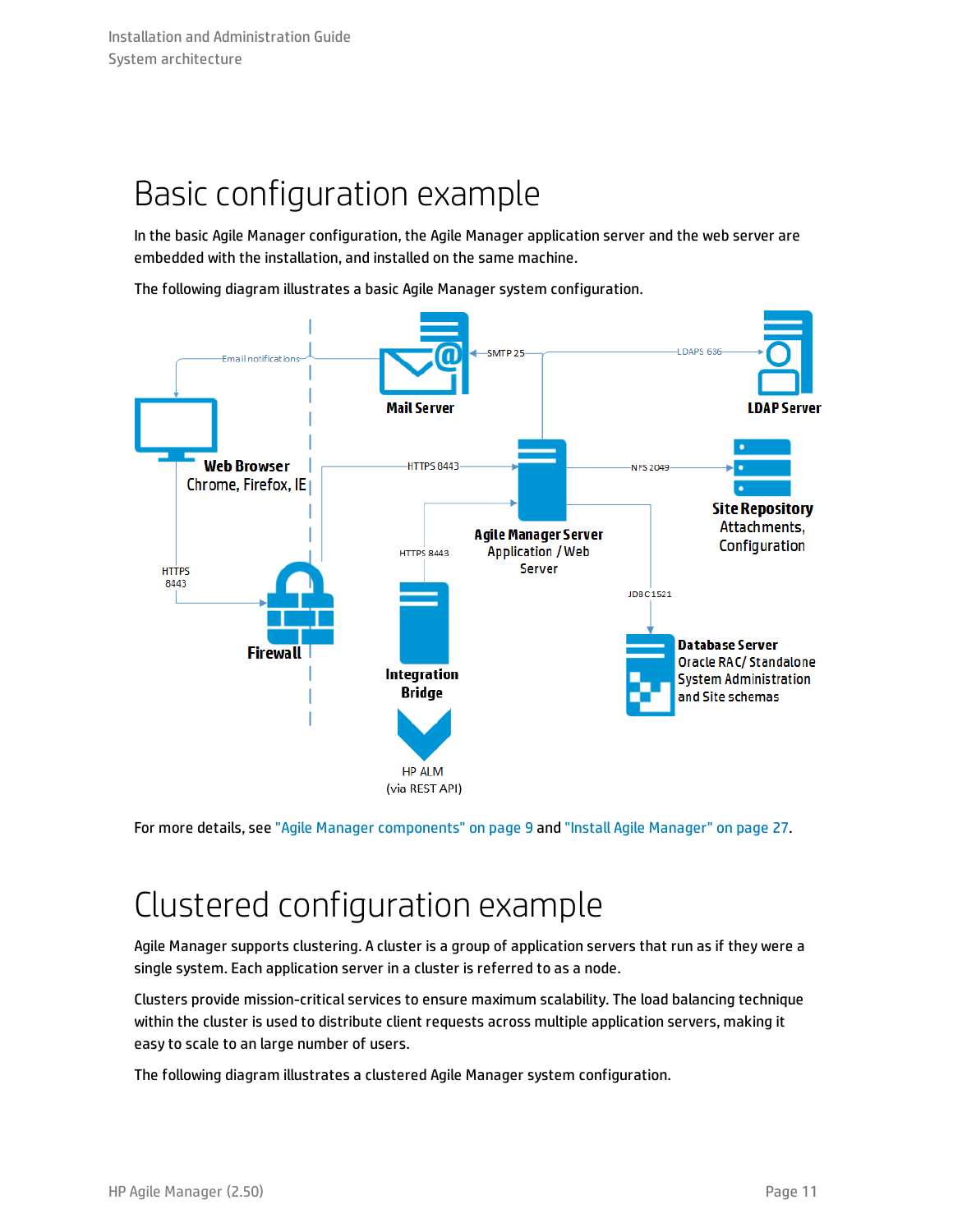### <span id="page-10-0"></span>Basic configuration example

In the basic Agile Manager configuration, the Agile Manager application server and the web server are embedded with the installation, and installed on the same machine.

The following diagram illustrates a basic Agile Manager system configuration.



<span id="page-10-1"></span>For more details, see "Agile Manager [components"](#page-8-1) on page 9 and "Install Agile [Manager"](#page-26-0) on page 27.

## Clustered configuration example

Agile Manager supports clustering. A cluster is a group of application servers that run as if they were a single system. Each application server in a cluster is referred to as a node.

Clusters provide mission-critical services to ensure maximum scalability. The load balancing technique within the cluster is used to distribute client requests across multiple application servers, making it easy to scale to an large number of users.

The following diagram illustrates a clustered Agile Manager system configuration.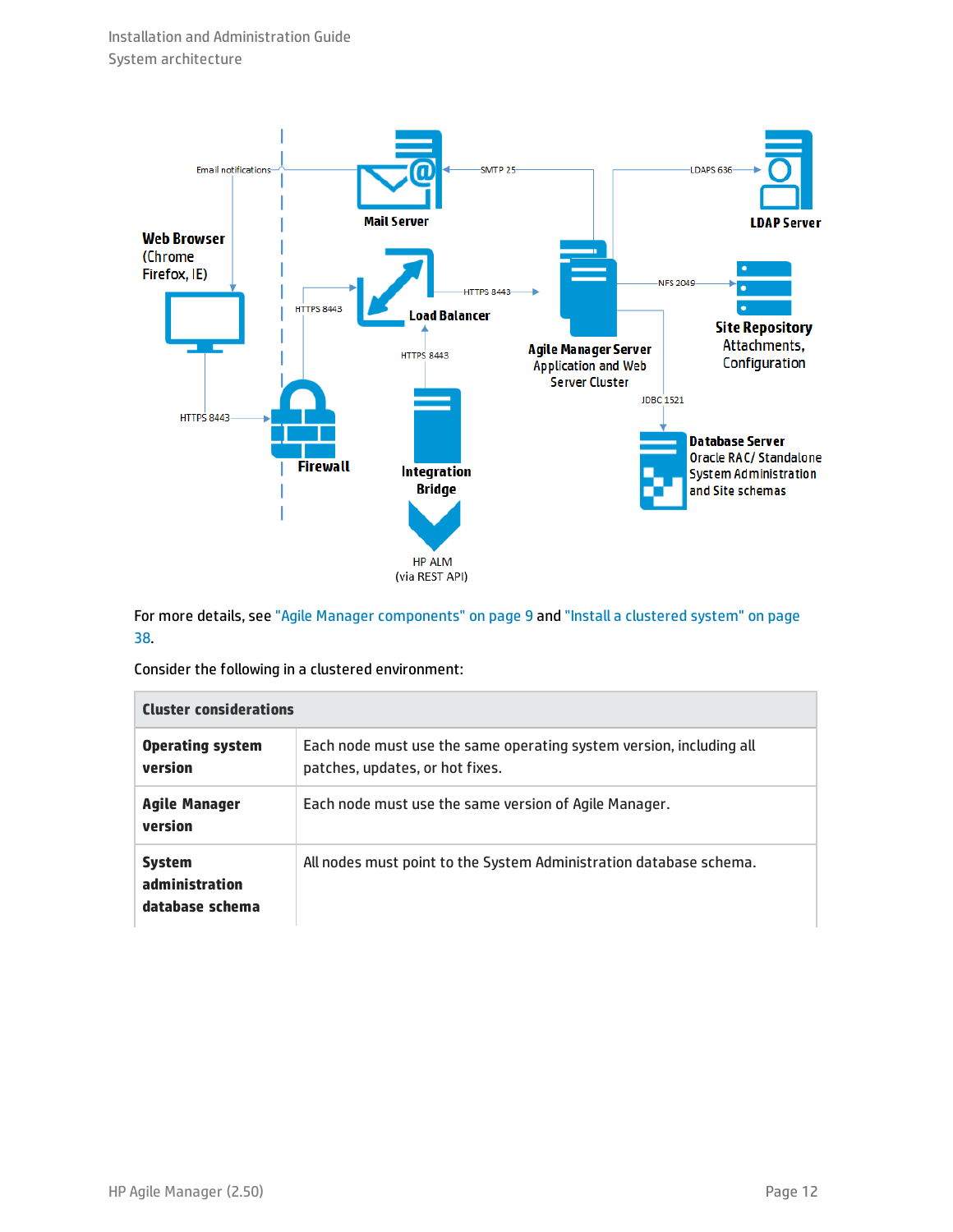

For more details, see "Agile Manager [components"](#page-8-1) on page 9 and "Install a [clustered](#page-37-0) system" on page [38.](#page-37-0)

Consider the following in a clustered environment:

| <b>Cluster considerations</b>                      |                                                                                                        |
|----------------------------------------------------|--------------------------------------------------------------------------------------------------------|
| <b>Operating system</b><br>version                 | Each node must use the same operating system version, including all<br>patches, updates, or hot fixes. |
| Agile Manager<br>version                           | Each node must use the same version of Agile Manager.                                                  |
| <b>System</b><br>administration<br>database schema | All nodes must point to the System Administration database schema.                                     |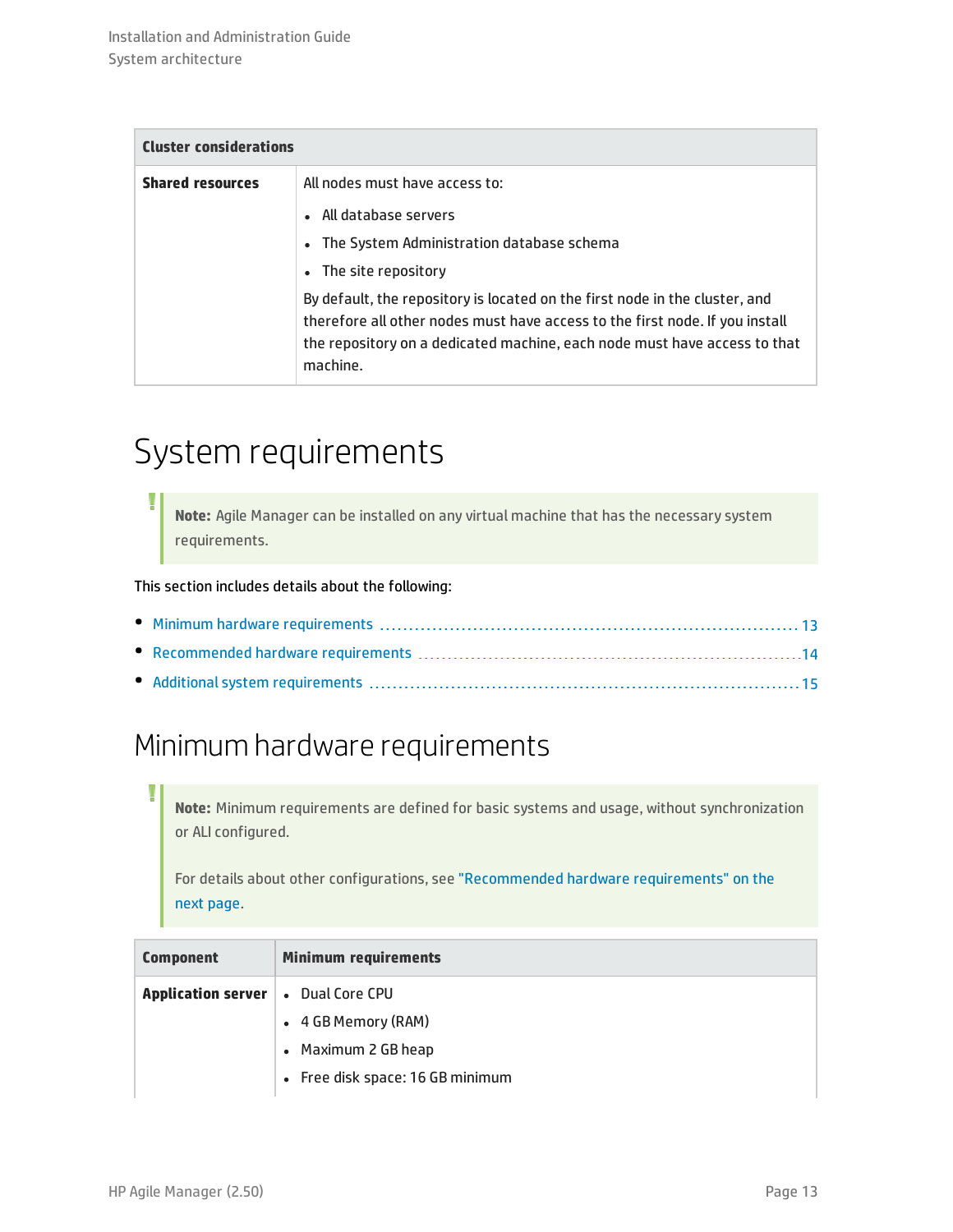| <b>Cluster considerations</b> |                                                                                                                                                                                                                                                      |
|-------------------------------|------------------------------------------------------------------------------------------------------------------------------------------------------------------------------------------------------------------------------------------------------|
| <b>Shared resources</b>       | All nodes must have access to:                                                                                                                                                                                                                       |
|                               | • All database servers                                                                                                                                                                                                                               |
|                               | • The System Administration database schema                                                                                                                                                                                                          |
|                               | • The site repository                                                                                                                                                                                                                                |
|                               | By default, the repository is located on the first node in the cluster, and<br>therefore all other nodes must have access to the first node. If you install<br>the repository on a dedicated machine, each node must have access to that<br>machine. |

## <span id="page-12-0"></span>System requirements

**Note:** Agile Manager can be installed on any virtual machine that has the necessary system requirements.

This section includes details about the following:

### <span id="page-12-1"></span>Minimum hardware requirements

**Note:** Minimum requirements are defined for basic systems and usage, without synchronization or ALI configured.

For details about other configurations, see ["Recommended](#page-13-0) hardware requirements" on the next [page](#page-13-0).

| <b>Component</b>                            | <b>Minimum requirements</b>      |
|---------------------------------------------|----------------------------------|
| <b>Application server   .</b> Dual Core CPU |                                  |
|                                             | • 4 GB Memory (RAM)              |
|                                             | • Maximum 2 GB heap              |
|                                             | • Free disk space: 16 GB minimum |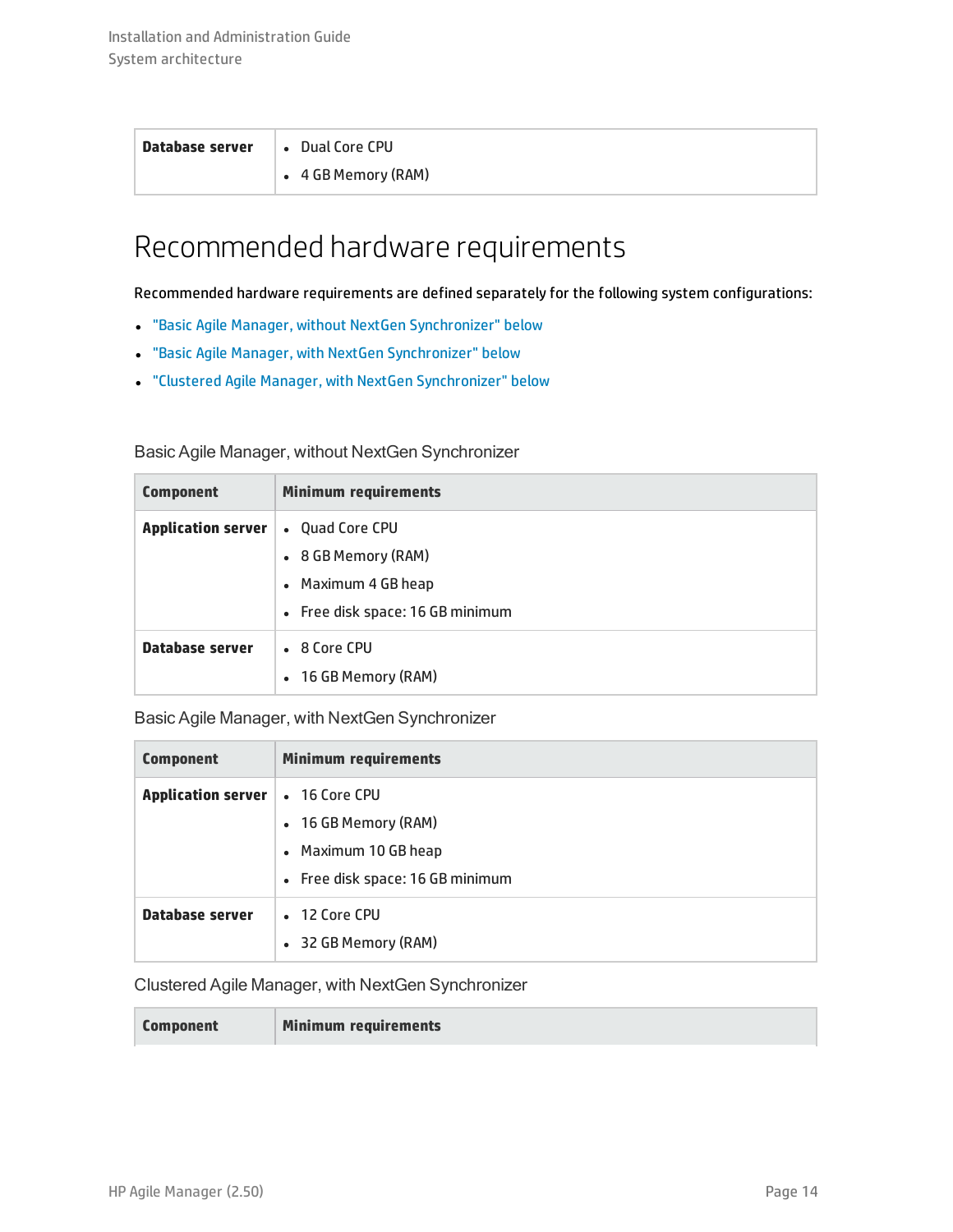| Database server | • Dual Core CPU             |
|-----------------|-----------------------------|
|                 | $\bullet$ 4 GB Memory (RAM) |

### <span id="page-13-0"></span>Recommended hardware requirements

Recommended hardware requirements are defined separately for the following system configurations:

- <sup>l</sup> "Basic Agile Manager, without NextGen [Synchronizer"](#page-13-1) below
- <sup>l</sup> "Basic Agile Manager, with NextGen [Synchronizer"](#page-13-2) below
- <sup>l</sup> "Clustered Agile Manager, with NextGen [Synchronizer"](#page-13-3) below

### <span id="page-13-1"></span>Basic Agile Manager, without NextGen Synchronizer

| <b>Component</b>          | <b>Minimum requirements</b>                                                         |
|---------------------------|-------------------------------------------------------------------------------------|
| <b>Application server</b> | • Quad Core CPU<br>• 8 GB Memory (RAM)<br>• Maximum 4 GB heap                       |
| Database server           | • Free disk space: 16 GB minimum<br>• 8 Core CPU<br>16 GB Memory (RAM)<br>$\bullet$ |

<span id="page-13-2"></span>Basic Agile Manager, with NextGen Synchronizer

| <b>Component</b>          | <b>Minimum requirements</b>                                                                       |
|---------------------------|---------------------------------------------------------------------------------------------------|
| <b>Application server</b> | • 16 Core CPU<br>• 16 GB Memory (RAM)<br>• Maximum 10 GB heap<br>• Free disk space: 16 GB minimum |
| Database server           | • 12 Core CPU<br>32 GB Memory (RAM)<br>$\bullet$                                                  |

### <span id="page-13-3"></span>Clustered Agile Manager, with NextGen Synchronizer

| <b>Component</b> |
|------------------|
|------------------|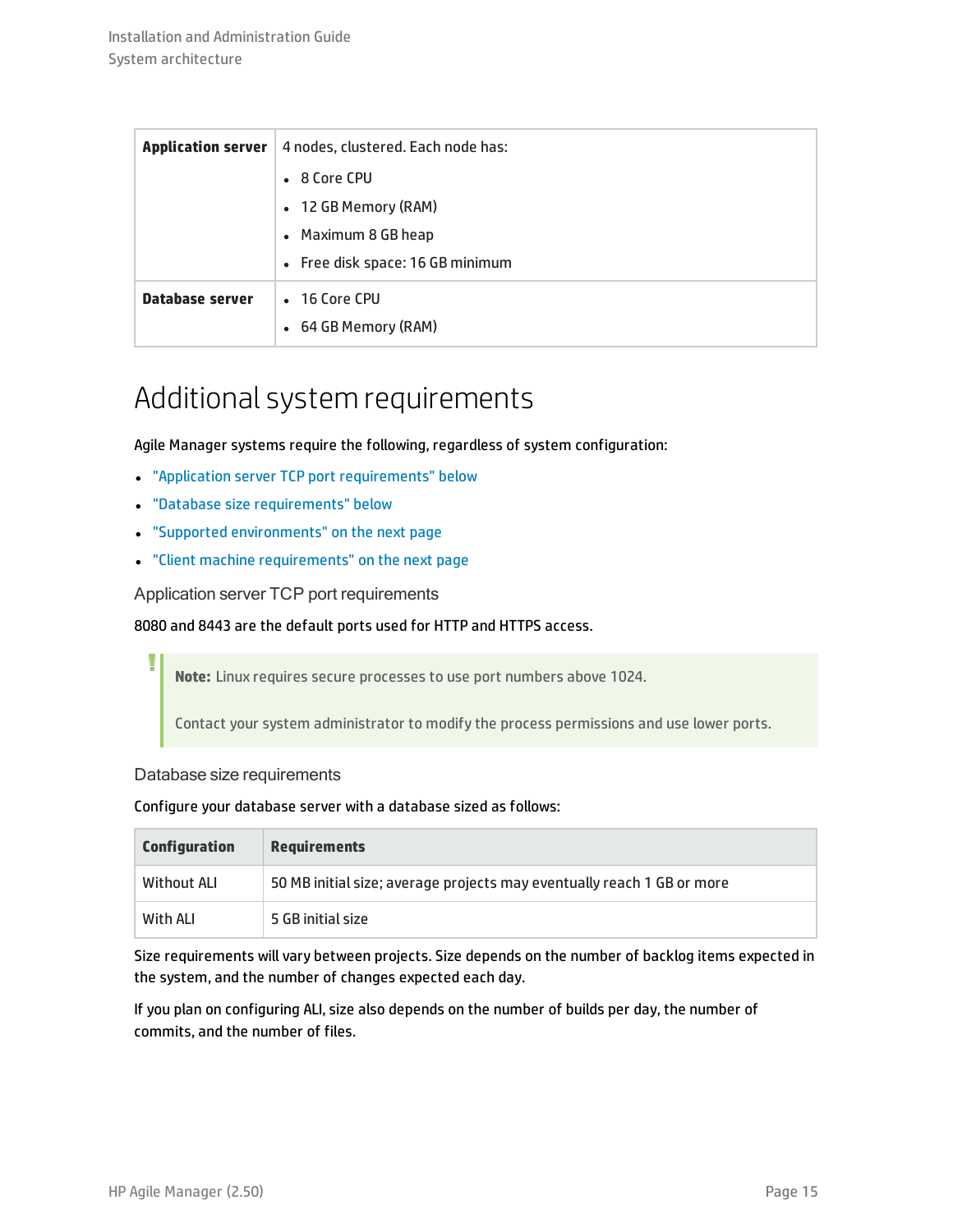| <b>Application server</b> | 4 nodes, clustered. Each node has: |
|---------------------------|------------------------------------|
|                           | • 8 Core CPU                       |
|                           | • 12 GB Memory (RAM)               |
|                           | • Maximum 8 GB heap                |
|                           | • Free disk space: 16 GB minimum   |
| Database server           | • 16 Core CPU                      |
|                           | • 64 GB Memory (RAM)               |

### <span id="page-14-0"></span>Additional system requirements

Agile Manager systems require the following, regardless of system configuration:

- "Application server TCP port [requirements"](#page-14-1) below
- **.** "Database size [requirements"](#page-14-2) below
- <sup>l</sup> "Supported [environments"](#page-15-0) on the next page
- <span id="page-14-1"></span><sup>l</sup> "Client machine [requirements"](#page-15-1) on the next page

Application server TCP port requirements

### 8080 and 8443 are the default ports used for HTTP and HTTPS access.

**Note:** Linux requires secure processes to use port numbers above 1024.

Contact your system administrator to modify the process permissions and use lower ports.

### <span id="page-14-2"></span>Database size requirements

#### Configure your database server with a database sized as follows:

| <b>Configuration</b> | <b>Requirements</b>                                                    |
|----------------------|------------------------------------------------------------------------|
| Without ALI          | 50 MB initial size; average projects may eventually reach 1 GB or more |
| With ALI             | 5 GB initial size                                                      |

Size requirements will vary between projects. Size depends on the number of backlog items expected in the system, and the number of changes expected each day.

If you plan on configuring ALI, size also depends on the number of builds per day, the number of commits, and the number of files.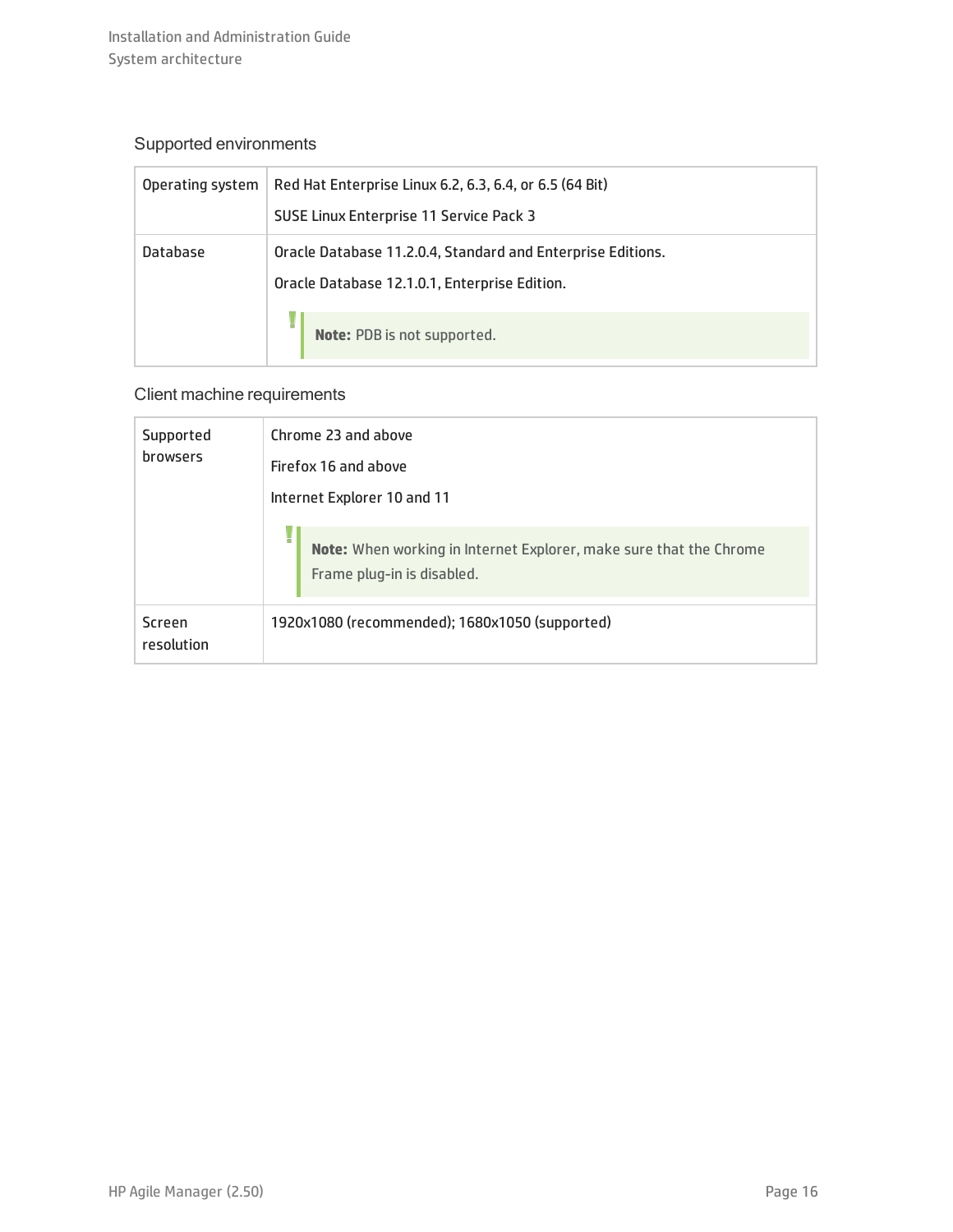### <span id="page-15-0"></span>Supported environments

| Operating system | Red Hat Enterprise Linux 6.2, 6.3, 6.4, or 6.5 (64 Bit)     |
|------------------|-------------------------------------------------------------|
|                  | SUSE Linux Enterprise 11 Service Pack 3                     |
| Database         | Oracle Database 11.2.0.4, Standard and Enterprise Editions. |
|                  | Oracle Database 12.1.0.1, Enterprise Edition.               |
|                  | H<br>Note: PDB is not supported.                            |

### <span id="page-15-1"></span>Client machine requirements

| Supported<br>browsers | Chrome 23 and above<br>Firefox 16 and above<br>Internet Explorer 10 and 11                       |
|-----------------------|--------------------------------------------------------------------------------------------------|
|                       | Note: When working in Internet Explorer, make sure that the Chrome<br>Frame plug-in is disabled. |
| Screen<br>resolution  | 1920x1080 (recommended); 1680x1050 (supported)                                                   |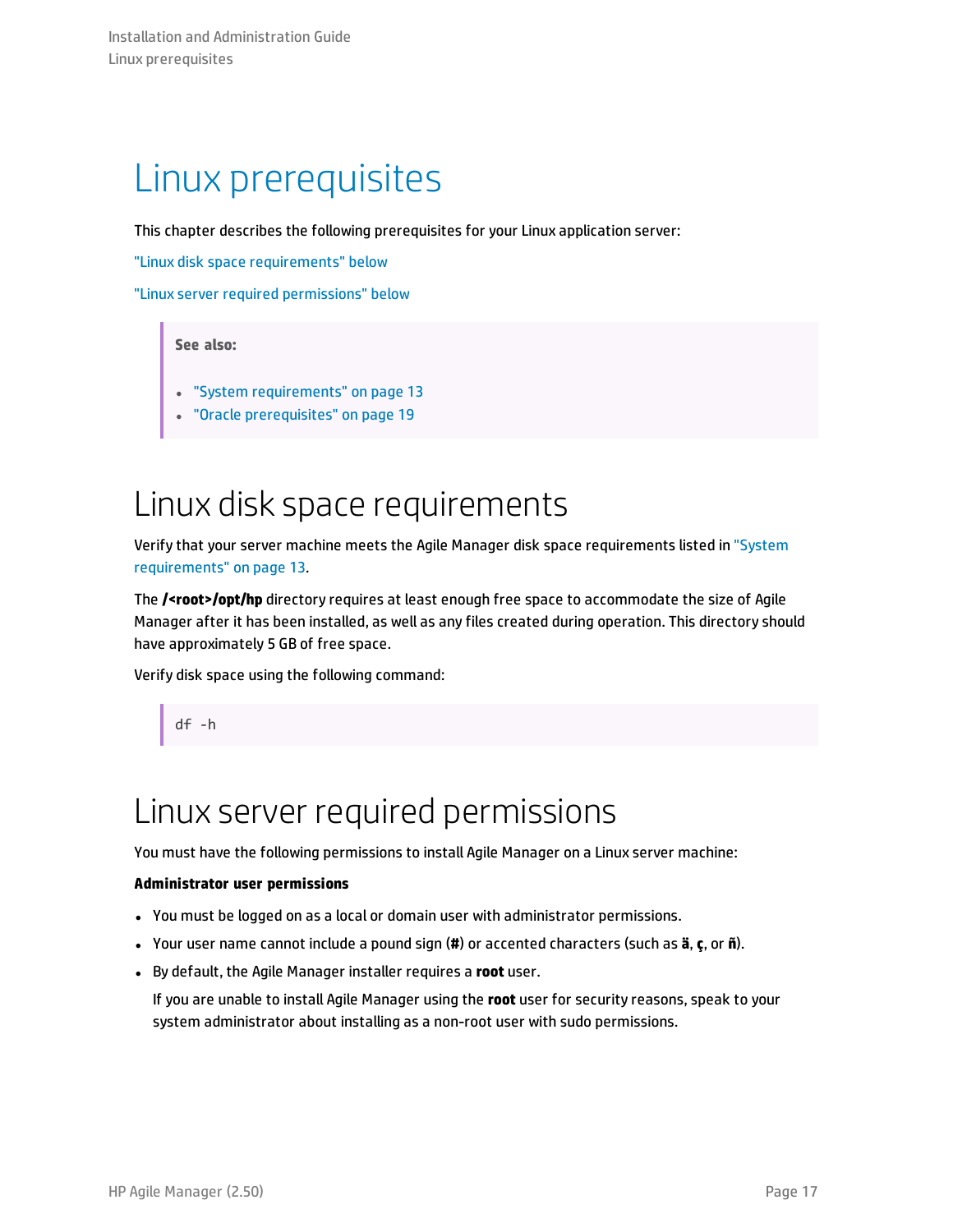## <span id="page-16-0"></span>Linux prerequisites

This chapter describes the following prerequisites for your Linux application server:

"Linux disk space [requirements"](#page-16-1) below

"Linux server required [permissions"](#page-16-2) below

### **See also:**

- **.** "System [requirements"](#page-12-0) on page 13
- <span id="page-16-1"></span>"Oracle [prerequisites"](#page-18-0) on page 19

### Linux disk space requirements

Verify that your server machine meets the Agile Manager disk space requirements listed in ["System](#page-12-0) [requirements"](#page-12-0) on page 13*.*

The **/<root>/opt/hp** directory requires at least enough free space to accommodate the size of Agile Manager after it has been installed, as well as any files created during operation. This directory should have approximately 5 GB of free space.

Verify disk space using the following command:

<span id="page-16-2"></span>df -h

### Linux server required permissions

You must have the following permissions to install Agile Manager on a Linux server machine:

#### **Administrator user permissions**

- You must be logged on as a local or domain user with administrator permissions.
- <sup>l</sup> Your user name cannot include a pound sign (**#**) or accented characters (such as **ä**, **ç**, or **ñ**).
- **.** By default, the Agile Manager installer requires a root user.

If you are unable to install Agile Manager using the **root** user for security reasons, speak to your system administrator about installing as a non-root user with sudo permissions.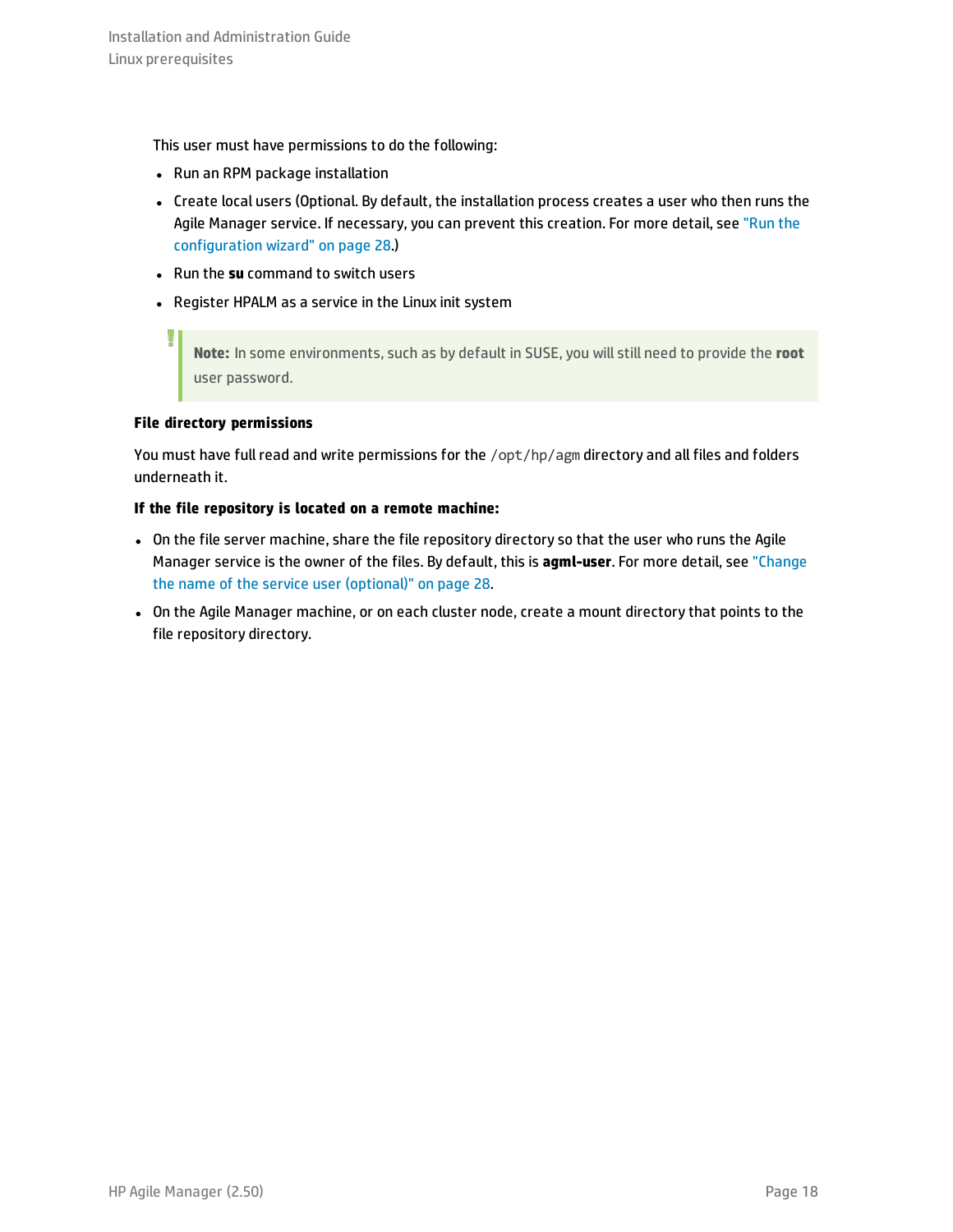This user must have permissions to do the following:

- Run an RPM package installation
- Create local users (Optional. By default, the installation process creates a user who then runs the Agile Manager service. If necessary, you can prevent this creation. For more detail, see ["Run](#page-27-0) the [configuration](#page-27-0) wizard" on page 28.)
- **.** Run the su command to switch users
- Register HPALM as a service in the Linux init system

**Note:** In some environments, such as by default in SUSE, you will still need to provide the **root** user password.

### **File directory permissions**

I

You must have full read and write permissions for the /opt/hp/agm directory and all files and folders underneath it.

### **If the file repository is located on a remote machine:**

- On the file server machine, share the file repository directory so that the user who runs the Agile Manager service is the owner of the files. By default, this is **agml-user**. For more detail, see ["Change](#page-27-1) the name of the service user [\(optional\)"](#page-27-1) on page 28.
- On the Agile Manager machine, or on each cluster node, create a mount directory that points to the file repository directory.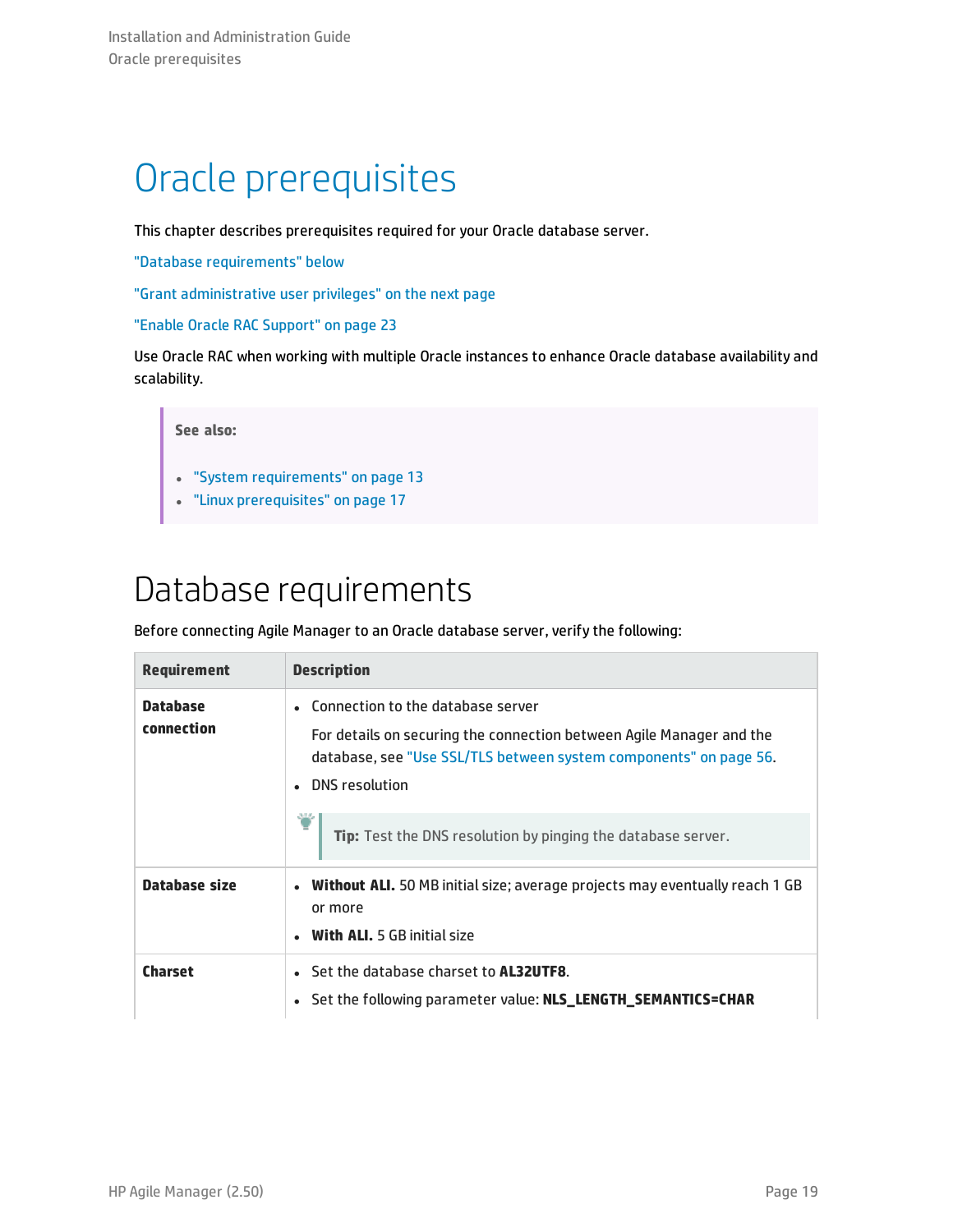# <span id="page-18-0"></span>Oracle prerequisites

This chapter describes prerequisites required for your Oracle database server.

"Database [requirements"](#page-18-1) below

"Grant [administrative](#page-19-0) user privileges" on the next page

"Enable Oracle RAC [Support"](#page-22-1) on page 23

Use Oracle RAC when working with multiple Oracle instances to enhance Oracle database availability and scalability.

### **See also:**

- <sup>l</sup> "System [requirements"](#page-12-0) on page 13
- <span id="page-18-1"></span>• "Linux [prerequisites"](#page-16-0) on page 17

### Database requirements

Before connecting Agile Manager to an Oracle database server, verify the following:

| <b>Requirement</b>            | <b>Description</b>                                                                                                                                                                                   |
|-------------------------------|------------------------------------------------------------------------------------------------------------------------------------------------------------------------------------------------------|
| <b>Database</b><br>connection | • Connection to the database server<br>For details on securing the connection between Agile Manager and the<br>database, see "Use SSL/TLS between system components" on page 56.<br>• DNS resolution |
|                               | Tip: Test the DNS resolution by pinging the database server.                                                                                                                                         |
| Database size                 | <b>Without ALI.</b> 50 MB initial size; average projects may eventually reach 1 GB<br>or more<br><b>With ALI.</b> 5 GB initial size                                                                  |
| <b>Charset</b>                | • Set the database charset to <b>AL32UTF8</b> .<br>• Set the following parameter value: NLS_LENGTH_SEMANTICS=CHAR                                                                                    |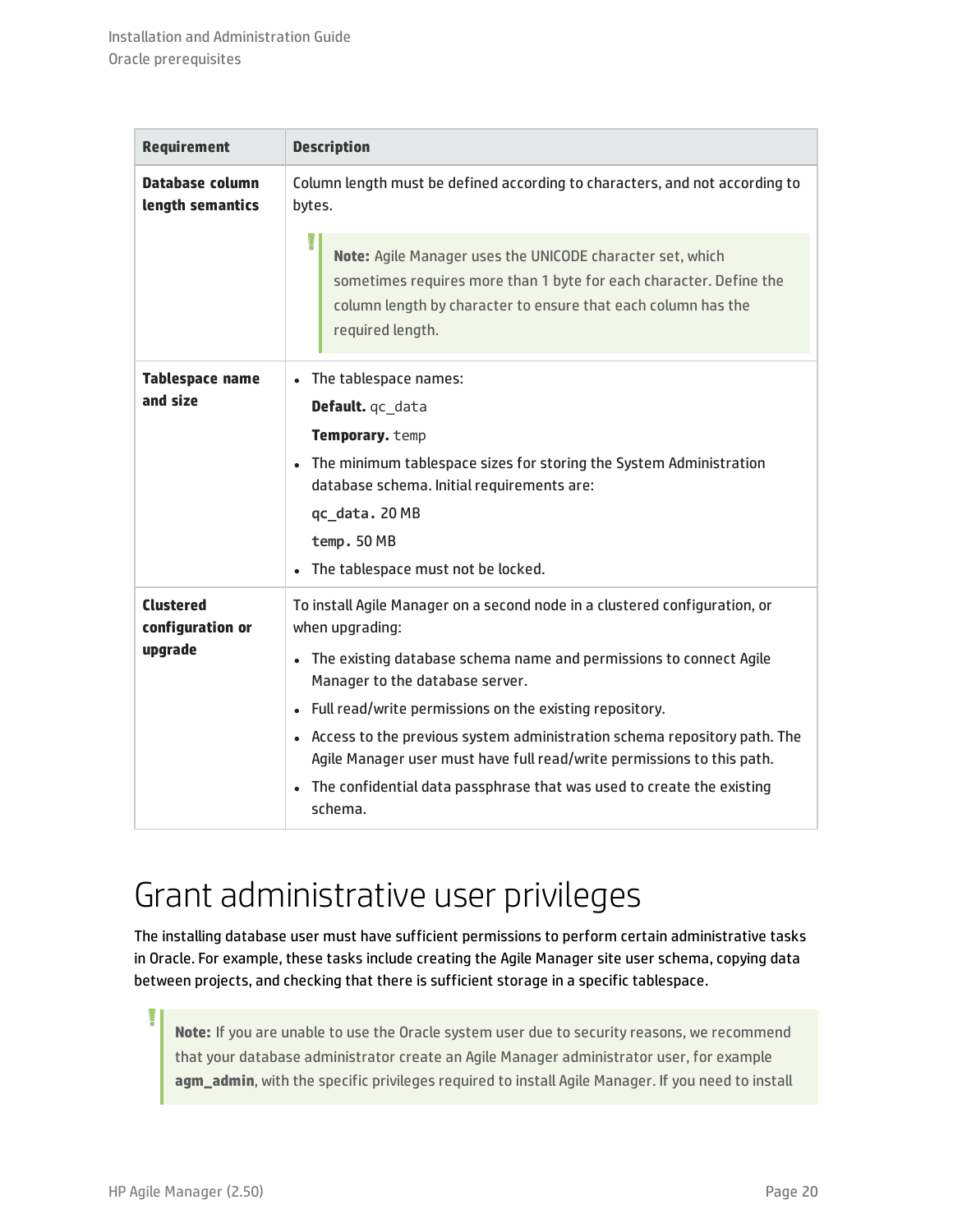| <b>Requirement</b>                              | <b>Description</b>                                                                                                                                                                                                                                                                                                                                                                                                                                                                                                |  |
|-------------------------------------------------|-------------------------------------------------------------------------------------------------------------------------------------------------------------------------------------------------------------------------------------------------------------------------------------------------------------------------------------------------------------------------------------------------------------------------------------------------------------------------------------------------------------------|--|
| <b>Database column</b><br>length semantics      | Column length must be defined according to characters, and not according to<br>bytes.                                                                                                                                                                                                                                                                                                                                                                                                                             |  |
|                                                 | Note: Agile Manager uses the UNICODE character set, which<br>sometimes requires more than 1 byte for each character. Define the<br>column length by character to ensure that each column has the<br>required length.                                                                                                                                                                                                                                                                                              |  |
| <b>Tablespace name</b><br>and size              | The tablespace names:<br>$\bullet$<br>Default. qc_data<br>Temporary. temp<br>The minimum tablespace sizes for storing the System Administration<br>database schema. Initial requirements are:<br>qc_data. 20 MB<br>temp. 50 MB<br>The tablespace must not be locked.                                                                                                                                                                                                                                              |  |
| <b>Clustered</b><br>configuration or<br>upgrade | To install Agile Manager on a second node in a clustered configuration, or<br>when upgrading:<br>The existing database schema name and permissions to connect Agile<br>Manager to the database server.<br>• Full read/write permissions on the existing repository.<br>• Access to the previous system administration schema repository path. The<br>Agile Manager user must have full read/write permissions to this path.<br>• The confidential data passphrase that was used to create the existing<br>schema. |  |

### <span id="page-19-0"></span>Grant administrative user privileges

The installing database user must have sufficient permissions to perform certain administrative tasks in Oracle. For example, these tasks include creating the Agile Manager site user schema, copying data between projects, and checking that there is sufficient storage in a specific tablespace.

**Note:** If you are unable to use the Oracle system user due to security reasons, we recommend that your database administrator create an Agile Manager administrator user, for example **agm\_admin**, with the specific privileges required to install Agile Manager. If you need to install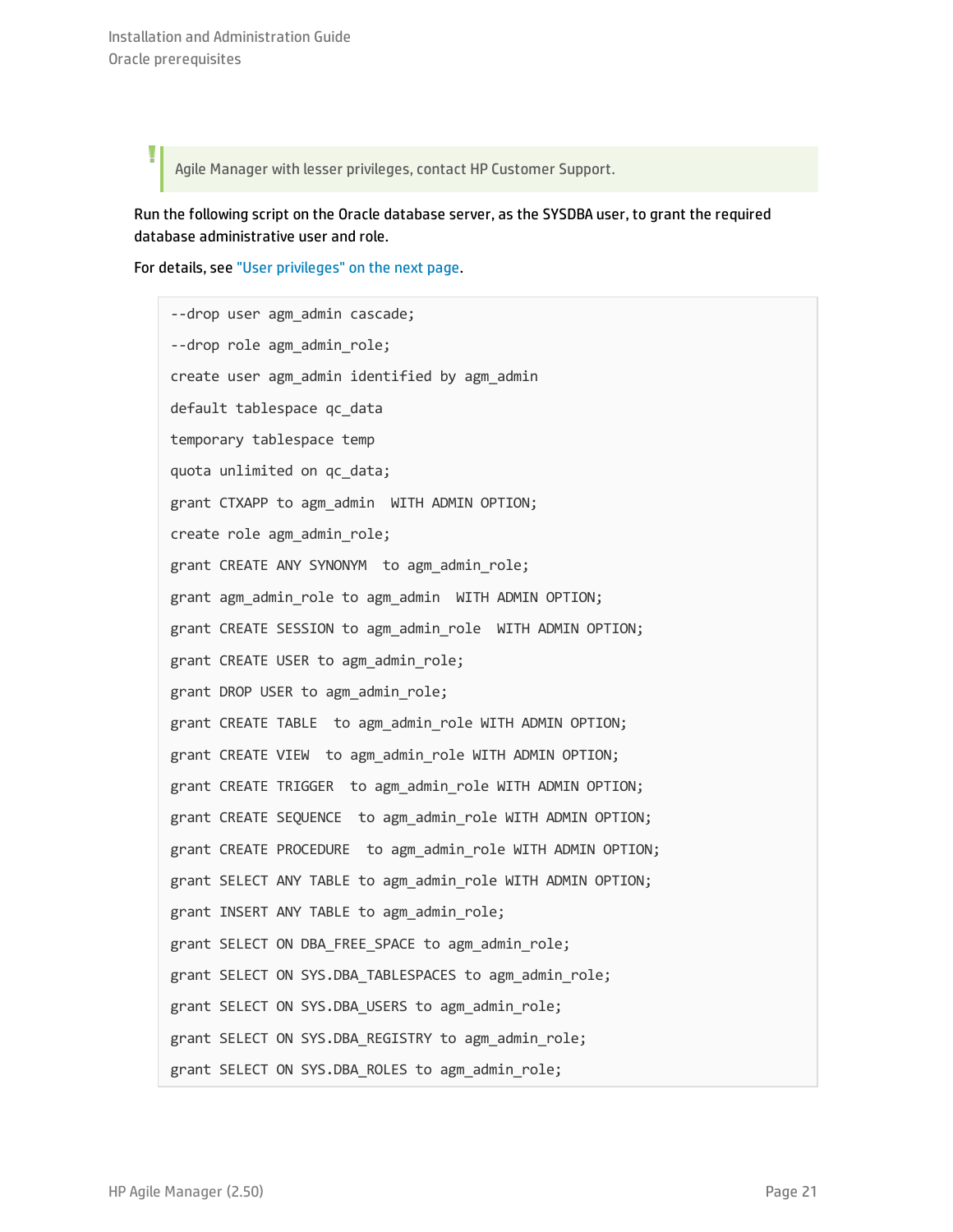Agile Manager with lesser privileges, contact HP Customer Support.

Run the following script on the Oracle database server, as the SYSDBA user, to grant the required database administrative user and role.

For details, see "User [privileges"](#page-21-0) on the next page.

--drop user agm admin cascade; --drop role agm admin role; create user agm\_admin identified by agm\_admin default tablespace qc\_data temporary tablespace temp quota unlimited on qc\_data; grant CTXAPP to agm admin WITH ADMIN OPTION; create role agm admin role; grant CREATE ANY SYNONYM to agm admin role; grant agm admin role to agm admin WITH ADMIN OPTION; grant CREATE SESSION to agm admin role WITH ADMIN OPTION; grant CREATE USER to agm admin role; grant DROP USER to agm admin role; grant CREATE TABLE to agm admin role WITH ADMIN OPTION; grant CREATE VIEW to agm admin role WITH ADMIN OPTION; grant CREATE TRIGGER to agm admin role WITH ADMIN OPTION; grant CREATE SEQUENCE to agm admin role WITH ADMIN OPTION; grant CREATE PROCEDURE to agm\_admin\_role WITH ADMIN OPTION; grant SELECT ANY TABLE to agm\_admin\_role WITH ADMIN OPTION; grant INSERT ANY TABLE to agm admin role; grant SELECT ON DBA FREE SPACE to agm admin role; grant SELECT ON SYS.DBA\_TABLESPACES to agm\_admin\_role; grant SELECT ON SYS.DBA USERS to agm admin role; grant SELECT ON SYS.DBA REGISTRY to agm admin role; grant SELECT ON SYS.DBA ROLES to agm admin role;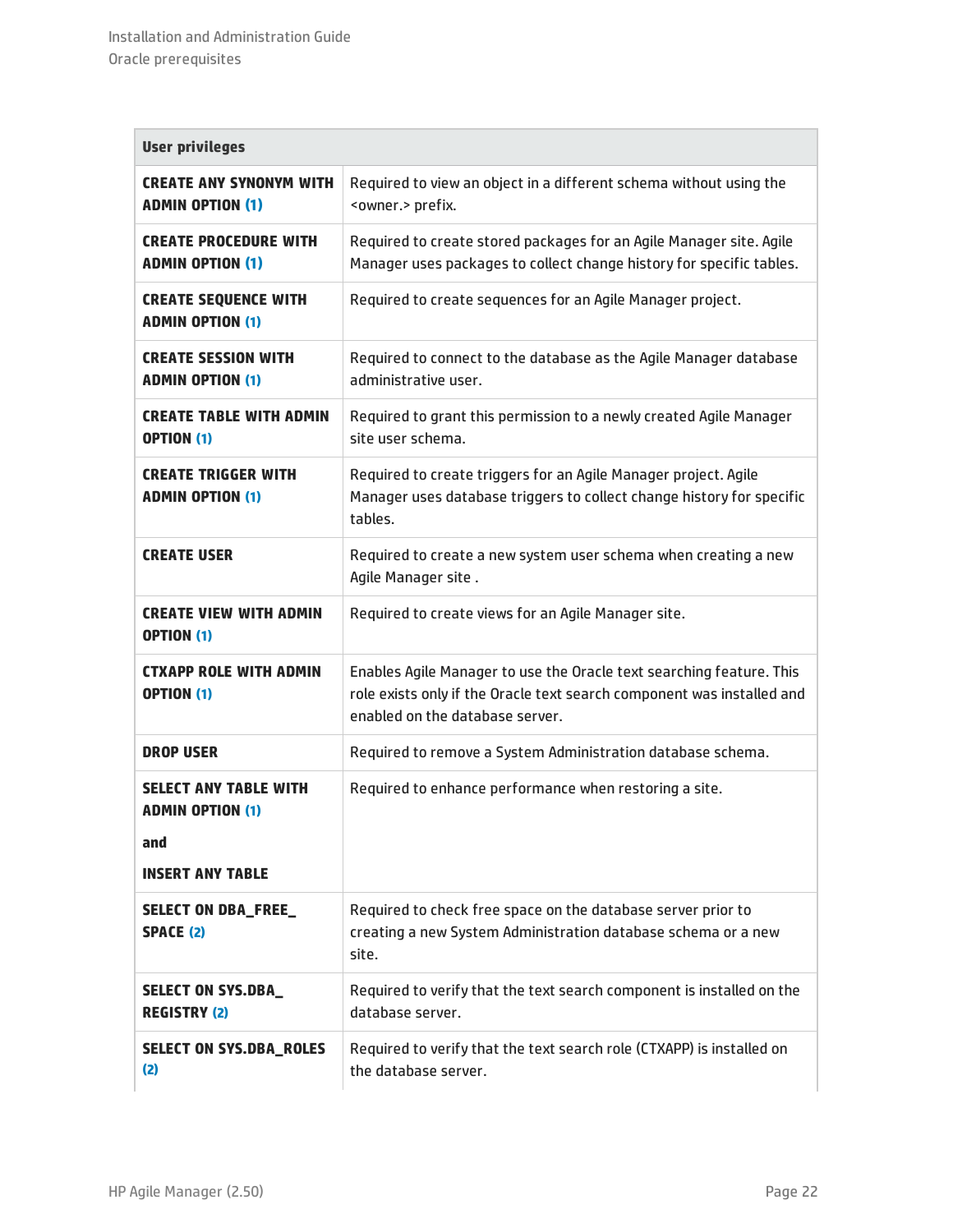<span id="page-21-0"></span>

| <b>User privileges</b>                                                                    |                                                                                                                                                                                   |
|-------------------------------------------------------------------------------------------|-----------------------------------------------------------------------------------------------------------------------------------------------------------------------------------|
| <b>CREATE ANY SYNONYM WITH</b><br><b>ADMIN OPTION (1)</b>                                 | Required to view an object in a different schema without using the<br><owner.> prefix.</owner.>                                                                                   |
| <b>CREATE PROCEDURE WITH</b><br><b>ADMIN OPTION (1)</b>                                   | Required to create stored packages for an Agile Manager site. Agile<br>Manager uses packages to collect change history for specific tables.                                       |
| <b>CREATE SEQUENCE WITH</b><br><b>ADMIN OPTION (1)</b>                                    | Required to create sequences for an Agile Manager project.                                                                                                                        |
| <b>CREATE SESSION WITH</b><br><b>ADMIN OPTION (1)</b>                                     | Required to connect to the database as the Agile Manager database<br>administrative user.                                                                                         |
| <b>CREATE TABLE WITH ADMIN</b><br><b>OPTION (1)</b>                                       | Required to grant this permission to a newly created Agile Manager<br>site user schema.                                                                                           |
| <b>CREATE TRIGGER WITH</b><br><b>ADMIN OPTION (1)</b>                                     | Required to create triggers for an Agile Manager project. Agile<br>Manager uses database triggers to collect change history for specific<br>tables.                               |
| <b>CREATE USER</b>                                                                        | Required to create a new system user schema when creating a new<br>Agile Manager site.                                                                                            |
| <b>CREATE VIEW WITH ADMIN</b><br><b>OPTION (1)</b>                                        | Required to create views for an Agile Manager site.                                                                                                                               |
| <b>CTXAPP ROLE WITH ADMIN</b><br><b>OPTION (1)</b>                                        | Enables Agile Manager to use the Oracle text searching feature. This<br>role exists only if the Oracle text search component was installed and<br>enabled on the database server. |
| <b>DROP USER</b>                                                                          | Required to remove a System Administration database schema.                                                                                                                       |
| <b>SELECT ANY TABLE WITH</b><br><b>ADMIN OPTION (1)</b><br>and<br><b>INSERT ANY TABLE</b> | Required to enhance performance when restoring a site.                                                                                                                            |
| <b>SELECT ON DBA_FREE_</b><br><b>SPACE (2)</b>                                            | Required to check free space on the database server prior to<br>creating a new System Administration database schema or a new<br>site.                                            |
| <b>SELECT ON SYS.DBA_</b><br><b>REGISTRY (2)</b>                                          | Required to verify that the text search component is installed on the<br>database server.                                                                                         |
| <b>SELECT ON SYS.DBA_ROLES</b><br>(2)                                                     | Required to verify that the text search role (CTXAPP) is installed on<br>the database server.                                                                                     |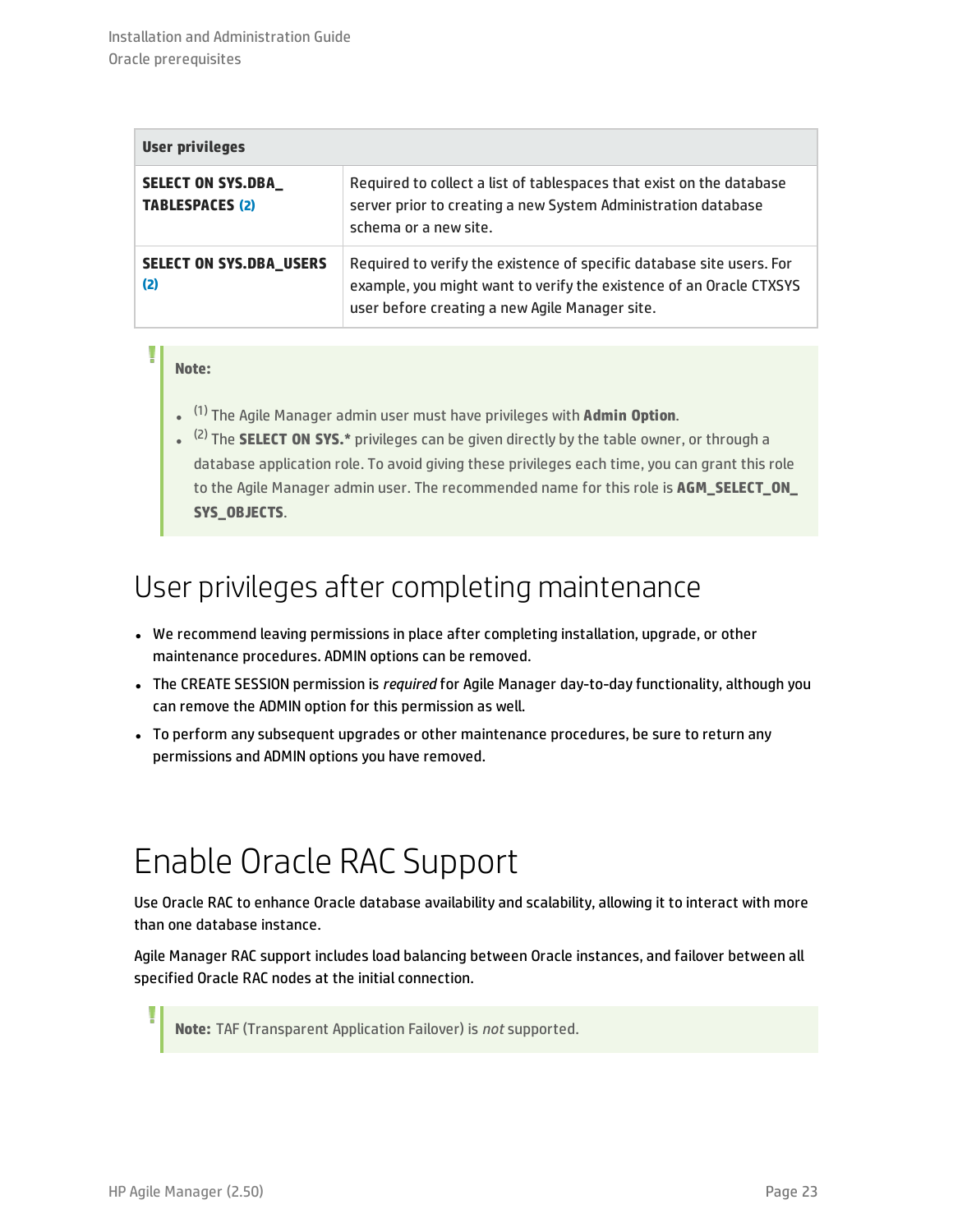| <b>User privileges</b>                              |                                                                                                                                                                                                |
|-----------------------------------------------------|------------------------------------------------------------------------------------------------------------------------------------------------------------------------------------------------|
| <b>SELECT ON SYS.DBA_</b><br><b>TABLESPACES (2)</b> | Required to collect a list of tablespaces that exist on the database<br>server prior to creating a new System Administration database<br>schema or a new site.                                 |
| <b>SELECT ON SYS.DBA_USERS</b><br>(2)               | Required to verify the existence of specific database site users. For<br>example, you might want to verify the existence of an Oracle CTXSYS<br>user before creating a new Agile Manager site. |

### **Note:**

- <span id="page-22-3"></span><span id="page-22-2"></span>l (1) The Agile Manager admin user must have privileges with **Admin Option**.
- <sup>(2)</sup> The **SELECT ON SYS.\*** privileges can be given directly by the table owner, or through a database application role. To avoid giving these privileges each time, you can grant this role to the Agile Manager admin user. The recommended name for this role is **AGM\_SELECT\_ON\_ SYS\_OBJECTS**.

### <span id="page-22-0"></span>User privileges after completing maintenance

- We recommend leaving permissions in place after completing installation, upgrade, or other maintenance procedures. ADMIN options can be removed.
- <sup>l</sup> The CREATE SESSION permission is *required* for Agile Manager day-to-day functionality, although you can remove the ADMIN option for this permission as well.
- To perform any subsequent upgrades or other maintenance procedures, be sure to return any permissions and ADMIN options you have removed.

### <span id="page-22-1"></span>Enable Oracle RAC Support

Use Oracle RAC to enhance Oracle database availability and scalability, allowing it to interact with more than one database instance.

Agile Manager RAC support includes load balancing between Oracle instances, and failover between all specified Oracle RAC nodes at the initial connection.

**Note:** TAF (Transparent Application Failover) is *not* supported.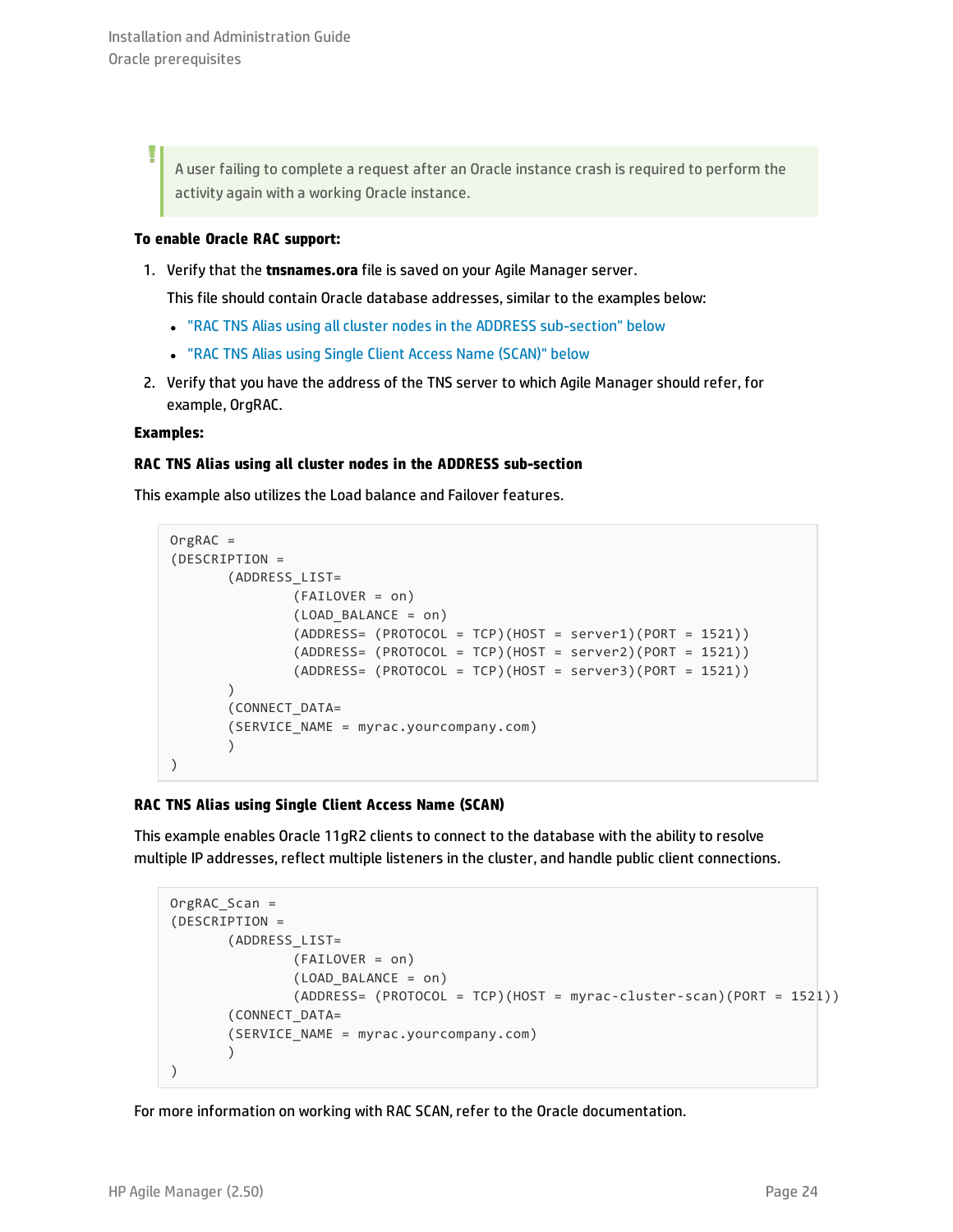A user failing to complete a request after an Oracle instance crash is required to perform the activity again with a working Oracle instance.

#### **To enable Oracle RAC support:**

1. Verify that the **tnsnames.ora** file is saved on your Agile Manager server.

This file should contain Oracle database addresses, similar to the examples below:

- . "RAC TNS Alias using all cluster nodes in the ADDRESS [sub-section"](#page-23-0) below
- "RAC TNS Alias using Single Client Access Name [\(SCAN\)"](#page-23-1) below
- 2. Verify that you have the address of the TNS server to which Agile Manager should refer, for example, OrgRAC.

#### <span id="page-23-0"></span>**Examples:**

Ī

#### **RAC TNS Alias using all cluster nodes in the ADDRESS sub-section**

This example also utilizes the Load balance and Failover features.

```
OrgRAC =
(DESCRIPTION =
       (ADDRESS_LIST=
               (FAILOVER = on)
               (LOAD_BALANCE = on)
               (ADDRESS= (PROTOCOL = TCP)(HOST = server1)(PORT = 1521))
               (ADDRESS= (PROTOCOL = TCP)(HOST = server2)(PORT = 1521))
               (ADDRESS= (PROTOCOL = TCP)(HOST = server3)(PORT = 1521))
       )
       (CONNECT_DATA=
       (SERVICE_NAME = myrac.yourcompany.com)
       )
)
```
### <span id="page-23-1"></span>**RAC TNS Alias using Single Client Access Name (SCAN)**

This example enables Oracle 11gR2 clients to connect to the database with the ability to resolve multiple IP addresses, reflect multiple listeners in the cluster, and handle public client connections.

```
OrgRAC_Scan =
(DESCRIPTION =
       (ADDRESS_LIST=
               (FAILOVER = on)
               (LOAD_BALANCE = on)
               (ADDRESS= (PROTOCOL = TCP)(HOST = myrac-cluster-scan)(PORT = 1521))
       (CONNECT_DATA=
       (SERVICE_NAME = myrac.yourcompany.com)
       )
)
```
For more information on working with RAC SCAN, refer to the Oracle documentation.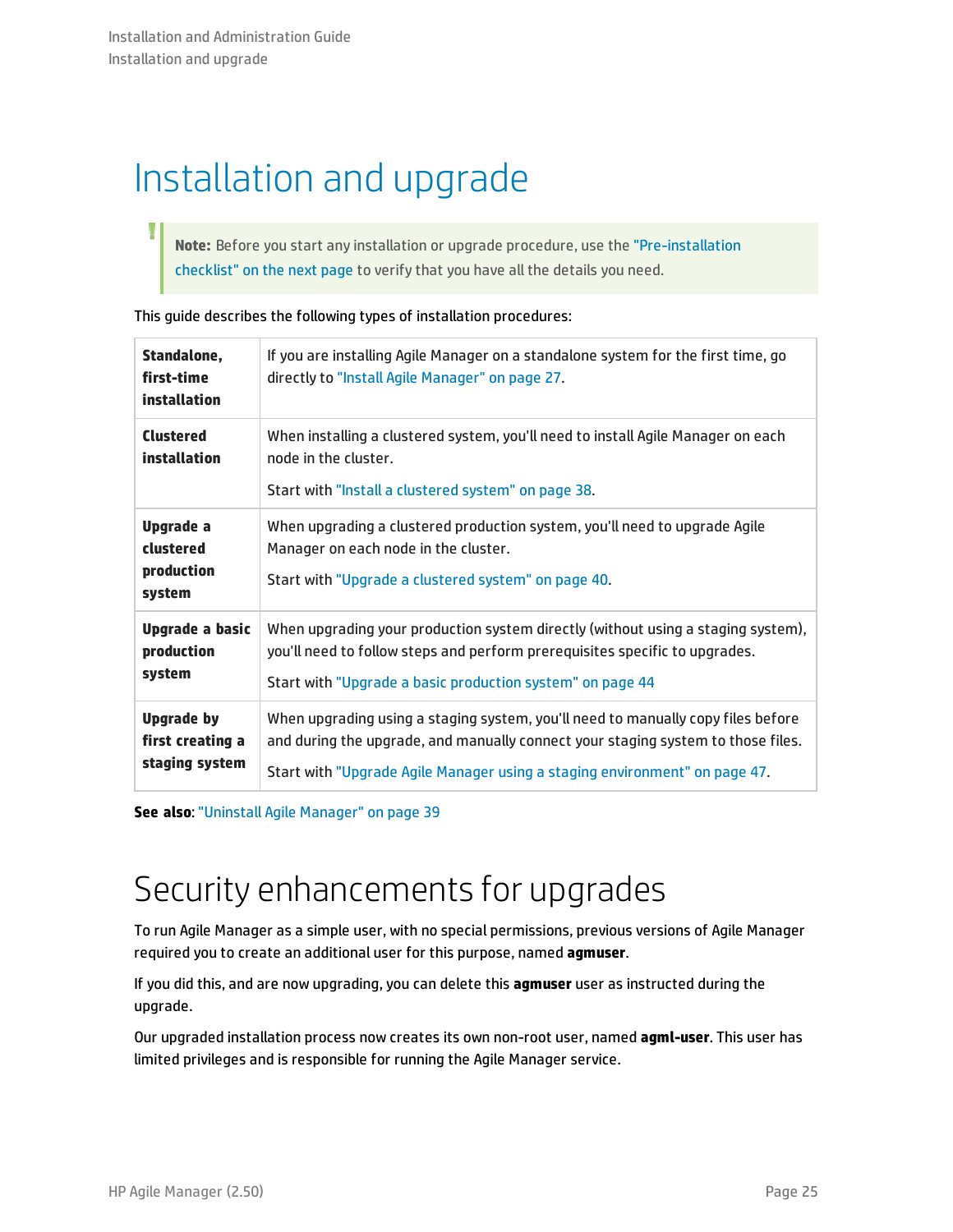# <span id="page-24-0"></span>Installation and upgrade

**Note:** Before you start any installation or upgrade procedure, use the ["Pre-installation](#page-25-0) [checklist"](#page-25-0) on the next page to verify that you have all the details you need.

| Standalone,<br>first-time<br>installation               | If you are installing Agile Manager on a standalone system for the first time, go<br>directly to "Install Agile Manager" on page 27.                                                                                                               |
|---------------------------------------------------------|----------------------------------------------------------------------------------------------------------------------------------------------------------------------------------------------------------------------------------------------------|
| <b>Clustered</b><br>installation                        | When installing a clustered system, you'll need to install Agile Manager on each<br>node in the cluster.<br>Start with "Install a clustered system" on page 38.                                                                                    |
| Upgrade a<br>clustered<br>production<br>system          | When upgrading a clustered production system, you'll need to upgrade Agile<br>Manager on each node in the cluster.<br>Start with "Upgrade a clustered system" on page 40.                                                                          |
| Upgrade a basic<br>production<br>system                 | When upgrading your production system directly (without using a staging system),<br>you'll need to follow steps and perform prerequisites specific to upgrades.<br>Start with "Upgrade a basic production system" on page 44                       |
| <b>Upgrade by</b><br>first creating a<br>staging system | When upgrading using a staging system, you'll need to manually copy files before<br>and during the upgrade, and manually connect your staging system to those files.<br>Start with "Upgrade Agile Manager using a staging environment" on page 47. |

This guide describes the following types of installation procedures:

**See also**: "Uninstall Agile [Manager"](#page-38-0) on page 39

### Security enhancements for upgrades

To run Agile Manager as a simple user, with no special permissions, previous versions of Agile Manager required you to create an additional user for this purpose, named **agmuser**.

If you did this, and are now upgrading, you can delete this **agmuser** user as instructed during the upgrade.

Our upgraded installation process now creates its own non-root user, named **agml-user**. This user has limited privileges and is responsible for running the Agile Manager service.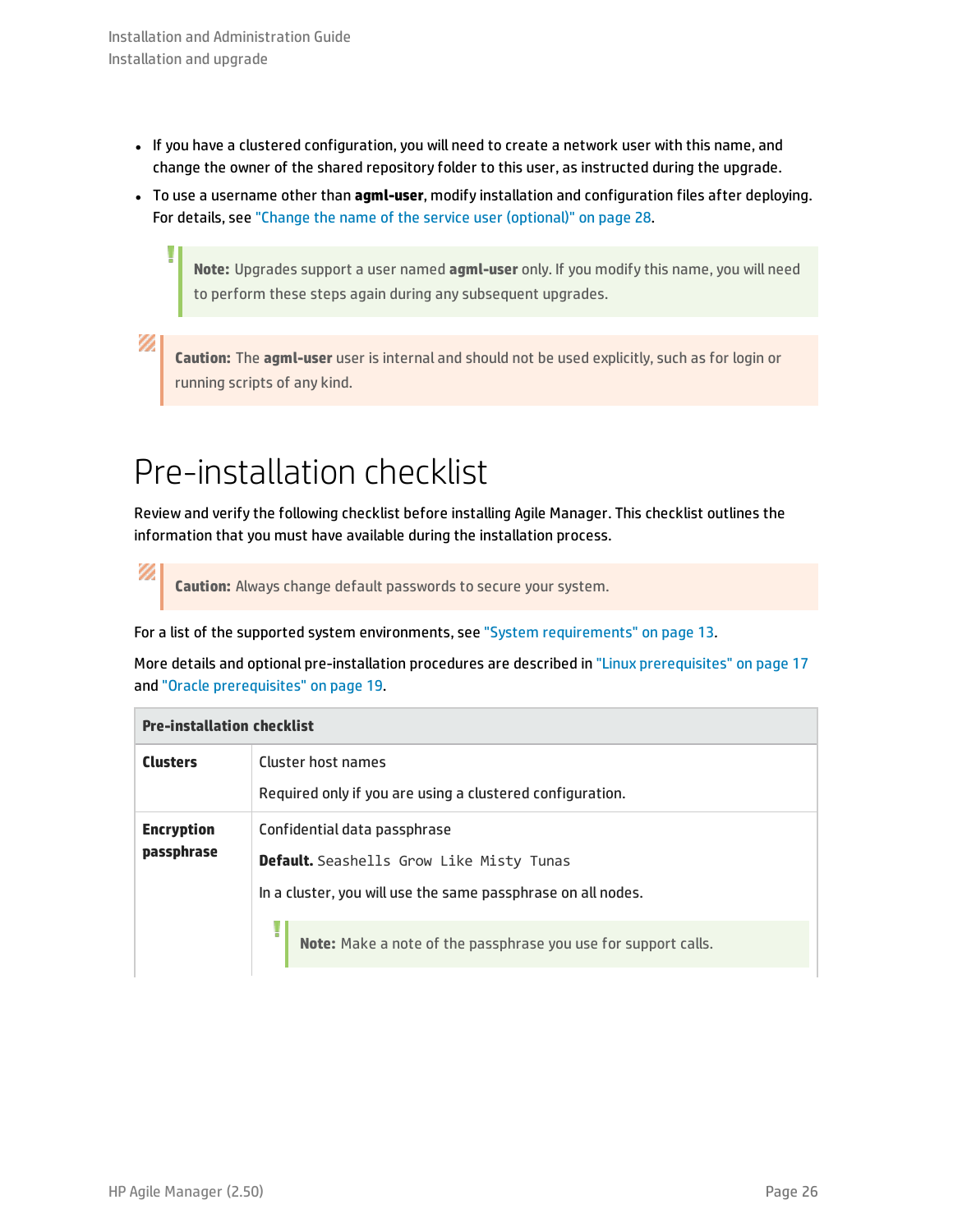١

Ø

V)

- If you have a clustered configuration, you will need to create a network user with this name, and change the owner of the shared repository folder to this user, as instructed during the upgrade.
- **•** To use a username other than **agml-user**, modify installation and configuration files after deploying. For details, see "Change the name of the service user [\(optional\)"](#page-27-1) on page 28.

**Note:** Upgrades support a user named **agml-user** only. If you modify this name, you will need to perform these steps again during any subsequent upgrades.

**Caution:** The **agml-user** user is internal and should not be used explicitly, such as for login or running scripts of any kind.

## <span id="page-25-0"></span>Pre-installation checklist

Review and verify the following checklist before installing Agile Manager. This checklist outlines the information that you must have available during the installation process.

**Caution:** Always change default passwords to secure your system.

For a list of the supported system environments, see "System [requirements"](#page-12-0) on page 13*.*

More details and optional pre-installation procedures are described in "Linux [prerequisites"](#page-16-0) on page 17 and "Oracle [prerequisites"](#page-18-0) on page 19.

| <b>Pre-installation checklist</b> |                                                                |
|-----------------------------------|----------------------------------------------------------------|
| <b>Clusters</b>                   | Cluster host names                                             |
|                                   | Required only if you are using a clustered configuration.      |
| <b>Encryption</b><br>passphrase   | Confidential data passphrase                                   |
|                                   | <b>Default.</b> Seashells Grow Like Misty Tunas                |
|                                   | In a cluster, you will use the same passphrase on all nodes.   |
|                                   | Note: Make a note of the passphrase you use for support calls. |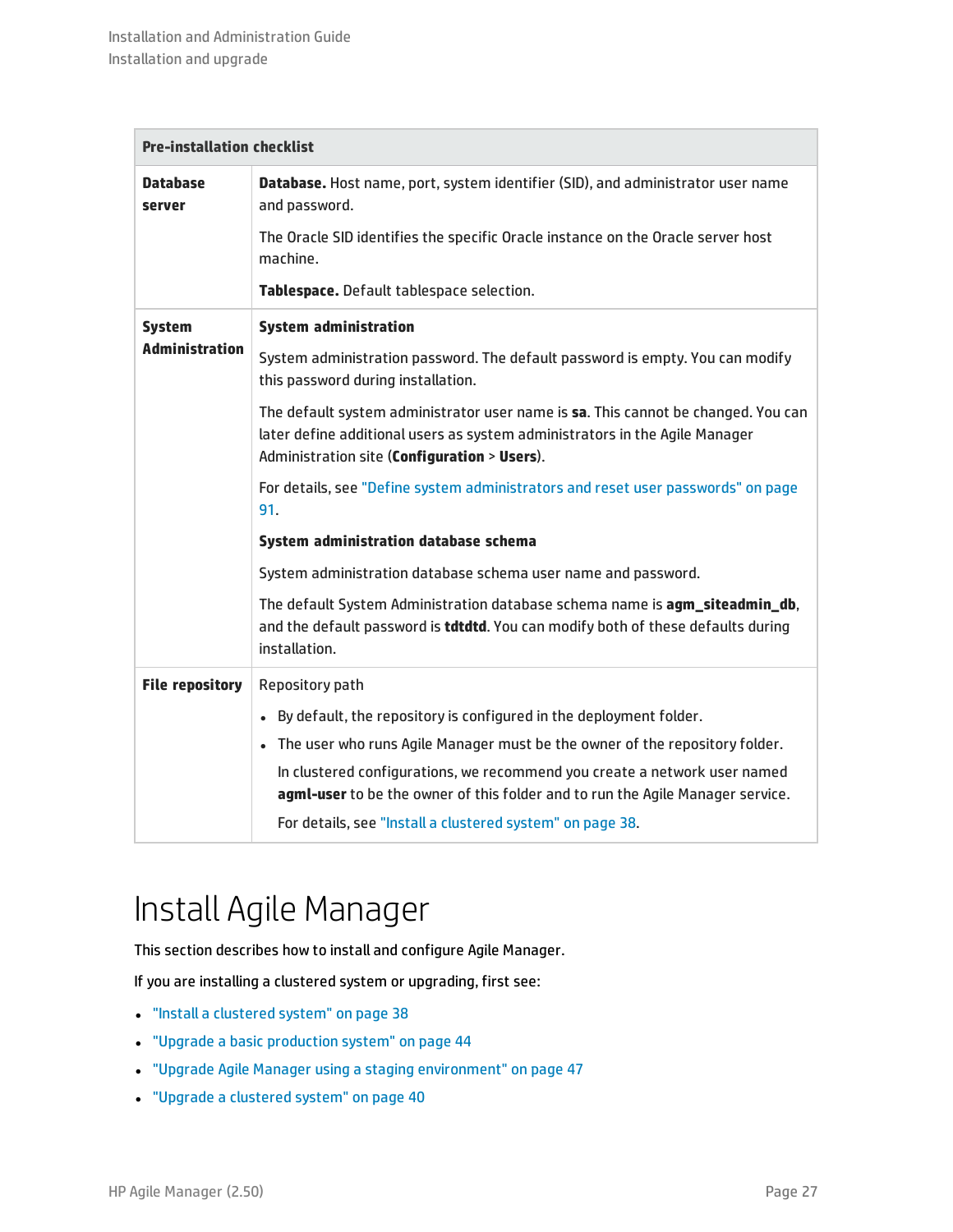| <b>Pre-installation checklist</b> |                                                                                                                                                                                                                  |
|-----------------------------------|------------------------------------------------------------------------------------------------------------------------------------------------------------------------------------------------------------------|
| <b>Database</b><br>server         | Database. Host name, port, system identifier (SID), and administrator user name<br>and password.                                                                                                                 |
|                                   | The Oracle SID identifies the specific Oracle instance on the Oracle server host<br>machine.                                                                                                                     |
|                                   | Tablespace. Default tablespace selection.                                                                                                                                                                        |
| <b>System</b>                     | <b>System administration</b>                                                                                                                                                                                     |
| <b>Administration</b>             | System administration password. The default password is empty. You can modify<br>this password during installation.                                                                                              |
|                                   | The default system administrator user name is sa. This cannot be changed. You can<br>later define additional users as system administrators in the Agile Manager<br>Administration site (Configuration > Users). |
|                                   | For details, see "Define system administrators and reset user passwords" on page<br>91.                                                                                                                          |
|                                   | System administration database schema                                                                                                                                                                            |
|                                   | System administration database schema user name and password.                                                                                                                                                    |
|                                   | The default System Administration database schema name is agm_siteadmin_db,<br>and the default password is <b>tdtdtd</b> . You can modify both of these defaults during<br>installation.                         |
| <b>File repository</b>            | Repository path                                                                                                                                                                                                  |
|                                   | • By default, the repository is configured in the deployment folder.                                                                                                                                             |
|                                   | . The user who runs Agile Manager must be the owner of the repository folder.                                                                                                                                    |
|                                   | In clustered configurations, we recommend you create a network user named<br>agml-user to be the owner of this folder and to run the Agile Manager service.                                                      |
|                                   | For details, see "Install a clustered system" on page 38.                                                                                                                                                        |
|                                   |                                                                                                                                                                                                                  |

## <span id="page-26-0"></span>Install Agile Manager

This section describes how to install and configure Agile Manager.

If you are installing a clustered system or upgrading, first see:

- <sup>l</sup> "Install a [clustered](#page-37-0) system" on page 38
- <sup>l</sup> "Upgrade a basic [production](#page-43-0) system" on page 44
- **.** "Upgrade Agile Manager using a staging [environment"](#page-46-0) on page 47
- <sup>l</sup> "Upgrade a [clustered](#page-39-0) system" on page 40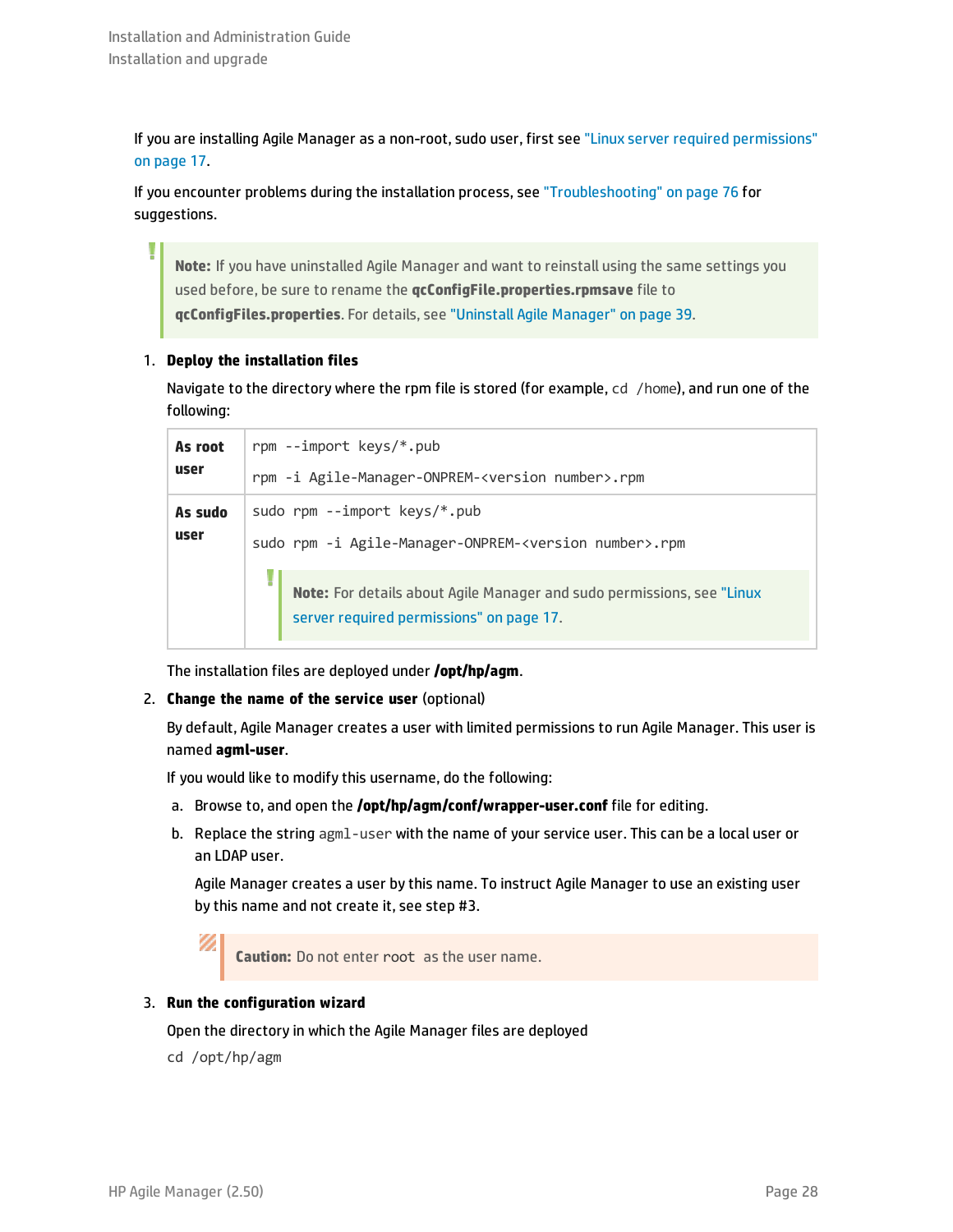If you are installing Agile Manager as a non-root, sudo user, first see "Linux server required [permissions"](#page-16-2) on [page](#page-16-2) 17.

If you encounter problems during the installation process, see ["Troubleshooting"](#page-75-0) on page 76 for suggestions.

**Note:** If you have uninstalled Agile Manager and want to reinstall using the same settings you used before, be sure to rename the **qcConfigFile.properties.rpmsave** file to **qcConfigFiles.properties**. For details, see "Uninstall Agile [Manager"](#page-38-0) on page 39.

### 1. **Deploy the installation files**

Navigate to the directory where the rpm file is stored (for example, cd /home), and run one of the following:

| As root | rpm --import keys/*.pub |                                                                                                                    |  |
|---------|-------------------------|--------------------------------------------------------------------------------------------------------------------|--|
| user    |                         | rpm -i Agile-Manager-ONPREM- <version number="">.rpm</version>                                                     |  |
| As sudo |                         | sudo rpm --import $keys/* .pub$                                                                                    |  |
| user    |                         | sudo rpm -i Agile-Manager-ONPREM- <version number="">.rpm</version>                                                |  |
|         | H                       | Note: For details about Agile Manager and sudo permissions, see "Linux<br>server required permissions" on page 17. |  |

<span id="page-27-1"></span>The installation files are deployed under **/opt/hp/agm**.

### 2. **Change the name of the service user** (optional)

By default, Agile Manager creates a user with limited permissions to run Agile Manager. This user is named **agml-user**.

If you would like to modify this username, do the following:

- a. Browse to, and open the **/opt/hp/agm/conf/wrapper-user.conf** file for editing.
- b. Replace the string agml-user with the name of your service user. This can be a local user or an LDAP user.

Agile Manager creates a user by this name. To instruct Agile Manager to use an existing user by this name and not create it, see step #3.

Ø **Caution:** Do not enter root as the user name.

### <span id="page-27-0"></span>3. **Run the configuration wizard**

Open the directory in which the Agile Manager files are deployed

cd /opt/hp/agm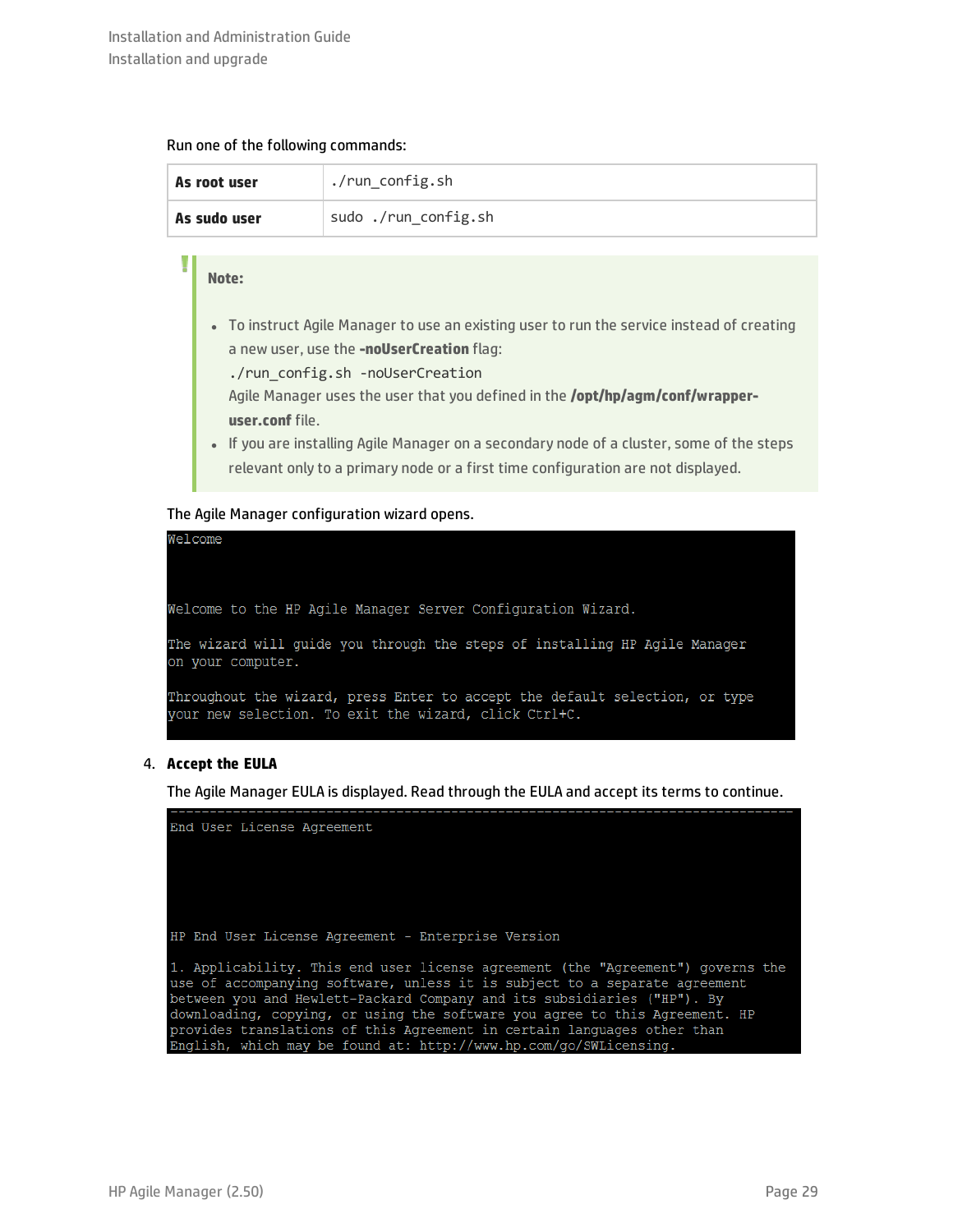#### Run one of the following commands:

| As root user | ./run_config.sh      |
|--------------|----------------------|
| As sudo user | sudo ./run_config.sh |

#### **Note:**

١

- To instruct Agile Manager to use an existing user to run the service instead of creating a new user, use the **-noUserCreation** flag:
	- ./run\_config.sh -noUserCreation

Agile Manager uses the user that you defined in the **/opt/hp/agm/conf/wrapperuser.conf** file.

• If you are installing Agile Manager on a secondary node of a cluster, some of the steps relevant only to a primary node or a first time configuration are not displayed.

### The Agile Manager configuration wizard opens.



### 4. **Accept the EULA**

The Agile Manager EULA is displayed. Read through the EULA and accept its terms to continue.

End User License Agreement HP End User License Agreement - Enterprise Version 1. Applicability. This end user license agreement (the "Agreement") governs the use of accompanying software, unless it is subject to a separate agreement between you and Hewlett-Packard Company and its subsidiaries ("HP"). By downloading, copying, or using the software you agree to this Agreement. HP provides translations of this Agreement in certain languages other than English, which may be found at: http://www.hp.com/go/SWLicensing.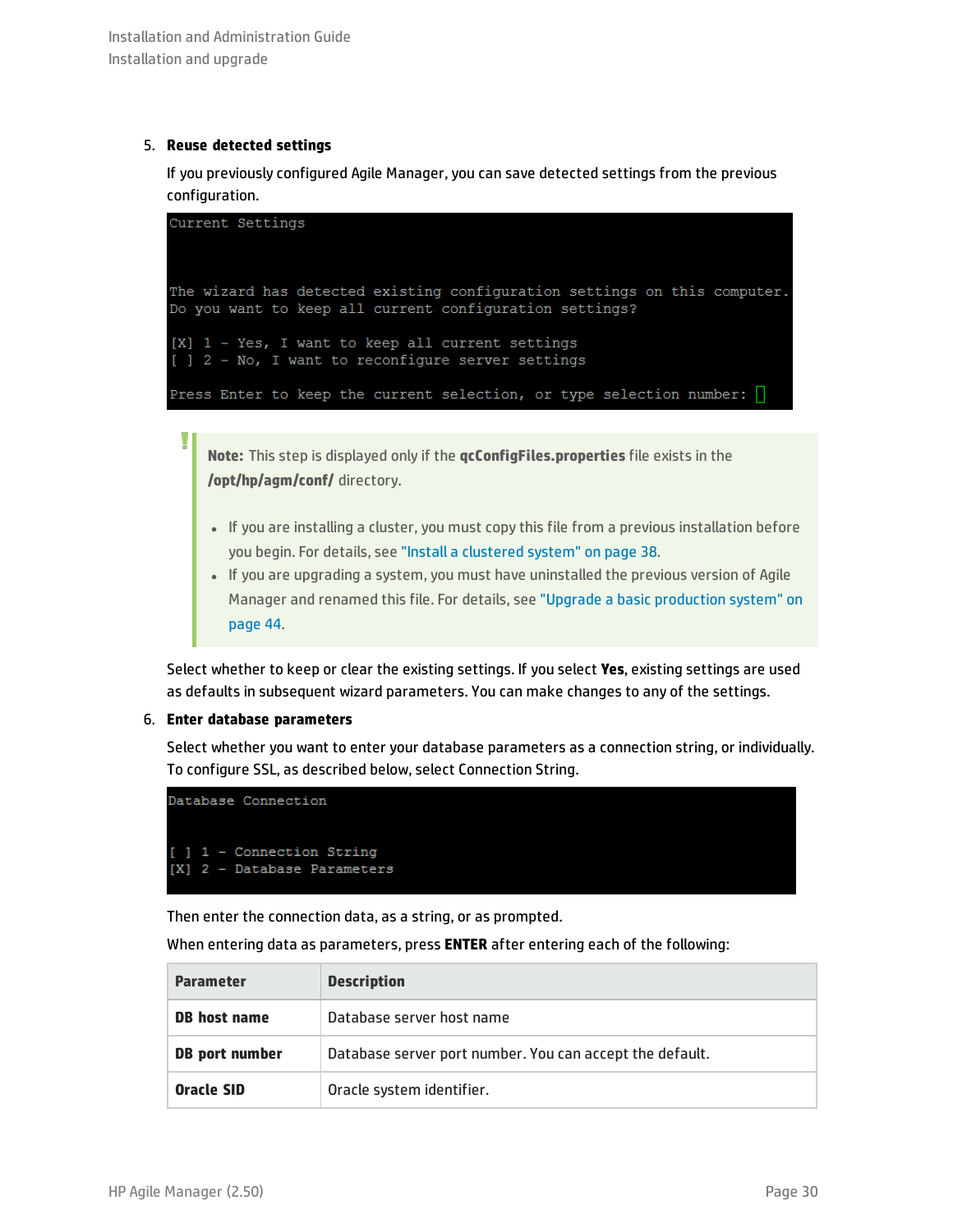### 5. **Reuse detected settings**

T

If you previously configured Agile Manager, you can save detected settings from the previous configuration.

Current Settings The wizard has detected existing configuration settings on this computer. Do you want to keep all current configuration settings? [X] 1 - Yes, I want to keep all current settings [ ] 2 - No, I want to reconfigure server settings Press Enter to keep the current selection, or type selection number:  $\Box$ 

**Note:** This step is displayed only if the **qcConfigFiles.properties** file exists in the **/opt/hp/agm/conf/** directory.

- If you are installing a cluster, you must copy this file from a previous installation before you begin. For details, see "Install a [clustered](#page-37-0) system" on page 38.
- If you are upgrading a system, you must have uninstalled the previous version of Agile Manager and renamed this file. For details, see "Upgrade a basic [production](#page-43-0) system" on [page](#page-43-0) 44.

Select whether to keep or clear the existing settings. If you select **Yes**, existing settings are used as defaults in subsequent wizard parameters. You can make changes to any of the settings.

### 6. **Enter database parameters**

Select whether you want to enter your database parameters as a connection string, or individually. To configure SSL, as described below, select Connection String.

| Database Connection                                      |  |  |
|----------------------------------------------------------|--|--|
| [ ] 1 - Connection String<br>[X] 2 - Database Parameters |  |  |

Then enter the connection data, as a string, or as prompted.

When entering data as parameters, press **ENTER** after entering each of the following:

| <b>Parameter</b>    | <b>Description</b>                                       |
|---------------------|----------------------------------------------------------|
| <b>DB</b> host name | Database server host name                                |
| DB port number      | Database server port number. You can accept the default. |
| Oracle SID          | Oracle system identifier.                                |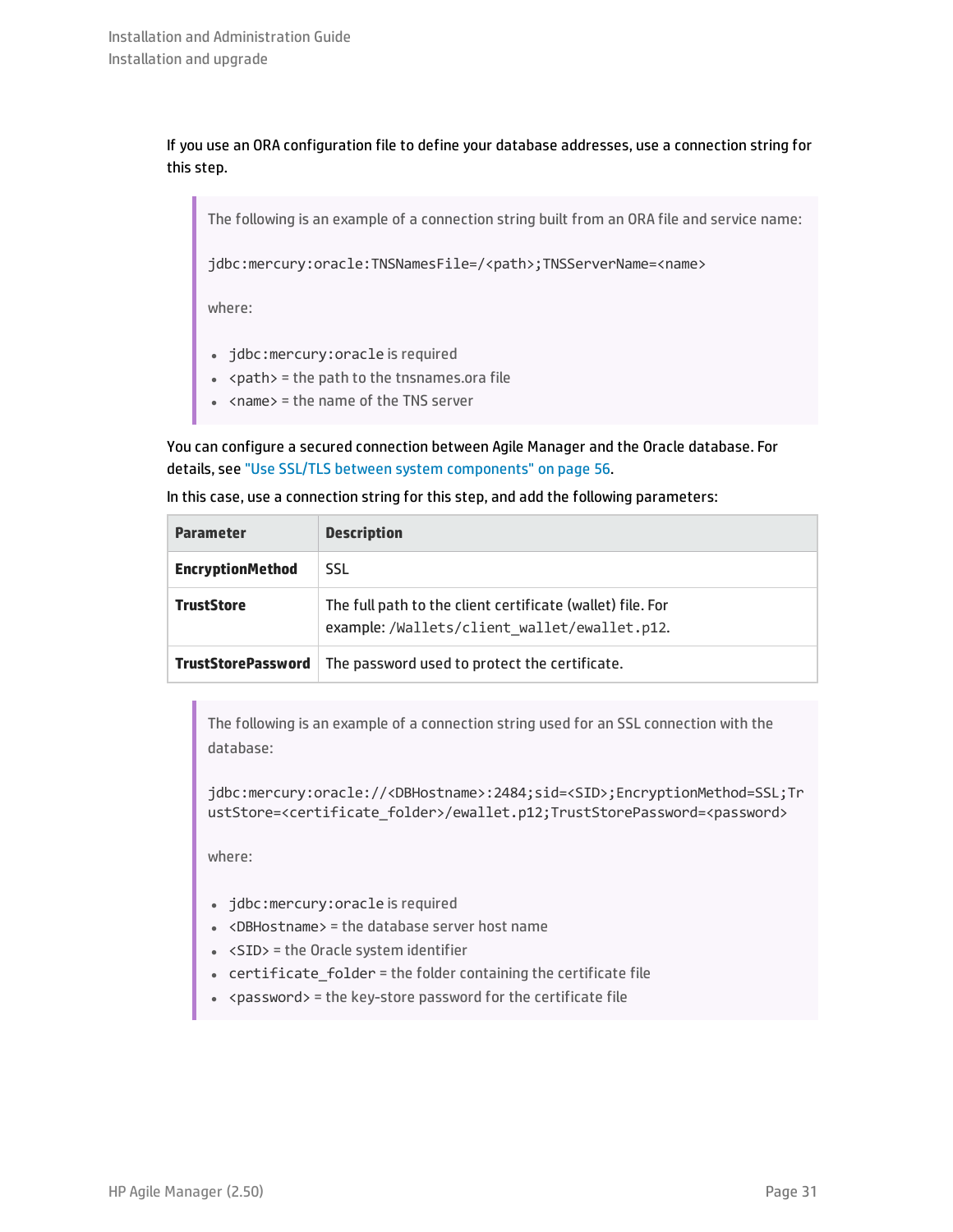If you use an ORA configuration file to define your database addresses, use a connection string for this step.

The following is an example of a connection string built from an ORA file and service name:

jdbc:mercury:oracle:TNSNamesFile=/<path>;TNSServerName=<name>

where:

- jdbc:mercury:oracle is required
- $\bullet$  <path> = the path to the tnsnames.ora file
- $\bullet$  <name> = the name of the TNS server

You can configure a secured connection between Agile Manager and the Oracle database. For details, see "Use SSL/TLS between system [components"](#page-55-1) on page 56.

In this case, use a connection string for this step, and add the following parameters:

| <b>Parameter</b>        | <b>Description</b>                                                                                        |
|-------------------------|-----------------------------------------------------------------------------------------------------------|
| <b>EncryptionMethod</b> | <b>SSL</b>                                                                                                |
| <b>TrustStore</b>       | The full path to the client certificate (wallet) file. For<br>example:/Wallets/client wallet/ewallet.p12. |
| TrustStorePassword      | The password used to protect the certificate.                                                             |

The following is an example of a connection string used for an SSL connection with the database:

jdbc:mercury:oracle://<DBHostname>:2484;sid=<SID>;EncryptionMethod=SSL;Tr ustStore=<certificate\_folder>/ewallet.p12;TrustStorePassword=<password>

where:

- jdbc:mercury: oracle is required
- $\bullet$  <DBHostname> = the database server host name
- $\cdot$  <SID> = the Oracle system identifier
- certificate\_folder = the folder containing the certificate file
- <sup>l</sup> <password> = the key-store password for the certificate file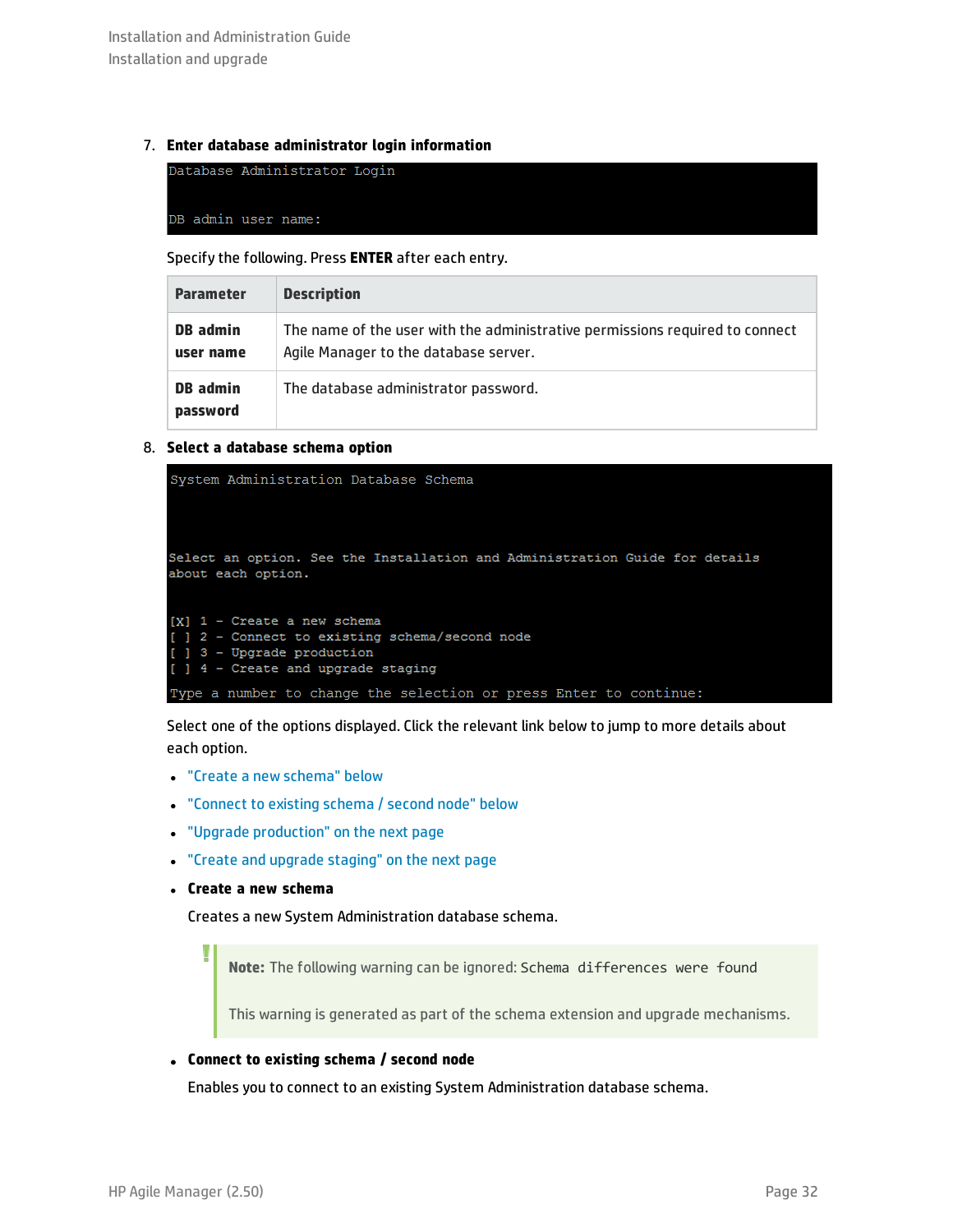### 7. **Enter database administrator login information**

| Database Administrator Login |  |
|------------------------------|--|
| DB admin user name:          |  |

Specify the following. Press **ENTER** after each entry.

| <b>Parameter</b>            | <b>Description</b>                                                                                                    |
|-----------------------------|-----------------------------------------------------------------------------------------------------------------------|
| DB admin<br>user name       | The name of the user with the administrative permissions required to connect<br>Agile Manager to the database server. |
| <b>DB</b> admin<br>password | The database administrator password.                                                                                  |

### 8. **Select a database schema option**

```
System Administration Database Schema
Select an option. See the Installation and Administration Guide for details
about each option.
[X] 1 - Create a new schema
[ ] 2 - Connect to existing schema/second node
 ] 3 - Upgrade production
 ] 4 - Create and upgrade staging
Type a number to change the selection or press Enter to continue:
```
Select one of the options displayed. Click the relevant link below to jump to more details about each option.

- "Create a new [schema"](#page-31-0) below
- ["Connect](#page-31-1) to existing schema / second node" below
- <sup>l</sup> "Upgrade [production"](#page-32-0) on the next page
- <span id="page-31-0"></span><sup>l</sup> "Create and upgrade [staging"](#page-32-1) on the next page
- <sup>l</sup> **Create a new schema**

U

Creates a new System Administration database schema.

**Note:** The following warning can be ignored: Schema differences were found

This warning is generated as part of the schema extension and upgrade mechanisms.

### <span id="page-31-1"></span><sup>l</sup> **Connect to existing schema / second node**

Enables you to connect to an existing System Administration database schema.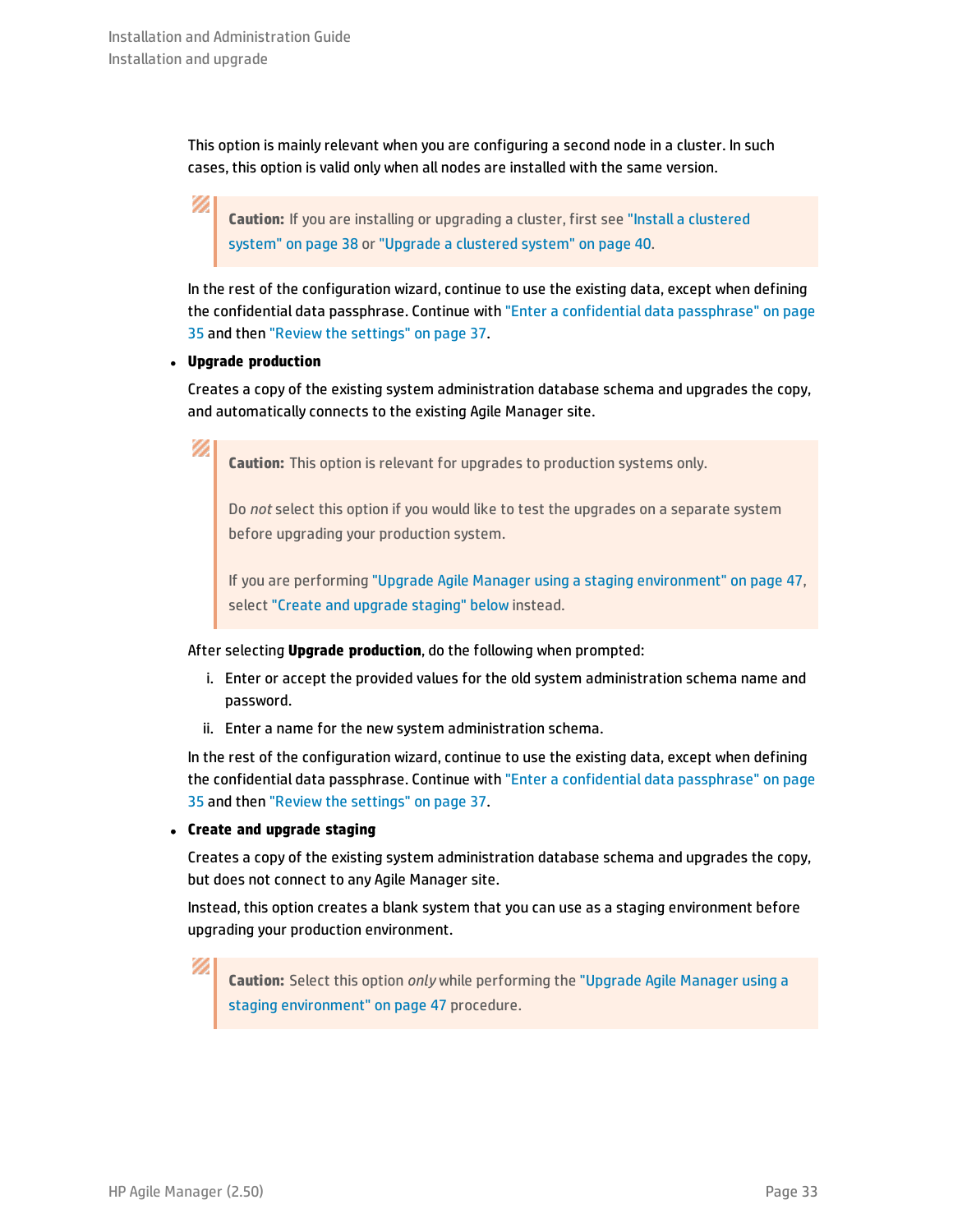V)

Ø

This option is mainly relevant when you are configuring a second node in a cluster. In such cases, this option is valid only when all nodes are installed with the same version.

**Caution:** If you are installing or upgrading a cluster, first see "Install a [clustered](#page-37-0) [system"](#page-37-0) on page 38 or "Upgrade a [clustered](#page-39-0) system" on page 40.

In the rest of the configuration wizard, continue to use the existing data, except when defining the confidential data passphrase. Continue with "Enter a confidential data [passphrase"](#page-34-0) on page [35](#page-34-0) and then "Review the [settings"](#page-36-0) on page 37.

### <span id="page-32-0"></span><sup>l</sup> **Upgrade production**

Creates a copy of the existing system administration database schema and upgrades the copy, and automatically connects to the existing Agile Manager site.

**Caution:** This option is relevant for upgrades to production systems only.

Do *not* select this option if you would like to test the upgrades on a separate system before upgrading your production system.

If you are performing "Upgrade Agile Manager using a staging [environment"](#page-46-0) on page 47, select "Create and upgrade [staging"](#page-32-1) below instead.

After selecting **Upgrade production**, do the following when prompted:

- i. Enter or accept the provided values for the old system administration schema name and password.
- ii. Enter a name for the new system administration schema.

In the rest of the configuration wizard, continue to use the existing data, except when defining the confidential data passphrase. Continue with "Enter a confidential data [passphrase"](#page-34-0) on page [35](#page-34-0) and then "Review the [settings"](#page-36-0) on page 37.

### <span id="page-32-1"></span><sup>l</sup> **Create and upgrade staging**

Creates a copy of the existing system administration database schema and upgrades the copy, but does not connect to any Agile Manager site.

Instead, this option creates a blank system that you can use as a staging environment before upgrading your production environment.

Ø

**Caution:** Select this option *only* while performing the ["Upgrade](#page-46-0) Agile Manager using a staging [environment"](#page-46-0) on page 47 procedure.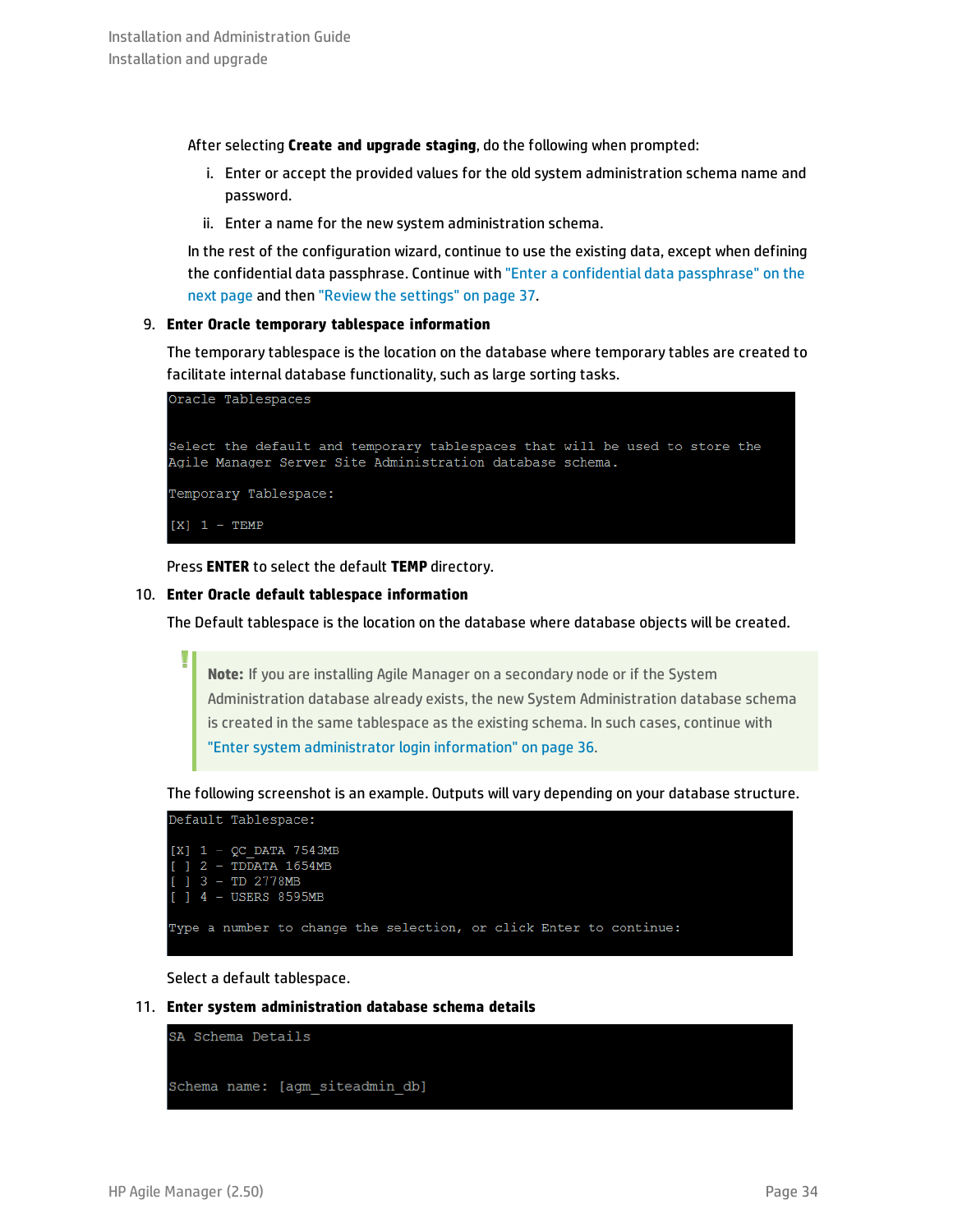After selecting **Create and upgrade staging**, do the following when prompted:

- i. Enter or accept the provided values for the old system administration schema name and password.
- ii. Enter a name for the new system administration schema.

In the rest of the configuration wizard, continue to use the existing data, except when defining the confidential data passphrase. Continue with "Enter a confidential data [passphrase"](#page-34-0) on the next [page](#page-34-0) and then "Review the [settings"](#page-36-0) on page 37.

### 9. **Enter Oracle temporary tablespace information**

The temporary tablespace is the location on the database where temporary tables are created to facilitate internal database functionality, such as large sorting tasks.

Oracle Tablespaces Select the default and temporary tablespaces that will be used to store the Agile Manager Server Site Administration database schema. Temporary Tablespace:  $[X]$  1 - TEMP

Press **ENTER** to select the default **TEMP** directory.

### 10. **Enter Oracle default tablespace information**

The Default tablespace is the location on the database where database objects will be created.

**Note:** If you are installing Agile Manager on a secondary node or if the System Administration database already exists, the new System Administration database schema is created in the same tablespace as the existing schema. In such cases, continue with "Enter system [administrator](#page-35-0) login information" on page 36.

The following screenshot is an example. Outputs will vary depending on your database structure.



Select a default tablespace.

11. **Enter system administration database schema details**



J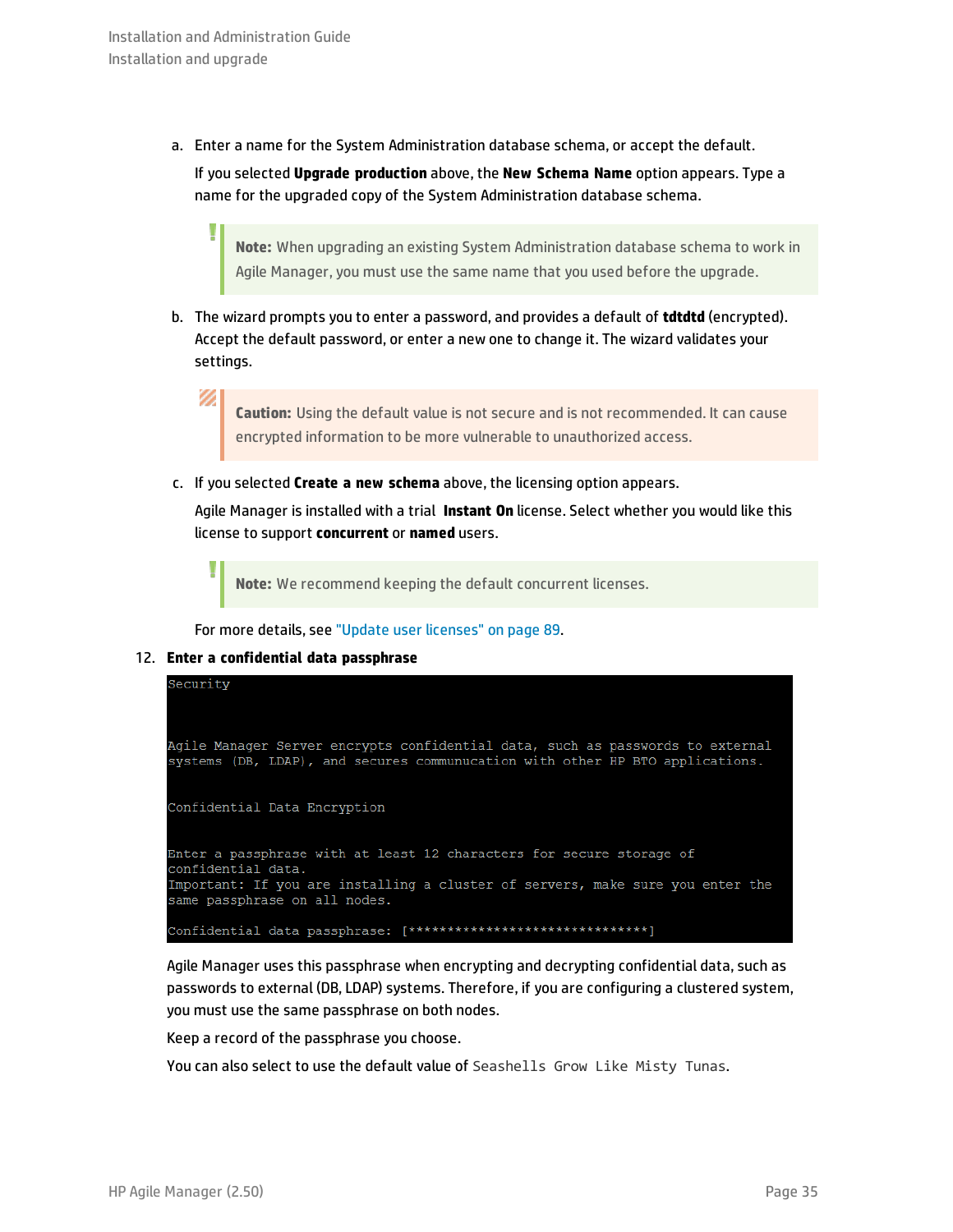a. Enter a name for the System Administration database schema, or accept the default. If you selected **Upgrade production** above, the **New Schema Name** option appears. Type a name for the upgraded copy of the System Administration database schema.

**Note:** When upgrading an existing System Administration database schema to work in Agile Manager, you must use the same name that you used before the upgrade.

b. The wizard prompts you to enter a password, and provides a default of **tdtdtd** (encrypted). Accept the default password, or enter a new one to change it. The wizard validates your settings.

Ø **Caution:** Using the default value is not secure and is not recommended. It can cause encrypted information to be more vulnerable to unauthorized access.

c. If you selected **Create a new schema** above, the licensing option appears.

Agile Manager is installed with a trial **Instant On** license. Select whether you would like this license to support **concurrent** or **named** users.

**Note:** We recommend keeping the default concurrent licenses.

<span id="page-34-0"></span>For more details, see "Update user [licenses"](#page-88-0) on page 89.

### 12. **Enter a confidential data passphrase**

U



Agile Manager uses this passphrase when encrypting and decrypting confidential data, such as passwords to external (DB, LDAP) systems. Therefore, if you are configuring a clustered system, you must use the same passphrase on both nodes.

Keep a record of the passphrase you choose.

You can also select to use the default value of Seashells Grow Like Misty Tunas.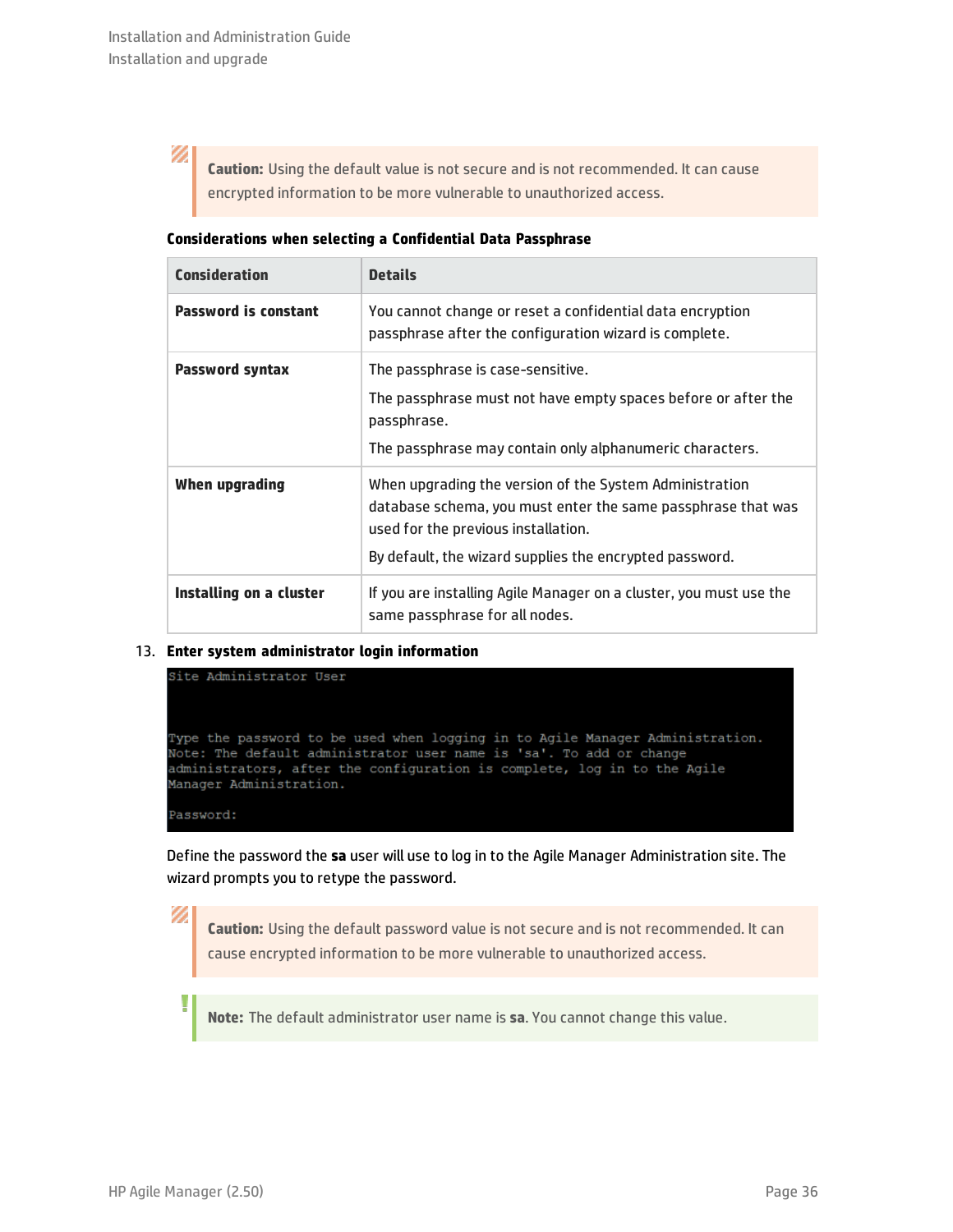N

**Caution:** Using the default value is not secure and is not recommended. It can cause encrypted information to be more vulnerable to unauthorized access.

| Considerations when selecting a Confidential Data Passphrase |  |  |  |  |
|--------------------------------------------------------------|--|--|--|--|
|--------------------------------------------------------------|--|--|--|--|

| Consideration               | <b>Details</b>                                                                                                                                                                                                            |
|-----------------------------|---------------------------------------------------------------------------------------------------------------------------------------------------------------------------------------------------------------------------|
| <b>Password is constant</b> | You cannot change or reset a confidential data encryption<br>passphrase after the configuration wizard is complete.                                                                                                       |
| <b>Password syntax</b>      | The passphrase is case-sensitive.<br>The passphrase must not have empty spaces before or after the<br>passphrase.<br>The passphrase may contain only alphanumeric characters.                                             |
| When upgrading              | When upgrading the version of the System Administration<br>database schema, you must enter the same passphrase that was<br>used for the previous installation.<br>By default, the wizard supplies the encrypted password. |
| Installing on a cluster     | If you are installing Agile Manager on a cluster, you must use the<br>same passphrase for all nodes.                                                                                                                      |

### <span id="page-35-0"></span>13. **Enter system administrator login information**

```
Site Administrator User
Type the password to be used when logging in to Agile Manager Administration.
Note: The default administrator user name is 'sa'. To add or change
administrators, after the configuration is complete, log in to the Agile
Manager Administration.
Password:
```
Define the password the **sa** user will use to log in to the Agile Manager Administration site. The wizard prompts you to retype the password.

**Caution:** Using the default password value is not secure and is not recommended. It can cause encrypted information to be more vulnerable to unauthorized access.

**Note:** The default administrator user name is **sa**. You cannot change this value.

V)

Ţ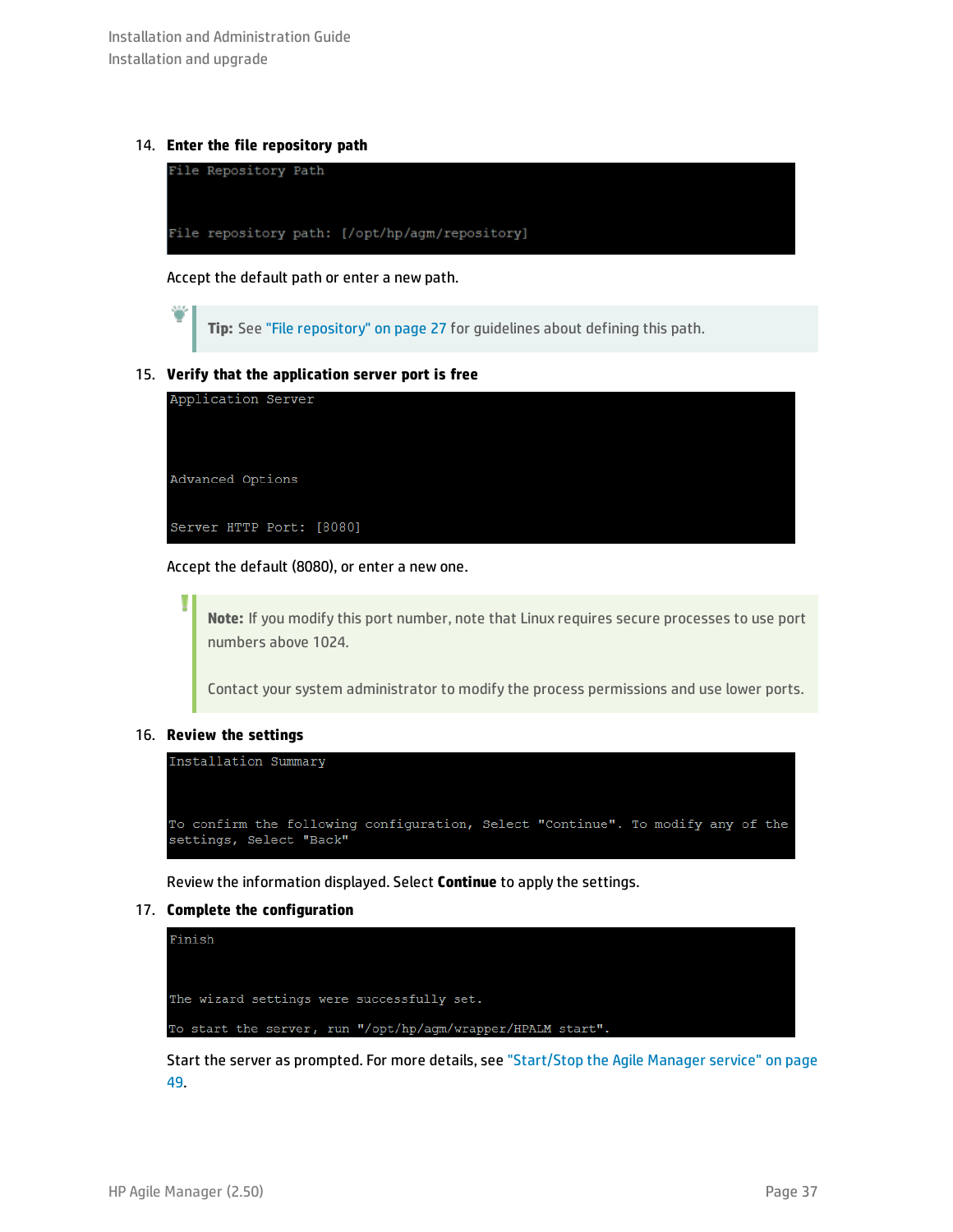### 14. **Enter the file repository path**



Accept the default path or enter a new path.

<span id="page-36-0"></span>**Tip:** See "File [repository"](#page-26-0) on page 27 for guidelines about defining this path.

#### 15. **Verify that the application server port is free**



Accept the default (8080), or enter a new one.

**Note:** If you modify this port number, note that Linux requires secure processes to use port numbers above 1024.

Contact your system administrator to modify the process permissions and use lower ports.

#### 16. **Review the settings**

I



Review the information displayed. Select **Continue** to apply the settings.

### 17. **Complete the configuration**



Start the server as prompted. For more details, see ["Start/Stop](#page-48-0) the Agile Manager service" on page [49.](#page-48-0)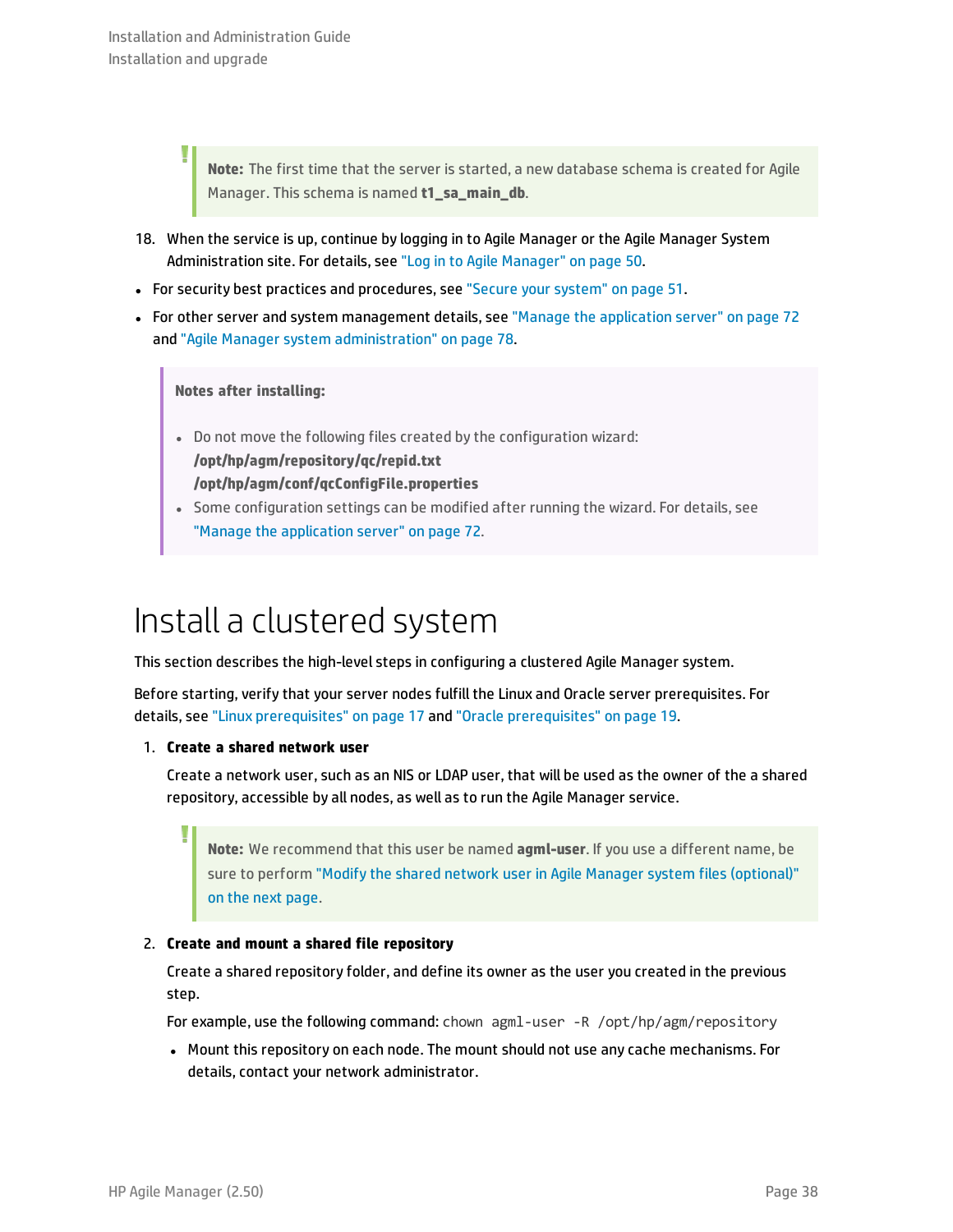Ţ

**Note:** The first time that the server is started, a new database schema is created for Agile Manager. This schema is named **t1 sa main db.** 

- 18. When the service is up, continue by logging in to Agile Manager or the Agile Manager System Administration site. For details, see "Log in to Agile [Manager"](#page-49-0) on page 50.
- For security best practices and procedures, see "Secure your [system"](#page-50-0) on page 51.
- For other server and system management details, see "Manage the [application](#page-71-0) server" on page 72 and "Agile Manager system [administration"](#page-77-0) on page 78.

**Notes after installing:**

- Do not move the following files created by the configuration wizard: **/opt/hp/agm/repository/qc/repid.txt /opt/hp/agm/conf/qcConfigFile.properties**
- Some configuration settings can be modified after running the wizard. For details, see "Manage the [application](#page-71-0) server" on page 72.

## Install a clustered system

This section describes the high-level steps in configuring a clustered Agile Manager system.

Before starting, verify that your server nodes fulfill the Linux and Oracle server prerequisites. For details, see "Linux [prerequisites"](#page-16-0) on page 17 and "Oracle [prerequisites"](#page-18-0) on page 19.

### 1. **Create a shared network user**

Create a network user, such as an NIS or LDAP user, that will be used as the owner of the a shared repository, accessible by all nodes, as well as to run the Agile Manager service.

**Note:** We recommend that this user be named **agml-user**. If you use a different name, be sure to perform "Modify the shared network user in Agile Manager system files [\(optional\)"](#page-38-0) on the next [page.](#page-38-0)

### 2. **Create and mount a shared file repository**

Create a shared repository folder, and define its owner as the user you created in the previous step.

For example, use the following command: chown agml-user -R /opt/hp/agm/repository

• Mount this repository on each node. The mount should not use any cache mechanisms. For details, contact your network administrator.

I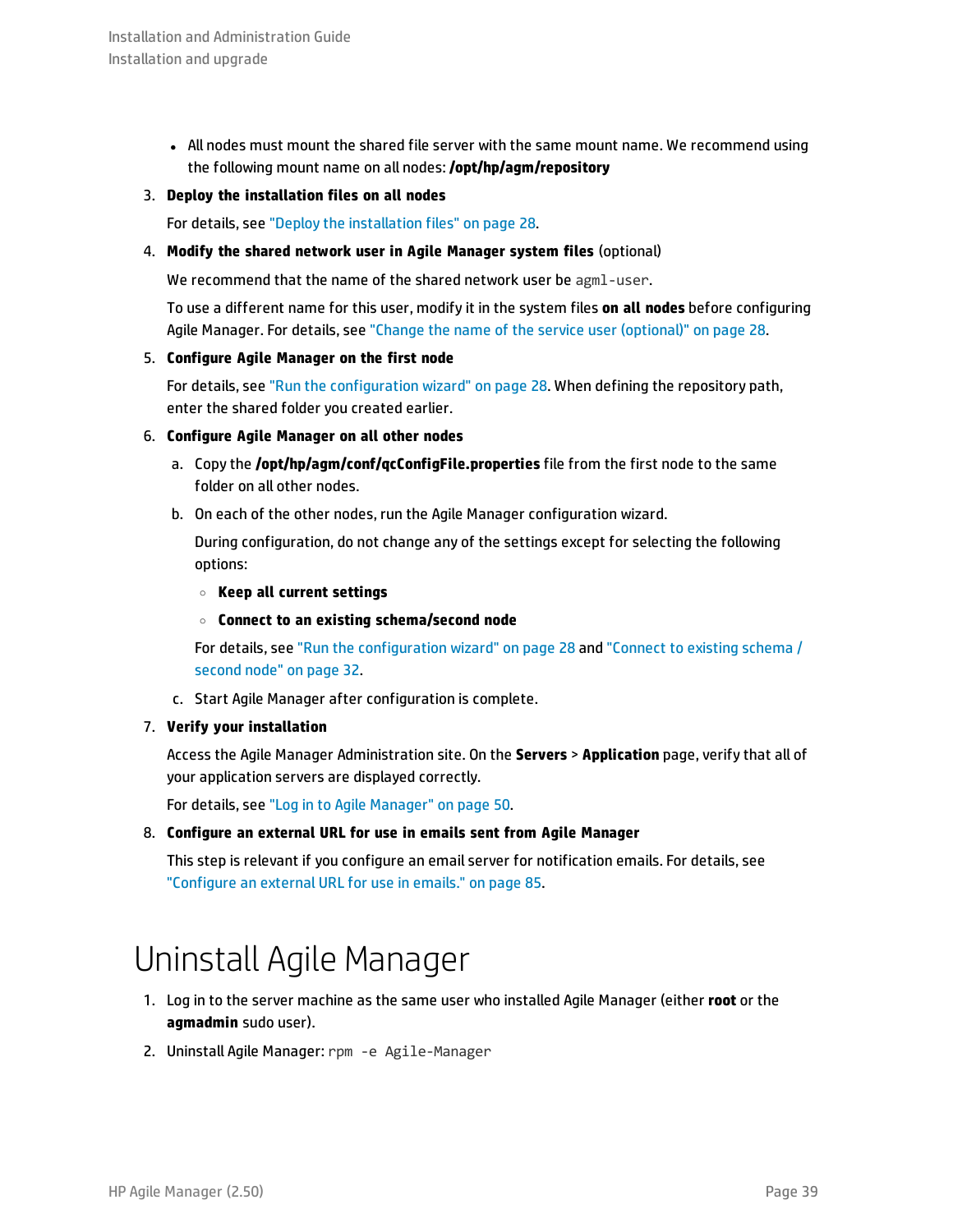• All nodes must mount the shared file server with the same mount name. We recommend using the following mount name on all nodes: **/opt/hp/agm/repository**

### 3. **Deploy the installation files on all nodes**

<span id="page-38-0"></span>For details, see "Deploy the [installation](#page-27-0) files" on page 28.

### 4. **Modify the shared network user in Agile Manager system files** (optional)

We recommend that the name of the shared network user be agml-user.

To use a different name for this user, modify it in the system files **on all nodes** before configuring Agile Manager. For details, see "Change the name of the service user [\(optional\)"](#page-27-1) on page 28.

### 5. **Configure Agile Manager on the first node**

For details, see "Run the [configuration](#page-27-2) wizard" on page 28. When defining the repository path, enter the shared folder you created earlier.

### 6. **Configure Agile Manager on all other nodes**

- a. Copy the **/opt/hp/agm/conf/qcConfigFile.properties** file from the first node to the same folder on all other nodes.
- b. On each of the other nodes, run the Agile Manager configuration wizard.

During configuration, do not change any of the settings except for selecting the following options:

- <sup>o</sup> **Keep all current settings**
- <sup>o</sup> **Connect to an existing schema/second node**

For details, see "Run the [configuration](#page-27-2) wizard" on page 28 and ["Connect](#page-31-0) to existing schema / [second](#page-31-0) node" on page 32.

c. Start Agile Manager after configuration is complete.

### 7. **Verify your installation**

Access the Agile Manager Administration site. On the **Servers** > **Application** page, verify that all of your application servers are displayed correctly.

For details, see "Log in to Agile [Manager"](#page-49-0) on page 50.

8. **Configure an external URL for use in emails sent from Agile Manager**

<span id="page-38-1"></span>This step is relevant if you configure an email server for notification emails. For details, see ["Configure](#page-84-0) an external URL for use in emails." on page 85.

### Uninstall Agile Manager

- 1. Log in to the server machine as the same user who installed Agile Manager (either **root** or the **agmadmin** sudo user).
- 2. Uninstall Agile Manager: rpm -e Agile-Manager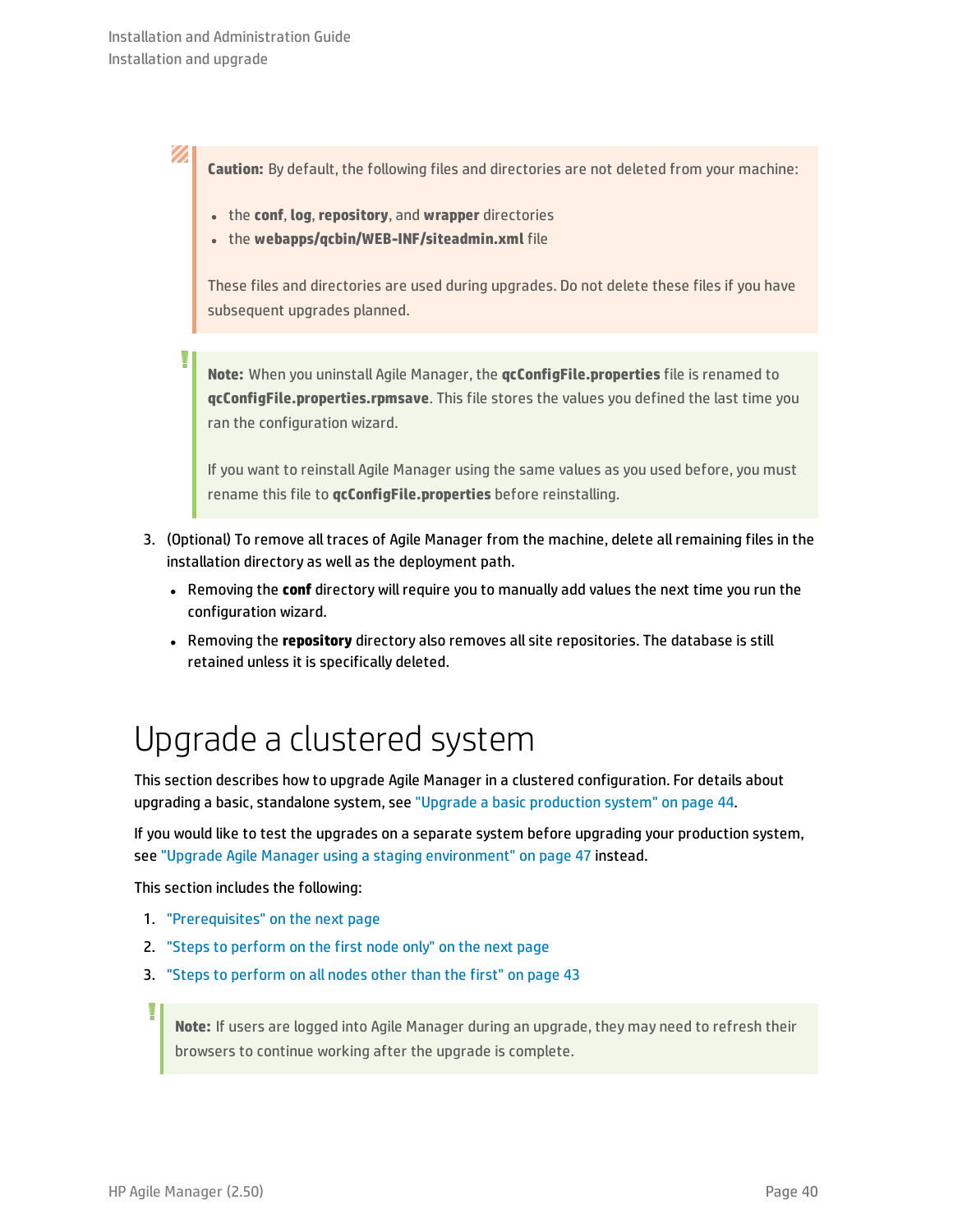J

Ø. **Caution:** By default, the following files and directories are not deleted from your machine:

- <sup>l</sup> the **conf**, **log**, **repository**, and **wrapper** directories
- **.** the webapps/qcbin/WEB-INF/siteadmin.xml file

These files and directories are used during upgrades. Do not delete these files if you have subsequent upgrades planned.

**Note:** When you uninstall Agile Manager, the **qcConfigFile.properties** file is renamed to **qcConfigFile.properties.rpmsave**. This file stores the values you defined the last time you ran the configuration wizard.

If you want to reinstall Agile Manager using the same values as you used before, you must rename this file to **qcConfigFile.properties** before reinstalling.

- 3. (Optional) To remove all traces of Agile Manager from the machine, delete all remaining files in the installation directory as well as the deployment path.
	- <sup>l</sup> Removing the **conf** directory will require you to manually add values the next time you run the configuration wizard.
	- **.** Removing the *repository* directory also removes all site repositories. The database is still retained unless it is specifically deleted.

## <span id="page-39-0"></span>Upgrade a clustered system

This section describes how to upgrade Agile Manager in a clustered configuration. For details about upgrading a basic, standalone system, see "Upgrade a basic [production](#page-43-0) system" on page 44.

If you would like to test the upgrades on a separate system before upgrading your production system, see "Upgrade Agile Manager using a staging [environment"](#page-46-0) on page 47 instead.

This section includes the following:

- 1. ["Prerequisites"](#page-40-0) on the next page
- 2. "Steps to [perform](#page-40-1) on the first node only" on the next page
- 3. "Steps to [perform](#page-42-0) on all nodes other than the first" on page 43

**Note:** If users are logged into Agile Manager during an upgrade, they may need to refresh their browsers to continue working after the upgrade is complete.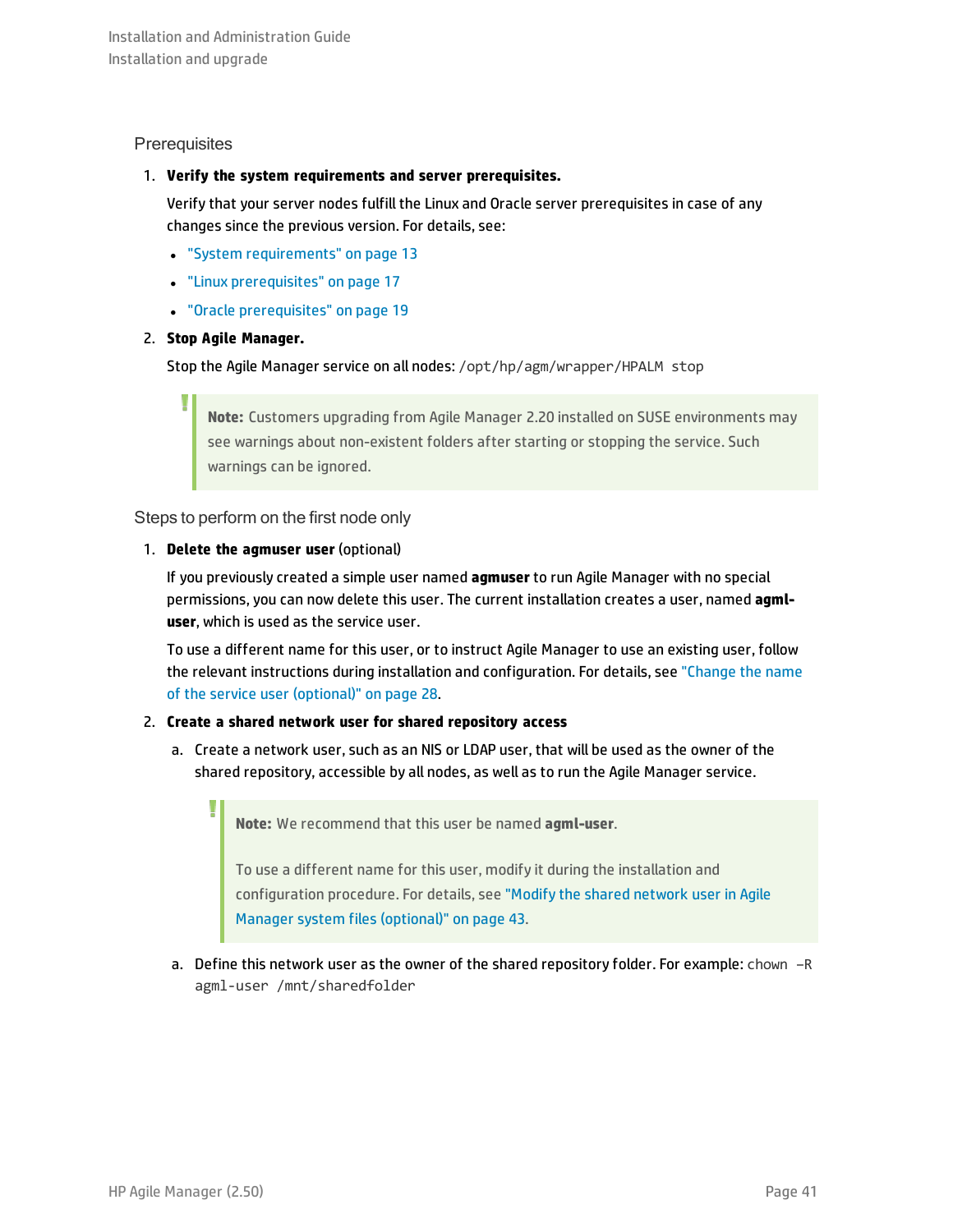### <span id="page-40-0"></span>**Prerequisites**

I

### 1. **Verify the system requirements and server prerequisites.**

Verify that your server nodes fulfill the Linux and Oracle server prerequisites in case of any changes since the previous version. For details, see:

- **.** "System [requirements"](#page-12-0) on page 13
- **.** "Linux [prerequisites"](#page-16-0) on page 17
- **.** "Oracle [prerequisites"](#page-18-0) on page 19

### 2. **Stop Agile Manager.**

Stop the Agile Manager service on all nodes: /opt/hp/agm/wrapper/HPALM stop

**Note:** Customers upgrading from Agile Manager 2.20 installed on SUSE environments may see warnings about non-existent folders after starting or stopping the service. Such warnings can be ignored.

<span id="page-40-1"></span>Steps to perform on the first node only

### 1. **Delete the agmuser user** (optional)

If you previously created a simple user named **agmuser** to run Agile Manager with no special permissions, you can now delete this user. The current installation creates a user, named **agmluser**, which is used as the service user.

To use a different name for this user, or to instruct Agile Manager to use an existing user, follow the relevant instructions during installation and configuration. For details, see ["Change](#page-27-1) the name of the service user [\(optional\)"](#page-27-1) on page 28.

### 2. **Create a shared network user for shared repository access**

a. Create a network user, such as an NIS or LDAP user, that will be used as the owner of the shared repository, accessible by all nodes, as well as to run the Agile Manager service.

**Note:** We recommend that this user be named **agml-user**.

To use a different name for this user, modify it during the installation and configuration procedure. For details, see "Modify the shared [network](#page-42-1) user in Agile Manager system files [\(optional\)"](#page-42-1) on page 43.

a. Define this network user as the owner of the shared repository folder. For example: chown –R agml-user /mnt/sharedfolder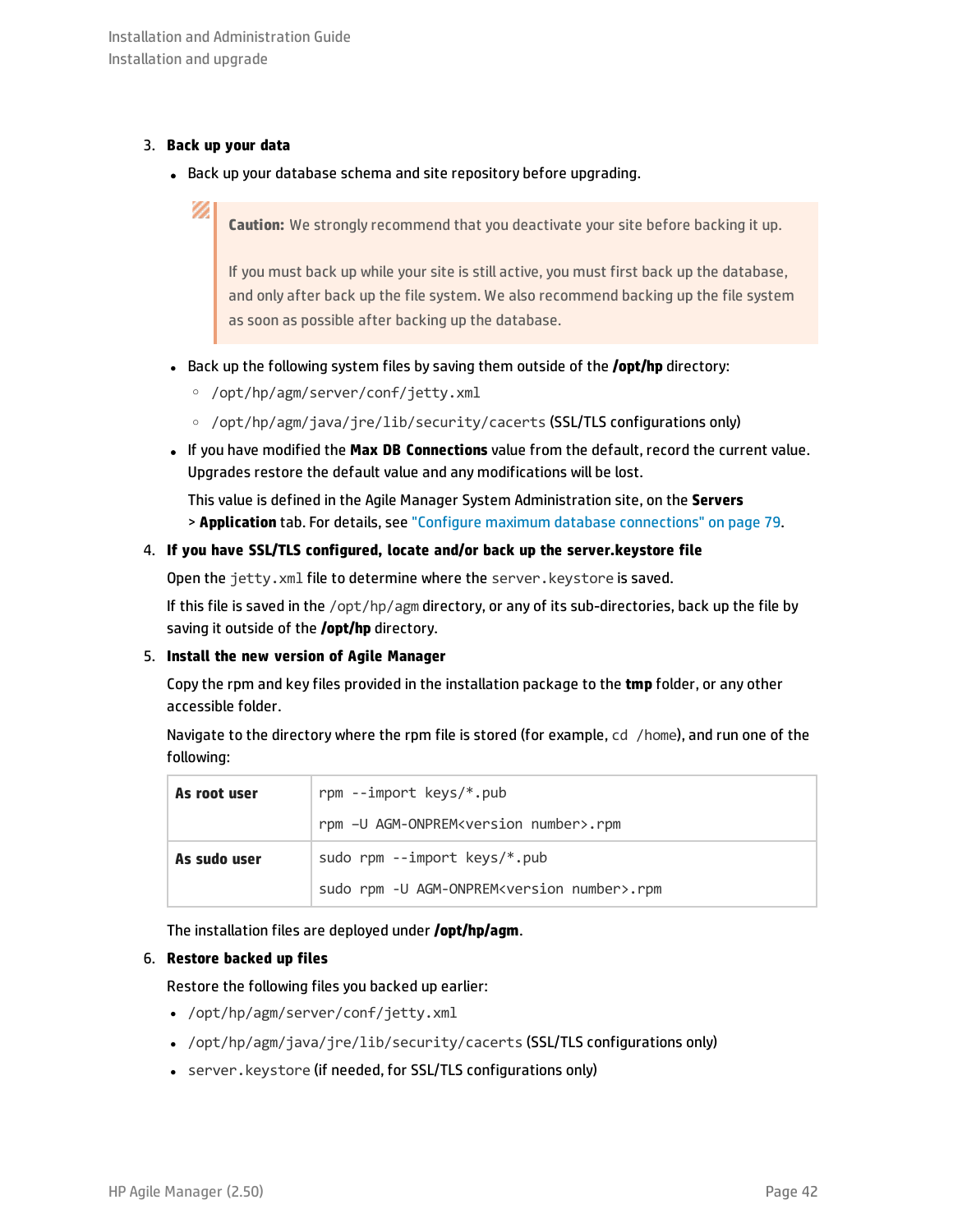### 3. **Back up your data**

Ø

• Back up your database schema and site repository before upgrading.

### **Caution:** We strongly recommend that you deactivate your site before backing it up.

If you must back up while your site is still active, you must first back up the database, and only after back up the file system. We also recommend backing up the file system as soon as possible after backing up the database.

- **Back up the following system files by saving them outside of the <b>/opt/hp** directory:
	- <sup>o</sup> /opt/hp/agm/server/conf/jetty.xml
	- <sup>o</sup> /opt/hp/agm/java/jre/lib/security/cacerts (SSL/TLS configurations only)
- <sup>l</sup> If you have modified the **Max DB Connections** value from the default, record the current value. Upgrades restore the default value and any modifications will be lost.

This value is defined in the Agile Manager System Administration site, on the **Servers** > **Application** tab. For details, see "Configure maximum database [connections"](#page-78-0) on page 79.

### 4. **If you have SSL/TLS configured, locate and/or back up the server.keystore file**

Open the jetty.xml file to determine where the server.keystore is saved.

If this file is saved in the /opt/hp/agm directory, or any of its sub-directories, back up the file by saving it outside of the **/opt/hp** directory.

### 5. **Install the new version of Agile Manager**

Copy the rpm and key files provided in the installation package to the **tmp** folder, or any other accessible folder.

Navigate to the directory where the rpm file is stored (for example, cd /home), and run one of the following:

| As root user | rpm --import keys/*.pub<br>rpm -U AGM-ONPREM <version number="">.rpm</version> |  |
|--------------|--------------------------------------------------------------------------------|--|
|              |                                                                                |  |
| As sudo user | sudo rpm --import keys/*.pub                                                   |  |
|              | sudo rpm -U AGM-ONPREM <version number="">.rpm</version>                       |  |

The installation files are deployed under **/opt/hp/agm**.

### 6. **Restore backed up files**

Restore the following files you backed up earlier:

- /opt/hp/agm/server/conf/jetty.xml
- <sup>l</sup> /opt/hp/agm/java/jre/lib/security/cacerts (SSL/TLS configurations only)
- server. keystore (if needed, for SSL/TLS configurations only)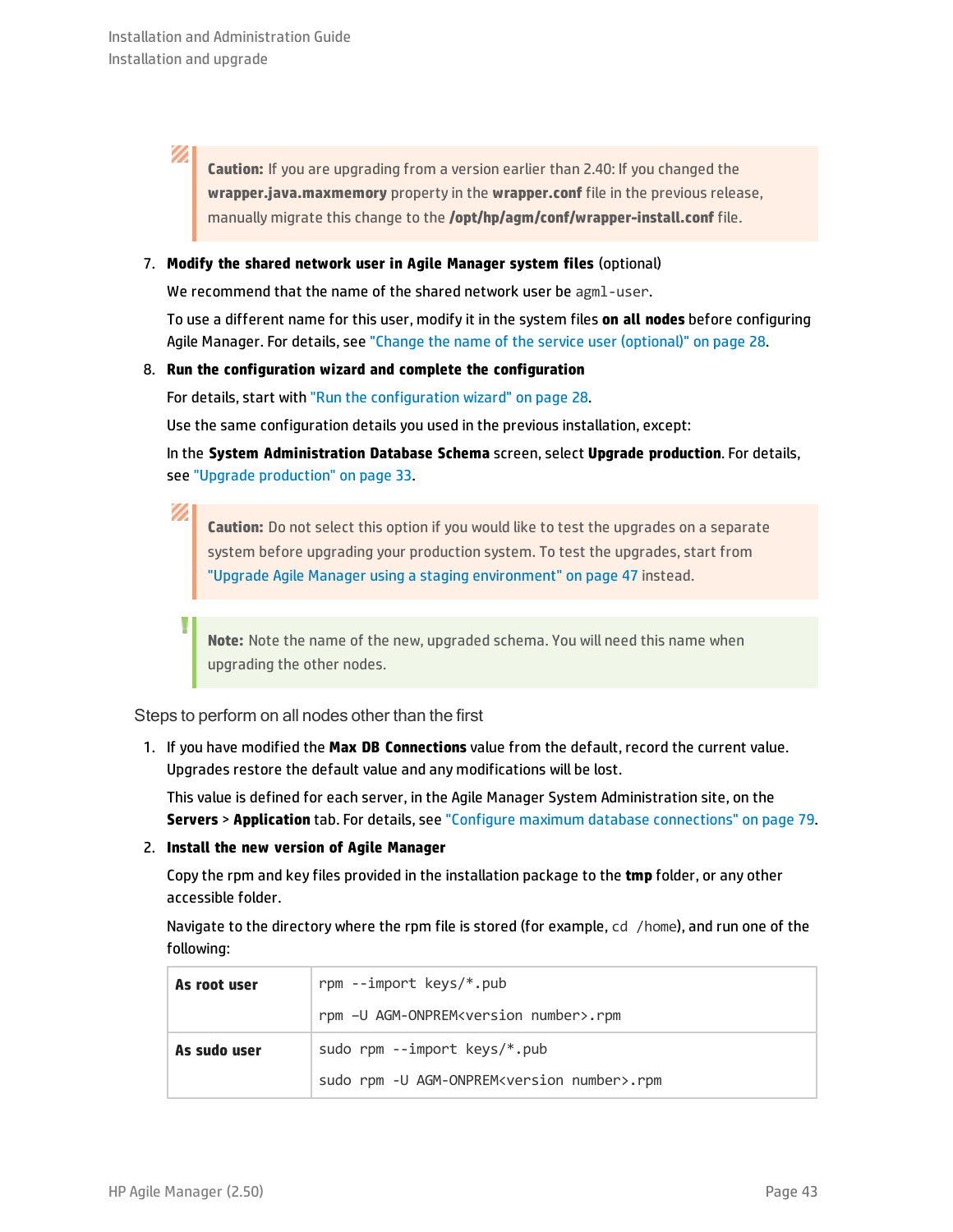V) **Caution:** If you are upgrading from a version earlier than 2.40: If you changed the **wrapper.java.maxmemory** property in the **wrapper.conf** file in the previous release, manually migrate this change to the **/opt/hp/agm/conf/wrapper-install.conf** file.

### <span id="page-42-1"></span>7. **Modify the shared network user in Agile Manager system files** (optional)

We recommend that the name of the shared network user be agml-user.

To use a different name for this user, modify it in the system files **on all nodes** before configuring Agile Manager. For details, see "Change the name of the service user [\(optional\)"](#page-27-1) on page 28.

### 8. **Run the configuration wizard and complete the configuration**

For details, start with "Run the [configuration](#page-27-2) wizard" on page 28.

Use the same configuration details you used in the previous installation, except:

In the **System Administration Database Schema** screen, select **Upgrade production**. For details, see "Upgrade [production"](#page-32-0) on page 33.

Ø

Ţ

**Caution:** Do not select this option if you would like to test the upgrades on a separate system before upgrading your production system. To test the upgrades, start from "Upgrade Agile Manager using a staging [environment"](#page-46-0) on page 47 instead.

**Note:** Note the name of the new, upgraded schema. You will need this name when upgrading the other nodes.

<span id="page-42-0"></span>Steps to perform on all nodes other than the first

1. If you have modified the **Max DB Connections** value from the default, record the current value. Upgrades restore the default value and any modifications will be lost.

This value is defined for each server, in the Agile Manager System Administration site, on the **Servers** > **Application** tab. For details, see "Configure maximum database [connections"](#page-78-0) on page 79.

### 2. **Install the new version of Agile Manager**

Copy the rpm and key files provided in the installation package to the **tmp** folder, or any other accessible folder.

Navigate to the directory where the rpm file is stored (for example, cd /home), and run one of the following:

| As root user | rpm --import keys/*.pub                                  |  |
|--------------|----------------------------------------------------------|--|
|              | rpm -U AGM-ONPREM <version number="">.rpm</version>      |  |
| As sudo user | sudo rpm --import keys/*.pub                             |  |
|              | sudo rpm -U AGM-ONPREM <version number="">.rpm</version> |  |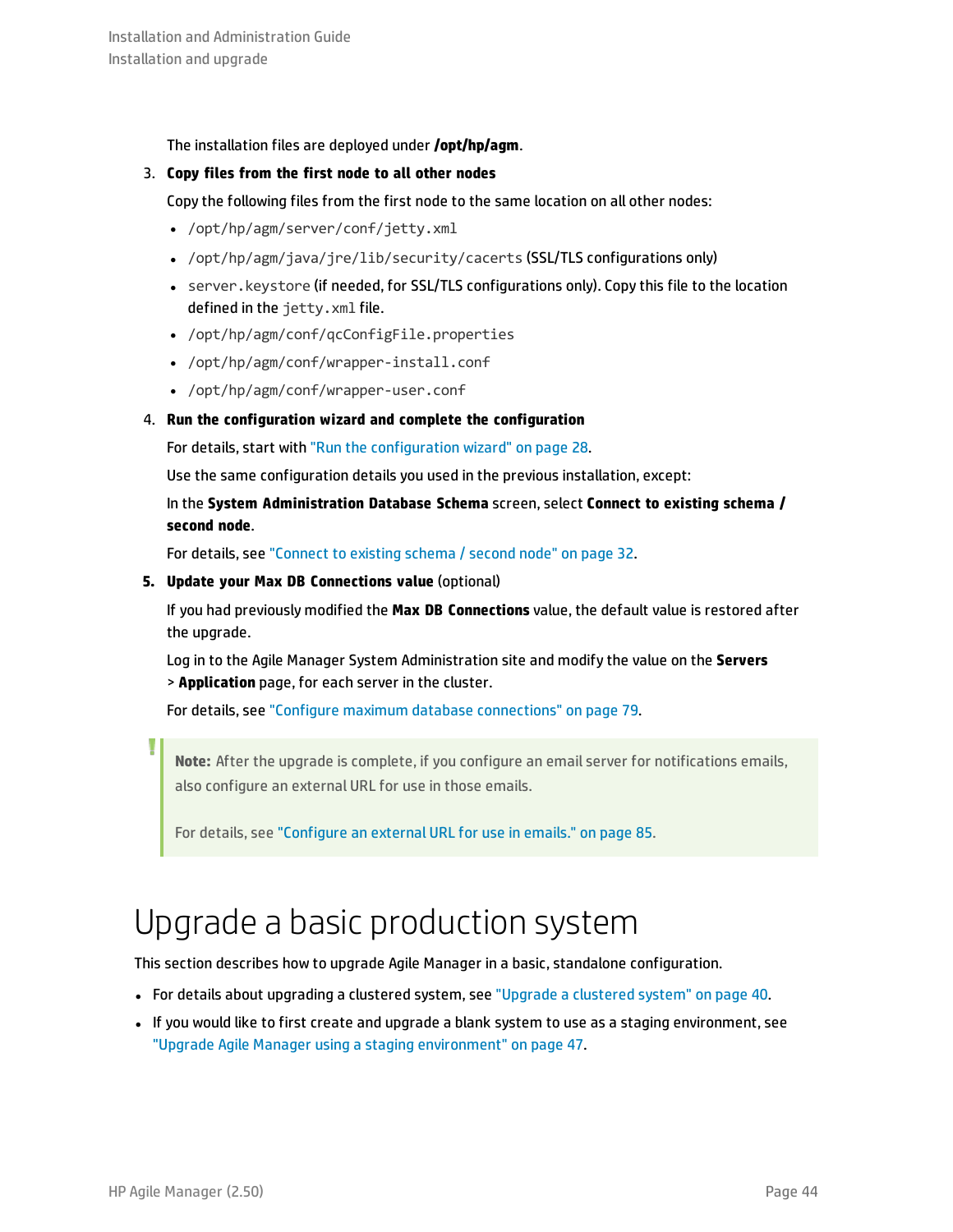The installation files are deployed under **/opt/hp/agm**.

### 3. **Copy files from the first node to all other nodes**

Copy the following files from the first node to the same location on all other nodes:

- /opt/hp/agm/server/conf/jetty.xml
- <sup>l</sup> /opt/hp/agm/java/jre/lib/security/cacerts (SSL/TLS configurations only)
- server. keystore (if needed, for SSL/TLS configurations only). Copy this file to the location defined in the jetty.xml file.
- /opt/hp/agm/conf/qcConfigFile.properties
- /opt/hp/agm/conf/wrapper-install.conf
- /opt/hp/agm/conf/wrapper-user.conf

### 4. **Run the configuration wizard and complete the configuration**

For details, start with "Run the [configuration](#page-27-2) wizard" on page 28.

Use the same configuration details you used in the previous installation, except:

In the **System Administration Database Schema** screen, select **Connect to existing schema / second node**.

For details, see ["Connect](#page-31-0) to existing schema / second node" on page 32.

#### **5. Update your Max DB Connections value** (optional)

If you had previously modified the **Max DB Connections** value, the default value is restored after the upgrade.

Log in to the Agile Manager System Administration site and modify the value on the **Servers** > **Application** page, for each server in the cluster.

For details, see "Configure maximum database [connections"](#page-78-0) on page 79.

**Note:** After the upgrade is complete, if you configure an email server for notifications emails, also configure an external URL for use in those emails.

<span id="page-43-0"></span>For details, see ["Configure](#page-84-0) an external URL for use in emails." on page 85.

## Upgrade a basic production system

This section describes how to upgrade Agile Manager in a basic, standalone configuration.

- For details about upgrading a [clustered](#page-39-0) system, see "Upgrade a clustered system" on page 40.
- If you would like to first create and upgrade a blank system to use as a staging environment, see "Upgrade Agile Manager using a staging [environment"](#page-46-0) on page 47.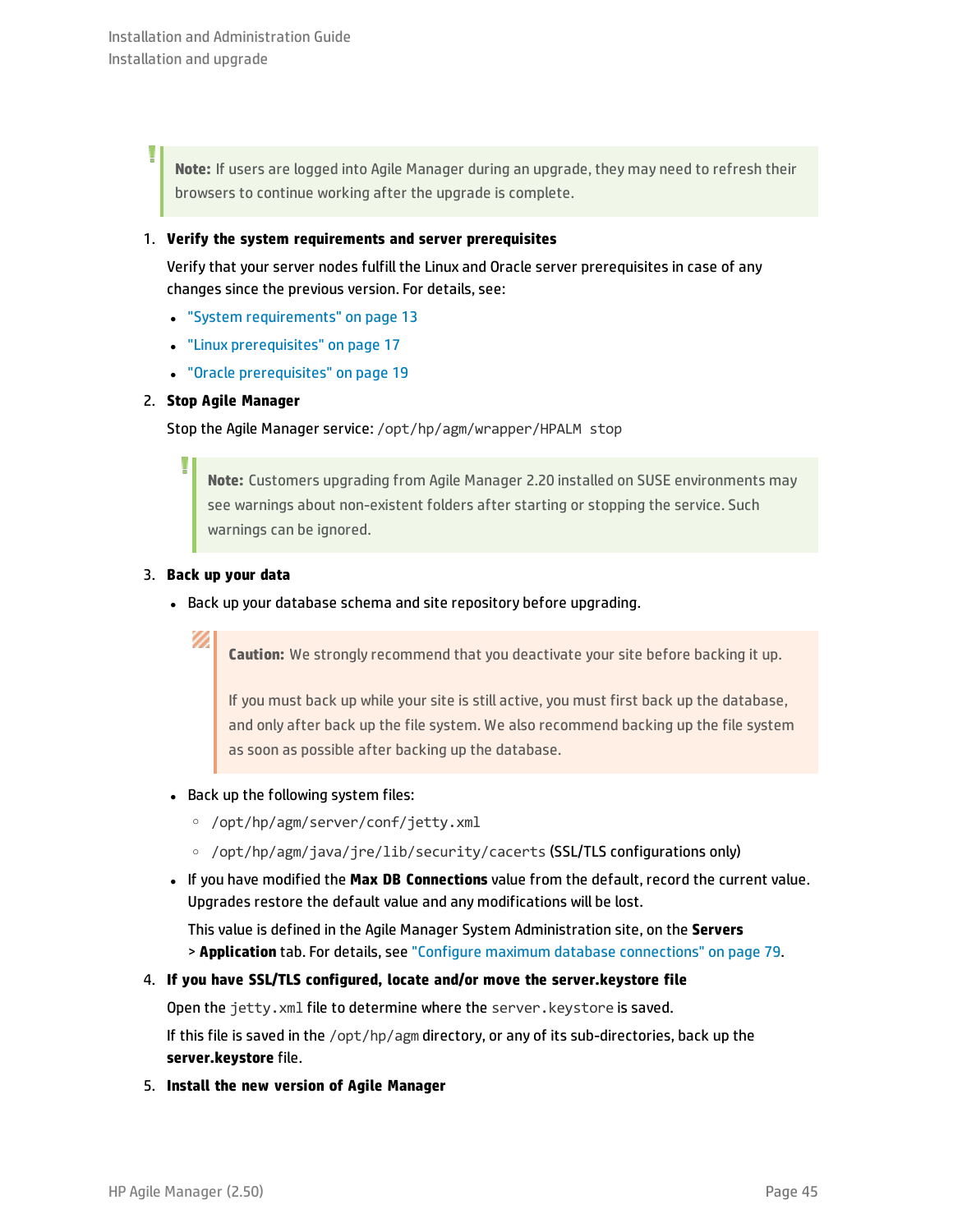Ī

**Note:** If users are logged into Agile Manager during an upgrade, they may need to refresh their browsers to continue working after the upgrade is complete.

### 1. **Verify the system requirements and server prerequisites**

Verify that your server nodes fulfill the Linux and Oracle server prerequisites in case of any changes since the previous version. For details, see:

- **.** "System [requirements"](#page-12-0) on page 13
- **.** "Linux [prerequisites"](#page-16-0) on page 17
- **.** "Oracle [prerequisites"](#page-18-0) on page 19

### 2. **Stop Agile Manager**

Stop the Agile Manager service: /opt/hp/agm/wrapper/HPALM stop

**Note:** Customers upgrading from Agile Manager 2.20 installed on SUSE environments may see warnings about non-existent folders after starting or stopping the service. Such warnings can be ignored.

### 3. **Back up your data**

Ø

• Back up your database schema and site repository before upgrading.

**Caution:** We strongly recommend that you deactivate your site before backing it up.

If you must back up while your site is still active, you must first back up the database, and only after back up the file system. We also recommend backing up the file system as soon as possible after backing up the database.

- Back up the following system files:
	- <sup>o</sup> /opt/hp/agm/server/conf/jetty.xml
	- <sup>o</sup> /opt/hp/agm/java/jre/lib/security/cacerts (SSL/TLS configurations only)
- <sup>l</sup> If you have modified the **Max DB Connections** value from the default, record the current value. Upgrades restore the default value and any modifications will be lost.

This value is defined in the Agile Manager System Administration site, on the **Servers** > **Application** tab. For details, see "Configure maximum database [connections"](#page-78-0) on page 79.

### 4. **If you have SSL/TLS configured, locate and/or move the server.keystore file**

Open the jetty. xml file to determine where the server. keystore is saved.

If this file is saved in the /opt/hp/agm directory, or any of its sub-directories, back up the **server.keystore** file.

5. **Install the new version of Agile Manager**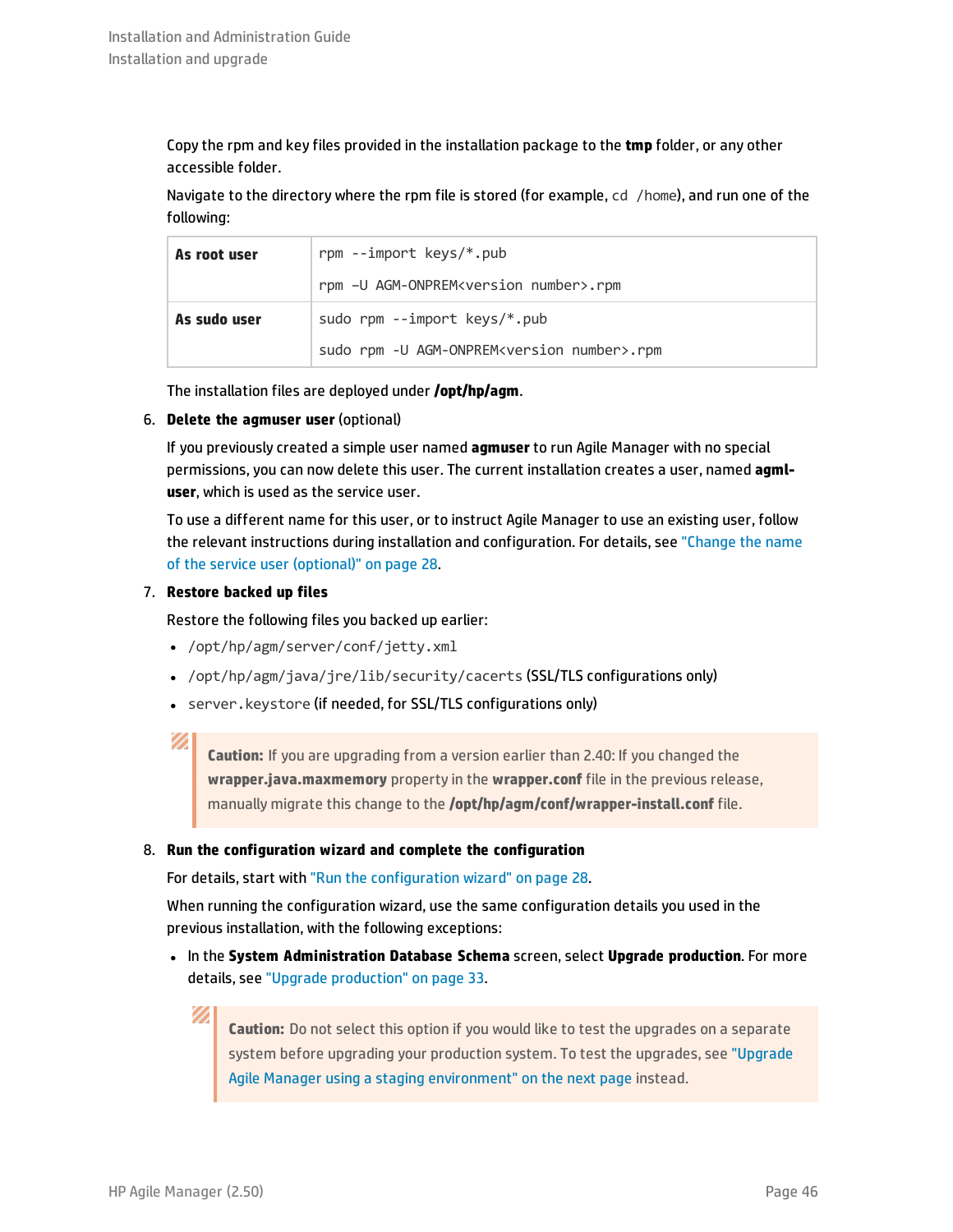Copy the rpm and key files provided in the installation package to the **tmp** folder, or any other accessible folder.

Navigate to the directory where the rpm file is stored (for example, cd /home), and run one of the following:

| As root user | rpm --import keys/*.pub                                  |  |
|--------------|----------------------------------------------------------|--|
|              | rpm -U AGM-ONPREM <version number="">.rpm</version>      |  |
| As sudo user | sudo rpm --import keys/*.pub                             |  |
|              | sudo rpm -U AGM-ONPREM <version number="">.rpm</version> |  |

The installation files are deployed under **/opt/hp/agm**.

6. **Delete the agmuser user** (optional)

If you previously created a simple user named **agmuser** to run Agile Manager with no special permissions, you can now delete this user. The current installation creates a user, named **agmluser**, which is used as the service user.

To use a different name for this user, or to instruct Agile Manager to use an existing user, follow the relevant instructions during installation and configuration. For details, see ["Change](#page-27-1) the name of the service user [\(optional\)"](#page-27-1) on page 28.

### 7. **Restore backed up files**

Restore the following files you backed up earlier:

- /opt/hp/agm/server/conf/jetty.xml
- <sup>l</sup> /opt/hp/agm/java/jre/lib/security/cacerts (SSL/TLS configurations only)
- **.** server. keystore (if needed, for SSL/TLS configurations only)

### Ø

**Caution:** If you are upgrading from a version earlier than 2.40: If you changed the **wrapper.java.maxmemory** property in the **wrapper.conf** file in the previous release, manually migrate this change to the **/opt/hp/agm/conf/wrapper-install.conf** file.

### 8. **Run the configuration wizard and complete the configuration**

For details, start with "Run the [configuration](#page-27-2) wizard" on page 28.

When running the configuration wizard, use the same configuration details you used in the previous installation, with the following exceptions:

**.** In the System Administration Database Schema screen, select Upgrade production. For more details, see "Upgrade [production"](#page-32-0) on page 33.

**Caution:** Do not select this option if you would like to test the upgrades on a separate system before upgrading your production system. To test the upgrades, see ["Upgrade](#page-46-0) Agile Manager using a staging [environment"](#page-46-0) on the next page instead.

D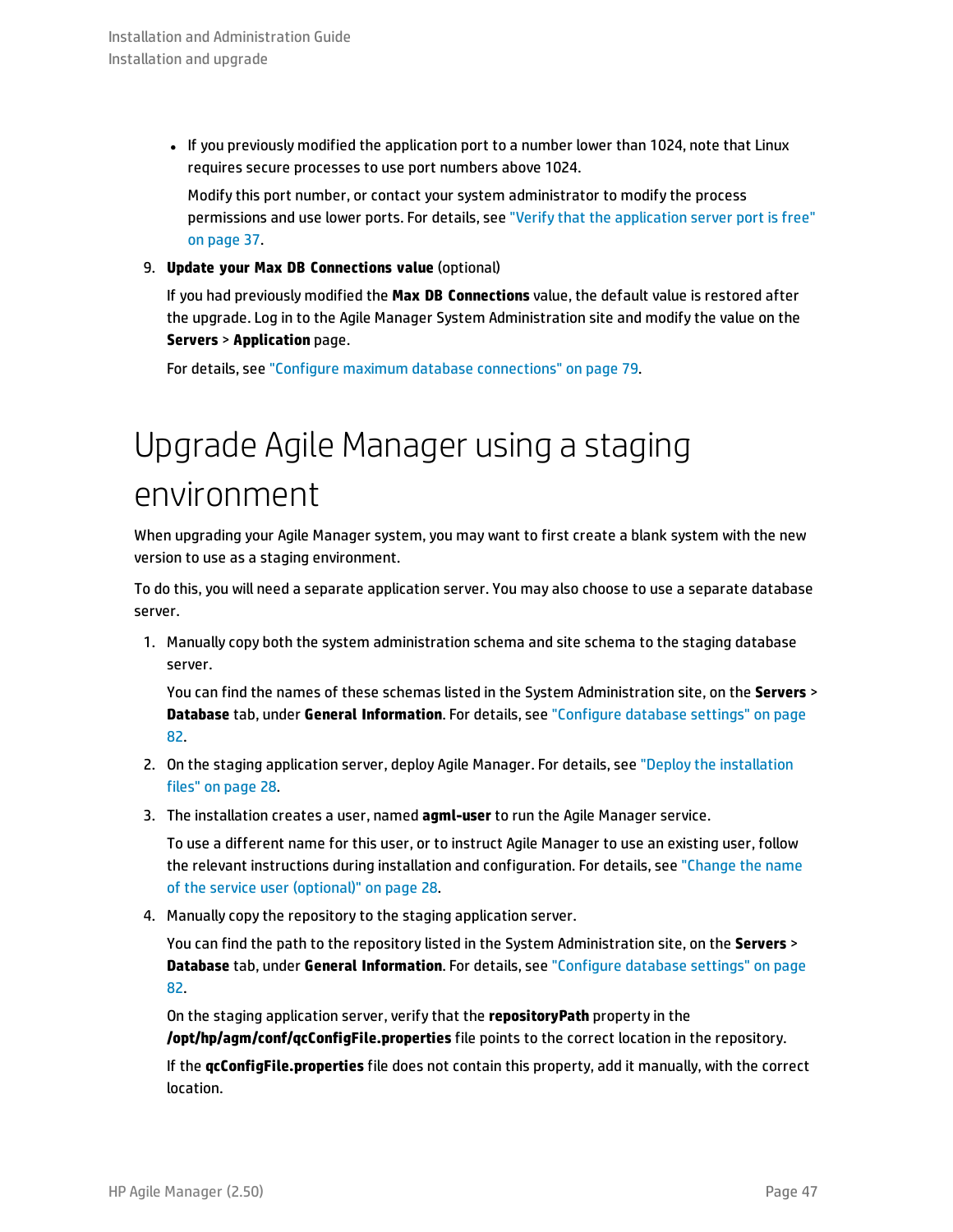• If you previously modified the application port to a number lower than 1024, note that Linux requires secure processes to use port numbers above 1024.

Modify this port number, or contact your system administrator to modify the process permissions and use lower ports. For details, see "Verify that the [application](#page-36-0) server port is free" on [page](#page-36-0) 37.

### 9. **Update your Max DB Connections value** (optional)

If you had previously modified the **Max DB Connections** value, the default value is restored after the upgrade. Log in to the Agile Manager System Administration site and modify the value on the **Servers** > **Application** page.

<span id="page-46-0"></span>For details, see "Configure maximum database [connections"](#page-78-0) on page 79.

## Upgrade Agile Manager using a staging environment

When upgrading your Agile Manager system, you may want to first create a blank system with the new version to use as a staging environment.

To do this, you will need a separate application server. You may also choose to use a separate database server.

1. Manually copy both the system administration schema and site schema to the staging database server.

You can find the names of these schemas listed in the System Administration site, on the **Servers** > **Database** tab, under **General Information**. For details, see ["Configure](#page-81-0) database settings" on page [82.](#page-81-0)

- 2. On the staging application server, deploy Agile Manager. For details, see "Deploy the [installation](#page-27-0) [files"](#page-27-0) on page 28.
- 3. The installation creates a user, named **agml-user** to run the Agile Manager service.

To use a different name for this user, or to instruct Agile Manager to use an existing user, follow the relevant instructions during installation and configuration. For details, see ["Change](#page-27-1) the name of the service user [\(optional\)"](#page-27-1) on page 28.

4. Manually copy the repository to the staging application server.

You can find the path to the repository listed in the System Administration site, on the **Servers** > **Database** tab, under **General Information**. For details, see ["Configure](#page-81-0) database settings" on page [82.](#page-81-0)

On the staging application server, verify that the **repositoryPath** property in the **/opt/hp/agm/conf/qcConfigFile.properties** file points to the correct location in the repository.

If the **qcConfigFile.properties** file does not contain this property, add it manually, with the correct location.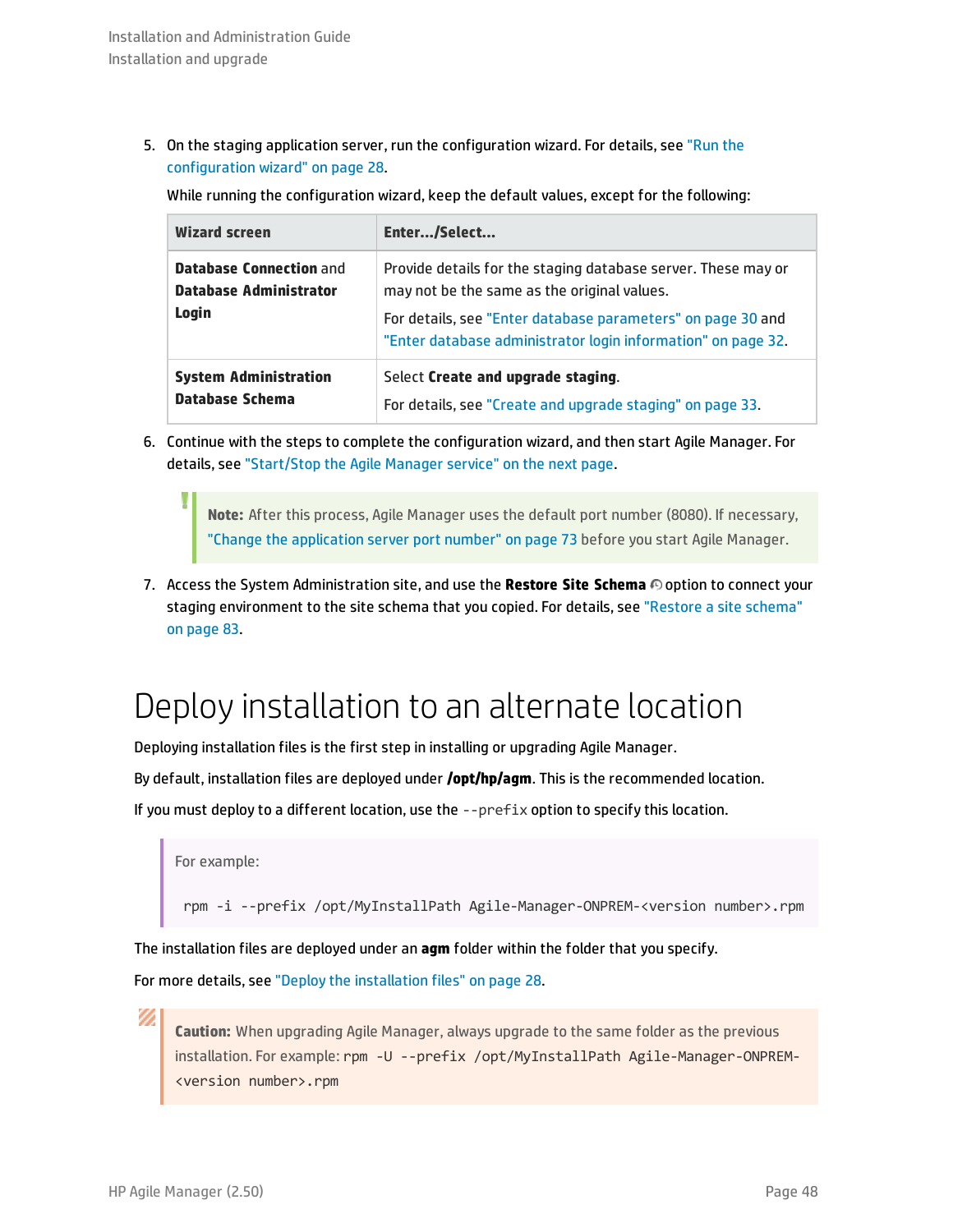5. On the staging application server, run the configuration wizard. For details, see ["Run](#page-27-2) the [configuration](#page-27-2) wizard" on page 28.

While running the configuration wizard, keep the default values, except for the following:

| <b>Wizard screen</b>                                                     | Enter/Select                                                                                                                                                                                                                                |
|--------------------------------------------------------------------------|---------------------------------------------------------------------------------------------------------------------------------------------------------------------------------------------------------------------------------------------|
| <b>Database Connection and</b><br><b>Database Administrator</b><br>Login | Provide details for the staging database server. These may or<br>may not be the same as the original values.<br>For details, see "Enter database parameters" on page 30 and<br>"Enter database administrator login information" on page 32. |
| <b>System Administration</b><br>Database Schema                          | Select Create and upgrade staging.<br>For details, see "Create and upgrade staging" on page 33.                                                                                                                                             |

6. Continue with the steps to complete the configuration wizard, and then start Agile Manager. For details, see ["Start/Stop](#page-48-0) the Agile Manager service" on the next page.

**Note:** After this process, Agile Manager uses the default port number (8080). If necessary, "Change the [application](#page-72-0) server port number" on page 73 before you start Agile Manager.

7. Access the System Administration site, and use the **Restore Site Schema** option to connect your staging environment to the site schema that you copied. For details, see ["Restore](#page-82-0) a site schema" on [page](#page-82-0) 83.

### Deploy installation to an alternate location

Deploying installation files is the first step in installing or upgrading Agile Manager.

By default, installation files are deployed under **/opt/hp/agm**. This is the recommended location.

If you must deploy to a different location, use the  $-$ -prefix option to specify this location.

```
For example:
```
I

rpm -i --prefix /opt/MyInstallPath Agile-Manager-ONPREM-<version number>.rpm

The installation files are deployed under an **agm** folder within the folder that you specify.

For more details, see "Deploy the [installation](#page-27-0) files" on page 28.

**Caution:** When upgrading Agile Manager, always upgrade to the same folder as the previous installation. For example: rpm -U --prefix /opt/MyInstallPath Agile-Manager-ONPREM- <version number>.rpm

Ø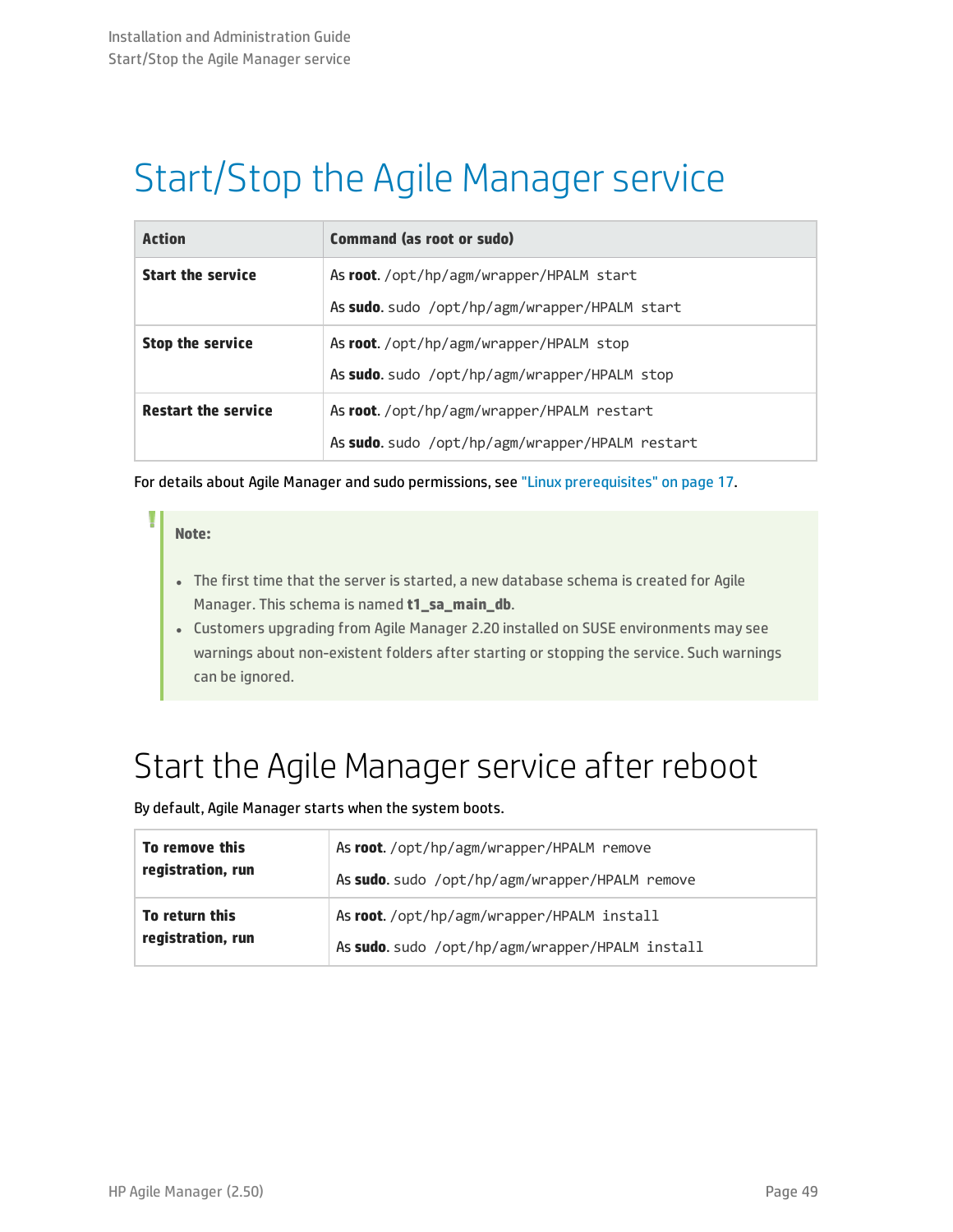# <span id="page-48-0"></span>Start/Stop the Agile Manager service

| <b>Action</b>              | <b>Command (as root or sudo)</b>                |  |
|----------------------------|-------------------------------------------------|--|
| <b>Start the service</b>   | As root./opt/hp/agm/wrapper/HPALM start         |  |
|                            | As sudo. sudo /opt/hp/agm/wrapper/HPALM start   |  |
| <b>Stop the service</b>    | As root./opt/hp/agm/wrapper/HPALM stop          |  |
|                            | As sudo. sudo /opt/hp/agm/wrapper/HPALM stop    |  |
| <b>Restart the service</b> | As root./opt/hp/agm/wrapper/HPALM restart       |  |
|                            | As sudo. sudo /opt/hp/agm/wrapper/HPALM restart |  |

For details about Agile Manager and sudo permissions, see "Linux [prerequisites"](#page-16-0) on page 17.

### **Note:**

- The first time that the server is started, a new database schema is created for Agile Manager. This schema is named **t1\_sa\_main\_db**.
- <sup>l</sup> Customers upgrading from Agile Manager 2.20 installed on SUSE environments may see warnings about non-existent folders after starting or stopping the service. Such warnings can be ignored.

## Start the Agile Manager service after reboot

By default, Agile Manager starts when the system boots.

| To remove this    | As root./opt/hp/agm/wrapper/HPALM remove        |
|-------------------|-------------------------------------------------|
| registration, run | As sudo. sudo /opt/hp/agm/wrapper/HPALM remove  |
| To return this    | As root./opt/hp/agm/wrapper/HPALM install       |
| registration, run | As sudo. sudo /opt/hp/agm/wrapper/HPALM install |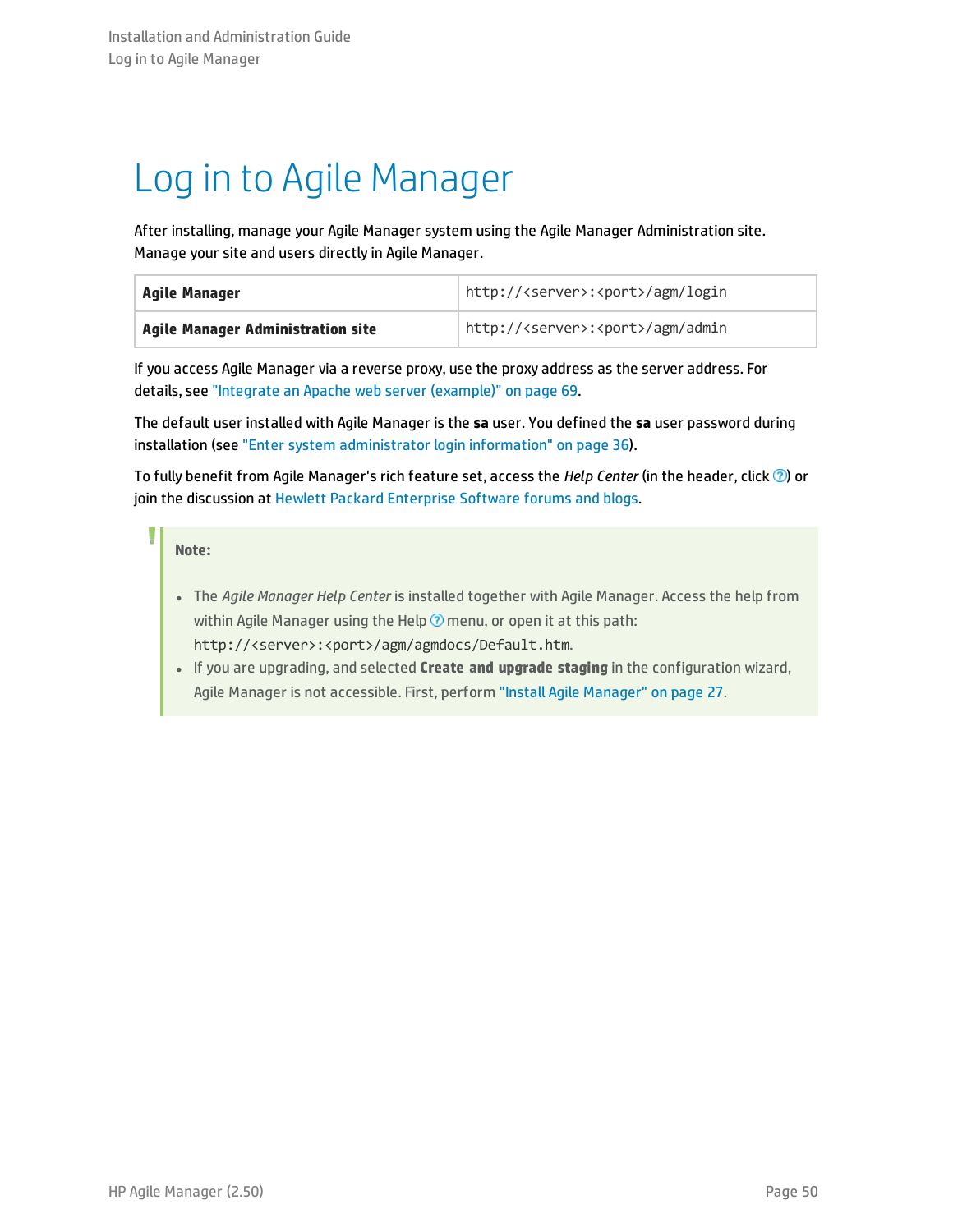# <span id="page-49-0"></span>Log in to Agile Manager

After installing, manage your Agile Manager system using the Agile Manager Administration site. Manage your site and users directly in Agile Manager.

| Agile Manager                     | http:// <server>:<port>/agm/login</port></server> |
|-----------------------------------|---------------------------------------------------|
| Agile Manager Administration site | http:// <server>:<port>/agm/admin</port></server> |

If you access Agile Manager via a reverse proxy, use the proxy address as the server address. For details, see "Integrate an Apache web server [\(example\)"](#page-68-0) on page 69.

The default user installed with Agile Manager is the **sa** user. You defined the **sa** user password during installation (see "Enter system [administrator](#page-35-0) login information" on page 36).

To fully benefit from Agile Manager's rich feature set, access the *Help Center* (in the header, click  $\circledcirc$ ) or join the discussion at Hewlett Packard [Enterprise](http://community.hpe.com/t5/HP-Agile-Manager/ct-p/hp-agile-manager) Software forums and blogs.

### **Note:**

- <sup>l</sup> The *Agile Manager Help Center* is installed together with Agile Manager. Access the help from within Agile Manager using the Help  $\odot$  menu, or open it at this path: http://<server>:<port>/agm/agmdocs/Default.htm.
- <sup>l</sup> If you are upgrading, and selected **Create and upgrade staging** in the configuration wizard, Agile Manager is not accessible. First, perform "Install Agile [Manager"](#page-26-1) on page 27.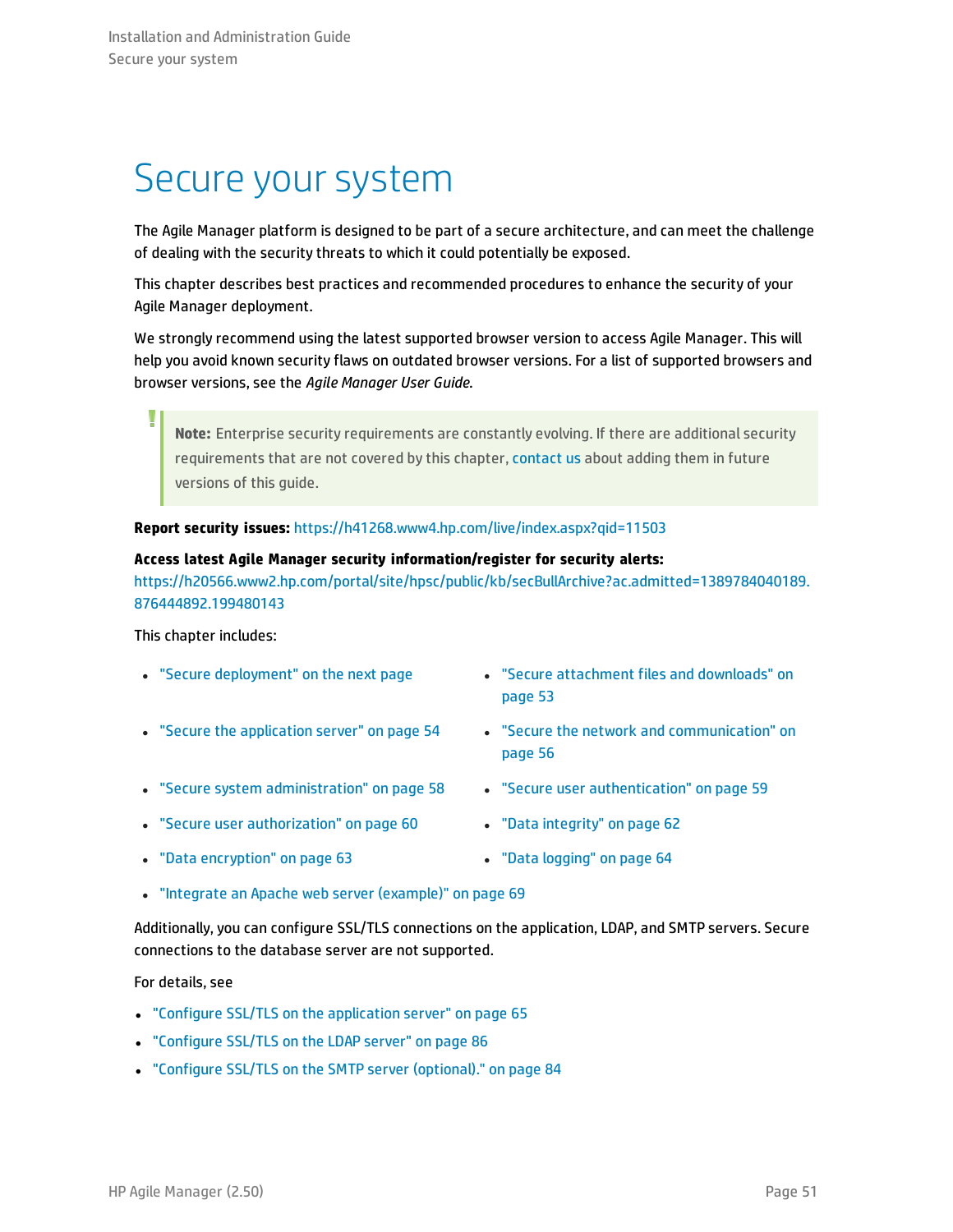## <span id="page-50-0"></span>Secure your system

The Agile Manager platform is designed to be part of a secure architecture, and can meet the challenge of dealing with the security threats to which it could potentially be exposed.

This chapter describes best practices and recommended procedures to enhance the security of your Agile Manager deployment.

We strongly recommend using the latest supported browser version to access Agile Manager. This will help you avoid known security flaws on outdated browser versions. For a list of supported browsers and browser versions, see the *Agile Manager User Guide*.

**Note:** Enterprise security requirements are constantly evolving. If there are additional security requirements that are not covered by this chapter, [contact](mailto:docteam@hpe.com?subject=Agile Manager security request) us about adding them in future versions of this guide.

### **Report security issues:** <https://h41268.www4.hp.com/live/index.aspx?qid=11503>

### **Access latest Agile Manager security information/register for security alerts:**

[https://h20566.www2.hp.com/portal/site/hpsc/public/kb/secBullArchive?ac.admitted=1389784040189.](https://h20566.www2.hp.com/portal/site/hpsc/public/kb/secBullArchive?ac.admitted=1389784040189.876444892.199480143) [876444892.199480143](https://h20566.www2.hp.com/portal/site/hpsc/public/kb/secBullArchive?ac.admitted=1389784040189.876444892.199480143)

This chapter includes:

- 
- 
- "Secure system [administration"](#page-57-0) on page 58 "Secure user [authentication"](#page-58-0) on page 59
- "Secure user [authorization"](#page-59-0) on page 60 **· Pata [integrity"](#page-61-0) on page 62**
- "Secure [deployment"](#page-51-0) on the next page **in the secure [attachment](#page-52-0) files and downloads**" on [page](#page-52-0) 53
- "Secure the [application](#page-53-0) server" on page 54 **.** "Secure the network and [communication"](#page-55-0) on [page](#page-55-0) 56
	-
- 
- 
- "Data [encryption"](#page-62-0) on page 63 **lacks ·** "Data [logging"](#page-63-0) on page 64
- "Integrate an Apache web server [\(example\)"](#page-68-0) on page 69

Additionally, you can configure SSL/TLS connections on the application, LDAP, and SMTP servers. Secure connections to the database server are not supported.

For details, see

- <sup>l</sup> "Configure SSL/TLS on the [application](#page-64-0) server" on page 65
- <sup>l</sup> ["Configure](#page-85-0) SSL/TLS on the LDAP server" on page 86
- "Configure SSL/TLS on the SMTP server [\(optional\)."](#page-83-0) on page 84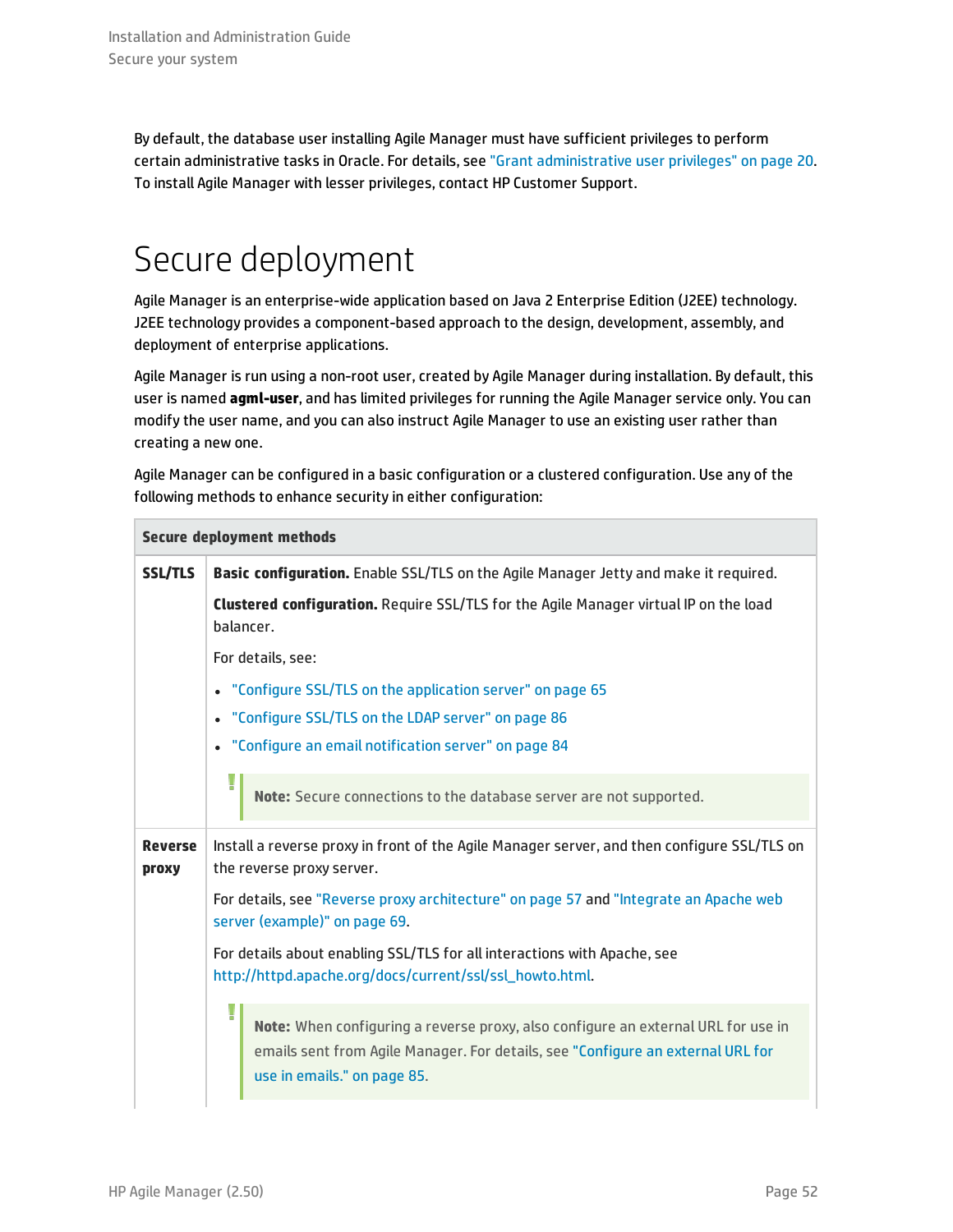By default, the database user installing Agile Manager must have sufficient privileges to perform certain administrative tasks in Oracle. For details, see "Grant [administrative](#page-19-0) user privileges" on page 20. To install Agile Manager with lesser privileges, contact HP Customer Support.

## <span id="page-51-0"></span>Secure deployment

Agile Manager is an enterprise-wide application based on Java 2 Enterprise Edition (J2EE) technology. J2EE technology provides a component-based approach to the design, development, assembly, and deployment of enterprise applications.

Agile Manager is run using a non-root user, created by Agile Manager during installation. By default, this user is named **agml-user**, and has limited privileges for running the Agile Manager service only. You can modify the user name, and you can also instruct Agile Manager to use an existing user rather than creating a new one.

Agile Manager can be configured in a basic configuration or a clustered configuration. Use any of the following methods to enhance security in either configuration:

| <b>Secure deployment methods</b> |                                                                                                                                                                                                          |  |
|----------------------------------|----------------------------------------------------------------------------------------------------------------------------------------------------------------------------------------------------------|--|
| <b>SSL/TLS</b>                   | <b>Basic configuration.</b> Enable SSL/TLS on the Agile Manager Jetty and make it required.                                                                                                              |  |
|                                  | Clustered configuration. Require SSL/TLS for the Agile Manager virtual IP on the load<br>halancer.                                                                                                       |  |
|                                  | For details, see:                                                                                                                                                                                        |  |
|                                  | "Configure SSL/TLS on the application server" on page 65<br>$\bullet$                                                                                                                                    |  |
|                                  | "Configure SSL/TLS on the LDAP server" on page 86<br>$\bullet$                                                                                                                                           |  |
|                                  | • "Configure an email notification server" on page 84                                                                                                                                                    |  |
|                                  | Ţ<br>Note: Secure connections to the database server are not supported.                                                                                                                                  |  |
| <b>Reverse</b><br><b>proxy</b>   | Install a reverse proxy in front of the Agile Manager server, and then configure SSL/TLS on<br>the reverse proxy server.                                                                                 |  |
|                                  | For details, see "Reverse proxy architecture" on page 57 and "Integrate an Apache web<br>server (example)" on page 69.                                                                                   |  |
|                                  | For details about enabling SSL/TLS for all interactions with Apache, see<br>http://httpd.apache.org/docs/current/ssl/ssl_howto.html.                                                                     |  |
|                                  | I<br>Note: When configuring a reverse proxy, also configure an external URL for use in<br>emails sent from Agile Manager. For details, see "Configure an external URL for<br>use in emails." on page 85. |  |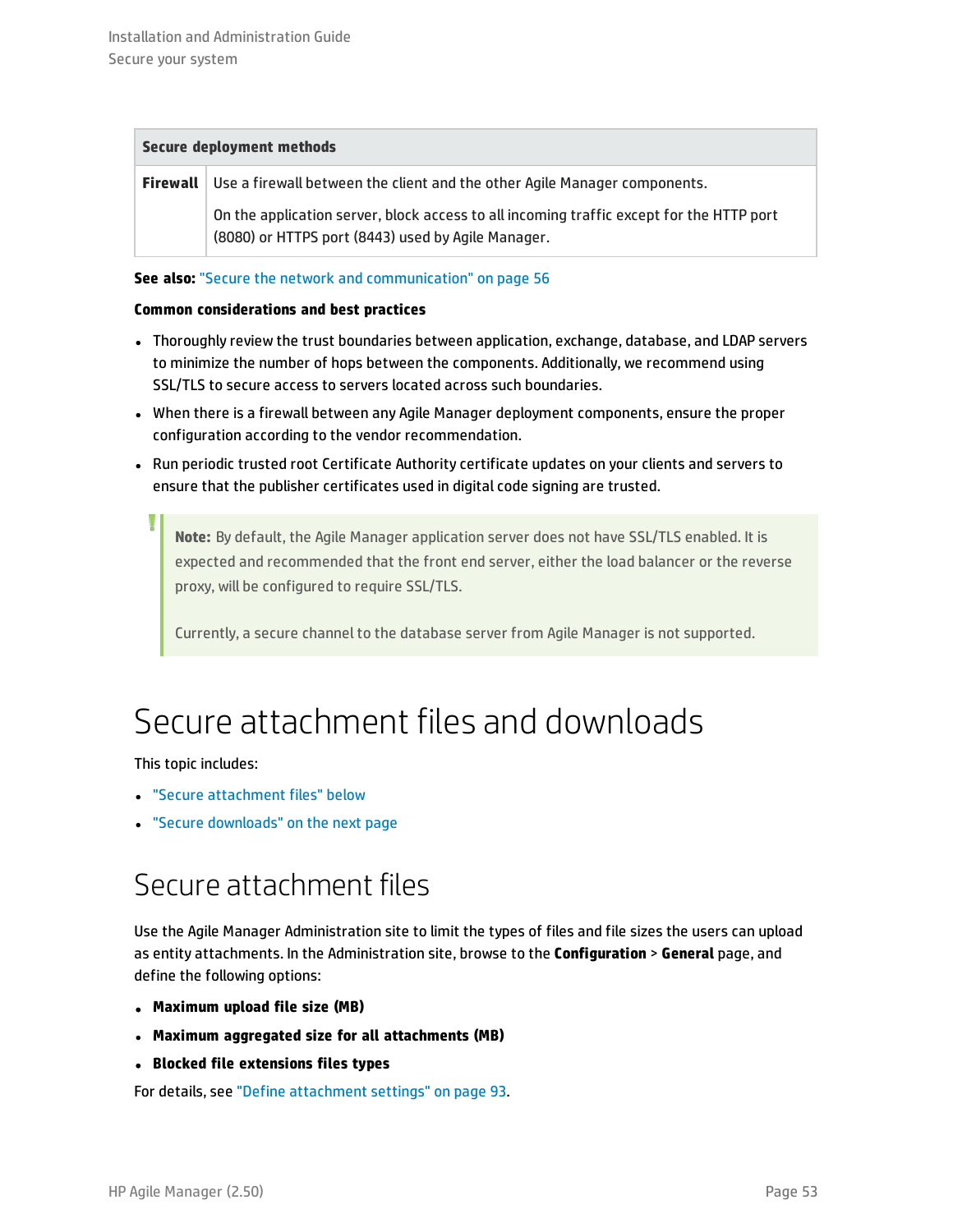#### **Secure deployment methods**

**Firewall** Use a firewall between the client and the other Agile Manager components. On the application server, block access to all incoming traffic except for the HTTP port (8080) or HTTPS port (8443) used by Agile Manager.

**See also:** "Secure the network and [communication"](#page-55-0) on page 56

#### **Common considerations and best practices**

- Thoroughly review the trust boundaries between application, exchange, database, and LDAP servers to minimize the number of hops between the components. Additionally, we recommend using SSL/TLS to secure access to servers located across such boundaries.
- When there is a firewall between any Agile Manager deployment components, ensure the proper configuration according to the vendor recommendation.
- Run periodic trusted root Certificate Authority certificate updates on your clients and servers to ensure that the publisher certificates used in digital code signing are trusted.

**Note:** By default, the Agile Manager application server does not have SSL/TLS enabled. It is expected and recommended that the front end server, either the load balancer or the reverse proxy, will be configured to require SSL/TLS.

<span id="page-52-0"></span>Currently, a secure channel to the database server from Agile Manager is not supported.

## Secure attachment files and downloads

This topic includes:

- "Secure [attachment](#page-52-1) files" below
- <span id="page-52-1"></span>• "Secure [downloads"](#page-53-1) on the next page

### Secure attachment files

Use the Agile Manager Administration site to limit the types of files and file sizes the users can upload as entity attachments. In the Administration site, browse to the **Configuration** > **General** page, and define the following options:

- <sup>l</sup> **Maximum upload file size (MB)**
- <sup>l</sup> **Maximum aggregated size for all attachments (MB)**
- <sup>l</sup> **Blocked file extensions files types**

For details, see "Define [attachment](#page-92-0) settings" on page 93.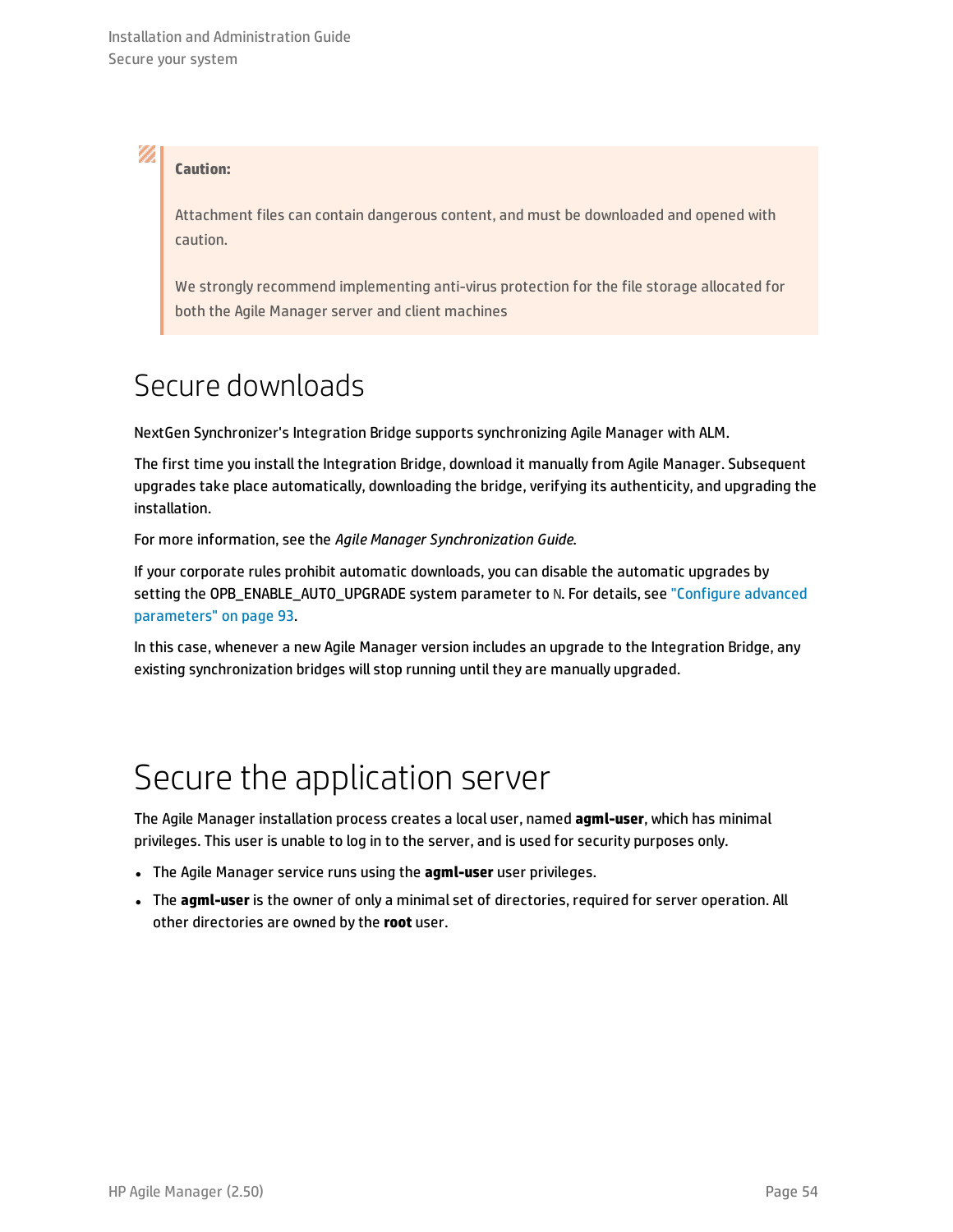### **Caution:**

Ø

Attachment files can contain dangerous content, and must be downloaded and opened with caution.

We strongly recommend implementing anti-virus protection for the file storage allocated for both the Agile Manager server and client machines

### <span id="page-53-1"></span>Secure downloads

NextGen Synchronizer's Integration Bridge supports synchronizing Agile Manager with ALM.

The first time you install the Integration Bridge, download it manually from Agile Manager. Subsequent upgrades take place automatically, downloading the bridge, verifying its authenticity, and upgrading the installation.

For more information, see the *Agile Manager Synchronization Guide*.

If your corporate rules prohibit automatic downloads, you can disable the automatic upgrades by setting the OPB\_ENABLE\_AUTO\_UPGRADE system parameter to N. For details, see ["Configure](#page-92-1) advanced [parameters"](#page-92-1) on page 93.

In this case, whenever a new Agile Manager version includes an upgrade to the Integration Bridge, any existing synchronization bridges will stop running until they are manually upgraded.

### <span id="page-53-0"></span>Secure the application server

The Agile Manager installation process creates a local user, named **agml-user**, which has minimal privileges. This user is unable to log in to the server, and is used for security purposes only.

- **.** The Agile Manager service runs using the **agml-user** user privileges.
- The **agml-user** is the owner of only a minimal set of directories, required for server operation. All other directories are owned by the **root** user.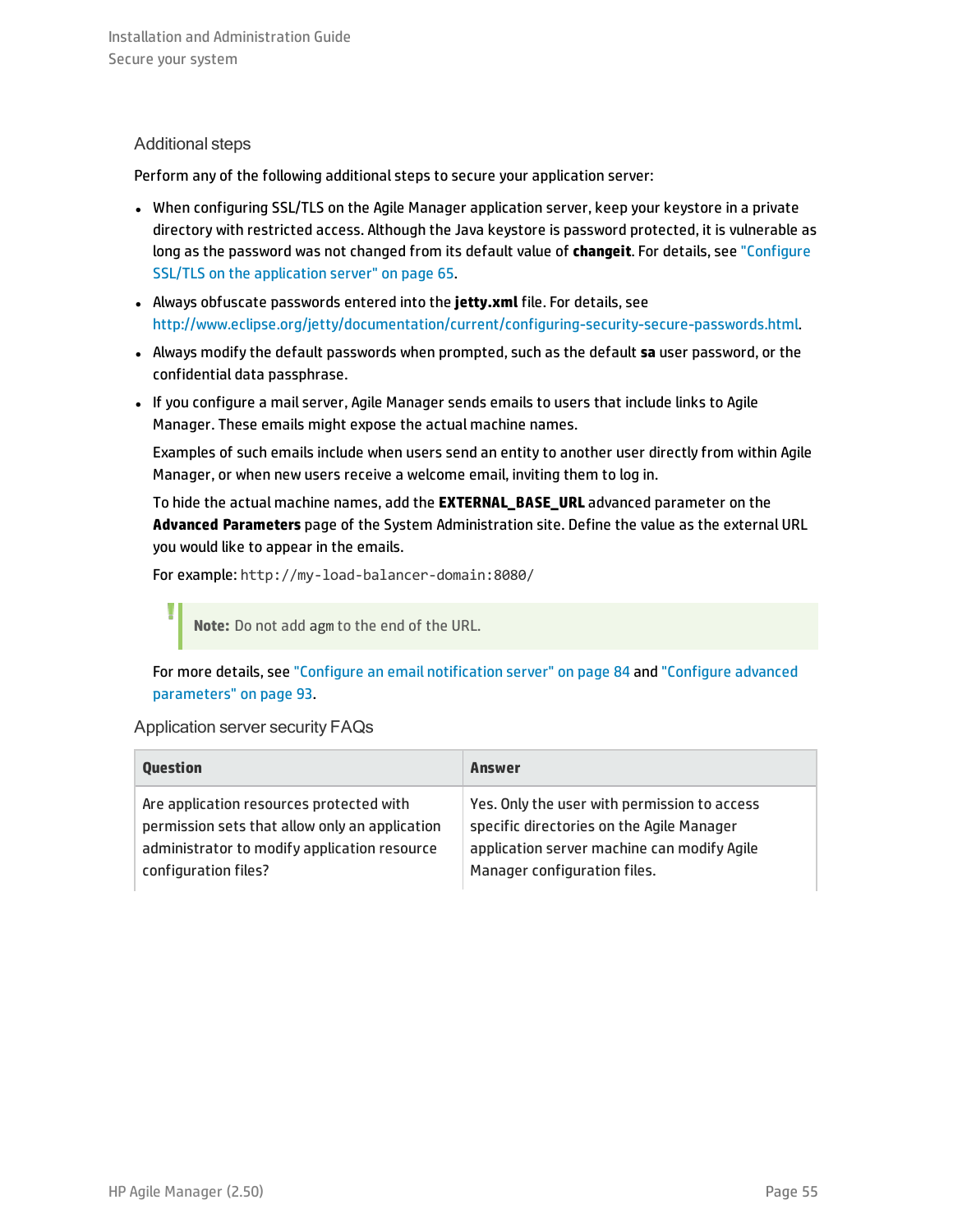### Additional steps

Perform any of the following additional steps to secure your application server:

- When configuring SSL/TLS on the Agile Manager application server, keep your keystore in a private directory with restricted access. Although the Java keystore is password protected, it is vulnerable as long as the password was not changed from its default value of **changeit**. For details, see ["Configure](#page-64-0) SSL/TLS on the [application](#page-64-0) server" on page 65.
- Always obfuscate passwords entered into the **jetty.xml** file. For details, see <http://www.eclipse.org/jetty/documentation/current/configuring-security-secure-passwords.html>.
- <sup>l</sup> Always modify the default passwords when prompted, such as the default **sa** user password, or the confidential data passphrase.
- If you configure a mail server, Agile Manager sends emails to users that include links to Agile Manager. These emails might expose the actual machine names.

Examples of such emails include when users send an entity to another user directly from within Agile Manager, or when new users receive a welcome email, inviting them to log in.

To hide the actual machine names, add the **EXTERNAL\_BASE\_URL** advanced parameter on the **Advanced Parameters** page of the System Administration site. Define the value as the external URL you would like to appear in the emails.

For example: http://my-load-balancer-domain:8080/

**Note:** Do not add agm to the end of the URL.

For more details, see "Configure an email [notification](#page-83-1) server" on page 84 and ["Configure](#page-92-1) advanced [parameters"](#page-92-1) on page 93.

Application server security FAQs

| <b>Question</b>                                | Answer                                       |
|------------------------------------------------|----------------------------------------------|
| Are application resources protected with       | Yes. Only the user with permission to access |
| permission sets that allow only an application | specific directories on the Agile Manager    |
| administrator to modify application resource   | application server machine can modify Agile  |
| configuration files?                           | Manager configuration files.                 |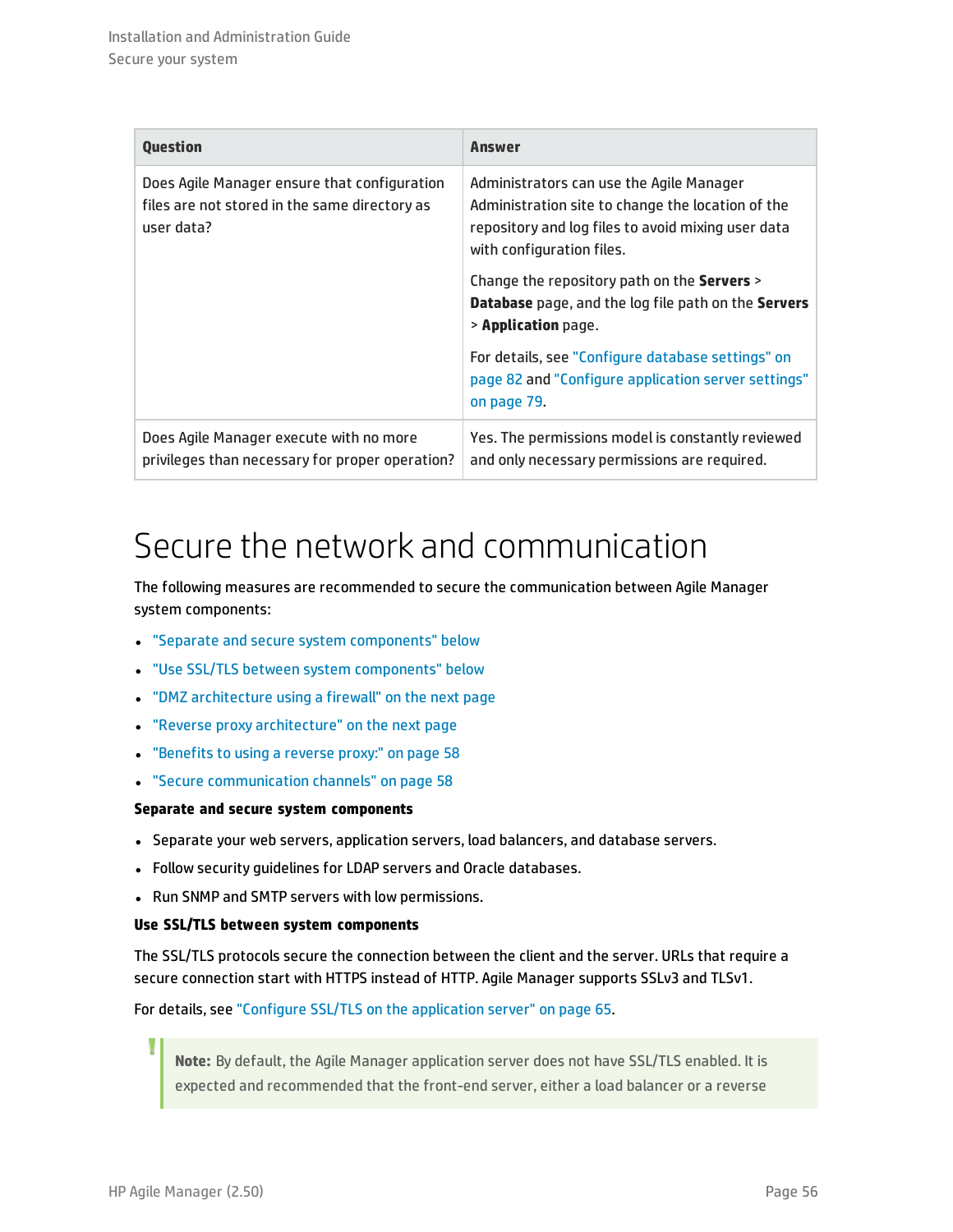| <b>Question</b>                                                                                             | Answer                                                                                                                                                                           |
|-------------------------------------------------------------------------------------------------------------|----------------------------------------------------------------------------------------------------------------------------------------------------------------------------------|
| Does Agile Manager ensure that configuration<br>files are not stored in the same directory as<br>user data? | Administrators can use the Agile Manager<br>Administration site to change the location of the<br>repository and log files to avoid mixing user data<br>with configuration files. |
|                                                                                                             | Change the repository path on the Servers ><br><b>Database</b> page, and the log file path on the <b>Servers</b><br>$>$ Application page.                                        |
|                                                                                                             | For details, see "Configure database settings" on<br>page 82 and "Configure application server settings"<br>on page 79.                                                          |
| Does Agile Manager execute with no more<br>privileges than necessary for proper operation?                  | Yes. The permissions model is constantly reviewed<br>and only necessary permissions are required.                                                                                |

## <span id="page-55-0"></span>Secure the network and communication

The following measures are recommended to secure the communication between Agile Manager system components:

- <sup>l</sup> "Separate and secure system [components"](#page-55-1) below
- <sup>l</sup> "Use SSL/TLS between system [components"](#page-55-2) below
- "DMZ [architecture](#page-56-1) using a firewall" on the next page
- "Reverse proxy [architecture"](#page-56-0) on the next page
- ["Benefits](#page-57-1) to using a reverse proxy:" on page 58
- <span id="page-55-1"></span><sup>l</sup> "Secure [communication](#page-57-2) channels" on page 58

### **Separate and secure system components**

- Separate your web servers, application servers, load balancers, and database servers.
- Follow security guidelines for LDAP servers and Oracle databases.
- <span id="page-55-2"></span>• Run SNMP and SMTP servers with low permissions.

### **Use SSL/TLS between system components**

The SSL/TLS protocols secure the connection between the client and the server. URLs that require a secure connection start with HTTPS instead of HTTP. Agile Manager supports SSLv3 and TLSv1.

For details, see "Configure SSL/TLS on the [application](#page-64-0) server" on page 65.

**Note:** By default, the Agile Manager application server does not have SSL/TLS enabled. It is expected and recommended that the front-end server, either a load balancer or a reverse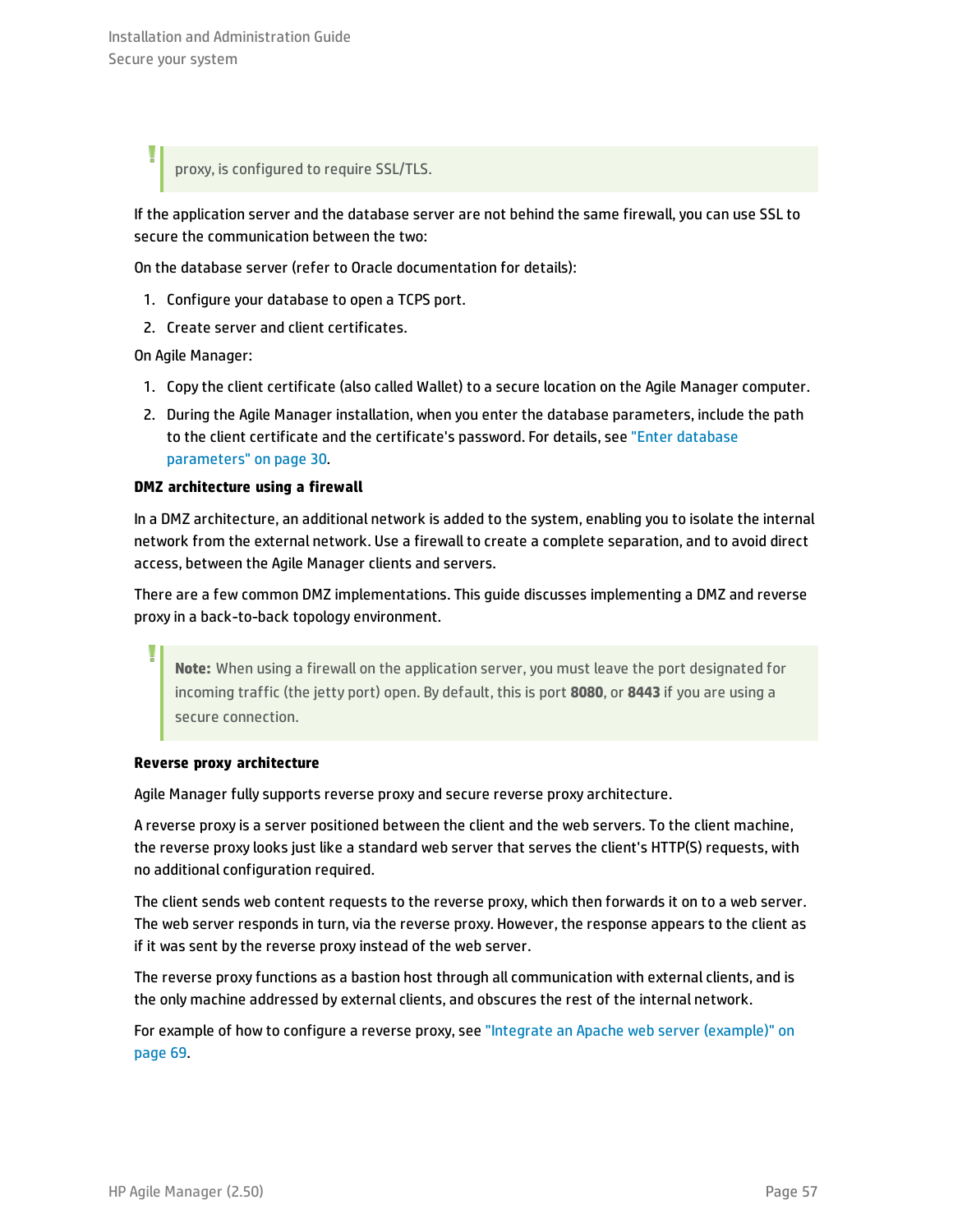proxy, is configured to require SSL/TLS.

If the application server and the database server are not behind the same firewall, you can use SSL to secure the communication between the two:

On the database server (refer to Oracle documentation for details):

- 1. Configure your database to open a TCPS port.
- 2. Create server and client certificates.

On Agile Manager:

- 1. Copy the client certificate (also called Wallet) to a secure location on the Agile Manager computer.
- 2. During the Agile Manager installation, when you enter the database parameters, include the path to the client certificate and the certificate's password. For details, see "Enter [database](#page-29-0) [parameters"](#page-29-0) on page 30.

### <span id="page-56-1"></span>**DMZ architecture using a firewall**

In a DMZ architecture, an additional network is added to the system, enabling you to isolate the internal network from the external network. Use a firewall to create a complete separation, and to avoid direct access, between the Agile Manager clients and servers.

There are a few common DMZ implementations. This guide discusses implementing a DMZ and reverse proxy in a back-to-back topology environment.

**Note:** When using a firewall on the application server, you must leave the port designated for incoming traffic (the jetty port) open. By default, this is port **8080**, or **8443** if you are using a secure connection.

### <span id="page-56-0"></span>**Reverse proxy architecture**

Agile Manager fully supports reverse proxy and secure reverse proxy architecture.

A reverse proxy is a server positioned between the client and the web servers. To the client machine, the reverse proxy looks just like a standard web server that serves the client's HTTP(S) requests, with no additional configuration required.

The client sends web content requests to the reverse proxy, which then forwards it on to a web server. The web server responds in turn, via the reverse proxy. However, the response appears to the client as if it was sent by the reverse proxy instead of the web server.

The reverse proxy functions as a bastion host through all communication with external clients, and is the only machine addressed by external clients, and obscures the rest of the internal network.

For example of how to configure a reverse proxy, see "Integrate an Apache web server [\(example\)"](#page-68-0) on [page](#page-68-0) 69.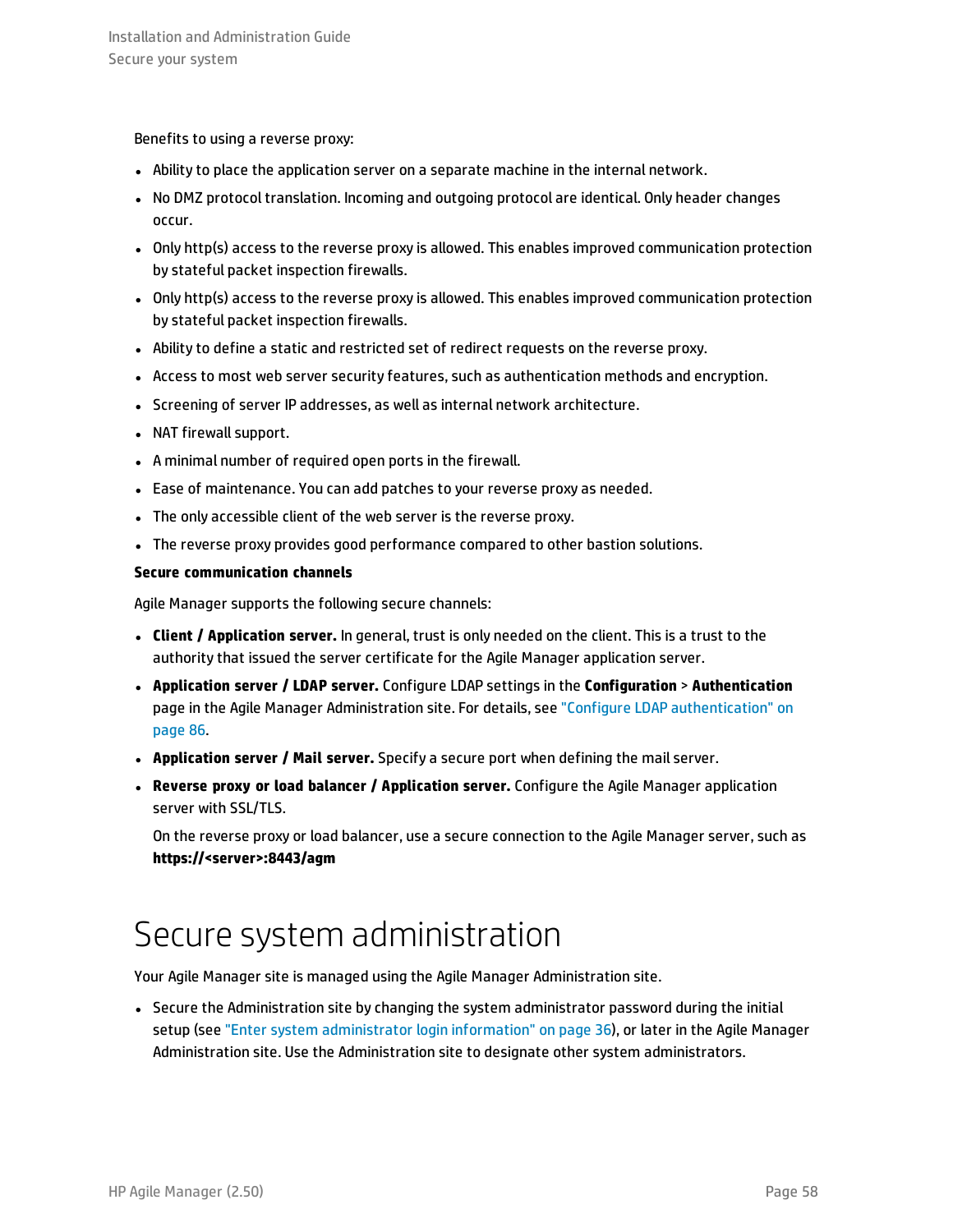<span id="page-57-1"></span>Benefits to using a reverse proxy:

- Ability to place the application server on a separate machine in the internal network.
- No DMZ protocol translation. Incoming and outgoing protocol are identical. Only header changes occur.
- Only http(s) access to the reverse proxy is allowed. This enables improved communication protection by stateful packet inspection firewalls.
- Only http(s) access to the reverse proxy is allowed. This enables improved communication protection by stateful packet inspection firewalls.
- Ability to define a static and restricted set of redirect requests on the reverse proxy.
- Access to most web server security features, such as authentication methods and encryption.
- Screening of server IP addresses, as well as internal network architecture.
- NAT firewall support.
- A minimal number of required open ports in the firewall.
- Ease of maintenance. You can add patches to your reverse proxy as needed.
- The only accessible client of the web server is the reverse proxy.
- <span id="page-57-2"></span>• The reverse proxy provides good performance compared to other bastion solutions.

#### **Secure communication channels**

Agile Manager supports the following secure channels:

- <sup>l</sup> **Client / Application server.** In general, trust is only needed on the client. This is a trust to the authority that issued the server certificate for the Agile Manager application server.
- <sup>l</sup> **Application server / LDAP server.** Configure LDAP settings in the **Configuration** > **Authentication** page in the Agile Manager Administration site. For details, see "Configure LDAP [authentication"](#page-85-1) on [page](#page-85-1) 86.
- <sup>l</sup> **Application server / Mail server.** Specify a secure port when defining the mail server.
- <sup>l</sup> **Reverse proxy or load balancer / Application server.** Configure the Agile Manager application server with SSL/TLS.

<span id="page-57-0"></span>On the reverse proxy or load balancer, use a secure connection to the Agile Manager server, such as **https://<server>:8443/agm**

### Secure system administration

Your Agile Manager site is managed using the Agile Manager Administration site.

• Secure the Administration site by changing the system administrator password during the initial setup (see "Enter system [administrator](#page-35-0) login information" on page 36), or later in the Agile Manager Administration site. Use the Administration site to designate other system administrators.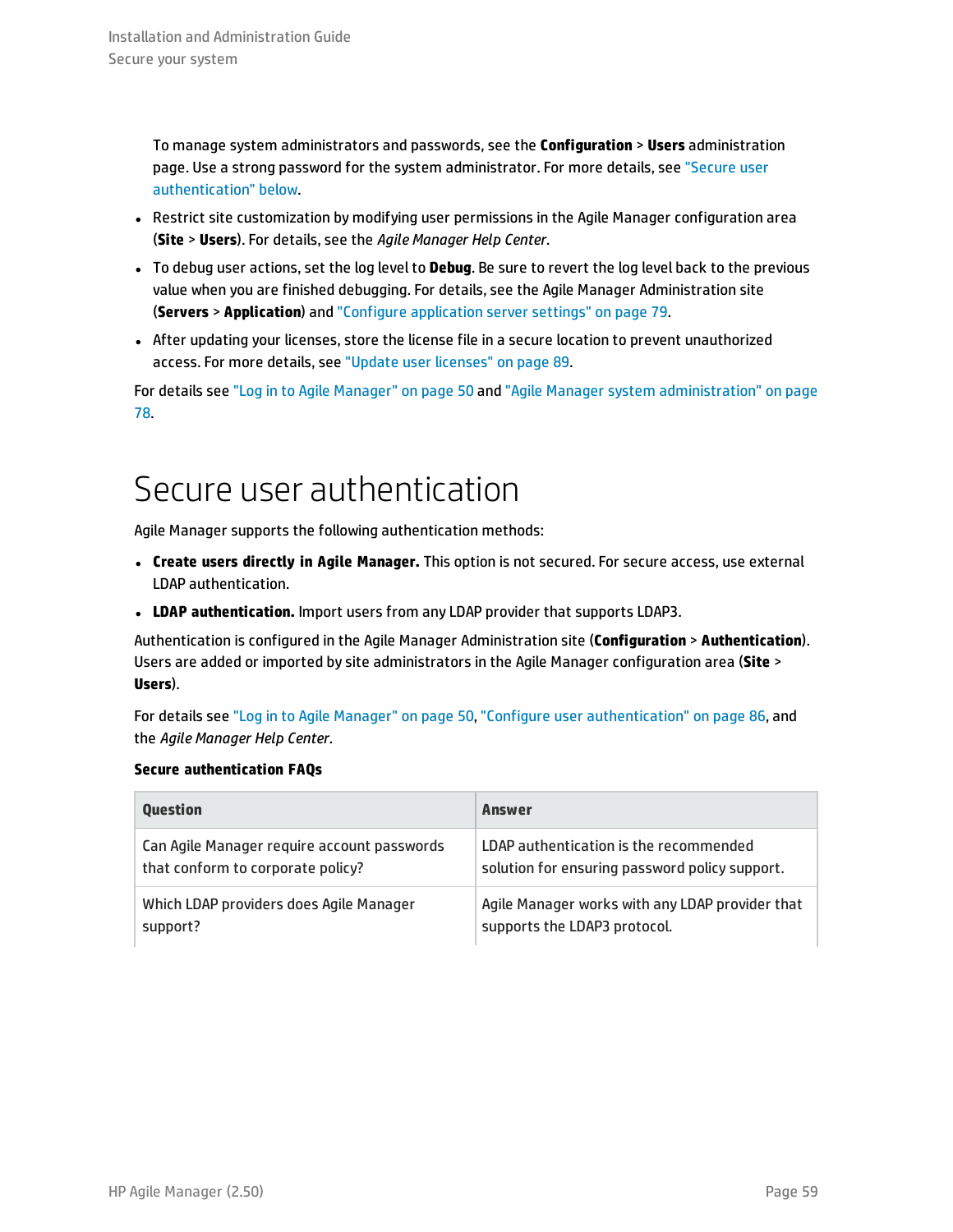To manage system administrators and passwords, see the **Configuration** > **Users** administration page. Use a strong password for the system administrator. For more details, see ["Secure](#page-58-0) user [authentication"](#page-58-0) below.

- Restrict site customization by modifying user permissions in the Agile Manager configuration area (**Site** > **Users**). For details, see the *Agile Manager Help Center*.
- <sup>l</sup> To debug user actions, set the log level to **Debug**. Be sure to revert the log level back to the previous value when you are finished debugging. For details, see the Agile Manager Administration site (**Servers** > **Application**) and "Configure [application](#page-78-1) server settings" on page 79.
- <sup>l</sup> After updating your licenses, store the license file in a secure location to prevent unauthorized access. For more details, see "Update user [licenses"](#page-88-0) on page 89.

<span id="page-58-0"></span>For details see "Log in to Agile [Manager"](#page-49-0) on page 50 and "Agile Manager system [administration"](#page-77-0) on page [78.](#page-77-0)

## Secure user authentication

Agile Manager supports the following authentication methods:

- <sup>l</sup> **Create users directly in Agile Manager.** This option is not secured. For secure access, use external LDAP authentication.
- <sup>l</sup> **LDAP authentication.** Import users from any LDAP provider that supports LDAP3.

Authentication is configured in the Agile Manager Administration site (**Configuration** > **Authentication**). Users are added or imported by site administrators in the Agile Manager configuration area (**Site** > **Users**).

For details see "Log in to Agile [Manager"](#page-49-0) on page 50, "Configure user [authentication"](#page-85-2) on page 86, and the *Agile Manager Help Center*.

### **Secure authentication FAQs**

| <b>Ouestion</b>                             | Answer                                          |
|---------------------------------------------|-------------------------------------------------|
| Can Agile Manager require account passwords | LDAP authentication is the recommended          |
| that conform to corporate policy?           | solution for ensuring password policy support.  |
| Which LDAP providers does Agile Manager     | Agile Manager works with any LDAP provider that |
| support?                                    | supports the LDAP3 protocol.                    |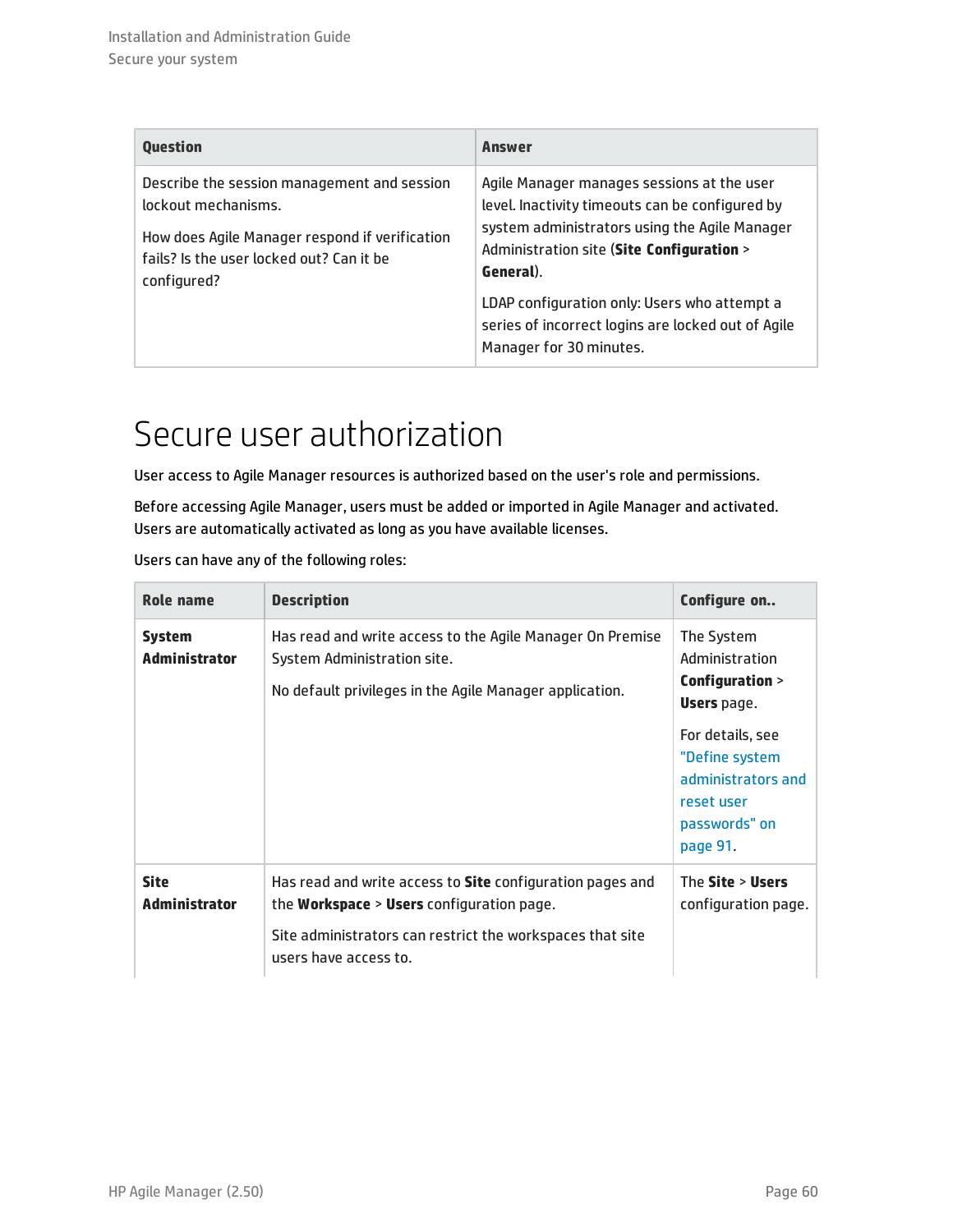| Question                                                                                                                                                                        | <b>Answer</b>                                                                                                                                                                                                                                                                                                                             |
|---------------------------------------------------------------------------------------------------------------------------------------------------------------------------------|-------------------------------------------------------------------------------------------------------------------------------------------------------------------------------------------------------------------------------------------------------------------------------------------------------------------------------------------|
| Describe the session management and session<br>lockout mechanisms.<br>How does Agile Manager respond if verification<br>fails? Is the user locked out? Can it be<br>configured? | Agile Manager manages sessions at the user<br>level. Inactivity timeouts can be configured by<br>system administrators using the Agile Manager<br>Administration site (Site Configuration ><br>General).<br>LDAP configuration only: Users who attempt a<br>series of incorrect logins are locked out of Agile<br>Manager for 30 minutes. |

### <span id="page-59-0"></span>Secure user authorization

User access to Agile Manager resources is authorized based on the user's role and permissions.

Before accessing Agile Manager, users must be added or imported in Agile Manager and activated. Users are automatically activated as long as you have available licenses.

| Users can have any of the following roles: |  |
|--------------------------------------------|--|
|--------------------------------------------|--|

| Role name                             | <b>Description</b>                                                                                                                                                                                  | Configure on                                                                                        |
|---------------------------------------|-----------------------------------------------------------------------------------------------------------------------------------------------------------------------------------------------------|-----------------------------------------------------------------------------------------------------|
| <b>System</b><br><b>Administrator</b> | Has read and write access to the Agile Manager On Premise<br>System Administration site.<br>No default privileges in the Agile Manager application.                                                 | The System<br>Administration<br>Configuration ><br><b>Users</b> page.                               |
|                                       |                                                                                                                                                                                                     | For details, see<br>"Define system<br>administrators and<br>reset user<br>passwords" on<br>page 91. |
| <b>Site</b><br><b>Administrator</b>   | Has read and write access to Site configuration pages and<br>the <b>Workspace</b> > Users configuration page.<br>Site administrators can restrict the workspaces that site<br>users have access to. | The Site > Users<br>configuration page.                                                             |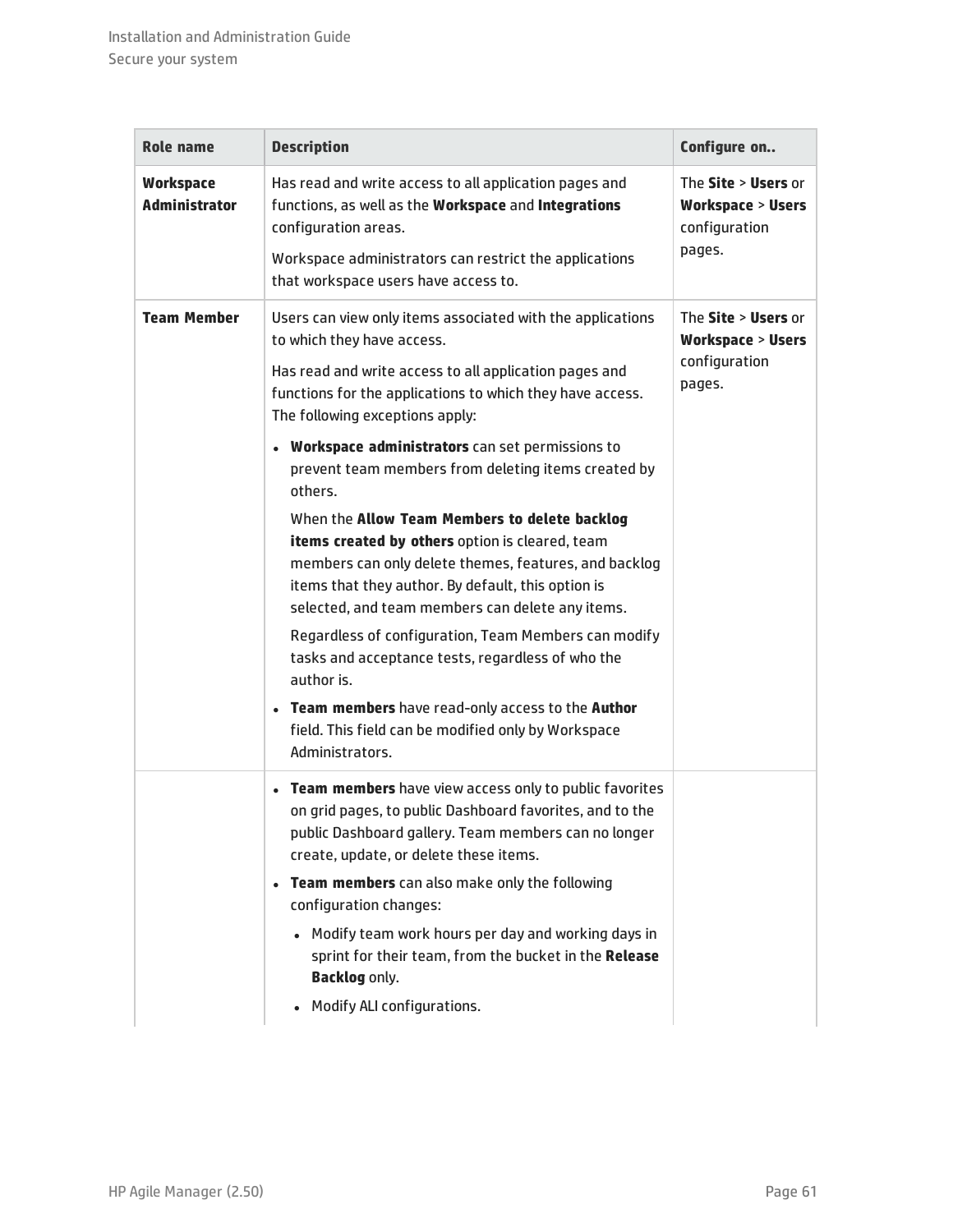| <b>Role name</b>                         | <b>Description</b>                                                                                                                                                                                                                                                                                                                                                                                                                                                                                                                                                                                                                                                                                                                                                                                                                                                                       | Configure on                                                                  |
|------------------------------------------|------------------------------------------------------------------------------------------------------------------------------------------------------------------------------------------------------------------------------------------------------------------------------------------------------------------------------------------------------------------------------------------------------------------------------------------------------------------------------------------------------------------------------------------------------------------------------------------------------------------------------------------------------------------------------------------------------------------------------------------------------------------------------------------------------------------------------------------------------------------------------------------|-------------------------------------------------------------------------------|
| <b>Workspace</b><br><b>Administrator</b> | Has read and write access to all application pages and<br>functions, as well as the Workspace and Integrations<br>configuration areas.<br>Workspace administrators can restrict the applications<br>that workspace users have access to.                                                                                                                                                                                                                                                                                                                                                                                                                                                                                                                                                                                                                                                 | The Site > Users or<br><b>Workspace &gt; Users</b><br>configuration<br>pages. |
| <b>Team Member</b>                       | Users can view only items associated with the applications<br>to which they have access.<br>Has read and write access to all application pages and<br>functions for the applications to which they have access.<br>The following exceptions apply:<br>• Workspace administrators can set permissions to<br>prevent team members from deleting items created by<br>others.<br>When the Allow Team Members to delete backlog<br>items created by others option is cleared, team<br>members can only delete themes, features, and backlog<br>items that they author. By default, this option is<br>selected, and team members can delete any items.<br>Regardless of configuration, Team Members can modify<br>tasks and acceptance tests, regardless of who the<br>author is.<br>• Team members have read-only access to the Author<br>field. This field can be modified only by Workspace | The Site > Users or<br><b>Workspace &gt; Users</b><br>configuration<br>pages. |
|                                          | Administrators.                                                                                                                                                                                                                                                                                                                                                                                                                                                                                                                                                                                                                                                                                                                                                                                                                                                                          |                                                                               |
|                                          | Team members have view access only to public favorites<br>on grid pages, to public Dashboard favorites, and to the<br>public Dashboard gallery. Team members can no longer<br>create, update, or delete these items.<br><b>Team members</b> can also make only the following<br>$\bullet$<br>configuration changes:<br>• Modify team work hours per day and working days in<br>sprint for their team, from the bucket in the Release<br><b>Backlog only.</b><br>Modify ALI configurations.                                                                                                                                                                                                                                                                                                                                                                                               |                                                                               |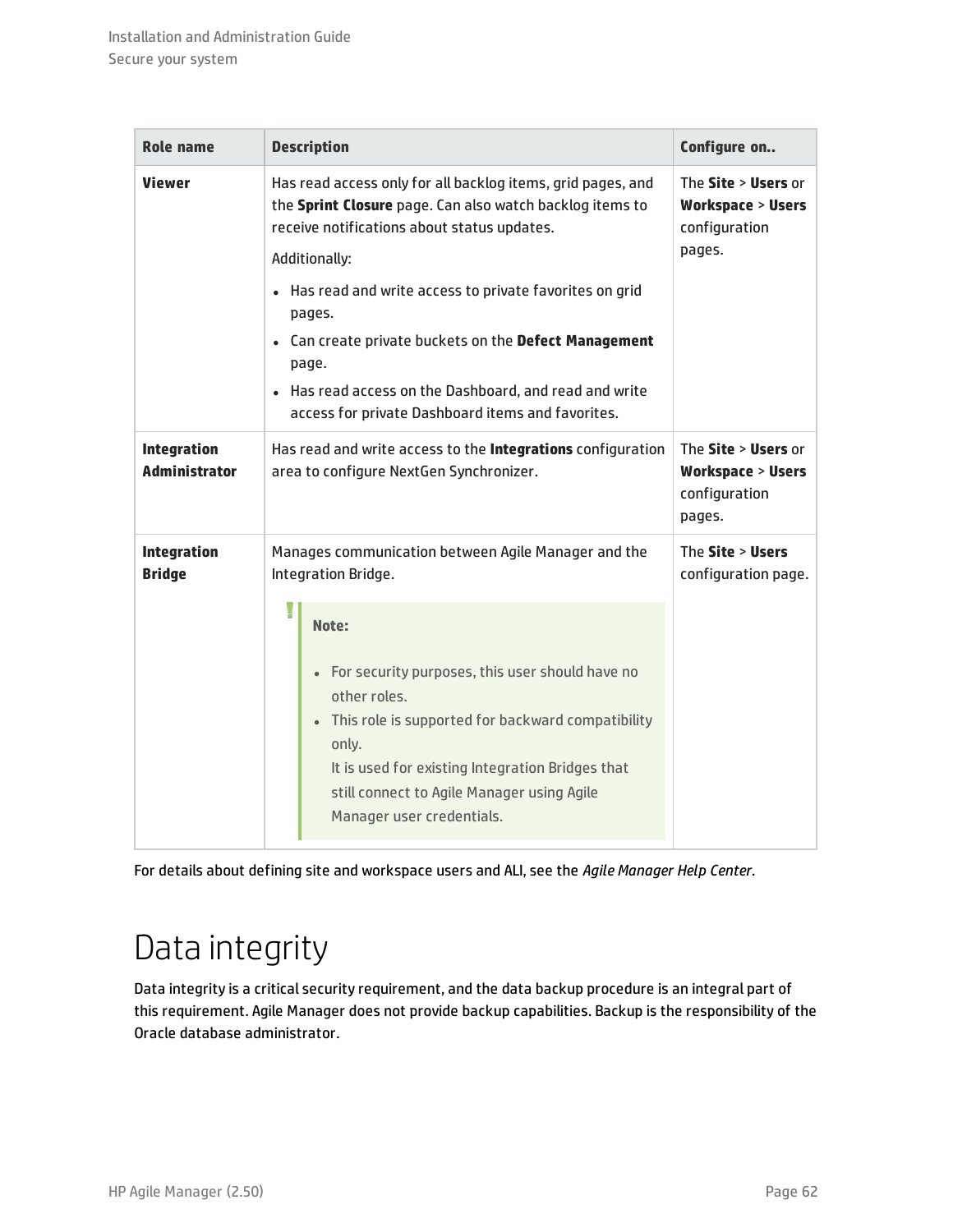| <b>Role name</b>                           | <b>Description</b>                                                                                                                                                                                                                                                                                                                                                                                                                         | Configure on                                                                  |
|--------------------------------------------|--------------------------------------------------------------------------------------------------------------------------------------------------------------------------------------------------------------------------------------------------------------------------------------------------------------------------------------------------------------------------------------------------------------------------------------------|-------------------------------------------------------------------------------|
| <b>Viewer</b>                              | Has read access only for all backlog items, grid pages, and<br>the Sprint Closure page. Can also watch backlog items to<br>receive notifications about status updates.<br>Additionally:<br>Has read and write access to private favorites on grid<br>pages.<br>• Can create private buckets on the Defect Management<br>page.<br>Has read access on the Dashboard, and read and write<br>access for private Dashboard items and favorites. | The Site > Users or<br><b>Workspace &gt; Users</b><br>configuration<br>pages. |
| <b>Integration</b><br><b>Administrator</b> | Has read and write access to the Integrations configuration<br>area to configure NextGen Synchronizer.                                                                                                                                                                                                                                                                                                                                     | The Site > Users or<br><b>Workspace &gt; Users</b><br>configuration<br>pages. |
| <b>Integration</b><br><b>Bridge</b>        | Manages communication between Agile Manager and the<br>Integration Bridge.                                                                                                                                                                                                                                                                                                                                                                 | The Site > Users<br>configuration page.                                       |
|                                            | Note:<br>• For security purposes, this user should have no<br>other roles.<br>This role is supported for backward compatibility<br>only.<br>It is used for existing Integration Bridges that<br>still connect to Agile Manager using Agile<br>Manager user credentials.                                                                                                                                                                    |                                                                               |

<span id="page-61-0"></span>For details about defining site and workspace users and ALI, see the *Agile Manager Help Center*.

## Data integrity

Data integrity is a critical security requirement, and the data backup procedure is an integral part of this requirement. Agile Manager does not provide backup capabilities. Backup is the responsibility of the Oracle database administrator.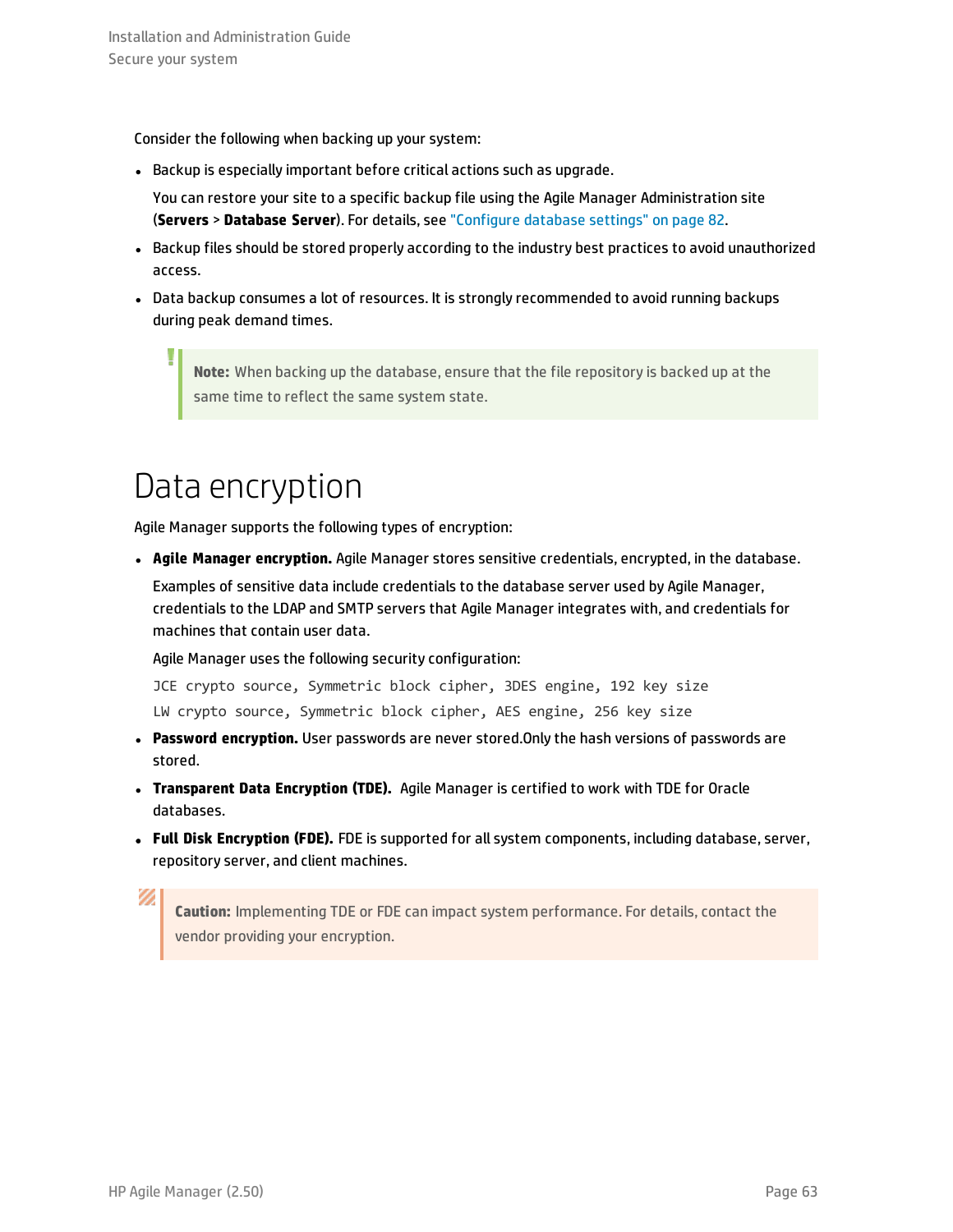Consider the following when backing up your system:

• Backup is especially important before critical actions such as upgrade.

You can restore your site to a specific backup file using the Agile Manager Administration site (**Servers** > **Database Server**). For details, see ["Configure](#page-81-0) database settings" on page 82.

- Backup files should be stored properly according to the industry best practices to avoid unauthorized access.
- Data backup consumes a lot of resources. It is strongly recommended to avoid running backups during peak demand times.

**Note:** When backing up the database, ensure that the file repository is backed up at the same time to reflect the same system state.

## <span id="page-62-0"></span>Data encryption

I

Agile Manager supports the following types of encryption:

<sup>l</sup> **Agile Manager encryption.** Agile Manager stores sensitive credentials, encrypted, in the database.

Examples of sensitive data include credentials to the database server used by Agile Manager, credentials to the LDAP and SMTP servers that Agile Manager integrates with, and credentials for machines that contain user data.

Agile Manager uses the following security configuration:

JCE crypto source, Symmetric block cipher, 3DES engine, 192 key size LW crypto source, Symmetric block cipher, AES engine, 256 key size

- <sup>l</sup> **Password encryption.** User passwords are never stored.Only the hash versions of passwords are stored.
- <sup>l</sup> **Transparent Data Encryption (TDE).** Agile Manager is certified to work with TDE for Oracle databases.
- <sup>l</sup> **Full Disk Encryption (FDE).** FDE is supported for all system components, including database, server, repository server, and client machines.

**Caution:** Implementing TDE or FDE can impact system performance. For details, contact the vendor providing your encryption.

Ø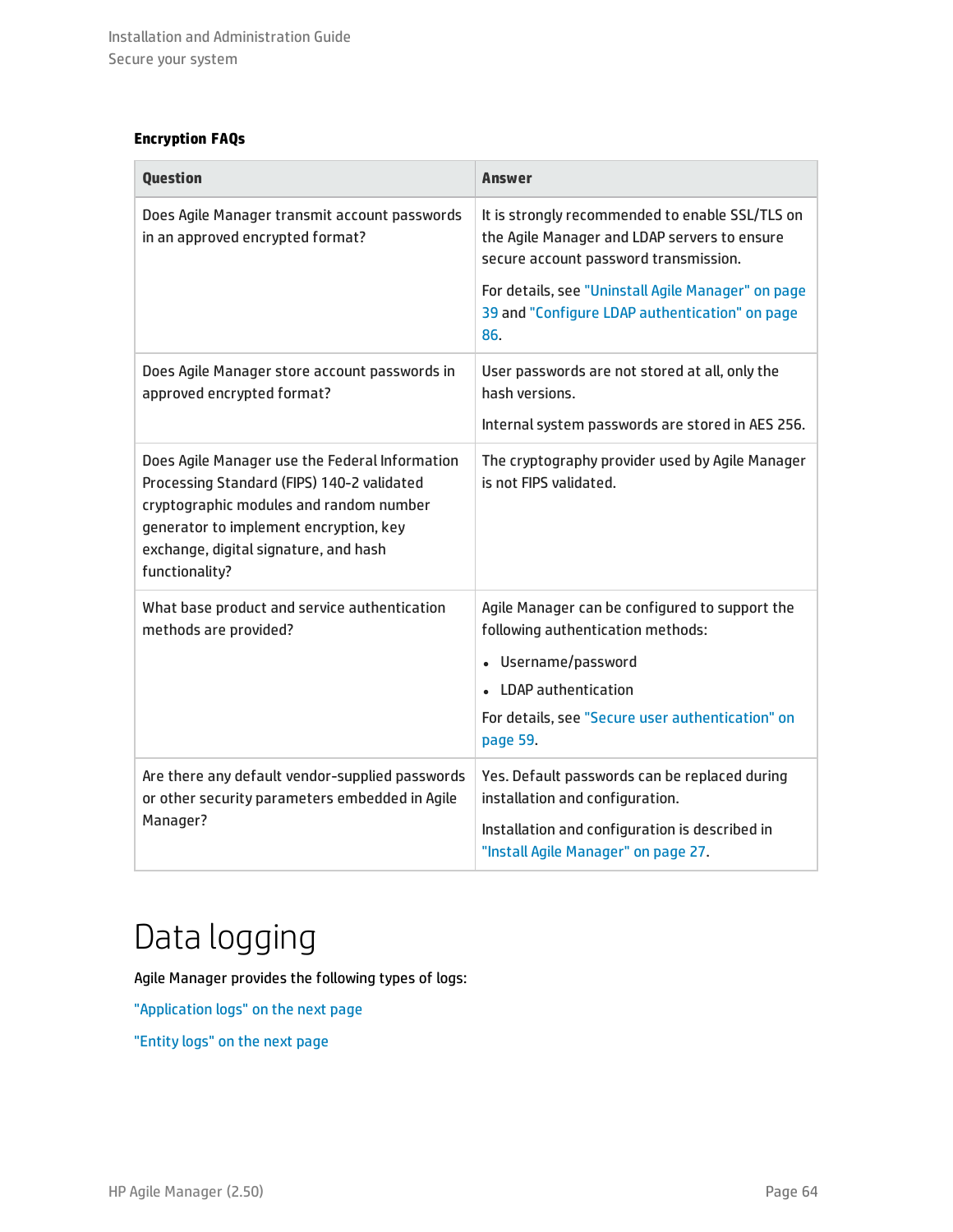### **Encryption FAQs**

| <b>Question</b>                                                                                                                                                                                                                              | Answer                                                                                                                                   |
|----------------------------------------------------------------------------------------------------------------------------------------------------------------------------------------------------------------------------------------------|------------------------------------------------------------------------------------------------------------------------------------------|
| Does Agile Manager transmit account passwords<br>in an approved encrypted format?                                                                                                                                                            | It is strongly recommended to enable SSL/TLS on<br>the Agile Manager and LDAP servers to ensure<br>secure account password transmission. |
|                                                                                                                                                                                                                                              | For details, see "Uninstall Agile Manager" on page<br>39 and "Configure LDAP authentication" on page<br>86.                              |
| Does Agile Manager store account passwords in<br>approved encrypted format?                                                                                                                                                                  | User passwords are not stored at all, only the<br>hash versions.                                                                         |
|                                                                                                                                                                                                                                              | Internal system passwords are stored in AES 256.                                                                                         |
| Does Agile Manager use the Federal Information<br>Processing Standard (FIPS) 140-2 validated<br>cryptographic modules and random number<br>generator to implement encryption, key<br>exchange, digital signature, and hash<br>functionality? | The cryptography provider used by Agile Manager<br>is not FIPS validated.                                                                |
| What base product and service authentication<br>methods are provided?                                                                                                                                                                        | Agile Manager can be configured to support the<br>following authentication methods:                                                      |
|                                                                                                                                                                                                                                              | Username/password                                                                                                                        |
|                                                                                                                                                                                                                                              | • LDAP authentication                                                                                                                    |
|                                                                                                                                                                                                                                              | For details, see "Secure user authentication" on<br>page 59.                                                                             |
| Are there any default vendor-supplied passwords<br>or other security parameters embedded in Agile<br>Manager?                                                                                                                                | Yes. Default passwords can be replaced during<br>installation and configuration.                                                         |
|                                                                                                                                                                                                                                              | Installation and configuration is described in<br>"Install Agile Manager" on page 27.                                                    |

## <span id="page-63-0"></span>Data logging

Agile Manager provides the following types of logs:

["Application](#page-64-1) logs" on the next page

["Entity](#page-64-2) logs" on the next page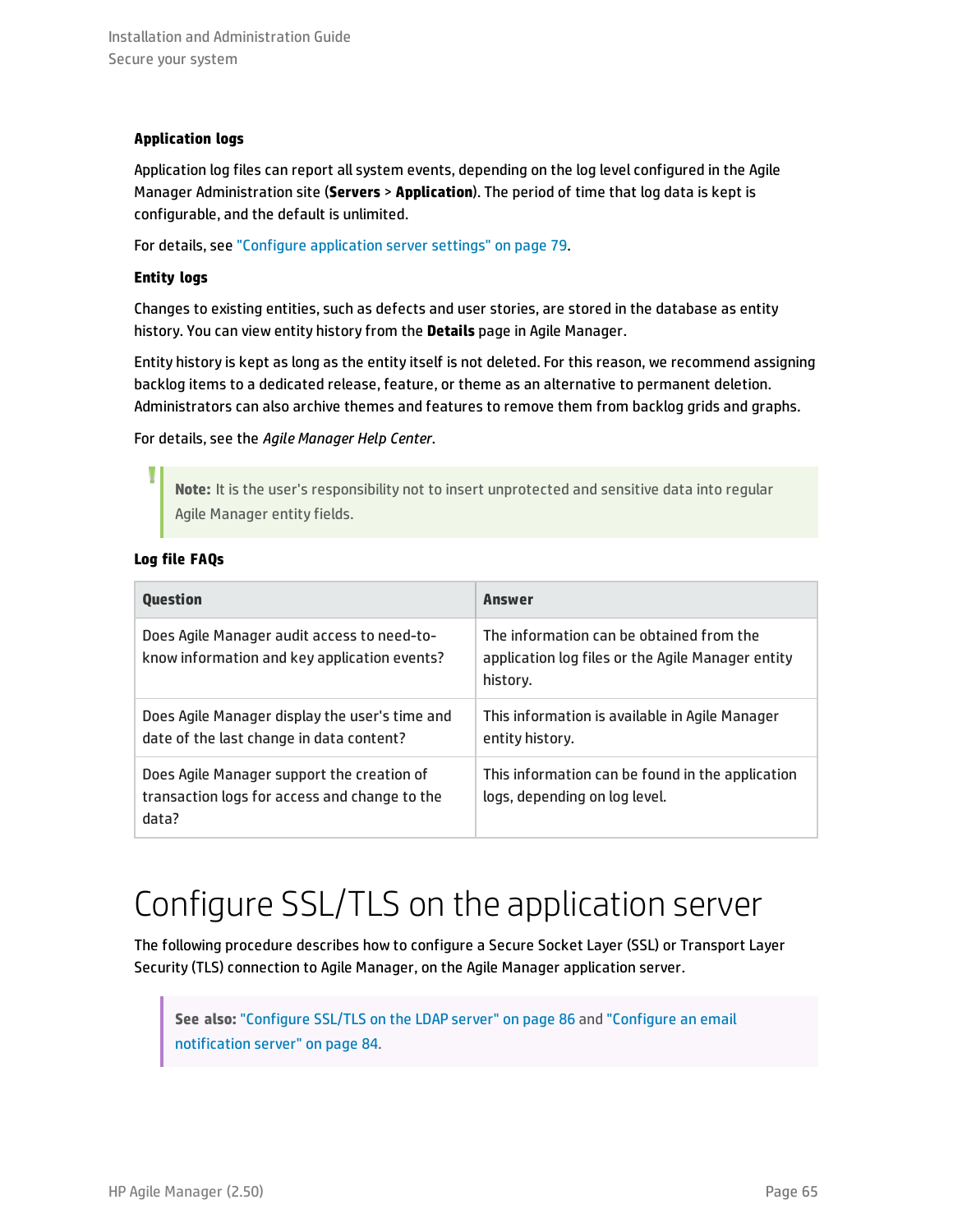### <span id="page-64-1"></span>**Application logs**

Application log files can report all system events, depending on the log level configured in the Agile Manager Administration site (**Servers** > **Application**). The period of time that log data is kept is configurable, and the default is unlimited.

<span id="page-64-2"></span>For details, see "Configure [application](#page-78-1) server settings" on page 79.

### **Entity logs**

Changes to existing entities, such as defects and user stories, are stored in the database as entity history. You can view entity history from the **Details** page in Agile Manager.

Entity history is kept as long as the entity itself is not deleted. For this reason, we recommend assigning backlog items to a dedicated release, feature, or theme as an alternative to permanent deletion. Administrators can also archive themes and features to remove them from backlog grids and graphs.

### For details, see the *Agile Manager Help Center*.

**Note:** It is the user's responsibility not to insert unprotected and sensitive data into regular Agile Manager entity fields.

### **Log file FAQs**

| <b>Ouestion</b>                                                                                      | <b>Answer</b>                                                                                             |
|------------------------------------------------------------------------------------------------------|-----------------------------------------------------------------------------------------------------------|
| Does Agile Manager audit access to need-to-<br>know information and key application events?          | The information can be obtained from the<br>application log files or the Agile Manager entity<br>history. |
| Does Agile Manager display the user's time and<br>date of the last change in data content?           | This information is available in Agile Manager<br>entity history.                                         |
| Does Agile Manager support the creation of<br>transaction logs for access and change to the<br>data? | This information can be found in the application<br>logs, depending on log level.                         |

## <span id="page-64-0"></span>Configure SSL/TLS on the application server

The following procedure describes how to configure a Secure Socket Layer (SSL) or Transport Layer Security (TLS) connection to Agile Manager, on the Agile Manager application server.

**See also:** ["Configure](#page-85-0) SSL/TLS on the LDAP server" on page 86 and ["Configure](#page-83-1) an email [notification](#page-83-1) server" on page 84.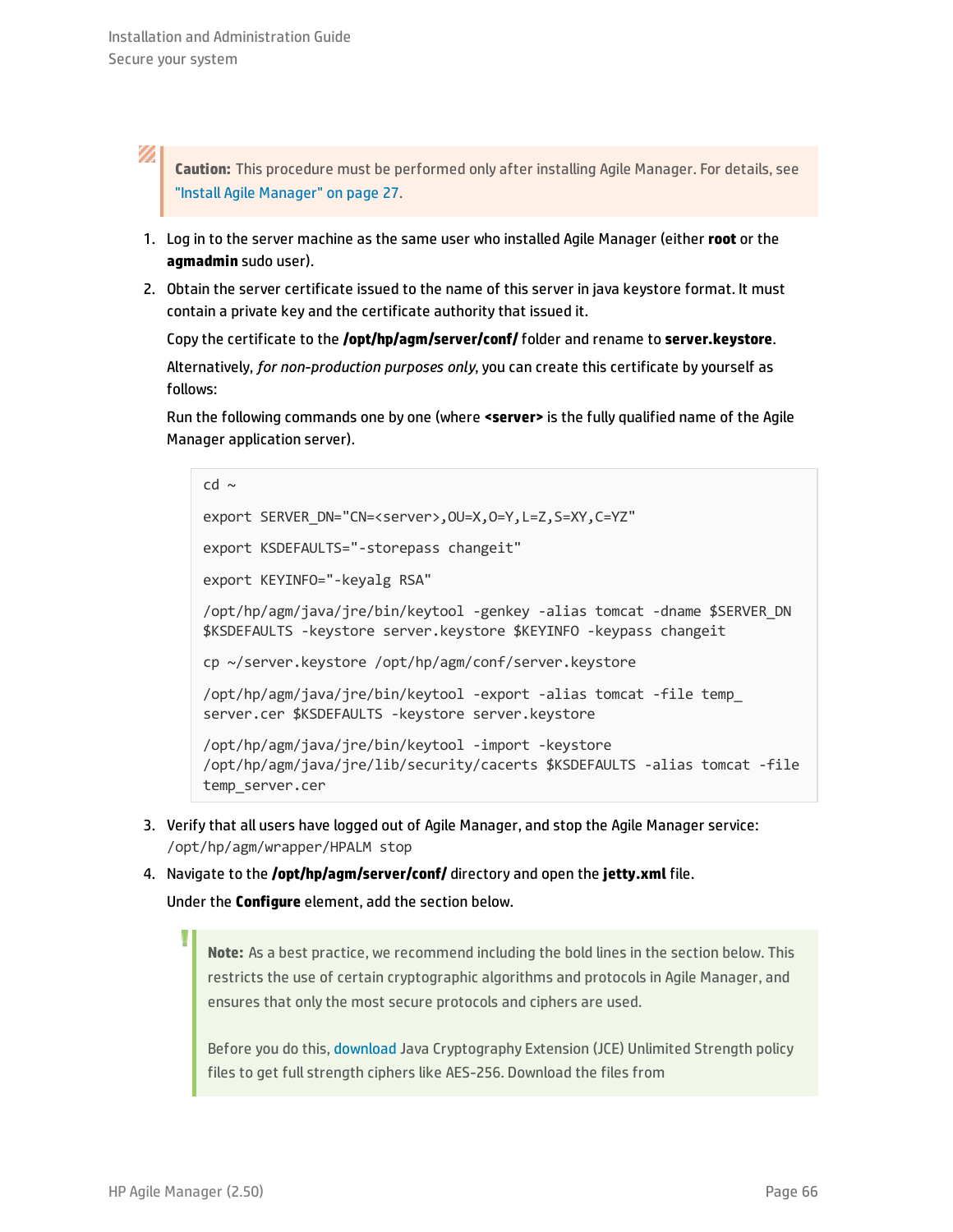V)

**Caution:** This procedure must be performed only after installing Agile Manager. For details, see "Install Agile [Manager"](#page-26-1) on page 27.

- 1. Log in to the server machine as the same user who installed Agile Manager (either **root** or the **agmadmin** sudo user).
- 2. Obtain the server certificate issued to the name of this server in java keystore format. It must contain a private key and the certificate authority that issued it.

Copy the certificate to the **/opt/hp/agm/server/conf/** folder and rename to **server.keystore**.

Alternatively, *for non-production purposes only*, you can create this certificate by yourself as follows:

Run the following commands one by one (where **<server>** is the fully qualified name of the Agile Manager application server).

```
cd \simexport SERVER_DN="CN=<server>,OU=X,O=Y,L=Z,S=XY,C=YZ"
export KSDEFAULTS="-storepass changeit"
export KEYINFO="-keyalg RSA"
/opt/hp/agm/java/jre/bin/keytool -genkey -alias tomcat -dname $SERVER_DN
$KSDEFAULTS -keystore server.keystore $KEYINFO -keypass changeit
cp ~/server.keystore /opt/hp/agm/conf/server.keystore
/opt/hp/agm/java/jre/bin/keytool -export -alias tomcat -file temp_
server.cer $KSDEFAULTS -keystore server.keystore
/opt/hp/agm/java/jre/bin/keytool -import -keystore
/opt/hp/agm/java/jre/lib/security/cacerts $KSDEFAULTS -alias tomcat -file
temp_server.cer
```
- 3. Verify that all users have logged out of Agile Manager, and stop the Agile Manager service: /opt/hp/agm/wrapper/HPALM stop
- 4. Navigate to the **/opt/hp/agm/server/conf/** directory and open the **jetty.xml** file.

Under the **Configure** element, add the section below.

**Note:** As a best practice, we recommend including the bold lines in the section below. This restricts the use of certain cryptographic algorithms and protocols in Agile Manager, and ensures that only the most secure protocols and ciphers are used.

Before you do this, [download](http://www.oracle.com/technetwork/java/javase/downloads/jce-7-download-432124.html) Java Cryptography Extension (JCE) Unlimited Strength policy files to get full strength ciphers like AES-256. Download the files from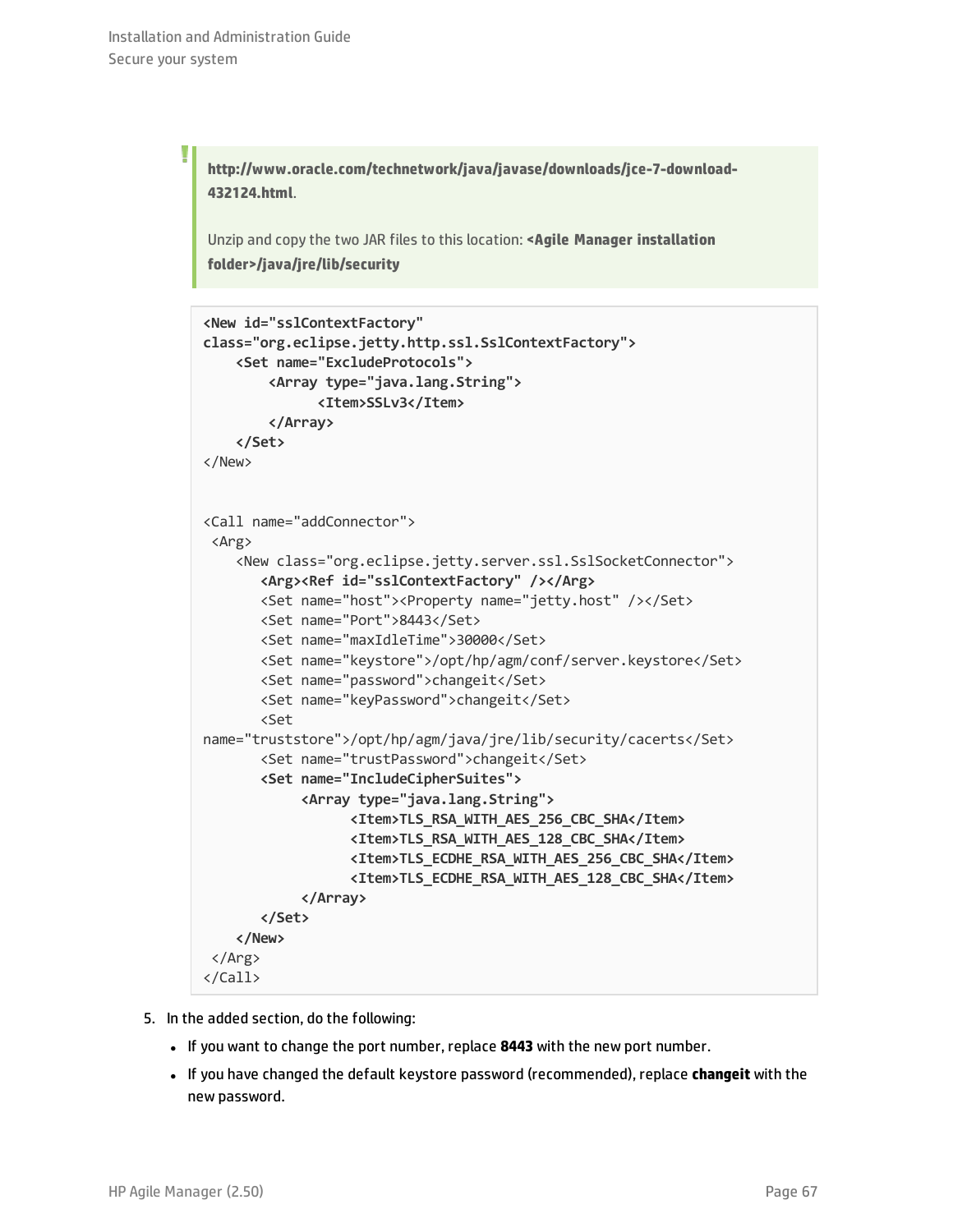I

**http://www.oracle.com/technetwork/java/javase/downloads/jce-7-download-432124.html**.

Unzip and copy the two JAR files to this location: **<Agile Manager installation folder>/java/jre/lib/security**

```
<New id="sslContextFactory"
class="org.eclipse.jetty.http.ssl.SslContextFactory">
    <Set name="ExcludeProtocols">
        <Array type="java.lang.String">
              <Item>SSLv3</Item>
        </Array>
    </Set>
</New>
<Call name="addConnector">
 <Arg>
    <New class="org.eclipse.jetty.server.ssl.SslSocketConnector">
       <Arg><Ref id="sslContextFactory" /></Arg>
       <Set name="host"><Property name="jetty.host" /></Set>
       <Set name="Port">8443</Set>
       <Set name="maxIdleTime">30000</Set>
       <Set name="keystore">/opt/hp/agm/conf/server.keystore</Set>
       <Set name="password">changeit</Set>
       <Set name="keyPassword">changeit</Set>
       <Set
name="truststore">/opt/hp/agm/java/jre/lib/security/cacerts</Set>
       <Set name="trustPassword">changeit</Set>
       <Set name="IncludeCipherSuites">
            <Array type="java.lang.String">
                  <Item>TLS_RSA_WITH_AES_256_CBC_SHA</Item>
                  <Item>TLS_RSA_WITH_AES_128_CBC_SHA</Item>
                  <Item>TLS_ECDHE_RSA_WITH_AES_256_CBC_SHA</Item>
                  <Item>TLS_ECDHE_RSA_WITH_AES_128_CBC_SHA</Item>
            </Array>
       </Set>
    </New>
 </Arg>
</Call>
```
- 5. In the added section, do the following:
	- If you want to change the port number, replace 8443 with the new port number.
	- <sup>l</sup> If you have changed the default keystore password (recommended), replace **changeit** with the new password.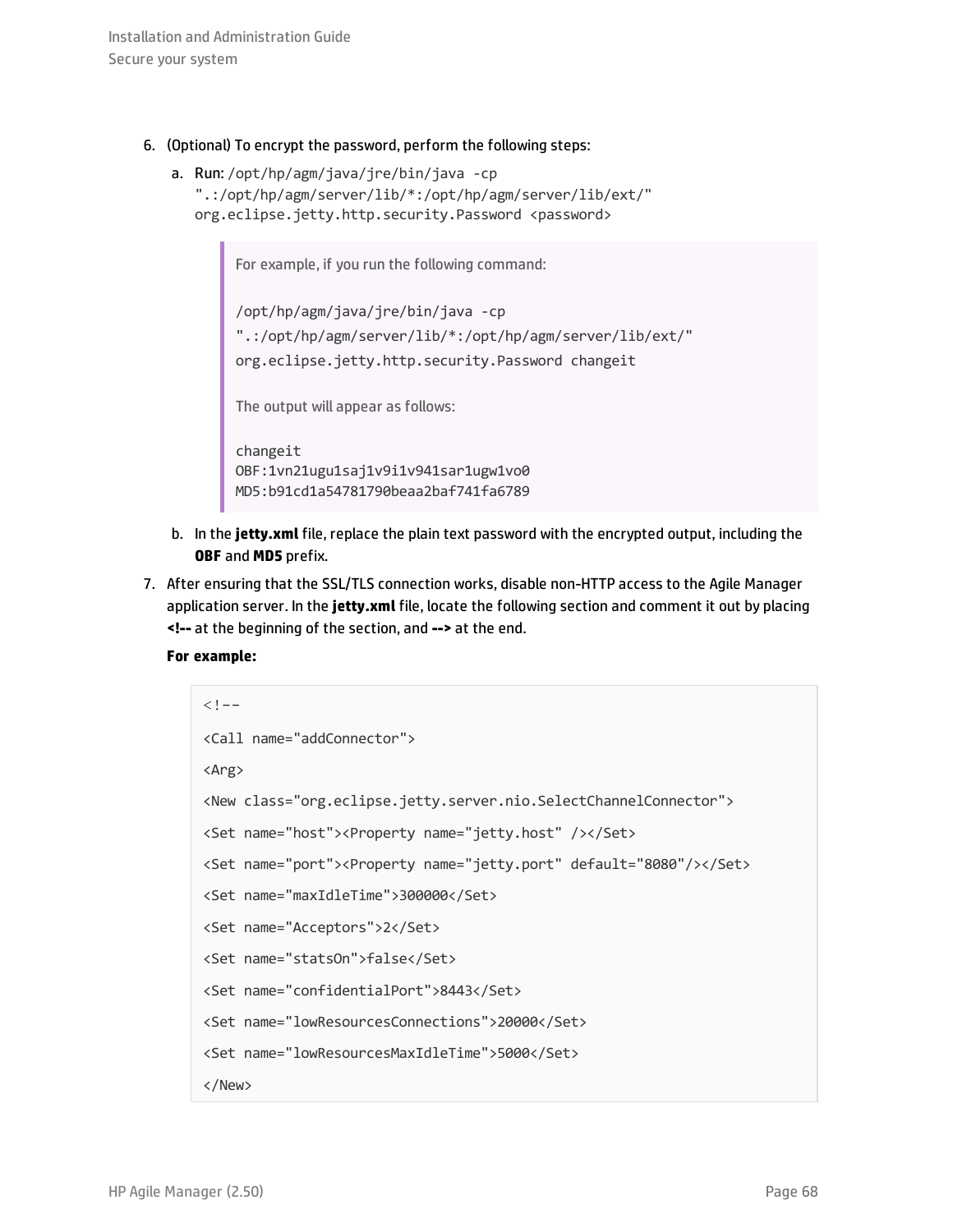- 6. (Optional) To encrypt the password, perform the following steps:
	- a. Run: /opt/hp/agm/java/jre/bin/java -cp ".:/opt/hp/agm/server/lib/\*:/opt/hp/agm/server/lib/ext/" org.eclipse.jetty.http.security.Password <password>

For example, if you run the following command:

/opt/hp/agm/java/jre/bin/java -cp ".:/opt/hp/agm/server/lib/\*:/opt/hp/agm/server/lib/ext/" org.eclipse.jetty.http.security.Password changeit

The output will appear as follows:

changeit OBF:1vn21ugu1saj1v9i1v941sar1ugw1vo0 MD5:b91cd1a54781790beaa2baf741fa6789

- b. In the **jetty.xml** file, replace the plain text password with the encrypted output, including the **OBF** and **MD5** prefix.
- 7. After ensuring that the SSL/TLS connection works, disable non-HTTP access to the Agile Manager application server. In the **jetty.xml** file, locate the following section and comment it out by placing **<!--** at the beginning of the section, and **-->** at the end.

```
For example:
```

```
\lt!! -<Call name="addConnector">
<Arg>
<New class="org.eclipse.jetty.server.nio.SelectChannelConnector">
<Set name="host"><Property name="jetty.host" /></Set>
<Set name="port"><Property name="jetty.port" default="8080"/></Set>
<Set name="maxIdleTime">300000</Set>
<Set name="Acceptors">2</Set>
<Set name="statsOn">false</Set>
<Set name="confidentialPort">8443</Set>
<Set name="lowResourcesConnections">20000</Set>
<Set name="lowResourcesMaxIdleTime">5000</Set>
</New>
```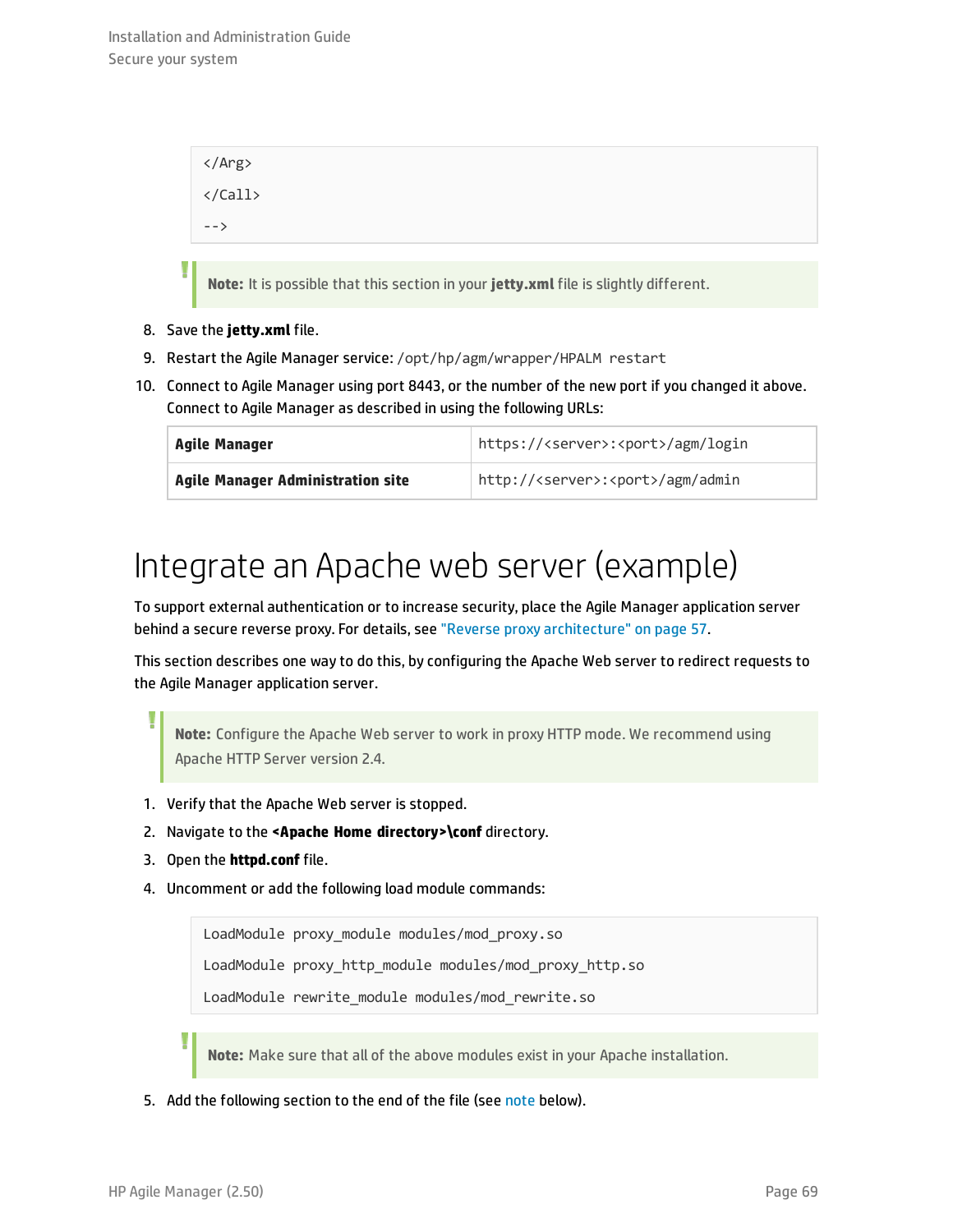```
</Arg>
</Call>
-->
```
**Note:** It is possible that this section in your **jetty.xml** file is slightly different.

8. Save the **jetty.xml** file.

Ī

- 9. Restart the Agile Manager service: /opt/hp/agm/wrapper/HPALM restart
- 10. Connect to Agile Manager using port 8443, or the number of the new port if you changed it above. Connect to Agile Manager as described in using the following URLs:

| <b>Agile Manager</b>              | https:// <server>:<port>/agm/login</port></server> |
|-----------------------------------|----------------------------------------------------|
| Agile Manager Administration site | http:// <server>:<port>/agm/admin</port></server>  |

## <span id="page-68-0"></span>Integrate an Apache web server (example)

To support external authentication or to increase security, place the Agile Manager application server behind a secure reverse proxy. For details, see "Reverse proxy [architecture"](#page-56-0) on page 57.

This section describes one way to do this, by configuring the Apache Web server to redirect requests to the Agile Manager application server.

**Note:** Configure the Apache Web server to work in proxy HTTP mode. We recommend using Apache HTTP Server version 2.4.

- 1. Verify that the Apache Web server is stopped.
- 2. Navigate to the **<Apache Home directory>\conf** directory.
- 3. Open the **httpd.conf** file.
- 4. Uncomment or add the following load module commands:

LoadModule proxy\_module modules/mod\_proxy.so LoadModule proxy\_http\_module modules/mod\_proxy\_http.so LoadModule rewrite\_module modules/mod\_rewrite.so

**Note:** Make sure that all of the above modules exist in your Apache installation.

5. Add the following section to the end of the file (see [note](#page-70-0) below).

I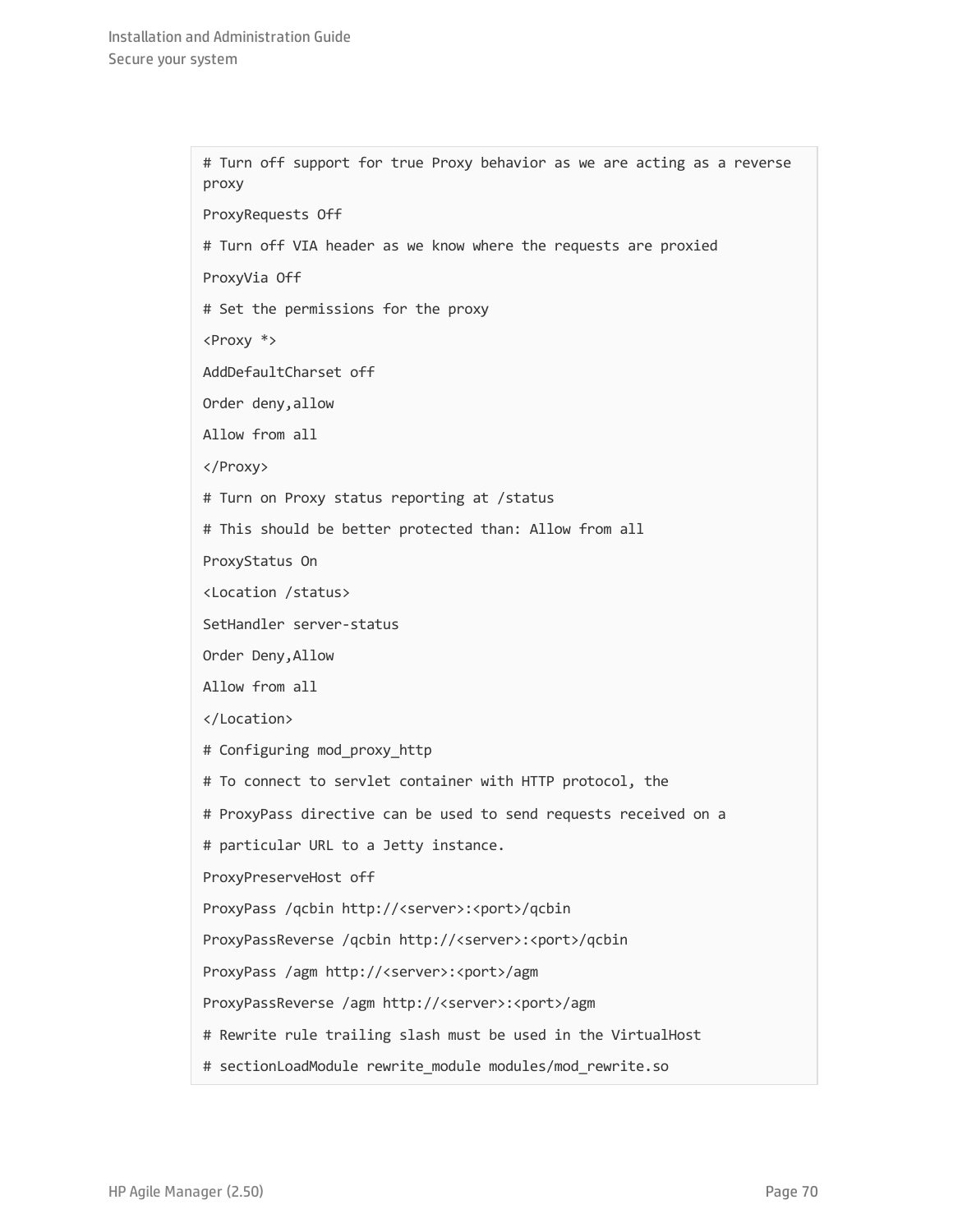# Turn off support for true Proxy behavior as we are acting as a reverse proxy ProxyRequests Off # Turn off VIA header as we know where the requests are proxied ProxyVia Off # Set the permissions for the proxy <Proxy \*> AddDefaultCharset off Order deny,allow Allow from all </Proxy> # Turn on Proxy status reporting at /status # This should be better protected than: Allow from all ProxyStatus On <Location /status> SetHandler server-status Order Deny,Allow Allow from all </Location> # Configuring mod\_proxy\_http # To connect to servlet container with HTTP protocol, the # ProxyPass directive can be used to send requests received on a # particular URL to a Jetty instance. ProxyPreserveHost off ProxyPass /qcbin http://<server>:<port>/qcbin ProxyPassReverse /qcbin http://<server>:<port>/qcbin ProxyPass /agm http://<server>:<port>/agm ProxyPassReverse /agm http://<server>:<port>/agm # Rewrite rule trailing slash must be used in the VirtualHost # sectionLoadModule rewrite module modules/mod rewrite.so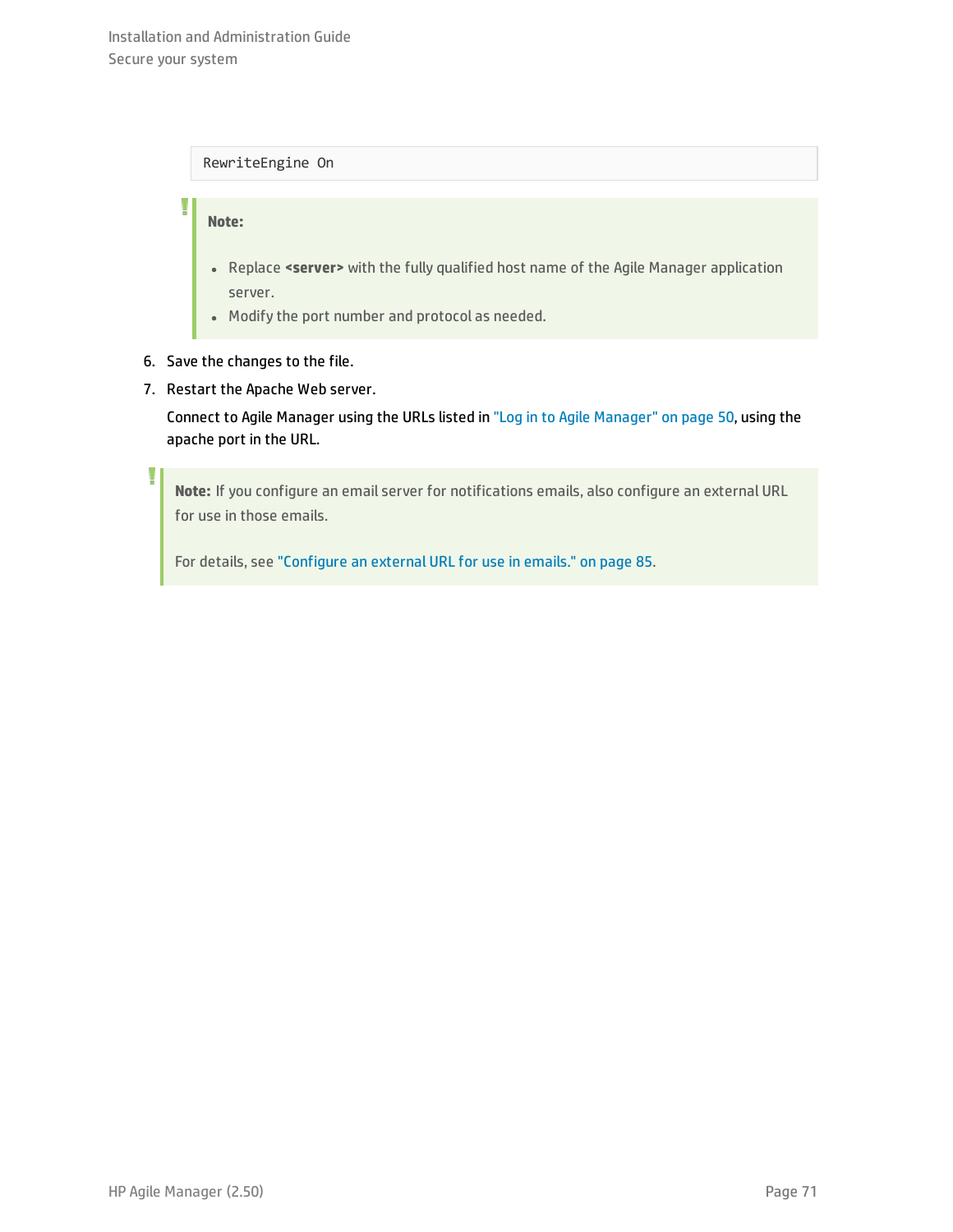### RewriteEngine On

### <span id="page-70-0"></span>**Note:**

Ţ

١

- **.** Replace <server> with the fully qualified host name of the Agile Manager application server.
- Modify the port number and protocol as needed.
- 6. Save the changes to the file.
- 7. Restart the Apache Web server.

Connect to Agile Manager using the URLs listed in "Log in to Agile [Manager"](#page-49-0) on page 50, using the apache port in the URL.

**Note:** If you configure an email server for notifications emails, also configure an external URL for use in those emails.

For details, see ["Configure](#page-84-0) an external URL for use in emails." on page 85.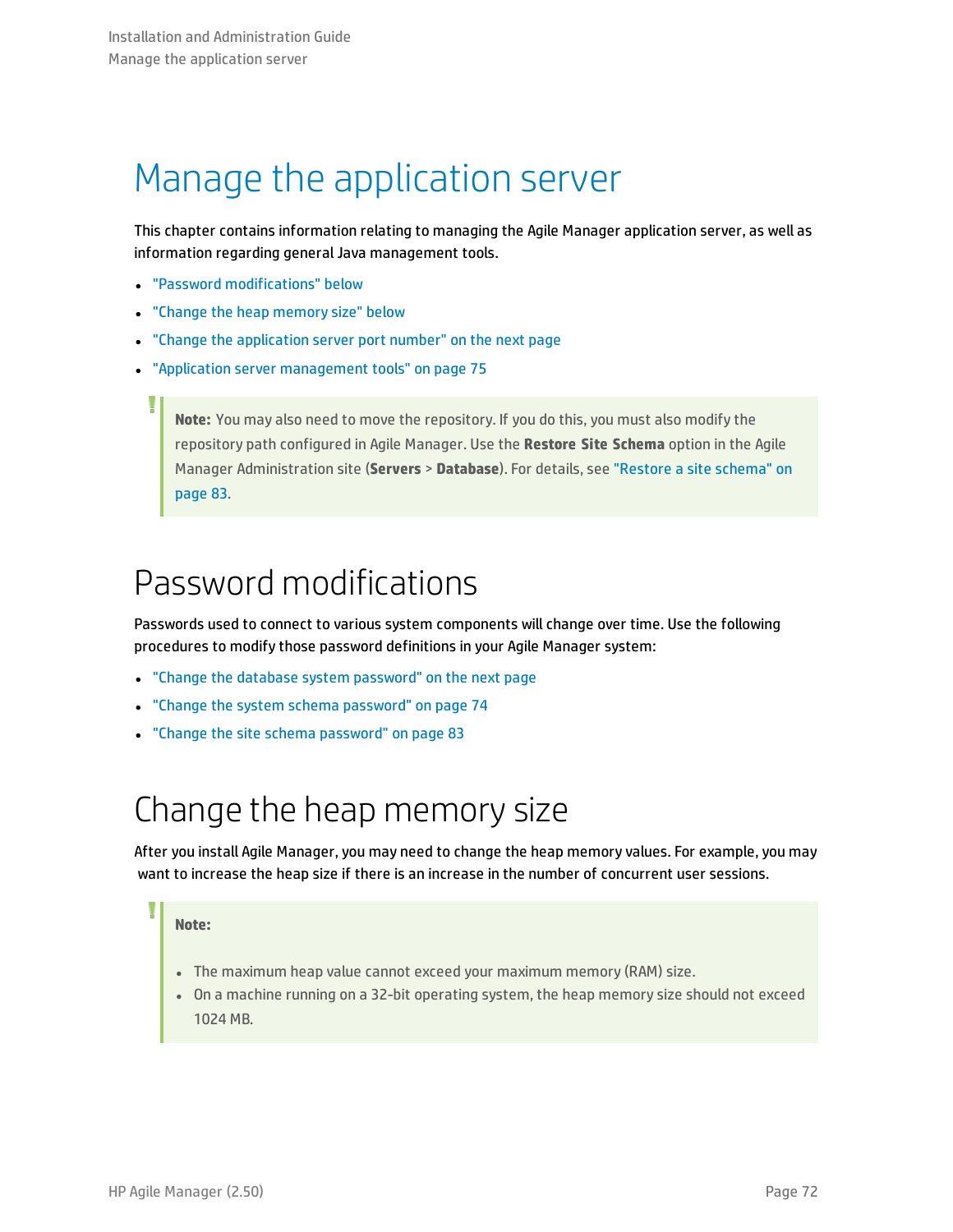## <span id="page-71-0"></span>Manage the application server

This chapter contains information relating to managing the Agile Manager application server, as well as information regarding general Java management tools.

- <sup>l</sup> "Password [modifications"](#page-71-1) below
- "Change the heap [memory](#page-71-2) size" below
- "Change the [application](#page-72-0) server port number" on the next page
- "Application server [management](#page-74-0) tools" on page 75

<span id="page-71-1"></span>**Note:** You may also need to move the repository. If you do this, you must also modify the repository path configured in Agile Manager. Use the **Restore Site Schema** option in the Agile Manager Administration site (**Servers** > **Database**). For details, see ["Restore](#page-82-0) a site schema" on [page](#page-82-0) 83.

### Password modifications

Passwords used to connect to various system components will change over time. Use the following procedures to modify those password definitions in your Agile Manager system:

- "Change the database system [password"](#page-72-1) on the next page
- "Change the system schema [password"](#page-73-0) on page 74
- <span id="page-71-2"></span><sup>l</sup> "Change the site schema [password"](#page-82-1) on page 83

### Change the heap memory size

After you install Agile Manager, you may need to change the heap memory values. For example, you may want to increase the heap size if there is an increase in the number of concurrent user sessions.

### **Note:**

- . The maximum heap value cannot exceed your maximum memory (RAM) size.
- On a machine running on a 32-bit operating system, the heap memory size should not exceed 1024 MB.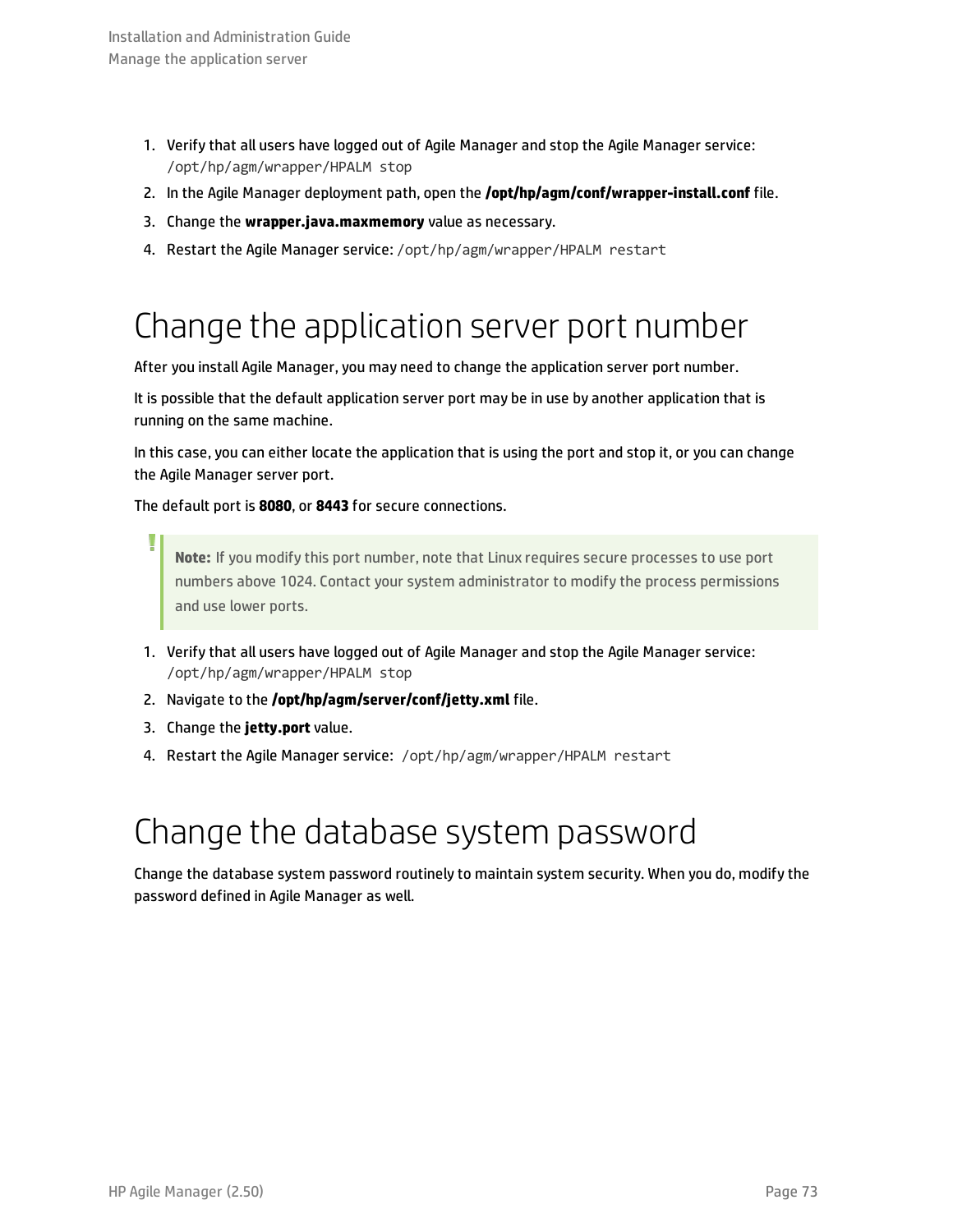- 1. Verify that all users have logged out of Agile Manager and stop the Agile Manager service: /opt/hp/agm/wrapper/HPALM stop
- 2. In the Agile Manager deployment path, open the **/opt/hp/agm/conf/wrapper-install.conf** file.
- 3. Change the **wrapper.java.maxmemory** value as necessary.
- <span id="page-72-0"></span>4. Restart the Agile Manager service: /opt/hp/agm/wrapper/HPALM restart

## Change the application server port number

After you install Agile Manager, you may need to change the application server port number.

It is possible that the default application server port may be in use by another application that is running on the same machine.

In this case, you can either locate the application that is using the port and stop it, or you can change the Agile Manager server port.

The default port is **8080**, or **8443** for secure connections.

**Note:** If you modify this port number, note that Linux requires secure processes to use port numbers above 1024. Contact your system administrator to modify the process permissions and use lower ports.

- 1. Verify that all users have logged out of Agile Manager and stop the Agile Manager service: /opt/hp/agm/wrapper/HPALM stop
- 2. Navigate to the **/opt/hp/agm/server/conf/jetty.xml** file.
- 3. Change the **jetty.port** value.
- 4. Restart the Agile Manager service: /opt/hp/agm/wrapper/HPALM restart

## Change the database system password

Change the database system password routinely to maintain system security. When you do, modify the password defined in Agile Manager as well.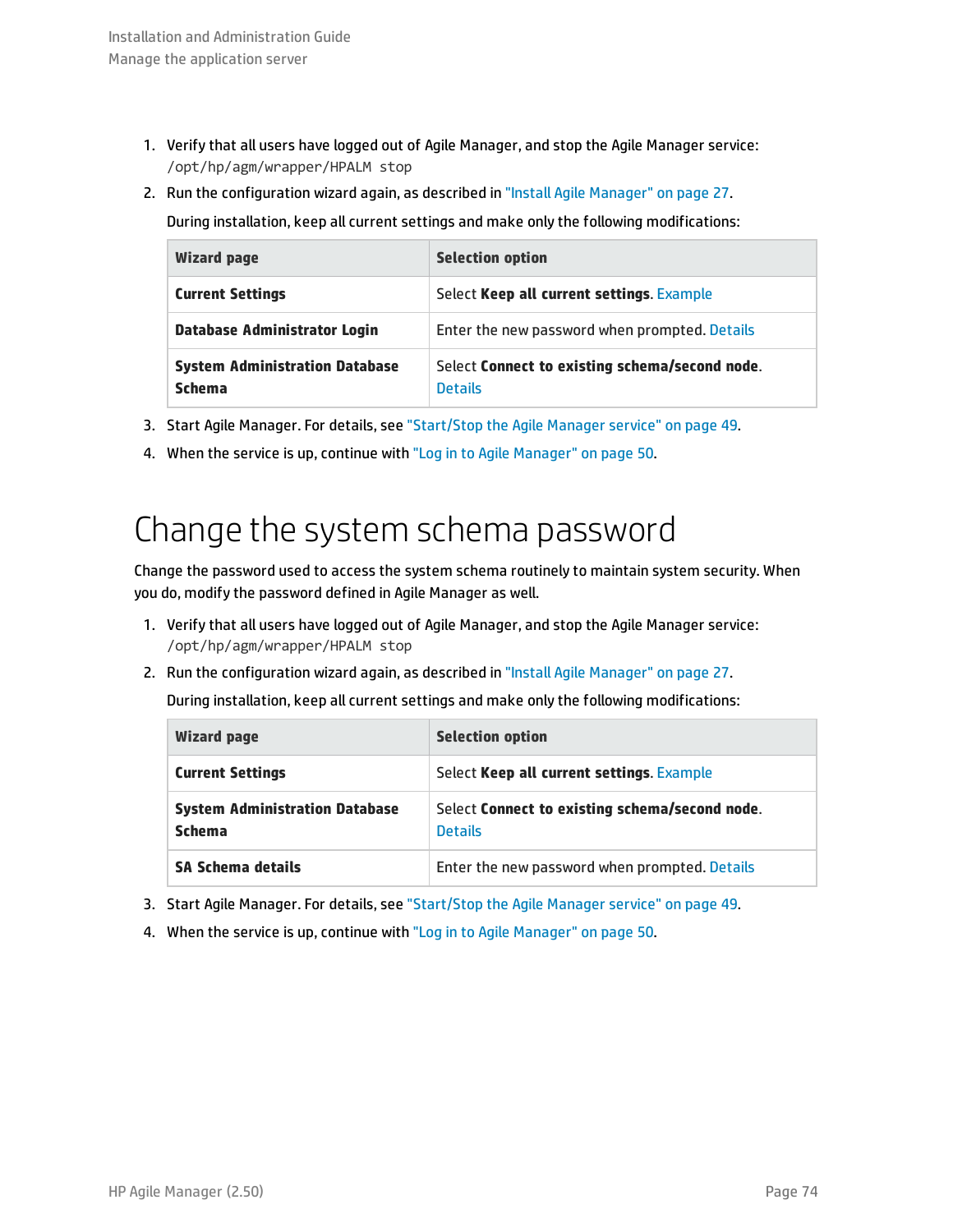- 1. Verify that all users have logged out of Agile Manager, and stop the Agile Manager service: /opt/hp/agm/wrapper/HPALM stop
- 2. Run the configuration wizard again, as described in "Install Agile [Manager"](#page-26-0) on page 27.

During installation, keep all current settings and make only the following modifications:

| <b>Wizard page</b>                                     | <b>Selection option</b>                                          |
|--------------------------------------------------------|------------------------------------------------------------------|
| <b>Current Settings</b>                                | Select Keep all current settings. Example                        |
| <b>Database Administrator Login</b>                    | Enter the new password when prompted. Details                    |
| <b>System Administration Database</b><br><b>Schema</b> | Select Connect to existing schema/second node.<br><b>Details</b> |

- 3. Start Agile Manager. For details, see ["Start/Stop](#page-48-0) the Agile Manager service" on page 49.
- <span id="page-73-0"></span>4. When the service is up, continue with "Log in to Agile [Manager"](#page-49-0) on page 50.

## Change the system schema password

Change the password used to access the system schema routinely to maintain system security. When you do, modify the password defined in Agile Manager as well.

- 1. Verify that all users have logged out of Agile Manager, and stop the Agile Manager service: /opt/hp/agm/wrapper/HPALM stop
- 2. Run the configuration wizard again, as described in "Install Agile [Manager"](#page-26-0) on page 27.

During installation, keep all current settings and make only the following modifications:

| <b>Wizard page</b>                                     | <b>Selection option</b>                                          |
|--------------------------------------------------------|------------------------------------------------------------------|
| <b>Current Settings</b>                                | Select Keep all current settings. Example                        |
| <b>System Administration Database</b><br><b>Schema</b> | Select Connect to existing schema/second node.<br><b>Details</b> |
| SA Schema details                                      | Enter the new password when prompted. Details                    |

- 3. Start Agile Manager. For details, see ["Start/Stop](#page-48-0) the Agile Manager service" on page 49.
- 4. When the service is up, continue with "Log in to Agile [Manager"](#page-49-0) on page 50.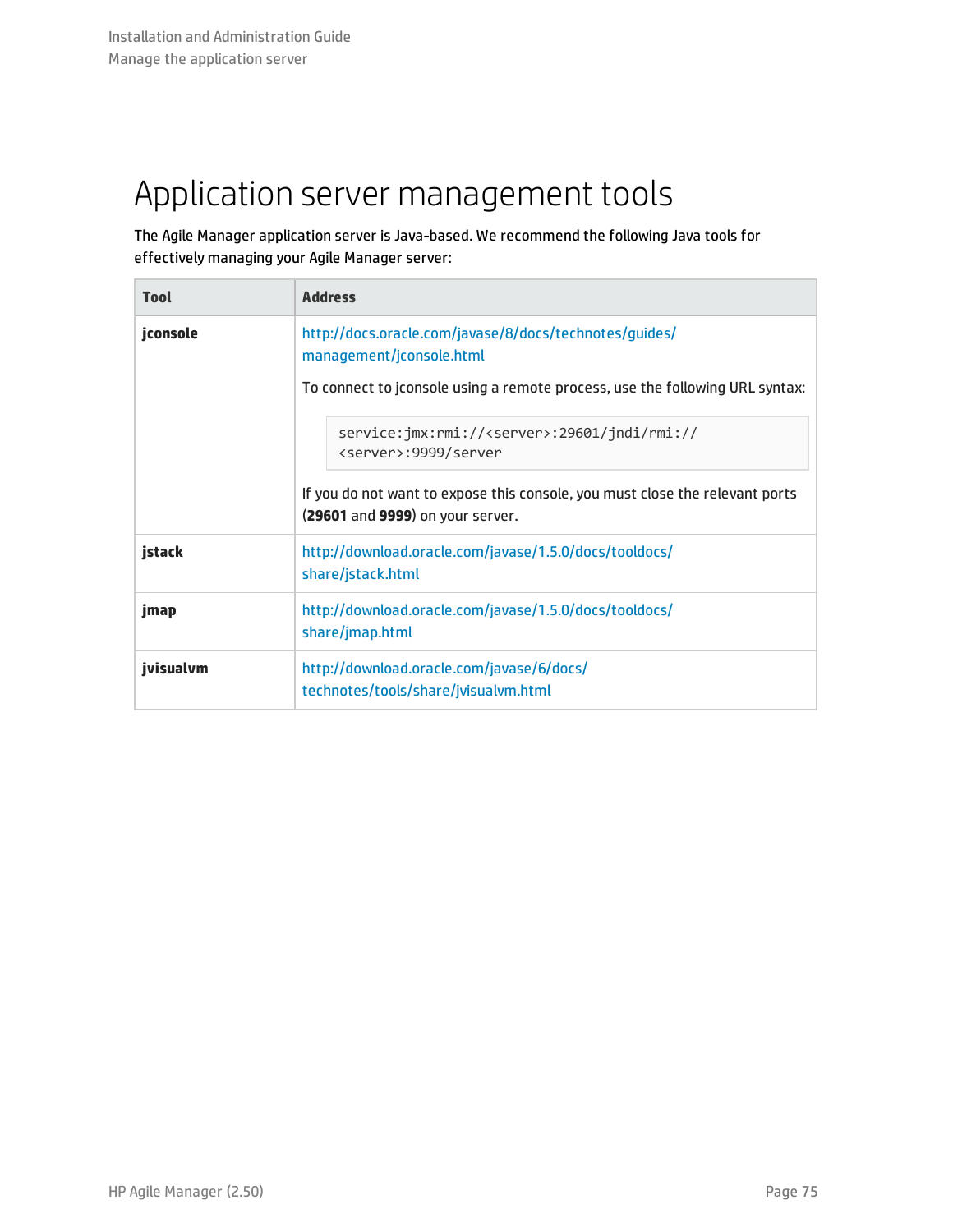# Application server management tools

The Agile Manager application server is Java-based. We recommend the following Java tools for effectively managing your Agile Manager server:

| <b>Tool</b> | <b>Address</b>                                                                                                   |
|-------------|------------------------------------------------------------------------------------------------------------------|
| jconsole    | http://docs.oracle.com/javase/8/docs/technotes/guides/<br>management/jconsole.html                               |
|             | To connect to jconsole using a remote process, use the following URL syntax:                                     |
|             | service:jmx:rmi:// <server>:29601/jndi/rmi://<br/><server>:9999/server</server></server>                         |
|             | If you do not want to expose this console, you must close the relevant ports<br>(29601 and 9999) on your server. |
| jstack      | http://download.oracle.com/javase/1.5.0/docs/tooldocs/<br>share/jstack.html                                      |
| jmap        | http://download.oracle.com/javase/1.5.0/docs/tooldocs/<br>share/jmap.html                                        |
| ivisualvm   | http://download.oracle.com/javase/6/docs/<br>technotes/tools/share/jvisualvm.html                                |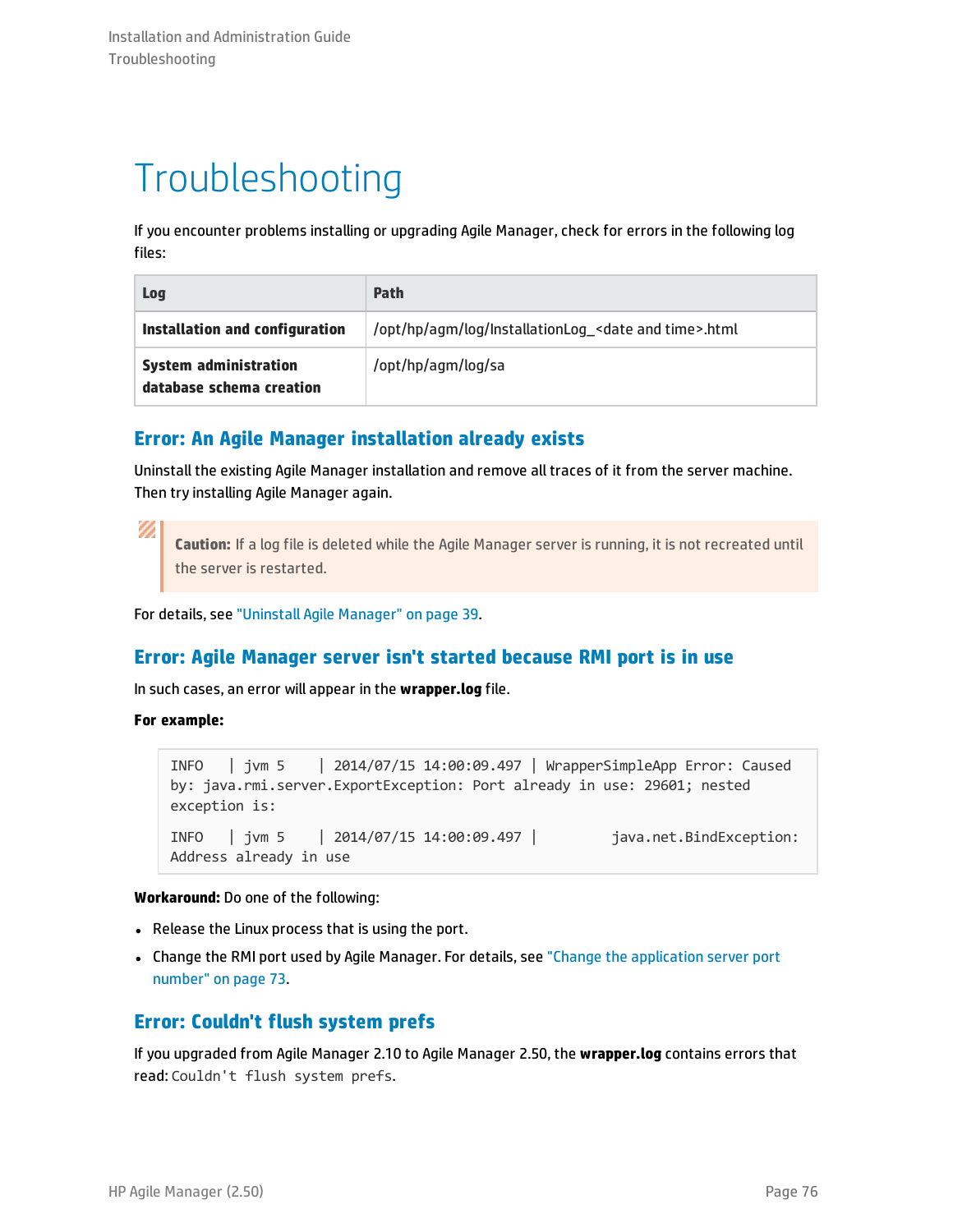# Troubleshooting

If you encounter problems installing or upgrading Agile Manager, check for errors in the following log files:

| Log                                                      | Path                                                               |
|----------------------------------------------------------|--------------------------------------------------------------------|
| Installation and configuration                           | /opt/hp/agm/log/InstallationLog_ <date and="" time="">.html</date> |
| <b>System administration</b><br>database schema creation | /opt/hp/agm/log/sa                                                 |

### **Error: An Agile Manager installation already exists**

Uninstall the existing Agile Manager installation and remove all traces of it from the server machine. Then try installing Agile Manager again.

V)

**Caution:** If a log file is deleted while the Agile Manager server is running, it is not recreated until the server is restarted.

For details, see "Uninstall Agile [Manager"](#page-38-0) on page 39.

### **Error: Agile Manager server isn't started because RMI port is in use**

In such cases, an error will appear in the **wrapper.log** file.

**For example:**

```
INFO | jvm 5 | 2014/07/15 14:00:09.497 | WrapperSimpleApp Error: Caused
by: java.rmi.server.ExportException: Port already in use: 29601; nested
exception is:
INFO | jvm 5 | 2014/07/15 14:00:09.497 | java.net.BindException:
Address already in use
```
**Workaround:** Do one of the following:

- Release the Linux process that is using the port.
- Change the RMI port used by Agile Manager. For details, see "Change the [application](#page-72-0) server port [number"](#page-72-0) on page 73.

### **Error: Couldn't flush system prefs**

If you upgraded from Agile Manager 2.10 to Agile Manager 2.50, the **wrapper.log** contains errors that read: Couldn't flush system prefs.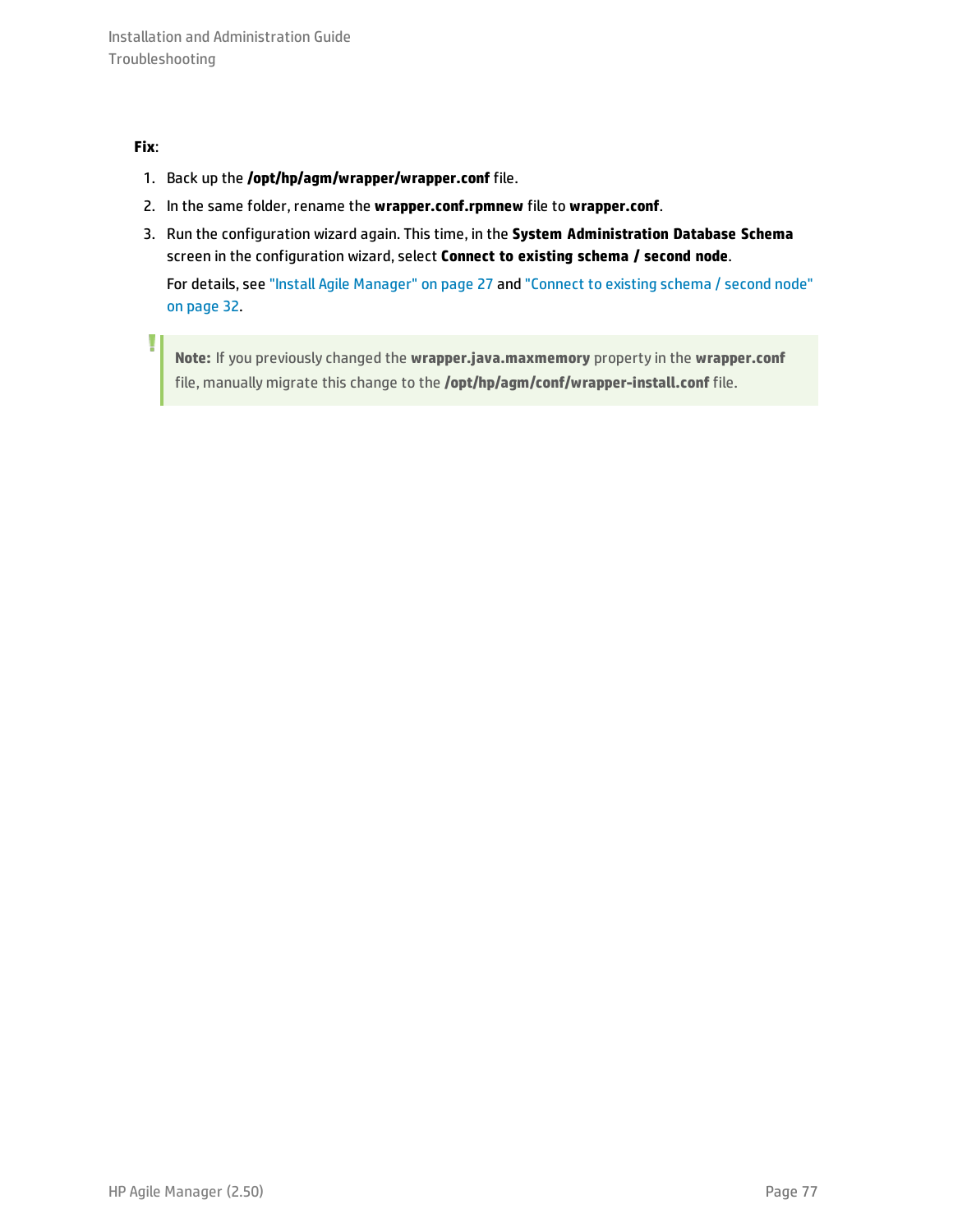#### **Fix**:

I

- 1. Back up the **/opt/hp/agm/wrapper/wrapper.conf** file.
- 2. In the same folder, rename the **wrapper.conf.rpmnew** file to **wrapper.conf**.
- 3. Run the configuration wizard again. This time, in the **System Administration Database Schema** screen in the configuration wizard, select **Connect to existing schema / second node**.

For details, see "Install Agile [Manager"](#page-26-0) on page 27 and ["Connect](#page-31-1) to existing schema / second node" on [page](#page-31-1) 32.

**Note:** If you previously changed the **wrapper.java.maxmemory** property in the **wrapper.conf** file, manually migrate this change to the **/opt/hp/agm/conf/wrapper-install.conf** file.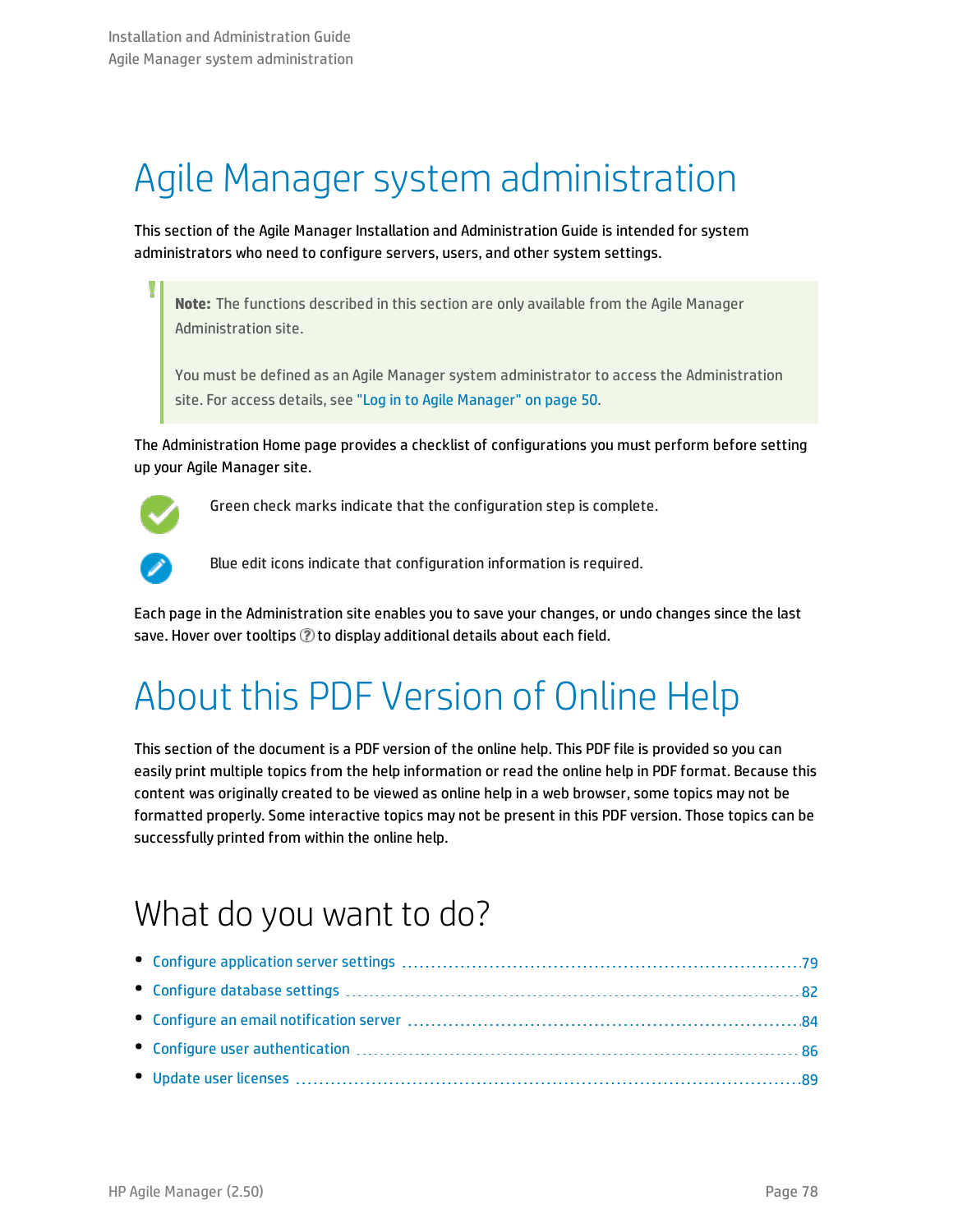# Agile Manager system administration

This section of the Agile Manager Installation and Administration Guide is intended for system administrators who need to configure servers, users, and other system settings.

**Note:** The functions described in this section are only available from the Agile Manager Administration site.

You must be defined as an Agile Manager system administrator to access the Administration site. For access details, see "Log in to Agile [Manager"](#page-49-0) on page 50.

The Administration Home page provides a checklist of configurations you must perform before setting up your Agile Manager site.



Green check marks indicate that the configuration step is complete.



Blue edit icons indicate that configuration information is required.

Each page in the Administration site enables you to save your changes, or undo changes since the last save. Hover over tooltips  $\oslash$  to display additional details about each field.

# About this PDF Version of Online Help

This section of the document is a PDF version of the online help. This PDF file is provided so you can easily print multiple topics from the help information or read the online help in PDF format. Because this content was originally created to be viewed as online help in a web browser, some topics may not be formatted properly. Some interactive topics may not be present in this PDF version. Those topics can be successfully printed from within the online help.

# What do you want to do?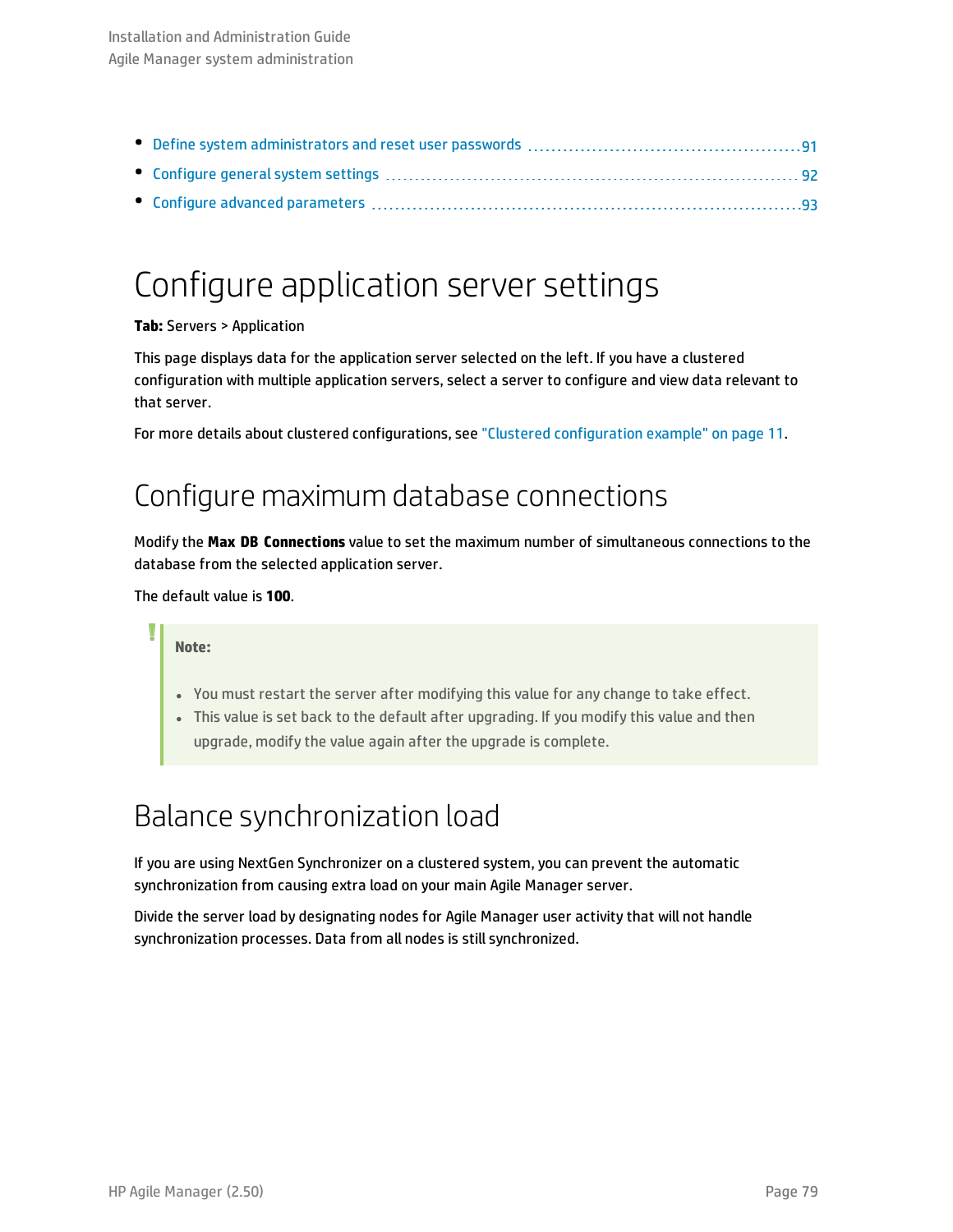# <span id="page-78-0"></span>Configure application server settings

#### **Tab:** Servers > Application

This page displays data for the application server selected on the left. If you have a clustered configuration with multiple application servers, select a server to configure and view data relevant to that server.

For more details about clustered configurations, see "Clustered [configuration](#page-10-0) example" on page 11.

## Configure maximum database connections

Modify the **Max DB Connections** value to set the maximum number of simultaneous connections to the database from the selected application server.

The default value is **100**.

#### **Note:**

- You must restart the server after modifying this value for any change to take effect.
- This value is set back to the default after upgrading. If you modify this value and then upgrade, modify the value again after the upgrade is complete.

## Balance synchronization load

If you are using NextGen Synchronizer on a clustered system, you can prevent the automatic synchronization from causing extra load on your main Agile Manager server.

Divide the server load by designating nodes for Agile Manager user activity that will not handle synchronization processes. Data from all nodes is still synchronized.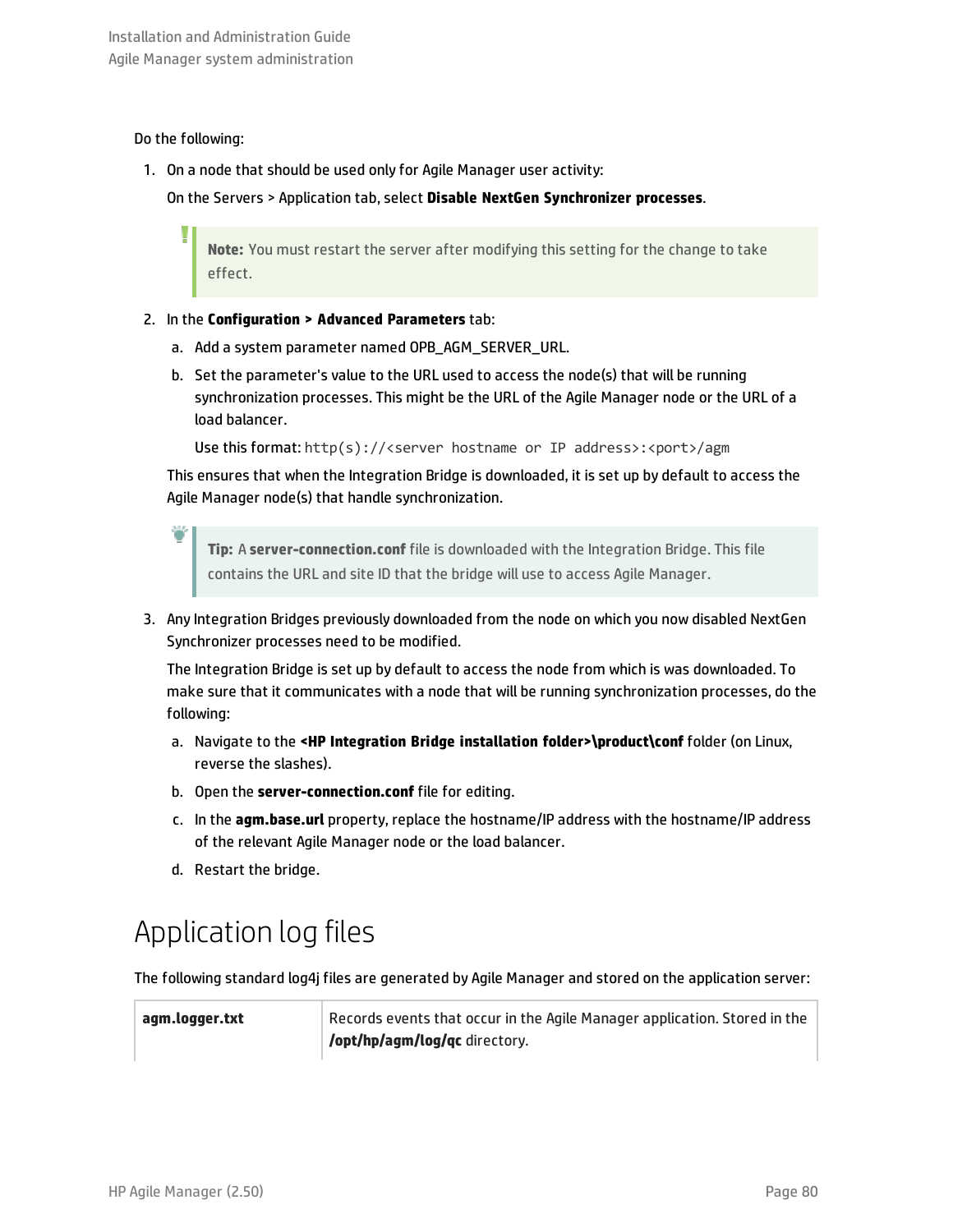#### Do the following:

1. On a node that should be used only for Agile Manager user activity:

On the Servers > Application tab, select **Disable NextGen Synchronizer processes**.

**Note:** You must restart the server after modifying this setting for the change to take effect.

- 2. In the **Configuration > Advanced Parameters** tab:
	- a. Add a system parameter named OPB\_AGM\_SERVER\_URL.
	- b. Set the parameter's value to the URL used to access the node(s) that will be running synchronization processes. This might be the URL of the Agile Manager node or the URL of a load balancer.

Use this format: http(s)://<server hostname or IP address>:<port>/agm

This ensures that when the Integration Bridge is downloaded, it is set up by default to access the Agile Manager node(s) that handle synchronization.

**Tip:** A **server-connection.conf** file is downloaded with the Integration Bridge. This file contains the URL and site ID that the bridge will use to access Agile Manager.

3. Any Integration Bridges previously downloaded from the node on which you now disabled NextGen Synchronizer processes need to be modified.

The Integration Bridge is set up by default to access the node from which is was downloaded. To make sure that it communicates with a node that will be running synchronization processes, do the following:

- a. Navigate to the **<HP Integration Bridge installation folder>\product\conf** folder (on Linux, reverse the slashes).
- b. Open the **server-connection.conf** file for editing.
- c. In the **agm.base.url** property, replace the hostname/IP address with the hostname/IP address of the relevant Agile Manager node or the load balancer.
- d. Restart the bridge.

## Application log files

The following standard log4j files are generated by Agile Manager and stored on the application server:

**agm.logger.txt** Records events that occur in the Agile Manager application. Stored in the **/opt/hp/agm/log/qc** directory.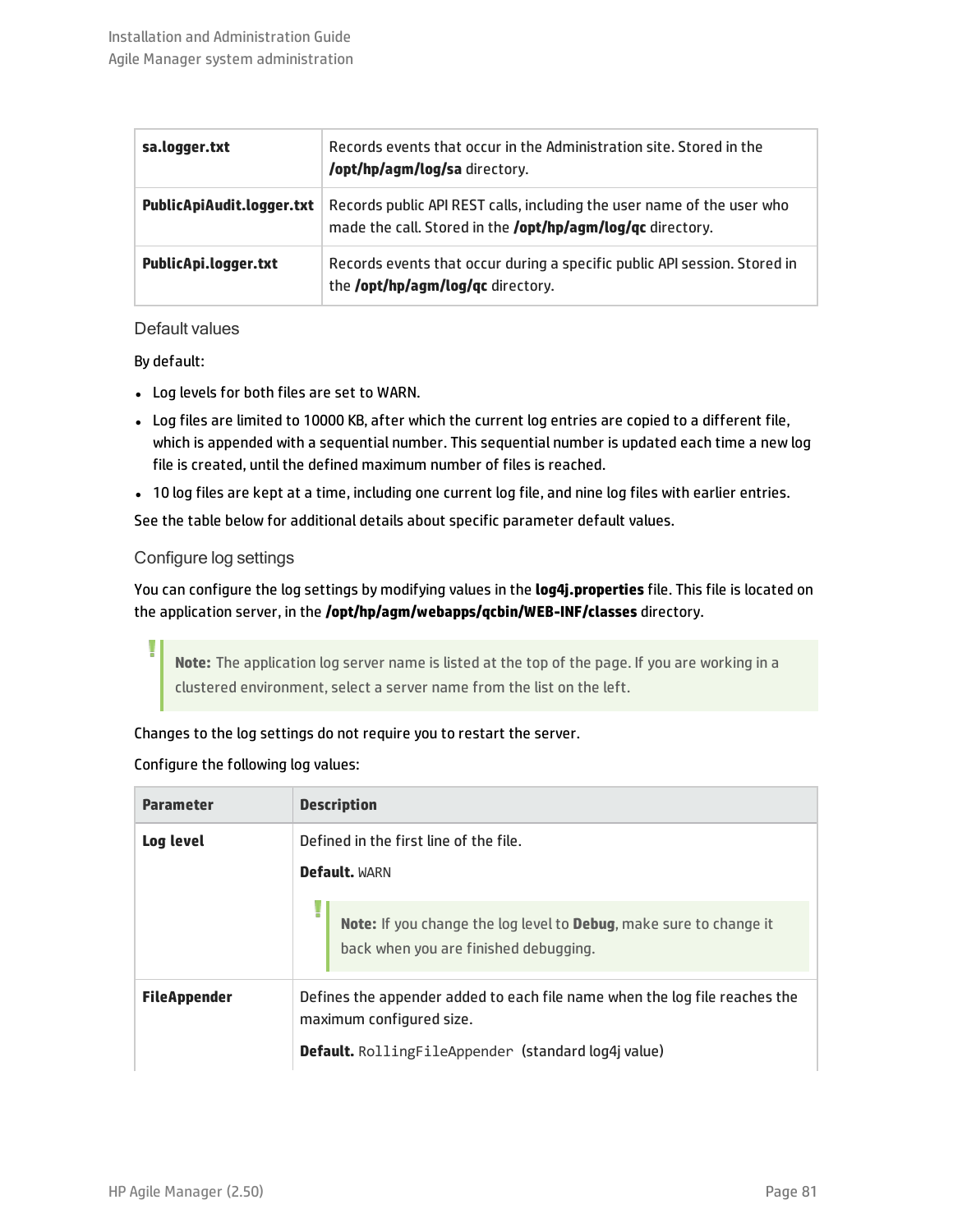| sa.logger.txt             | Records events that occur in the Administration site. Stored in the<br>/opt/hp/agm/log/sa directory.                                        |
|---------------------------|---------------------------------------------------------------------------------------------------------------------------------------------|
| PublicApiAudit.logger.txt | Records public API REST calls, including the user name of the user who<br>made the call. Stored in the <b>/opt/hp/agm/log/qc</b> directory. |
| PublicApi.logger.txt      | Records events that occur during a specific public API session. Stored in<br>the <b>/opt/hp/agm/log/qc</b> directory.                       |

#### Default values

By default:

- Log levels for both files are set to WARN.
- Log files are limited to 10000 KB, after which the current log entries are copied to a different file, which is appended with a sequential number. This sequential number is updated each time a new log file is created, until the defined maximum number of files is reached.
- 10 log files are kept at a time, including one current log file, and nine log files with earlier entries.

See the table below for additional details about specific parameter default values.

#### Configure log settings

You can configure the log settings by modifying values in the **log4j.properties** file. This file is located on the application server, in the **/opt/hp/agm/webapps/qcbin/WEB-INF/classes** directory.

**Note:** The application log server name is listed at the top of the page. If you are working in a clustered environment, select a server name from the list on the left.

#### Changes to the log settings do not require you to restart the server.

#### Configure the following log values:

| <b>Parameter</b>    | <b>Description</b>                                                                                                         |
|---------------------|----------------------------------------------------------------------------------------------------------------------------|
| Log level           | Defined in the first line of the file.                                                                                     |
|                     | <b>Default. WARN</b>                                                                                                       |
|                     | <b>Note:</b> If you change the log level to <b>Debug</b> , make sure to change it<br>back when you are finished debugging. |
| <b>FileAppender</b> | Defines the appender added to each file name when the log file reaches the<br>maximum configured size.                     |
|                     | <b>Default.</b> RollingFileAppender (standard log4j value)                                                                 |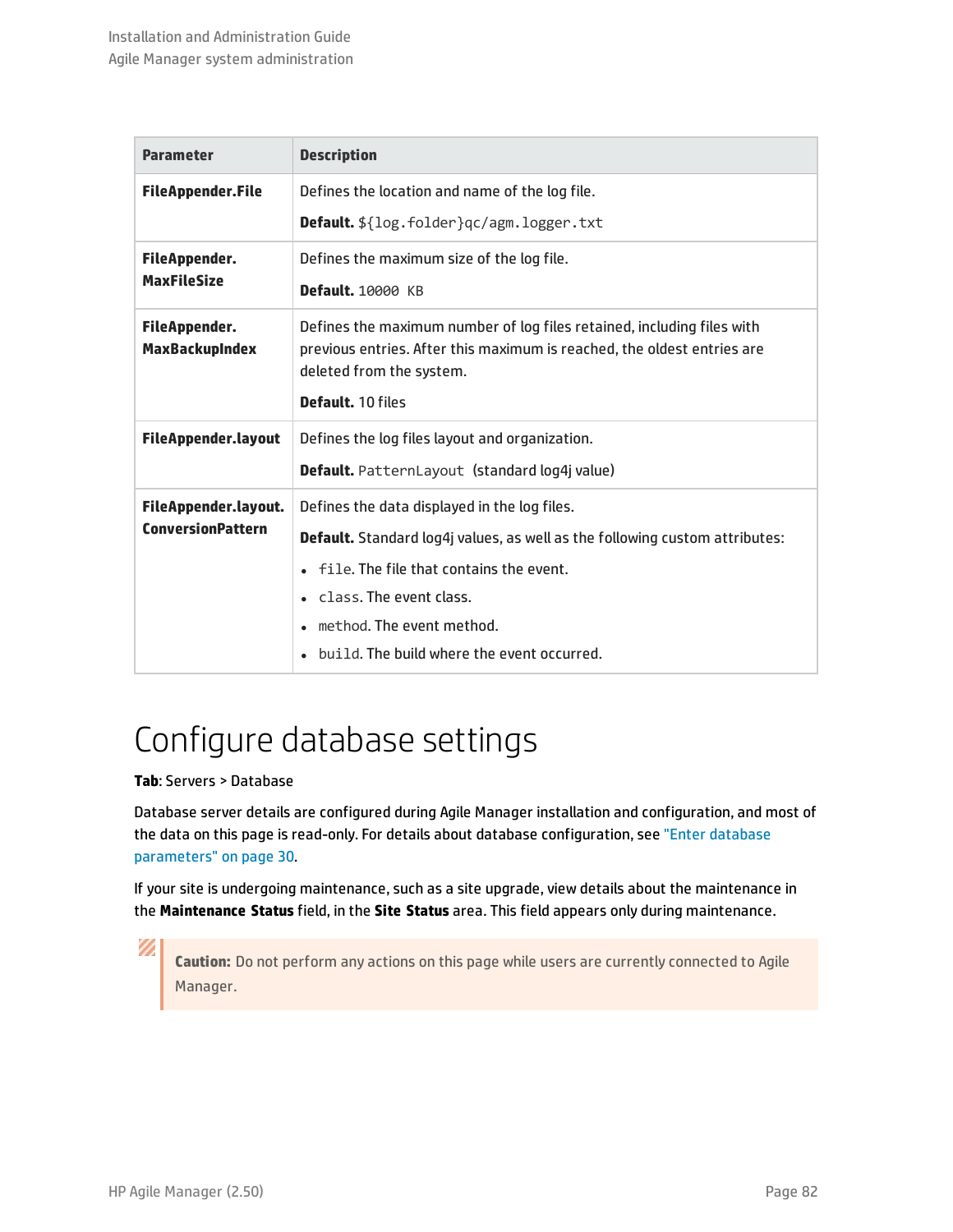| <b>Parameter</b>                              | <b>Description</b>                                                                                                                                                            |
|-----------------------------------------------|-------------------------------------------------------------------------------------------------------------------------------------------------------------------------------|
| <b>FileAppender.File</b>                      | Defines the location and name of the log file.                                                                                                                                |
|                                               | Default. \${log.folder}qc/agm.logger.txt                                                                                                                                      |
| <b>FileAppender.</b>                          | Defines the maximum size of the log file.                                                                                                                                     |
| <b>MaxFileSize</b>                            | <b>Default.</b> 10000 KB                                                                                                                                                      |
| <b>FileAppender.</b><br><b>MaxBackupIndex</b> | Defines the maximum number of log files retained, including files with<br>previous entries. After this maximum is reached, the oldest entries are<br>deleted from the system. |
|                                               | Default, 10 files                                                                                                                                                             |
| <b>FileAppender.layout</b>                    | Defines the log files layout and organization.                                                                                                                                |
|                                               | Default. PatternLayout (standard log4j value)                                                                                                                                 |
| FileAppender.layout.                          | Defines the data displayed in the log files.                                                                                                                                  |
| <b>ConversionPattern</b>                      | <b>Default.</b> Standard log4j values, as well as the following custom attributes:                                                                                            |
|                                               | file. The file that contains the event.                                                                                                                                       |
|                                               | class. The event class.                                                                                                                                                       |
|                                               | method. The event method.                                                                                                                                                     |
|                                               | build. The build where the event occurred.                                                                                                                                    |

# <span id="page-81-0"></span>Configure database settings

#### **Tab**: Servers > Database

Database server details are configured during Agile Manager installation and configuration, and most of the data on this page is read-only. For details about database configuration, see "Enter [database](#page-29-1) [parameters"](#page-29-1) on page 30.

If your site is undergoing maintenance, such as a site upgrade, view details about the maintenance in the **Maintenance Status** field, in the **Site Status** area. This field appears only during maintenance.

**Caution:** Do not perform any actions on this page while users are currently connected to Agile Manager.

Ø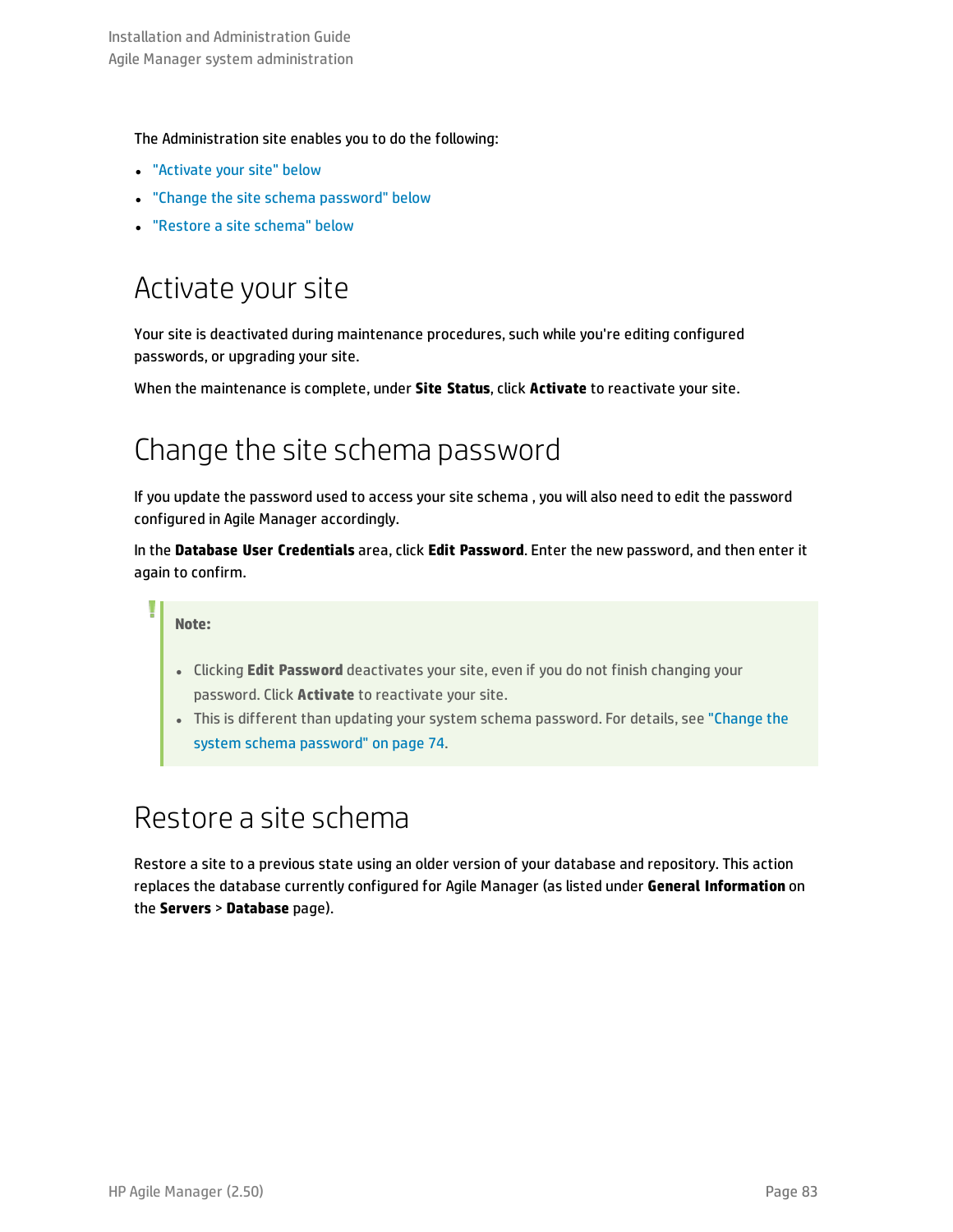#### The Administration site enables you to do the following:

- **.** ["Activate](#page-82-0) your site" below
- <sup>l</sup> "Change the site schema [password"](#page-82-1) below
- <span id="page-82-0"></span><sup>l</sup> ["Restore](#page-82-2) a site schema" below

## Activate your site

Your site is deactivated during maintenance procedures, such while you're editing configured passwords, or upgrading your site.

<span id="page-82-1"></span>When the maintenance is complete, under **Site Status**, click **Activate** to reactivate your site.

## Change the site schema password

If you update the password used to access your site schema , you will also need to edit the password configured in Agile Manager accordingly.

In the **Database User Credentials** area, click **Edit Password**. Enter the new password, and then enter it again to confirm.

#### **Note:**

- **.** Clicking **Edit Password** deactivates your site, even if you do not finish changing your password. Click **Activate** to reactivate your site.
- <sup>l</sup> This is different than updating your system schema password. For details, see ["Change](#page-73-0) the system schema [password"](#page-73-0) on page 74.

## <span id="page-82-2"></span>Restore a site schema

Restore a site to a previous state using an older version of your database and repository. This action replaces the database currently configured for Agile Manager (as listed under **General Information** on the **Servers** > **Database** page).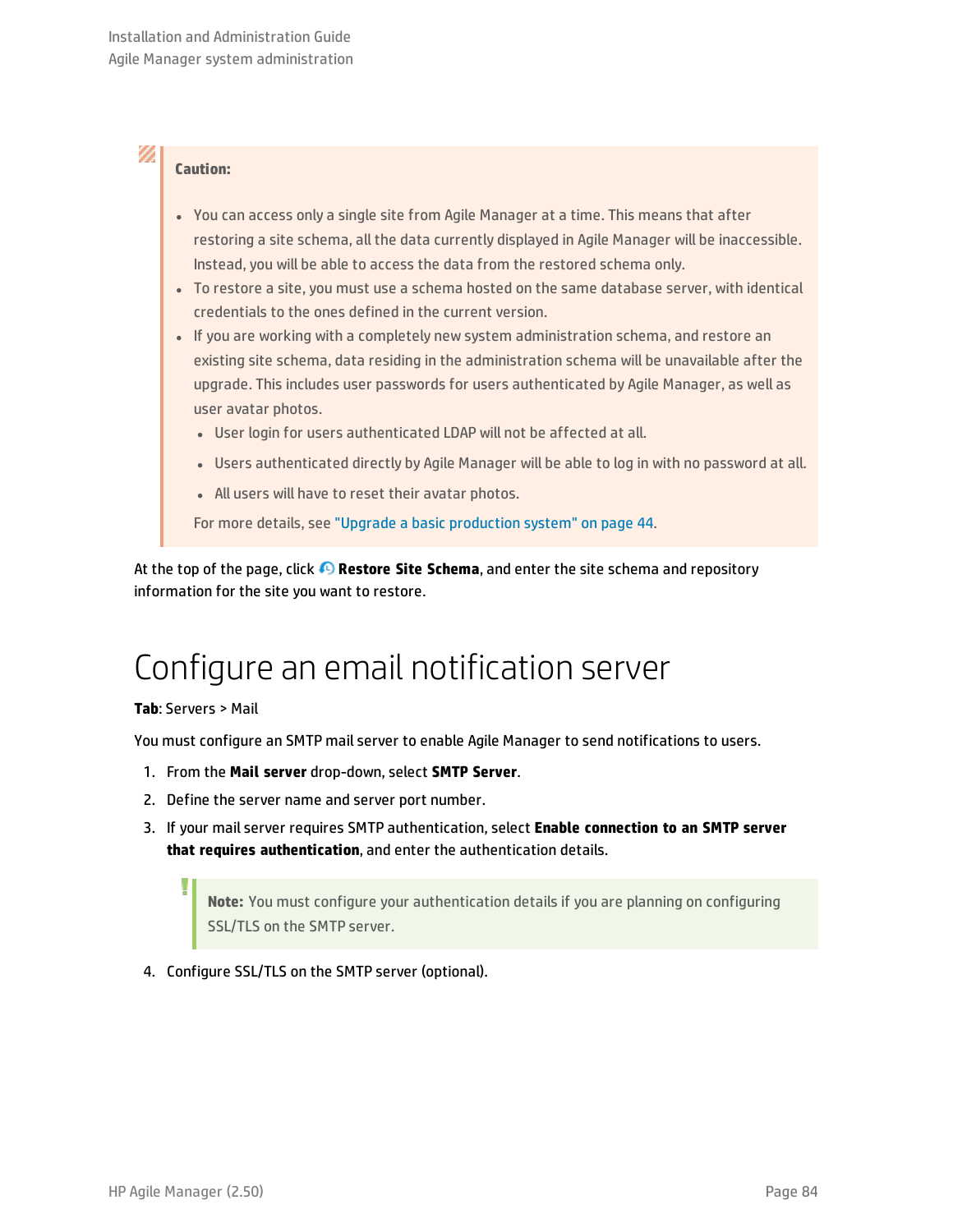### **Caution:**

- You can access only a single site from Agile Manager at a time. This means that after restoring a site schema, all the data currently displayed in Agile Manager will be inaccessible. Instead, you will be able to access the data from the restored schema only.
- To restore a site, you must use a schema hosted on the same database server, with identical credentials to the ones defined in the current version.
- If you are working with a completely new system administration schema, and restore an existing site schema, data residing in the administration schema will be unavailable after the upgrade. This includes user passwords for users authenticated by Agile Manager, as well as user avatar photos.
	- User login for users authenticated LDAP will not be affected at all.
	- Users authenticated directly by Agile Manager will be able to log in with no password at all.
	- All users will have to reset their avatar photos.

For more details, see "Upgrade a basic [production](#page-43-0) system" on page 44.

<span id="page-83-0"></span>At the top of the page, click **Restore Site Schema**, and enter the site schema and repository information for the site you want to restore.

# Configure an email notification server

#### **Tab**: Servers > Mail

U

You must configure an SMTP mail server to enable Agile Manager to send notifications to users.

- 1. From the **Mail server** drop-down, select **SMTP Server**.
- 2. Define the server name and server port number.
- 3. If your mail server requires SMTP authentication, select **Enable connection to an SMTP server that requires authentication**, and enter the authentication details.

**Note:** You must configure your authentication details if you are planning on configuring SSL/TLS on the SMTP server.

<span id="page-83-1"></span>4. Configure SSL/TLS on the SMTP server (optional).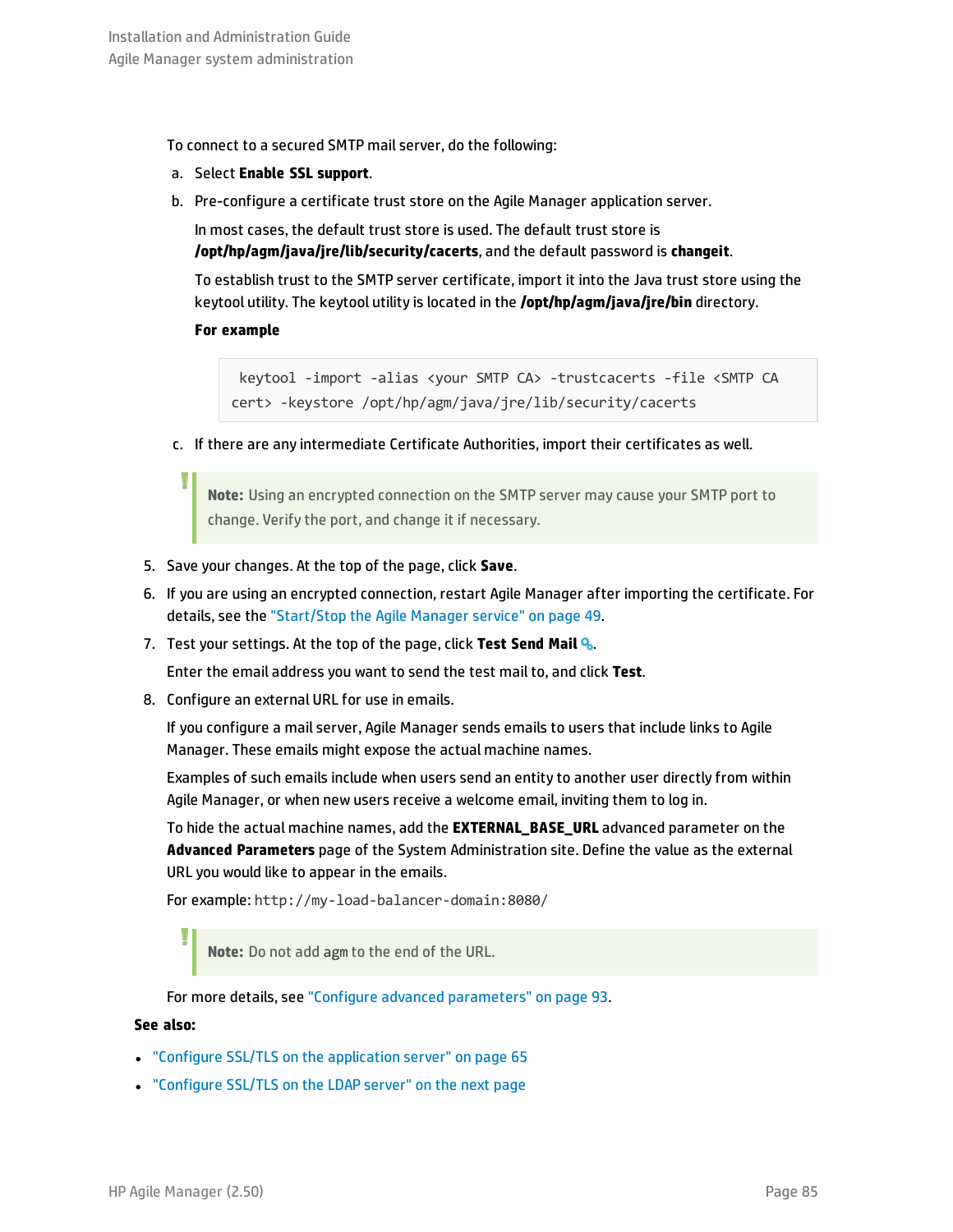To connect to a secured SMTP mail server, do the following:

- a. Select **Enable SSL support**.
- b. Pre-configure a certificate trust store on the Agile Manager application server.

In most cases, the default trust store is used. The default trust store is **/opt/hp/agm/java/jre/lib/security/cacerts**, and the default password is **changeit**.

To establish trust to the SMTP server certificate, import it into the Java trust store using the keytool utility. The keytool utility is located in the **/opt/hp/agm/java/jre/bin** directory.

#### **For example**

keytool -import -alias <your SMTP CA> -trustcacerts -file <SMTP CA cert> -keystore /opt/hp/agm/java/jre/lib/security/cacerts

c. If there are any intermediate Certificate Authorities, import their certificates as well.

**Note:** Using an encrypted connection on the SMTP server may cause your SMTP port to change. Verify the port, and change it if necessary.

- 5. Save your changes. At the top of the page, click **Save**.
- 6. If you are using an encrypted connection, restart Agile Manager after importing the certificate. For details, see the ["Start/Stop](#page-48-0) the Agile Manager service" on page 49.
- 7. Test your settings. At the top of the page, click **Test Send Mail** .

Enter the email address you want to send the test mail to, and click **Test**.

8. Configure an external URL for use in emails.

If you configure a mail server, Agile Manager sends emails to users that include links to Agile Manager. These emails might expose the actual machine names.

Examples of such emails include when users send an entity to another user directly from within Agile Manager, or when new users receive a welcome email, inviting them to log in.

To hide the actual machine names, add the **EXTERNAL\_BASE\_URL** advanced parameter on the **Advanced Parameters** page of the System Administration site. Define the value as the external URL you would like to appear in the emails.

For example: http://my-load-balancer-domain:8080/

**Note:** Do not add agm to the end of the URL.

For more details, see "Configure advanced [parameters"](#page-92-0) on page 93.

#### **See also:**

- <sup>l</sup> "Configure SSL/TLS on the [application](#page-64-0) server" on page 65
- <sup>l</sup> ["Configure](#page-85-1) SSL/TLS on the LDAP server" on the next page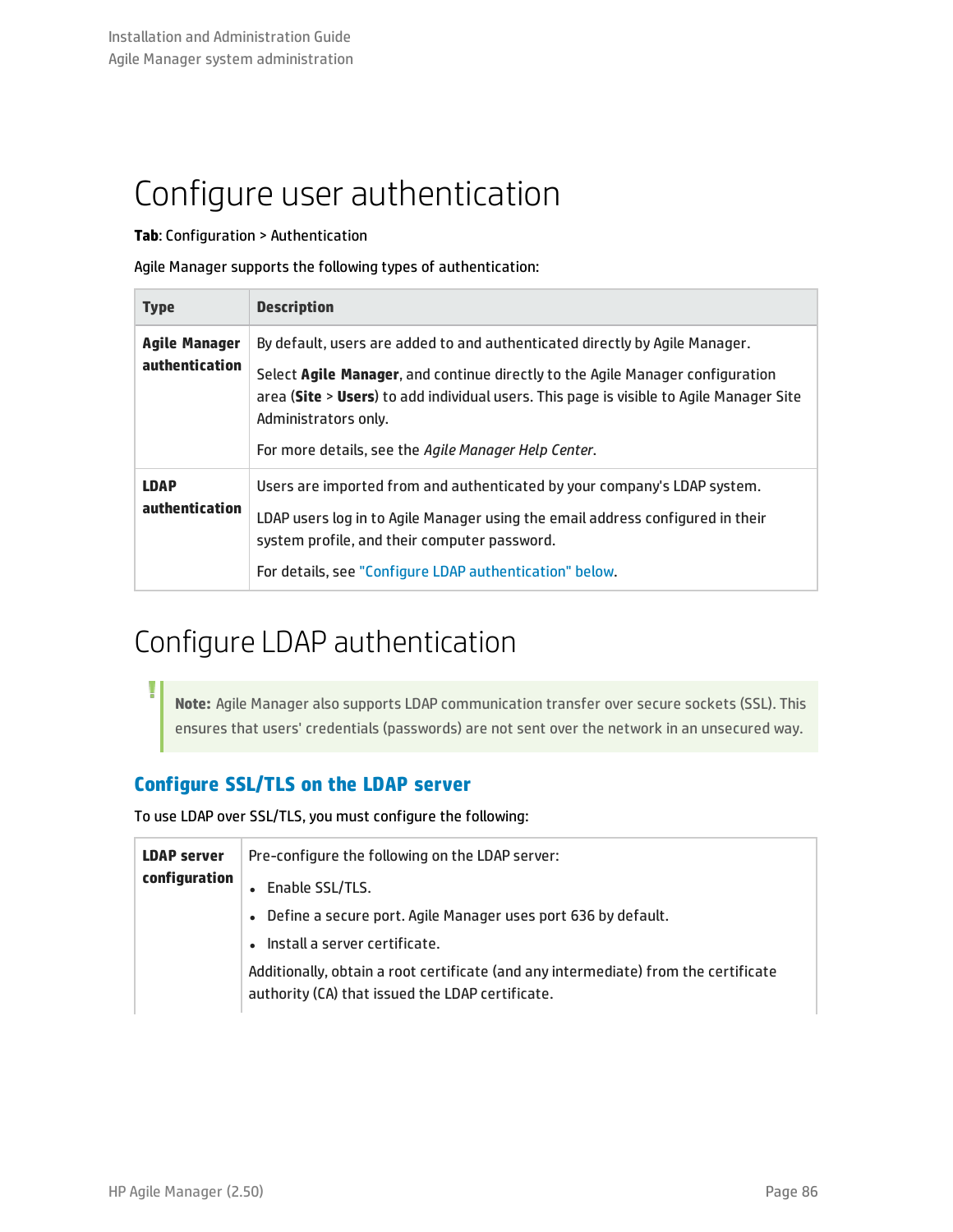# <span id="page-85-0"></span>Configure user authentication

**Tab**: Configuration > Authentication

Agile Manager supports the following types of authentication:

| <b>Type</b>                            | <b>Description</b>                                                                                                                                                                                                                                                               |
|----------------------------------------|----------------------------------------------------------------------------------------------------------------------------------------------------------------------------------------------------------------------------------------------------------------------------------|
| <b>Agile Manager</b><br>authentication | By default, users are added to and authenticated directly by Agile Manager.<br>Select Agile Manager, and continue directly to the Agile Manager configuration<br>area (Site > Users) to add individual users. This page is visible to Agile Manager Site<br>Administrators only. |
|                                        | For more details, see the Agile Manager Help Center.                                                                                                                                                                                                                             |
| <b>LDAP</b><br>authentication          | Users are imported from and authenticated by your company's LDAP system.<br>LDAP users log in to Agile Manager using the email address configured in their<br>system profile, and their computer password.<br>For details, see "Configure LDAP authentication" below.            |

## <span id="page-85-2"></span>Configure LDAP authentication

**Note:** Agile Manager also supports LDAP communication transfer over secure sockets (SSL). This ensures that users' credentials (passwords) are not sent over the network in an unsecured way.

### <span id="page-85-1"></span>**Configure SSL/TLS on the LDAP server**

To use LDAP over SSL/TLS, you must configure the following:

| <b>LDAP server</b> | Pre-configure the following on the LDAP server:                                                                                         |
|--------------------|-----------------------------------------------------------------------------------------------------------------------------------------|
| configuration      | Enable SSL/TLS.                                                                                                                         |
|                    | Define a secure port. Agile Manager uses port 636 by default.                                                                           |
|                    | Install a server certificate.                                                                                                           |
|                    | Additionally, obtain a root certificate (and any intermediate) from the certificate<br>authority (CA) that issued the LDAP certificate. |

T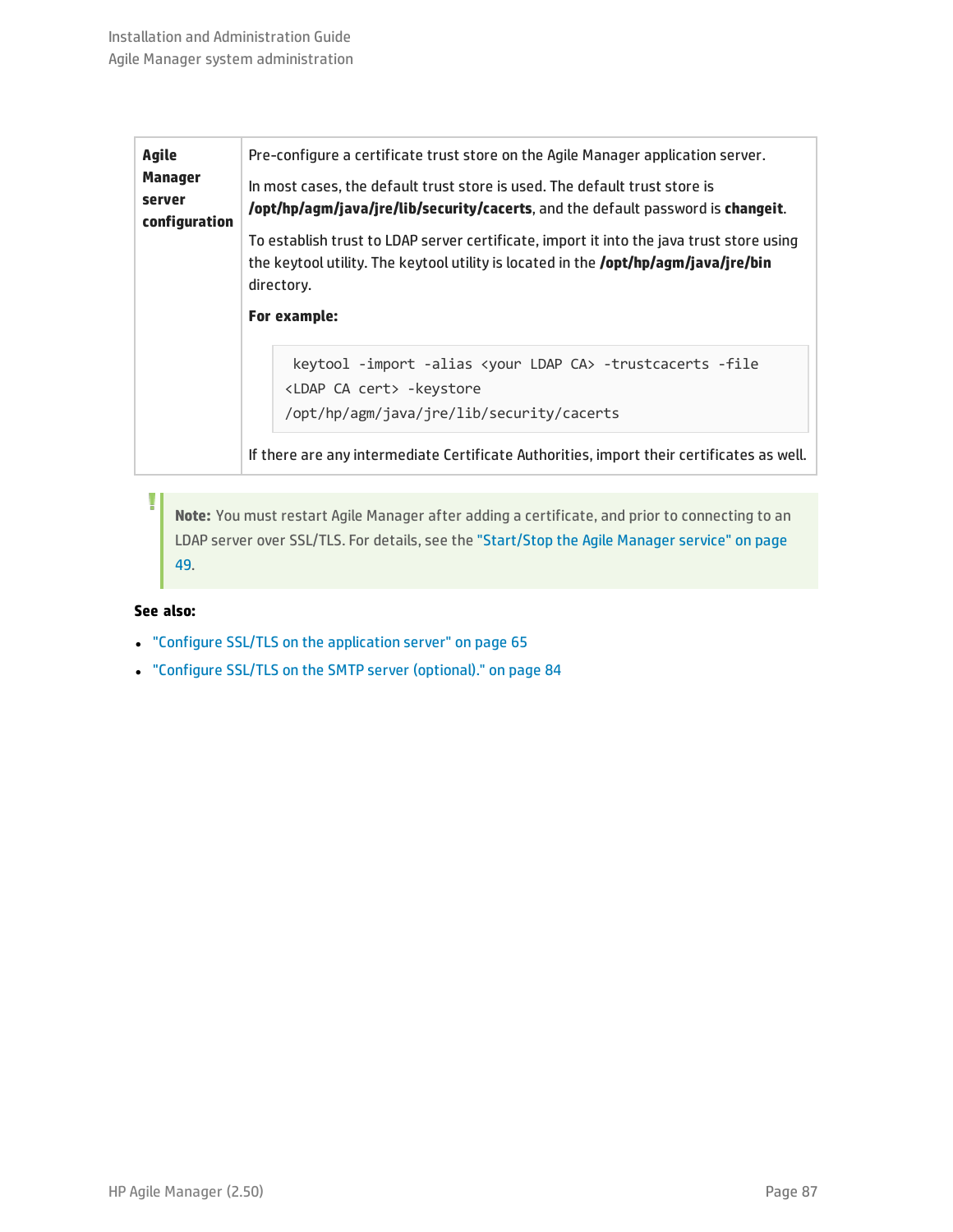| Agile<br><b>Manager</b><br>server<br>configuration | Pre-configure a certificate trust store on the Agile Manager application server.<br>In most cases, the default trust store is used. The default trust store is<br>/opt/hp/agm/java/jre/lib/security/cacerts, and the default password is changeit.<br>To establish trust to LDAP server certificate, import it into the java trust store using<br>the keytool utility. The keytool utility is located in the <b>/opt/hp/agm/java/jre/bin</b><br>directory.<br>For example: |  |
|----------------------------------------------------|----------------------------------------------------------------------------------------------------------------------------------------------------------------------------------------------------------------------------------------------------------------------------------------------------------------------------------------------------------------------------------------------------------------------------------------------------------------------------|--|
|                                                    | keytool -import -alias <your ca="" ldap=""> -trustcacerts -file<br/><ldap ca="" cert=""> -keystore<br/>/opt/hp/agm/java/jre/lib/security/cacerts<br/>If there are any intermediate Certificate Authorities, import their certificates as well.</ldap></your>                                                                                                                                                                                                               |  |

**Note:** You must restart Agile Manager after adding a certificate, and prior to connecting to an LDAP server over SSL/TLS. For details, see the ["Start/Stop](#page-48-0) the Agile Manager service" on page [49](#page-48-0).

#### **See also:**

- <sup>l</sup> "Configure SSL/TLS on the [application](#page-64-0) server" on page 65
- <sup>l</sup> "Configure SSL/TLS on the SMTP server [\(optional\)."](#page-83-1) on page 84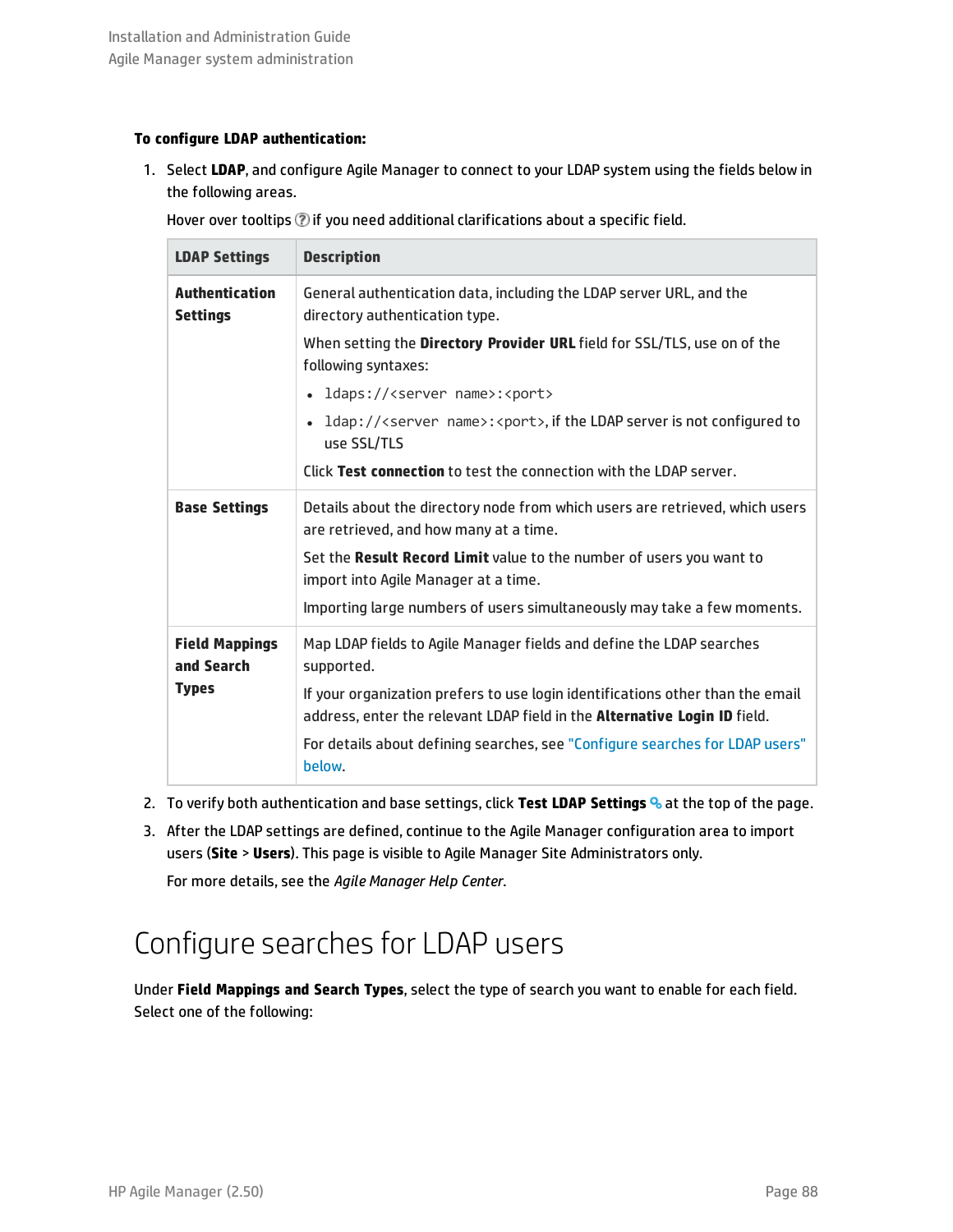#### **To configure LDAP authentication:**

1. Select **LDAP**, and configure Agile Manager to connect to your LDAP system using the fields below in the following areas.

Hover over tooltips  $\mathcal D$  if you need additional clarifications about a specific field.

| <b>LDAP Settings</b>                     | <b>Description</b>                                                                                                                                          |
|------------------------------------------|-------------------------------------------------------------------------------------------------------------------------------------------------------------|
| <b>Authentication</b><br><b>Settings</b> | General authentication data, including the LDAP server URL, and the<br>directory authentication type.                                                       |
|                                          | When setting the Directory Provider URL field for SSL/TLS, use on of the<br>following syntaxes:                                                             |
|                                          | ldaps:// <server name="">:<port></port></server>                                                                                                            |
|                                          | ldap:// <server name="">:<port>, if the LDAP server is not configured to<br/><math display="inline">\bullet</math><br/>use SSL/TLS</port></server>          |
|                                          | Click Test connection to test the connection with the LDAP server.                                                                                          |
| <b>Base Settings</b>                     | Details about the directory node from which users are retrieved, which users<br>are retrieved, and how many at a time.                                      |
|                                          | Set the Result Record Limit value to the number of users you want to<br>import into Agile Manager at a time.                                                |
|                                          | Importing large numbers of users simultaneously may take a few moments.                                                                                     |
| <b>Field Mappings</b><br>and Search      | Map LDAP fields to Agile Manager fields and define the LDAP searches<br>supported.                                                                          |
| <b>Types</b>                             | If your organization prefers to use login identifications other than the email<br>address, enter the relevant LDAP field in the Alternative Login ID field. |
|                                          | For details about defining searches, see "Configure searches for LDAP users"<br>below.                                                                      |

- 2. To verify both authentication and base settings, click **Test LDAP Settings** at the top of the page.
- 3. After the LDAP settings are defined, continue to the Agile Manager configuration area to import users (**Site** > **Users**). This page is visible to Agile Manager Site Administrators only.

<span id="page-87-0"></span>For more details, see the *Agile Manager Help Center*.

## Configure searches for LDAP users

Under **Field Mappings and Search Types**, select the type of search you want to enable for each field. Select one of the following: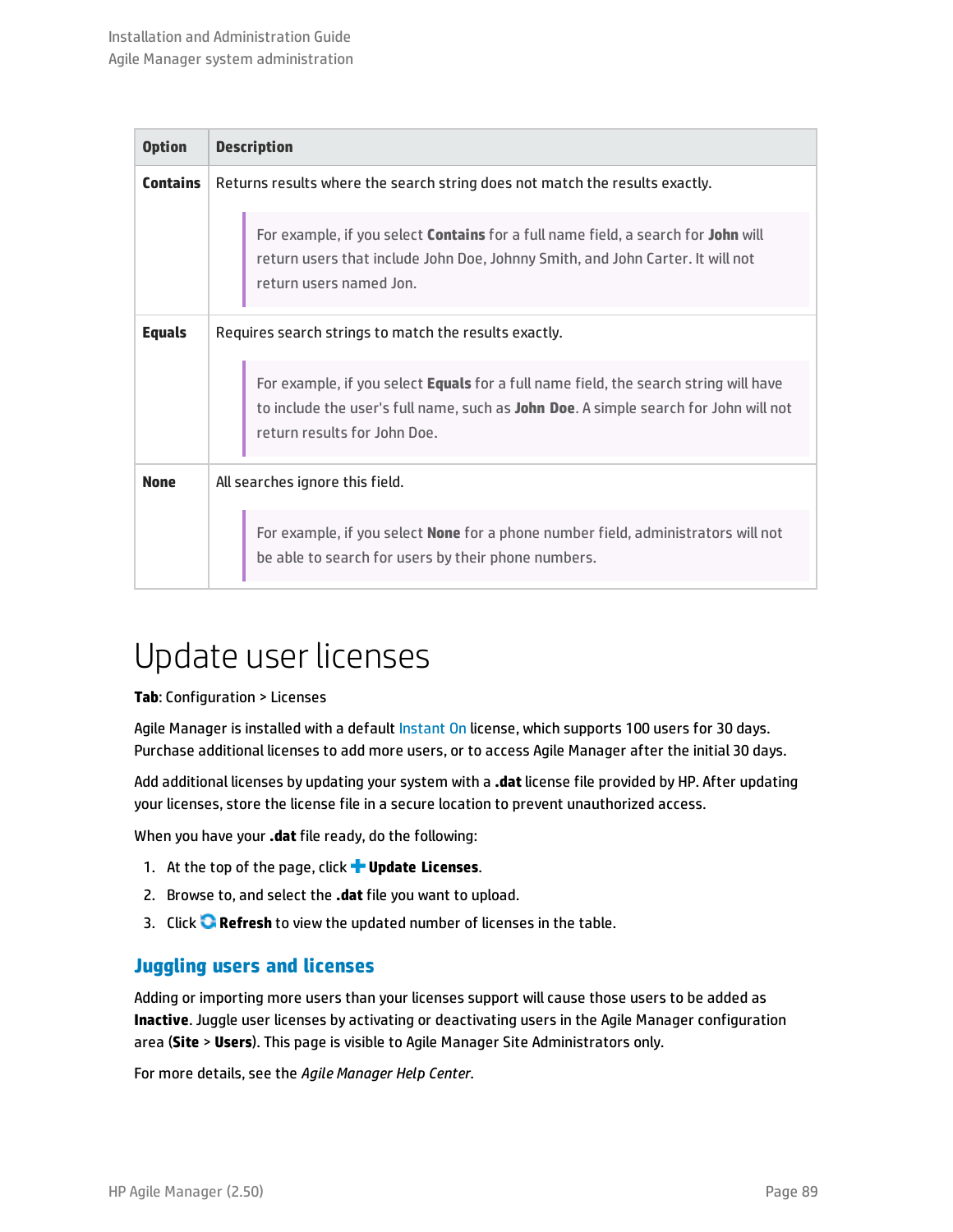| <b>Option</b>   | <b>Description</b>                                                                                                                                                                                                  |  |
|-----------------|---------------------------------------------------------------------------------------------------------------------------------------------------------------------------------------------------------------------|--|
| <b>Contains</b> | Returns results where the search string does not match the results exactly.                                                                                                                                         |  |
|                 | For example, if you select <b>Contains</b> for a full name field, a search for John will<br>return users that include John Doe, Johnny Smith, and John Carter. It will not<br>return users named Jon.               |  |
| <b>Equals</b>   | Requires search strings to match the results exactly.                                                                                                                                                               |  |
|                 | For example, if you select <b>Equals</b> for a full name field, the search string will have<br>to include the user's full name, such as John Doe. A simple search for John will not<br>return results for John Doe. |  |
| <b>None</b>     | All searches ignore this field.                                                                                                                                                                                     |  |
|                 | For example, if you select <b>None</b> for a phone number field, administrators will not<br>be able to search for users by their phone numbers.                                                                     |  |

## <span id="page-88-0"></span>Update user licenses

#### **Tab**: Configuration > Licenses

Agile Manager is installed with a default [Instant](#page-89-0) On license, which supports 100 users for 30 days. Purchase additional licenses to add more users, or to access Agile Manager after the initial 30 days.

Add additional licenses by updating your system with a **.dat** license file provided by HP. After updating your licenses, store the license file in a secure location to prevent unauthorized access.

When you have your **.dat** file ready, do the following:

- 1. At the top of the page, click **Update Licenses**.
- 2. Browse to, and select the **.dat** file you want to upload.
- 3. Click **Refresh** to view the updated number of licenses in the table.

#### **Juggling users and licenses**

Adding or importing more users than your licenses support will cause those users to be added as **Inactive**. Juggle user licenses by activating or deactivating users in the Agile Manager configuration area (**Site** > **Users**). This page is visible to Agile Manager Site Administrators only.

For more details, see the *Agile Manager Help Center*.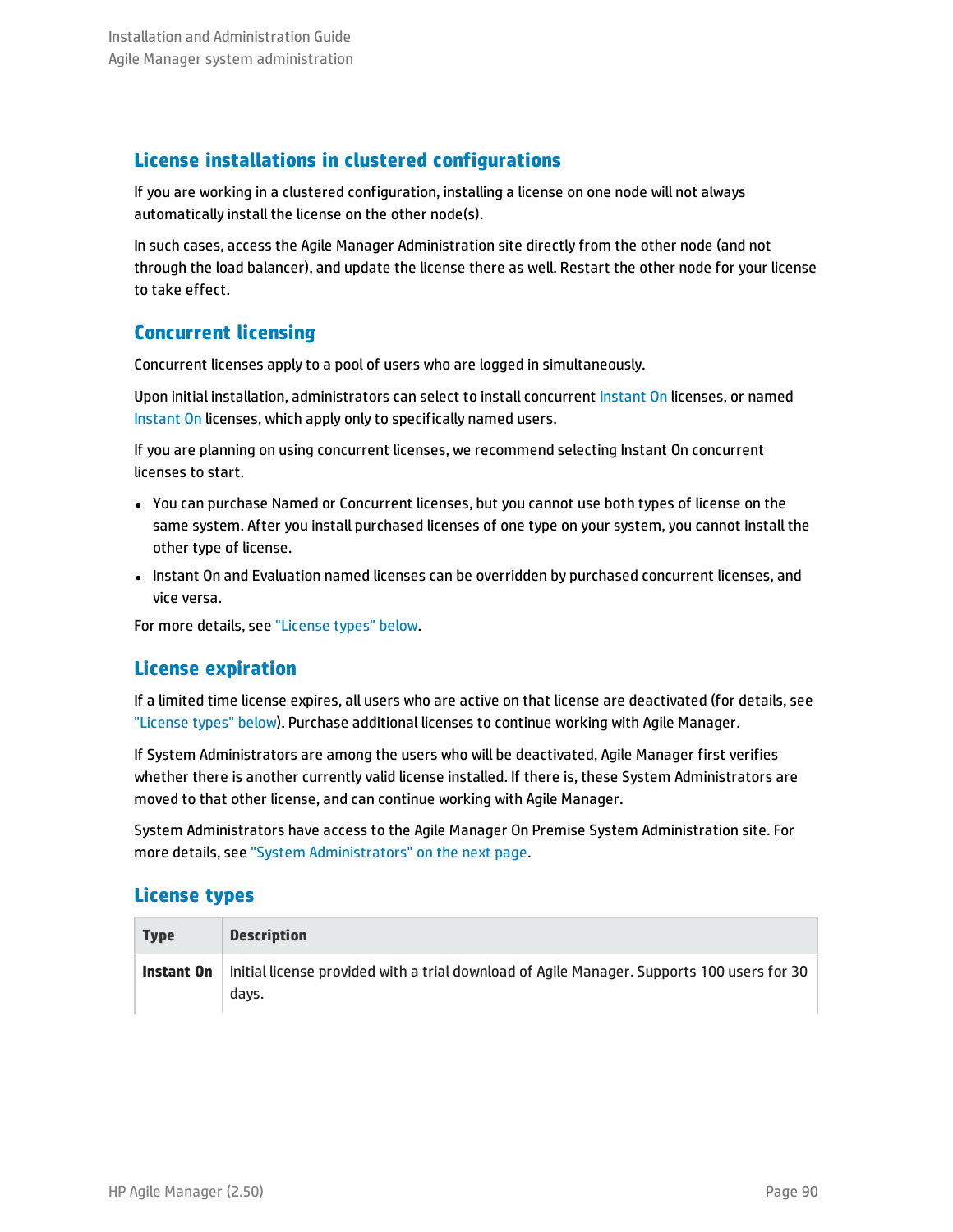### **License installations in clustered configurations**

If you are working in a clustered configuration, installing a license on one node will not always automatically install the license on the other node(s).

In such cases, access the Agile Manager Administration site directly from the other node (and not through the load balancer), and update the license there as well. Restart the other node for your license to take effect.

### **Concurrent licensing**

Concurrent licenses apply to a pool of users who are logged in simultaneously.

Upon initial installation, administrators can select to install concurrent [Instant](#page-89-0) On licenses, or named [Instant](#page-89-0) On licenses, which apply only to specifically named users.

If you are planning on using concurrent licenses, we recommend selecting Instant On concurrent licenses to start.

- You can purchase Named or Concurrent licenses, but you cannot use both types of license on the same system. After you install purchased licenses of one type on your system, you cannot install the other type of license.
- Instant On and Evaluation named licenses can be overridden by purchased concurrent licenses, and vice versa.

For more details, see ["License](#page-89-1) types" below.

### **License expiration**

If a limited time license expires, all users who are active on that license are deactivated (for details, see ["License](#page-89-1) types" below). Purchase additional licenses to continue working with Agile Manager.

If System Administrators are among the users who will be deactivated, Agile Manager first verifies whether there is another currently valid license installed. If there is, these System Administrators are moved to that other license, and can continue working with Agile Manager.

System Administrators have access to the Agile Manager On Premise System Administration site. For more details, see "System [Administrators"](#page-90-1) on the next page.

### <span id="page-89-1"></span>**License types**

<span id="page-89-0"></span>

| <b>Type</b> | <b>Description</b>                                                                                  |
|-------------|-----------------------------------------------------------------------------------------------------|
| Instant On  | Initial license provided with a trial download of Agile Manager. Supports 100 users for 30<br>davs. |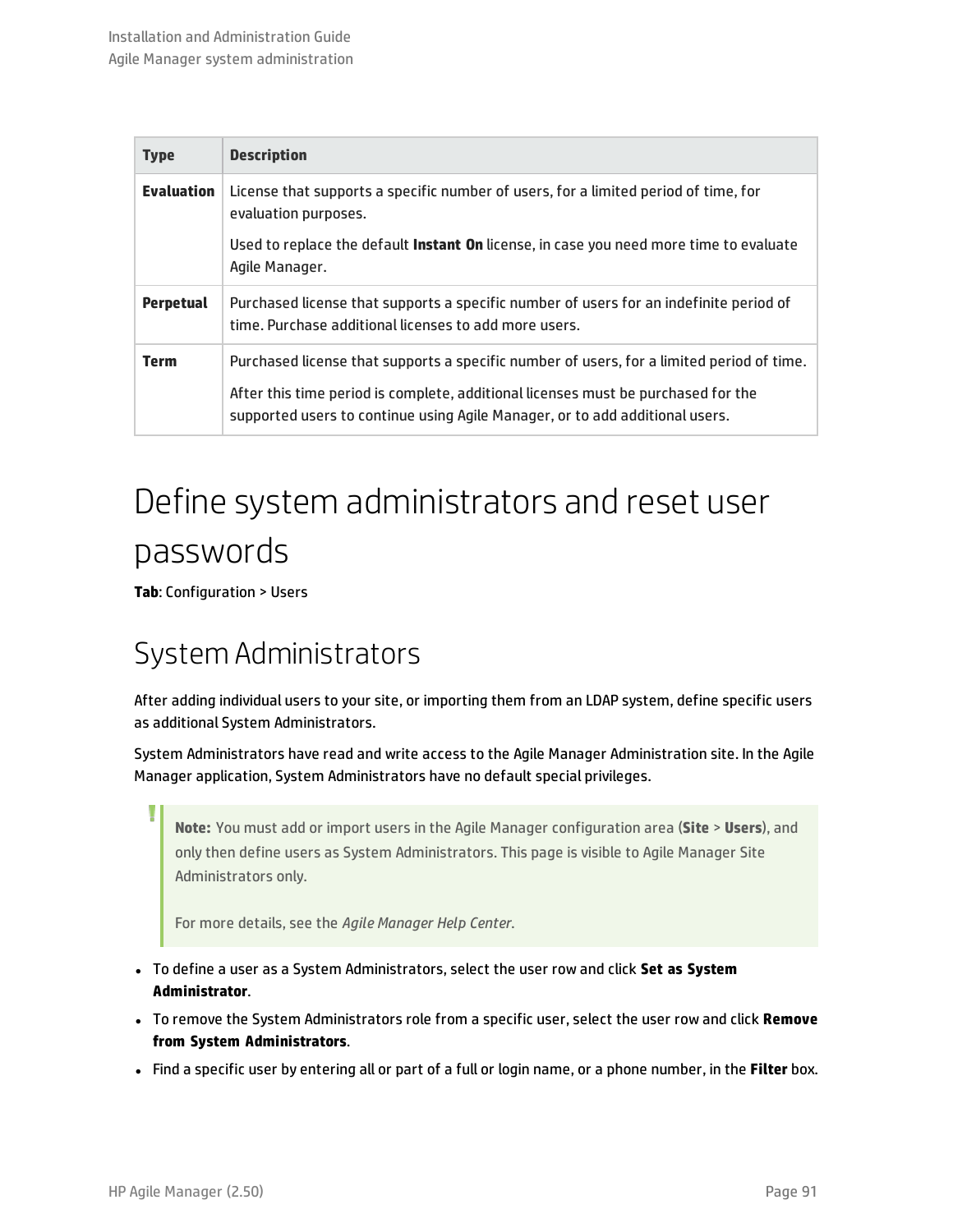| <b>Type</b>       | <b>Description</b>                                                                                                                                                                                                                                             |
|-------------------|----------------------------------------------------------------------------------------------------------------------------------------------------------------------------------------------------------------------------------------------------------------|
| <b>Evaluation</b> | License that supports a specific number of users, for a limited period of time, for<br>evaluation purposes.                                                                                                                                                    |
|                   | Used to replace the default Instant On license, in case you need more time to evaluate<br>Agile Manager.                                                                                                                                                       |
| <b>Perpetual</b>  | Purchased license that supports a specific number of users for an indefinite period of<br>time. Purchase additional licenses to add more users.                                                                                                                |
| <b>Term</b>       | Purchased license that supports a specific number of users, for a limited period of time.<br>After this time period is complete, additional licenses must be purchased for the<br>supported users to continue using Agile Manager, or to add additional users. |

# <span id="page-90-0"></span>Define system administrators and reset user passwords

<span id="page-90-1"></span>**Tab**: Configuration > Users

## System Administrators

After adding individual users to your site, or importing them from an LDAP system, define specific users as additional System Administrators.

System Administrators have read and write access to the Agile Manager Administration site. In the Agile Manager application, System Administrators have no default special privileges.

**Note:** You must add or import users in the Agile Manager configuration area (**Site** > **Users**), and only then define users as System Administrators. This page is visible to Agile Manager Site Administrators only.

For more details, see the *Agile Manager Help Center*.

- <sup>l</sup> To define a user as a System Administrators, select the user row and click **Set as System Administrator**.
- <sup>l</sup> To remove the System Administrators role from a specific user, select the user row and click **Remove from System Administrators**.
- <sup>l</sup> Find a specific user by entering all or part of a full or login name, or a phone number, in the **Filter** box.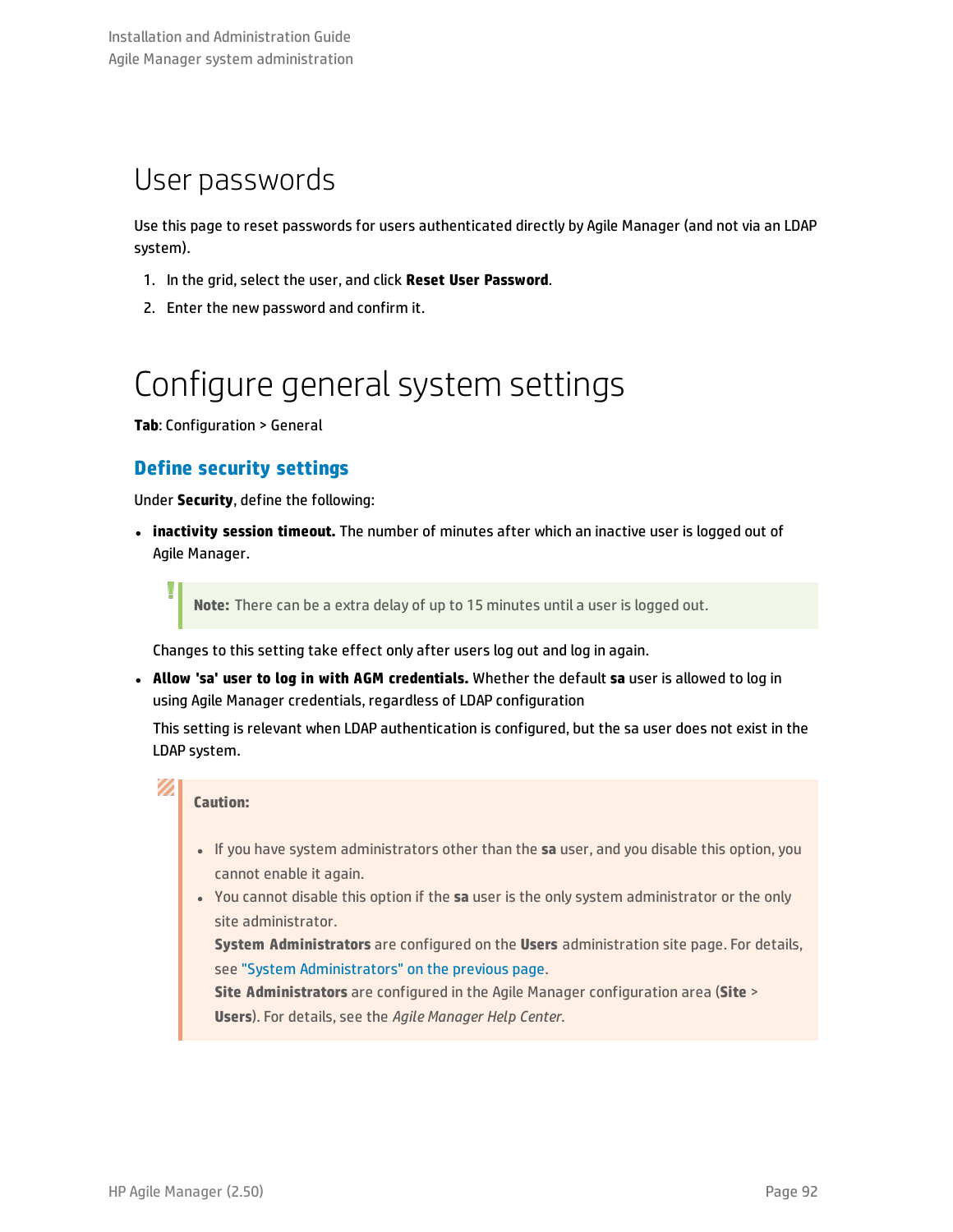## User passwords

Use this page to reset passwords for users authenticated directly by Agile Manager (and not via an LDAP system).

- 1. In the grid, select the user, and click **Reset User Password**.
- <span id="page-91-0"></span>2. Enter the new password and confirm it.

# Configure general system settings

**Tab**: Configuration > General

I

V)

### **Define security settings**

Under **Security**, define the following:

 $\cdot$  inactivity session timeout. The number of minutes after which an inactive user is logged out of Agile Manager.

**Note:** There can be a extra delay of up to 15 minutes until a user is logged out.

Changes to this setting take effect only after users log out and log in again.

<sup>l</sup> **Allow 'sa' user to log in with AGM credentials.** Whether the default **sa** user is allowed to log in using Agile Manager credentials, regardless of LDAP configuration

This setting is relevant when LDAP authentication is configured, but the sa user does not exist in the LDAP system.

#### **Caution:**

- **.** If you have system administrators other than the **sa** user, and you disable this option, you cannot enable it again.
- <sup>l</sup> You cannot disable this option if the **sa** user is the only system administrator or the only site administrator.

**System Administrators** are configured on the **Users** administration site page. For details, see "System [Administrators"](#page-90-1) on the previous page.

**Site Administrators** are configured in the Agile Manager configuration area (**Site** > **Users**). For details, see the *Agile Manager Help Center*.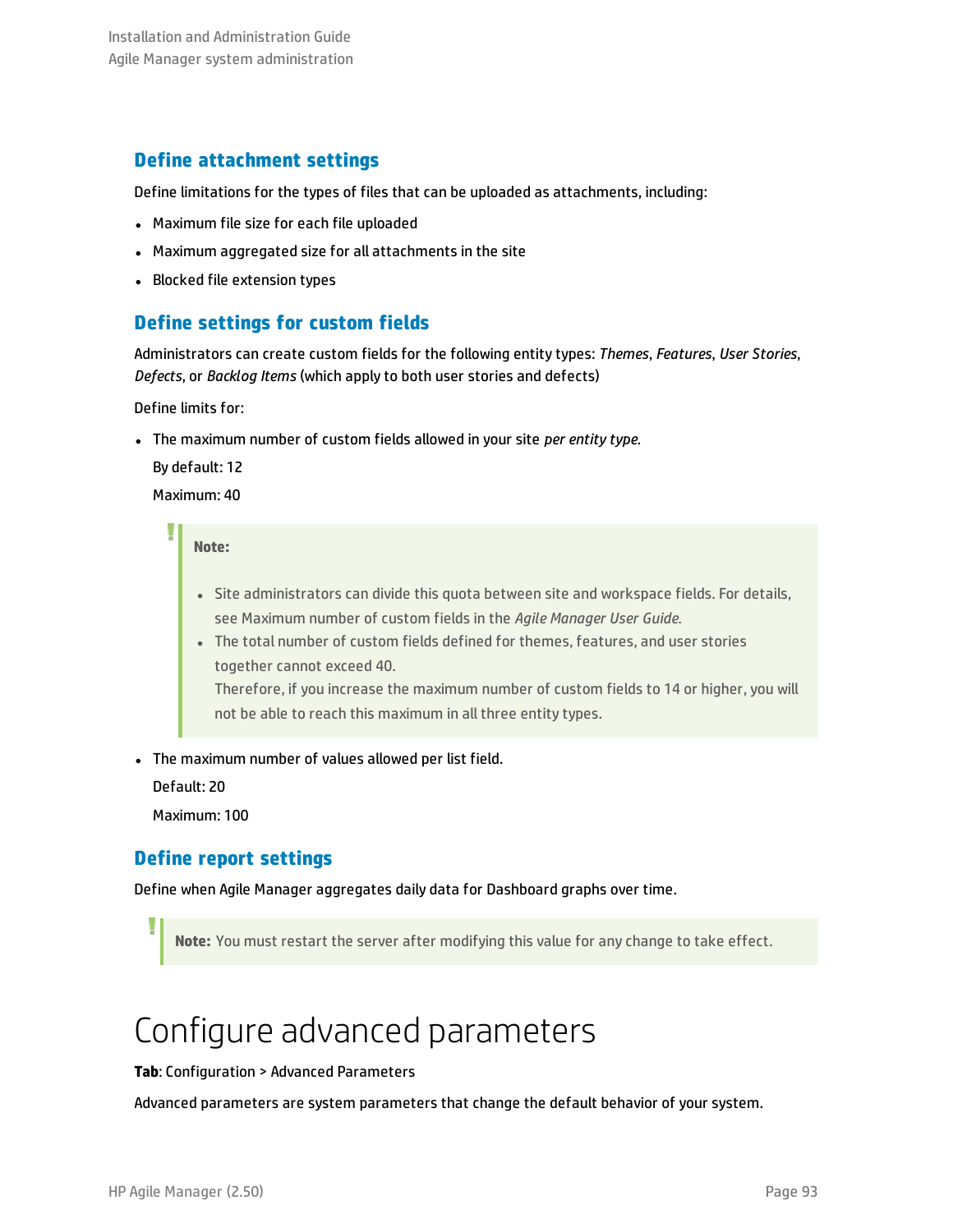### **Define attachment settings**

Define limitations for the types of files that can be uploaded as attachments, including:

- Maximum file size for each file uploaded
- Maximum aggregated size for all attachments in the site
- Blocked file extension types

### **Define settings for custom fields**

Administrators can create custom fields for the following entity types: *Themes*, *Features*, *User Stories*, *Defects*, or *Backlog Items* (which apply to both user stories and defects)

Define limits for:

<sup>l</sup> The maximum number of custom fields allowed in your site *per entity type*.

By default: 12

Maximum: 40

**Note:**

- Site administrators can divide this quota between site and workspace fields. For details, see Maximum number of custom fields in the *Agile Manager User Guide*.
- The total number of custom fields defined for themes, features, and user stories together cannot exceed 40.

Therefore, if you increase the maximum number of custom fields to 14 or higher, you will not be able to reach this maximum in all three entity types.

• The maximum number of values allowed per list field.

Default: 20

Maximum: 100

### **Define report settings**

Define when Agile Manager aggregates daily data for Dashboard graphs over time.

<span id="page-92-0"></span>**Note:** You must restart the server after modifying this value for any change to take effect.

# Configure advanced parameters

#### **Tab**: Configuration > Advanced Parameters

Advanced parameters are system parameters that change the default behavior of your system.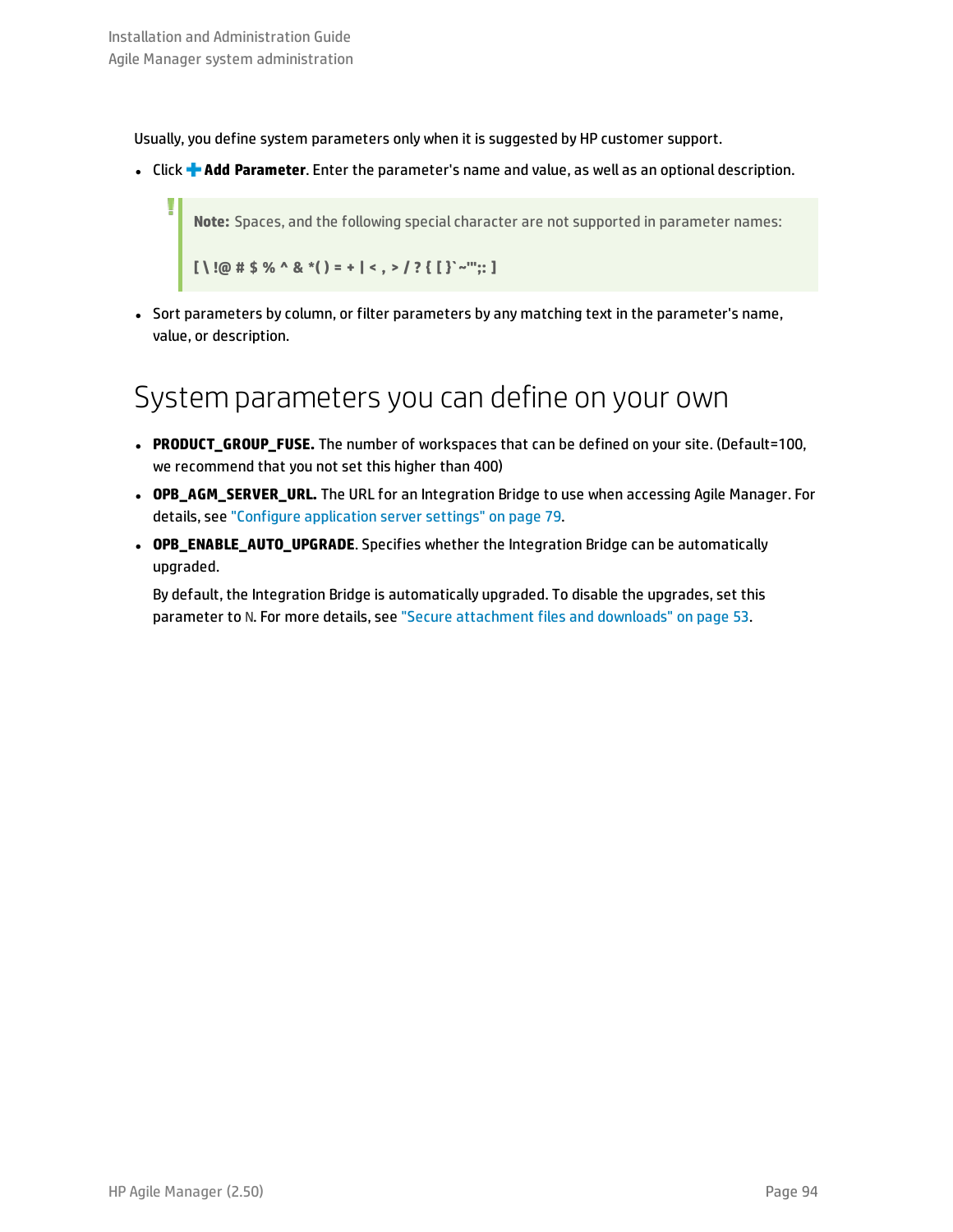Usually, you define system parameters only when it is suggested by HP customer support.

<sup>l</sup> Click **Add Parameter**. Enter the parameter's name and value, as well as an optional description.

**Note:** Spaces, and the following special character are not supported in parameter names:

 $[ \ ]$  **!** $\emptyset$  **#**  $\$$  % ^ & \*() = + | < , > / ? { [ }`~'":: ]

• Sort parameters by column, or filter parameters by any matching text in the parameter's name, value, or description.

### System parameters you can define on your own

- <sup>l</sup> **PRODUCT\_GROUP\_FUSE.** The number of workspaces that can be defined on your site. (Default=100, we recommend that you not set this higher than 400)
- <sup>l</sup> **OPB\_AGM\_SERVER\_URL.** The URL for an Integration Bridge to use when accessing Agile Manager. For details, see "Configure [application](#page-78-0) server settings" on page 79.
- **· OPB\_ENABLE\_AUTO\_UPGRADE**. Specifies whether the Integration Bridge can be automatically upgraded.

By default, the Integration Bridge is automatically upgraded. To disable the upgrades, set this parameter to N. For more details, see "Secure [attachment](#page-52-0) files and downloads" on page 53.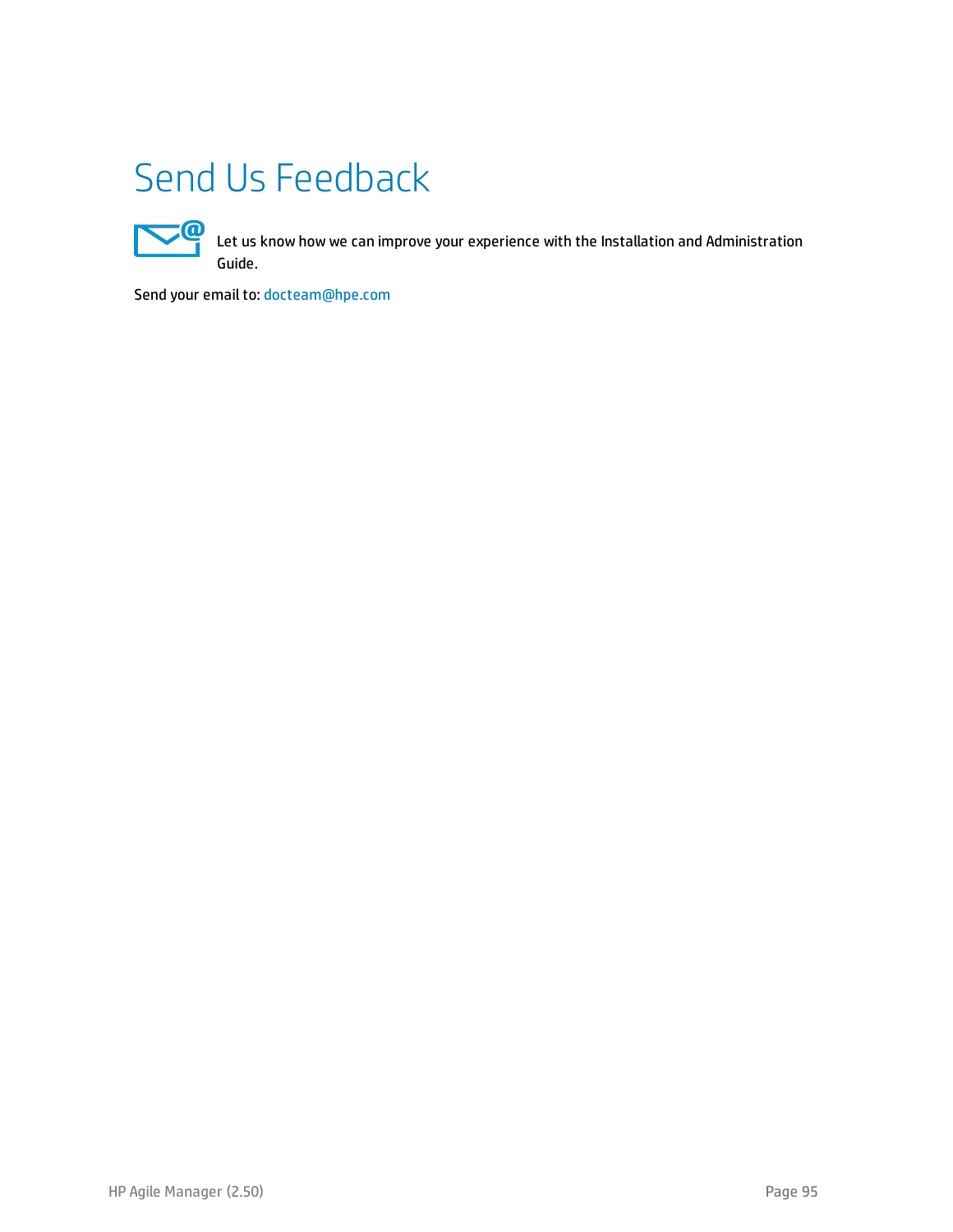# Send Us Feedback



Let us know how we can improve your experience with the Installation and Administration Guide.

Send your email to: [docteam@hpe.com](mailto:docteam@hpe.com?subject=Feedback on Installation and Administration Guide (Agile Manager 2.50))